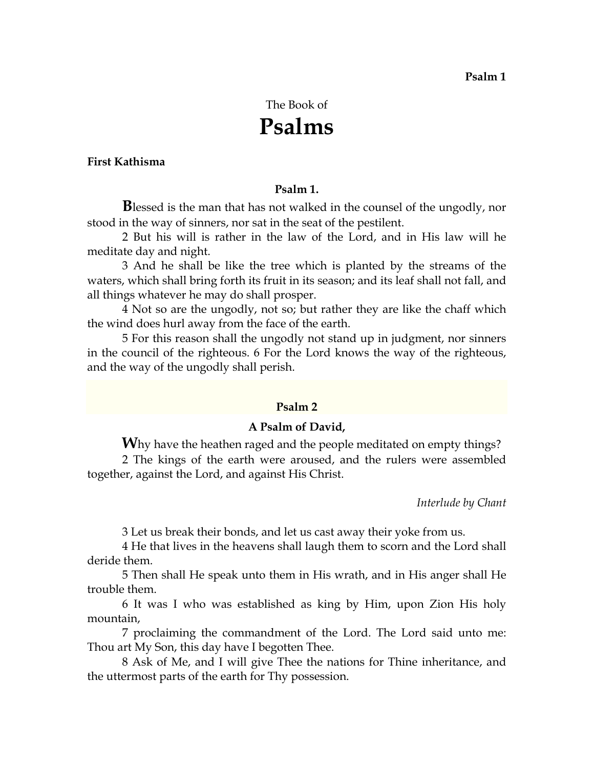# The Book of **Psalms**

## **First Kathisma**

#### **Psalm 1.**

**B**lessed is the man that has not walked in the counsel of the ungodly, nor stood in the way of sinners, nor sat in the seat of the pestilent.

2 But his will is rather in the law of the Lord, and in His law will he meditate day and night.

3 And he shall be like the tree which is planted by the streams of the waters, which shall bring forth its fruit in its season; and its leaf shall not fall, and all things whatever he may do shall prosper.

4 Not so are the ungodly, not so; but rather they are like the chaff which the wind does hurl away from the face of the earth.

5 For this reason shall the ungodly not stand up in judgment, nor sinners in the council of the righteous. 6 For the Lord knows the way of the righteous, and the way of the ungodly shall perish.

#### **Psalm 2**

## **A Psalm of David,**

**W**hy have the heathen raged and the people meditated on empty things? 2 The kings of the earth were aroused, and the rulers were assembled together, against the Lord, and against His Christ.

*Interlude by Chant* 

3 Let us break their bonds, and let us cast away their yoke from us.

4 He that lives in the heavens shall laugh them to scorn and the Lord shall deride them.

5 Then shall He speak unto them in His wrath, and in His anger shall He trouble them.

6 It was I who was established as king by Him, upon Zion His holy mountain,

7 proclaiming the commandment of the Lord. The Lord said unto me: Thou art My Son, this day have I begotten Thee.

8 Ask of Me, and I will give Thee the nations for Thine inheritance, and the uttermost parts of the earth for Thy possession.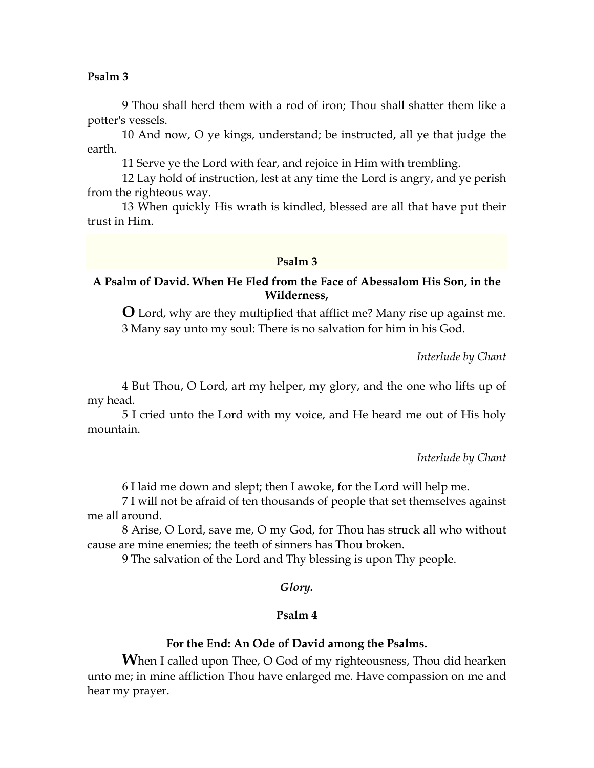9 Thou shall herd them with a rod of iron; Thou shall shatter them like a potter's vessels.

10 And now, O ye kings, understand; be instructed, all ye that judge the earth.

11 Serve ye the Lord with fear, and rejoice in Him with trembling.

12 Lay hold of instruction, lest at any time the Lord is angry, and ye perish from the righteous way.

13 When quickly His wrath is kindled, blessed are all that have put their trust in Him.

## **Psalm 3**

# **A Psalm of David. When He Fled from the Face of Abessalom His Son, in the Wilderness,**

**O** Lord, why are they multiplied that afflict me? Many rise up against me. 3 Many say unto my soul: There is no salvation for him in his God.

*Interlude by Chant* 

4 But Thou, O Lord, art my helper, my glory, and the one who lifts up of my head.

5 I cried unto the Lord with my voice, and He heard me out of His holy mountain.

*Interlude by Chant* 

6 I laid me down and slept; then I awoke, for the Lord will help me.

7 I will not be afraid of ten thousands of people that set themselves against me all around.

8 Arise, O Lord, save me, O my God, for Thou has struck all who without cause are mine enemies; the teeth of sinners has Thou broken.

9 The salvation of the Lord and Thy blessing is upon Thy people.

## *Glory.*

## **Psalm 4**

#### **For the End: An Ode of David among the Psalms.**

**When I called upon Thee, O God of my righteousness, Thou did hearken** unto me; in mine affliction Thou have enlarged me. Have compassion on me and hear my prayer.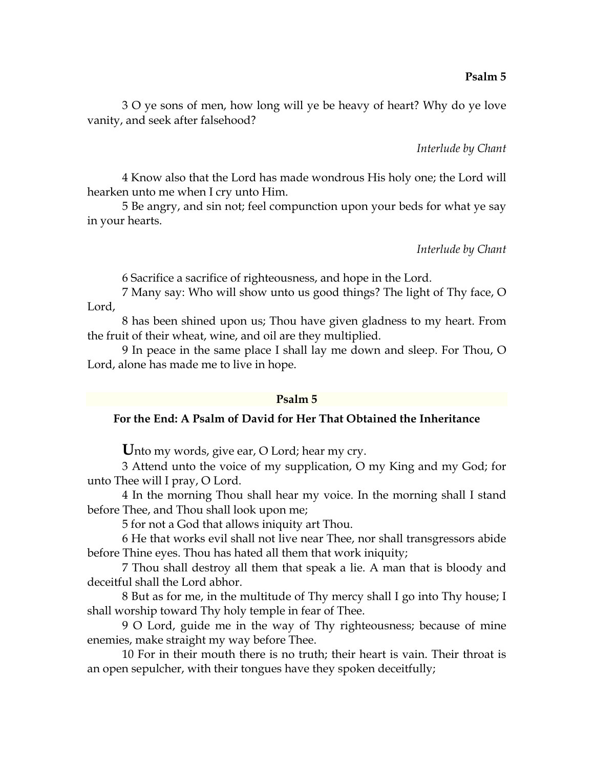3 O ye sons of men, how long will ye be heavy of heart? Why do ye love vanity, and seek after falsehood?

*Interlude by Chant* 

4 Know also that the Lord has made wondrous His holy one; the Lord will hearken unto me when I cry unto Him.

5 Be angry, and sin not; feel compunction upon your beds for what ye say in your hearts.

*Interlude by Chant* 

6 Sacrifice a sacrifice of righteousness, and hope in the Lord.

7 Many say: Who will show unto us good things? The light of Thy face, O Lord,

8 has been shined upon us; Thou have given gladness to my heart. From the fruit of their wheat, wine, and oil are they multiplied.

9 In peace in the same place I shall lay me down and sleep. For Thou, O Lord, alone has made me to live in hope.

#### **Psalm 5**

# **For the End: A Psalm of David for Her That Obtained the Inheritance**

**U**nto my words, give ear, O Lord; hear my cry.

3 Attend unto the voice of my supplication, O my King and my God; for unto Thee will I pray, O Lord.

4 In the morning Thou shall hear my voice. In the morning shall I stand before Thee, and Thou shall look upon me;

5 for not a God that allows iniquity art Thou.

6 He that works evil shall not live near Thee, nor shall transgressors abide before Thine eyes. Thou has hated all them that work iniquity;

7 Thou shall destroy all them that speak a lie. A man that is bloody and deceitful shall the Lord abhor.

8 But as for me, in the multitude of Thy mercy shall I go into Thy house; I shall worship toward Thy holy temple in fear of Thee.

9 O Lord, guide me in the way of Thy righteousness; because of mine enemies, make straight my way before Thee.

10 For in their mouth there is no truth; their heart is vain. Their throat is an open sepulcher, with their tongues have they spoken deceitfully;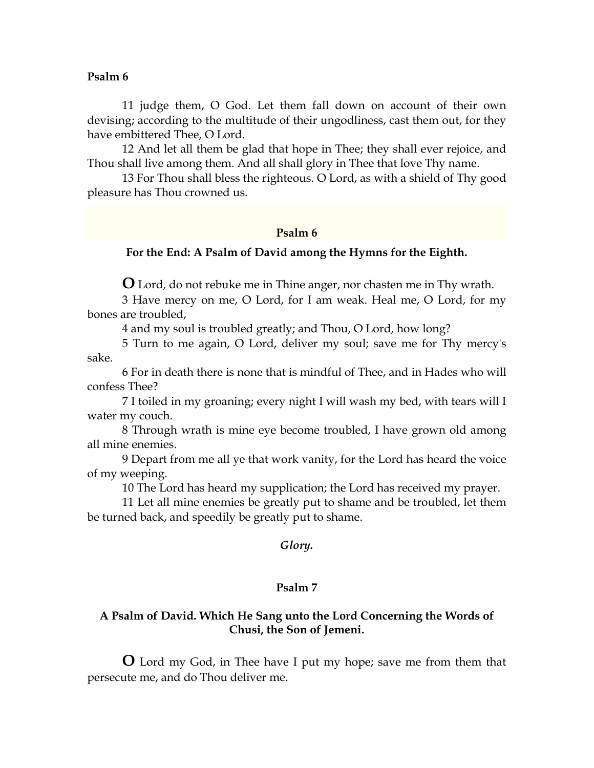11 judge them, O God. Let them fall down on account of their own devising; according to the multitude of their ungodliness, cast them out, for they have embittered Thee, O Lord.

12 And let all them be glad that hope in Thee; they shall ever rejoice, and Thou shall live among them. And all shall glory in Thee that love Thy name.

13 For Thou shall bless the righteous. O Lord, as with a shield of Thy good pleasure has Thou crowned us.

#### **Psalm 6**

## **For the End: A Psalm of David among the Hymns for the Eighth.**

**O** Lord, do not rebuke me in Thine anger, nor chasten me in Thy wrath.

3 Have mercy on me, O Lord, for I am weak. Heal me, O Lord, for my bones are troubled,

4 and my soul is troubled greatly; and Thou, O Lord, how long?

5 Turn to me again, O Lord, deliver my soul; save me for Thy mercy's sake.

6 For in death there is none that is mindful of Thee, and in Hades who will confess Thee?

7 I toiled in my groaning; every night I will wash my bed, with tears will I water my couch.

8 Through wrath is mine eye become troubled, I have grown old among all mine enemies.

9 Depart from me all ye that work vanity, for the Lord has heard the voice of my weeping.

10 The Lord has heard my supplication; the Lord has received my prayer.

11 Let all mine enemies be greatly put to shame and be troubled, let them be turned back, and speedily be greatly put to shame.

#### *Glory.*

#### **Psalm 7**

## **A Psalm of David. Which He Sang unto the Lord Concerning the Words of Chusi, the Son of Jemeni.**

**O** Lord my God, in Thee have I put my hope; save me from them that persecute me, and do Thou deliver me.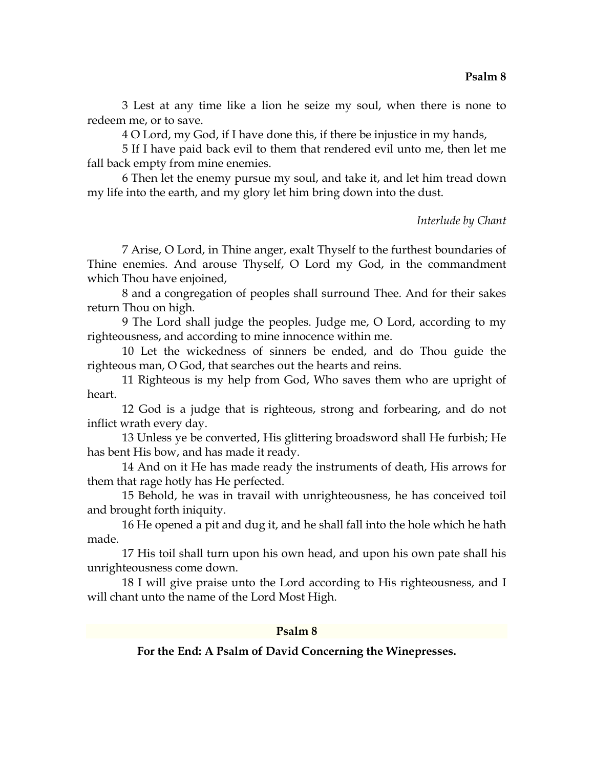3 Lest at any time like a lion he seize my soul, when there is none to redeem me, or to save.

4 O Lord, my God, if I have done this, if there be injustice in my hands,

5 If I have paid back evil to them that rendered evil unto me, then let me fall back empty from mine enemies.

6 Then let the enemy pursue my soul, and take it, and let him tread down my life into the earth, and my glory let him bring down into the dust.

## *Interlude by Chant*

7 Arise, O Lord, in Thine anger, exalt Thyself to the furthest boundaries of Thine enemies. And arouse Thyself, O Lord my God, in the commandment which Thou have enjoined,

8 and a congregation of peoples shall surround Thee. And for their sakes return Thou on high.

9 The Lord shall judge the peoples. Judge me, O Lord, according to my righteousness, and according to mine innocence within me.

10 Let the wickedness of sinners be ended, and do Thou guide the righteous man, O God, that searches out the hearts and reins.

11 Righteous is my help from God, Who saves them who are upright of heart.

12 God is a judge that is righteous, strong and forbearing, and do not inflict wrath every day.

13 Unless ye be converted, His glittering broadsword shall He furbish; He has bent His bow, and has made it ready.

14 And on it He has made ready the instruments of death, His arrows for them that rage hotly has He perfected.

15 Behold, he was in travail with unrighteousness, he has conceived toil and brought forth iniquity.

16 He opened a pit and dug it, and he shall fall into the hole which he hath made.

17 His toil shall turn upon his own head, and upon his own pate shall his unrighteousness come down.

18 I will give praise unto the Lord according to His righteousness, and I will chant unto the name of the Lord Most High.

## **Psalm 8**

**For the End: A Psalm of David Concerning the Winepresses.**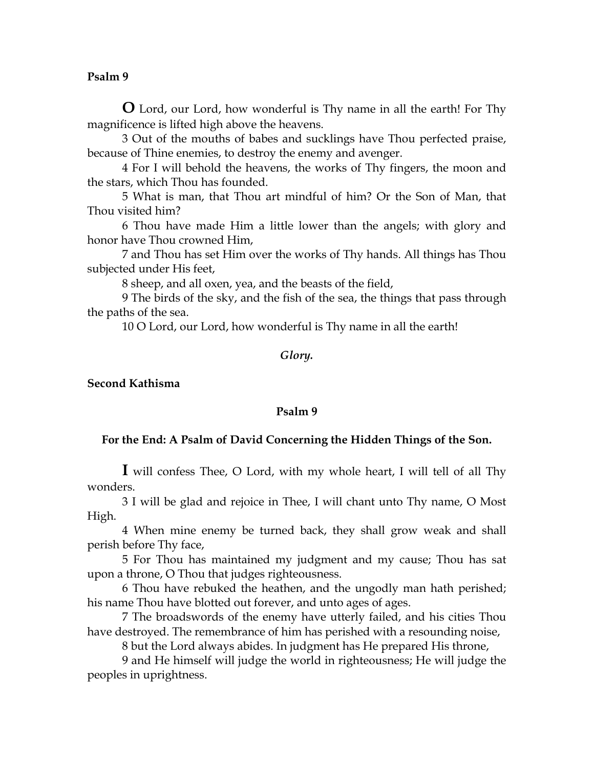**O** Lord, our Lord, how wonderful is Thy name in all the earth! For Thy magnificence is lifted high above the heavens.

3 Out of the mouths of babes and sucklings have Thou perfected praise, because of Thine enemies, to destroy the enemy and avenger.

4 For I will behold the heavens, the works of Thy fingers, the moon and the stars, which Thou has founded.

5 What is man, that Thou art mindful of him? Or the Son of Man, that Thou visited him?

6 Thou have made Him a little lower than the angels; with glory and honor have Thou crowned Him,

7 and Thou has set Him over the works of Thy hands. All things has Thou subjected under His feet,

8 sheep, and all oxen, yea, and the beasts of the field,

9 The birds of the sky, and the fish of the sea, the things that pass through the paths of the sea.

10 O Lord, our Lord, how wonderful is Thy name in all the earth!

#### *Glory.*

# **Second Kathisma**

## **Psalm 9**

## **For the End: A Psalm of David Concerning the Hidden Things of the Son.**

**I** will confess Thee, O Lord, with my whole heart, I will tell of all Thy wonders.

3 I will be glad and rejoice in Thee, I will chant unto Thy name, O Most High.

4 When mine enemy be turned back, they shall grow weak and shall perish before Thy face,

5 For Thou has maintained my judgment and my cause; Thou has sat upon a throne, O Thou that judges righteousness.

6 Thou have rebuked the heathen, and the ungodly man hath perished; his name Thou have blotted out forever, and unto ages of ages.

7 The broadswords of the enemy have utterly failed, and his cities Thou have destroyed. The remembrance of him has perished with a resounding noise,

8 but the Lord always abides. In judgment has He prepared His throne,

9 and He himself will judge the world in righteousness; He will judge the peoples in uprightness.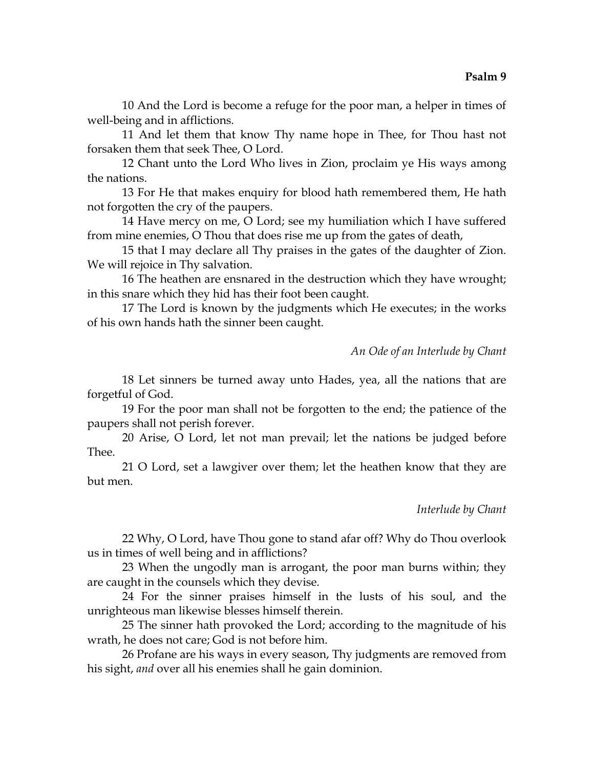10 And the Lord is become a refuge for the poor man, a helper in times of well-being and in afflictions.

11 And let them that know Thy name hope in Thee, for Thou hast not forsaken them that seek Thee, O Lord.

12 Chant unto the Lord Who lives in Zion, proclaim ye His ways among the nations.

13 For He that makes enquiry for blood hath remembered them, He hath not forgotten the cry of the paupers.

14 Have mercy on me, O Lord; see my humiliation which I have suffered from mine enemies, O Thou that does rise me up from the gates of death,

15 that I may declare all Thy praises in the gates of the daughter of Zion. We will rejoice in Thy salvation.

16 The heathen are ensnared in the destruction which they have wrought; in this snare which they hid has their foot been caught.

17 The Lord is known by the judgments which He executes; in the works of his own hands hath the sinner been caught.

# *An Ode of an Interlude by Chant*

18 Let sinners be turned away unto Hades, yea, all the nations that are forgetful of God.

19 For the poor man shall not be forgotten to the end; the patience of the paupers shall not perish forever.

20 Arise, O Lord, let not man prevail; let the nations be judged before Thee.

21 O Lord, set a lawgiver over them; let the heathen know that they are but men.

#### *Interlude by Chant*

22 Why, O Lord, have Thou gone to stand afar off? Why do Thou overlook us in times of well being and in afflictions?

23 When the ungodly man is arrogant, the poor man burns within; they are caught in the counsels which they devise.

24 For the sinner praises himself in the lusts of his soul, and the unrighteous man likewise blesses himself therein.

25 The sinner hath provoked the Lord; according to the magnitude of his wrath, he does not care; God is not before him.

26 Profane are his ways in every season, Thy judgments are removed from his sight, *and* over all his enemies shall he gain dominion.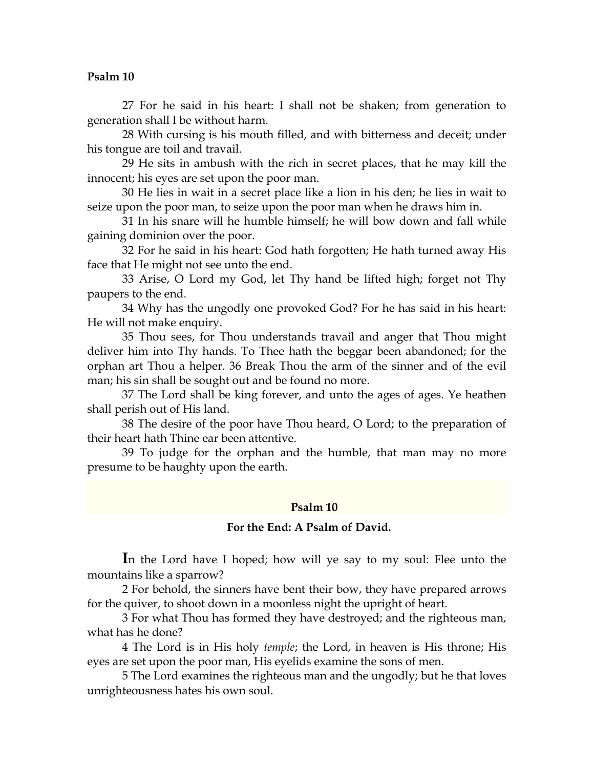27 For he said in his heart: I shall not be shaken; from generation to generation shall I be without harm.

28 With cursing is his mouth filled, and with bitterness and deceit; under his tongue are toil and travail.

29 He sits in ambush with the rich in secret places, that he may kill the innocent; his eyes are set upon the poor man.

30 He lies in wait in a secret place like a lion in his den; he lies in wait to seize upon the poor man, to seize upon the poor man when he draws him in.

31 In his snare will he humble himself; he will bow down and fall while gaining dominion over the poor.

32 For he said in his heart: God hath forgotten; He hath turned away His face that He might not see unto the end.

33 Arise, O Lord my God, let Thy hand be lifted high; forget not Thy paupers to the end.

34 Why has the ungodly one provoked God? For he has said in his heart: He will not make enquiry.

35 Thou sees, for Thou understands travail and anger that Thou might deliver him into Thy hands. To Thee hath the beggar been abandoned; for the orphan art Thou a helper. 36 Break Thou the arm of the sinner and of the evil man; his sin shall be sought out and be found no more.

37 The Lord shall be king forever, and unto the ages of ages. Ye heathen shall perish out of His land.

38 The desire of the poor have Thou heard, O Lord; to the preparation of their heart hath Thine ear been attentive.

39 To judge for the orphan and the humble, that man may no more presume to be haughty upon the earth.

#### **Psalm 10**

#### **For the End: A Psalm of David.**

**I**n the Lord have I hoped; how will ye say to my soul: Flee unto the mountains like a sparrow?

2 For behold, the sinners have bent their bow, they have prepared arrows for the quiver, to shoot down in a moonless night the upright of heart.

3 For what Thou has formed they have destroyed; and the righteous man, what has he done?

4 The Lord is in His holy *temple*; the Lord, in heaven is His throne; His eyes are set upon the poor man, His eyelids examine the sons of men.

5 The Lord examines the righteous man and the ungodly; but he that loves unrighteousness hates his own soul.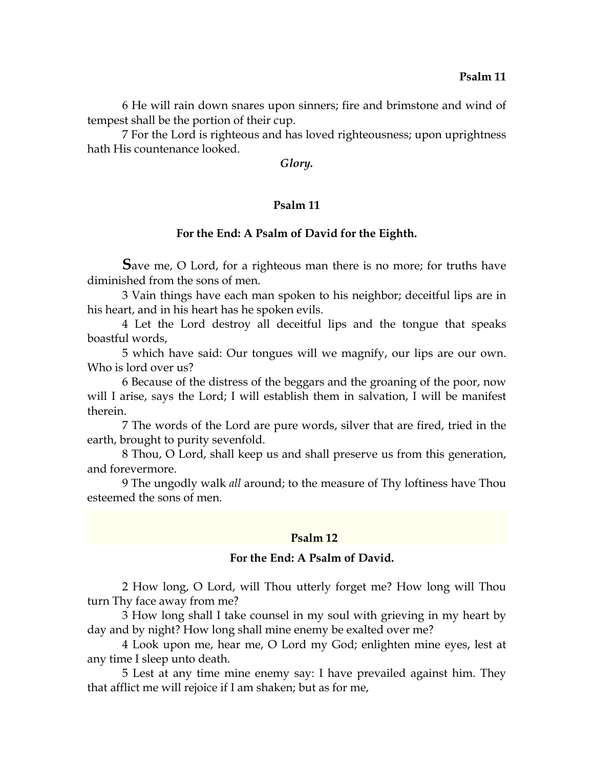6 He will rain down snares upon sinners; fire and brimstone and wind of tempest shall be the portion of their cup.

7 For the Lord is righteous and has loved righteousness; upon uprightness hath His countenance looked.

*Glory.* 

## **Psalm 11**

#### **For the End: A Psalm of David for the Eighth.**

**S**ave me, O Lord, for a righteous man there is no more; for truths have diminished from the sons of men.

3 Vain things have each man spoken to his neighbor; deceitful lips are in his heart, and in his heart has he spoken evils.

4 Let the Lord destroy all deceitful lips and the tongue that speaks boastful words,

5 which have said: Our tongues will we magnify, our lips are our own. Who is lord over us?

6 Because of the distress of the beggars and the groaning of the poor, now will I arise, says the Lord; I will establish them in salvation, I will be manifest therein.

7 The words of the Lord are pure words, silver that are fired, tried in the earth, brought to purity sevenfold.

8 Thou, O Lord, shall keep us and shall preserve us from this generation, and forevermore.

9 The ungodly walk *all* around; to the measure of Thy loftiness have Thou esteemed the sons of men.

#### **Psalm 12**

## **For the End: A Psalm of David.**

2 How long, O Lord, will Thou utterly forget me? How long will Thou turn Thy face away from me?

3 How long shall I take counsel in my soul with grieving in my heart by day and by night? How long shall mine enemy be exalted over me?

4 Look upon me, hear me, O Lord my God; enlighten mine eyes, lest at any time I sleep unto death.

5 Lest at any time mine enemy say: I have prevailed against him. They that afflict me will rejoice if I am shaken; but as for me,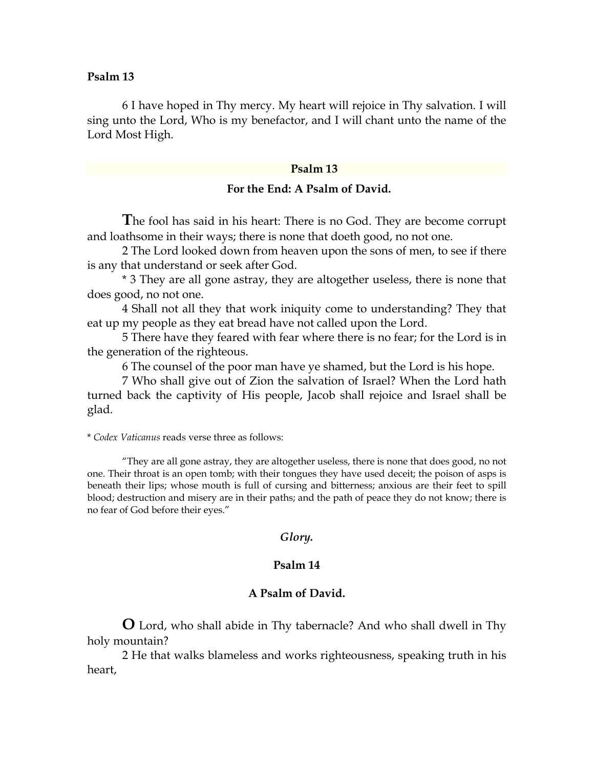6 I have hoped in Thy mercy. My heart will rejoice in Thy salvation. I will sing unto the Lord, Who is my benefactor, and I will chant unto the name of the Lord Most High.

#### **Psalm 13**

#### **For the End: A Psalm of David.**

**T**he fool has said in his heart: There is no God. They are become corrupt and loathsome in their ways; there is none that doeth good, no not one.

2 The Lord looked down from heaven upon the sons of men, to see if there is any that understand or seek after God.

\* 3 They are all gone astray, they are altogether useless, there is none that does good, no not one.

4 Shall not all they that work iniquity come to understanding? They that eat up my people as they eat bread have not called upon the Lord.

5 There have they feared with fear where there is no fear; for the Lord is in the generation of the righteous.

6 The counsel of the poor man have ye shamed, but the Lord is his hope.

7 Who shall give out of Zion the salvation of Israel? When the Lord hath turned back the captivity of His people, Jacob shall rejoice and Israel shall be glad.

\* *Codex Vaticanus* reads verse three as follows:

 "They are all gone astray, they are altogether useless, there is none that does good, no not one. Their throat is an open tomb; with their tongues they have used deceit; the poison of asps is beneath their lips; whose mouth is full of cursing and bitterness; anxious are their feet to spill blood; destruction and misery are in their paths; and the path of peace they do not know; there is no fear of God before their eyes."

#### *Glory.*

#### **Psalm 14**

## **A Psalm of David.**

**O** Lord, who shall abide in Thy tabernacle? And who shall dwell in Thy holy mountain?

2 He that walks blameless and works righteousness, speaking truth in his heart,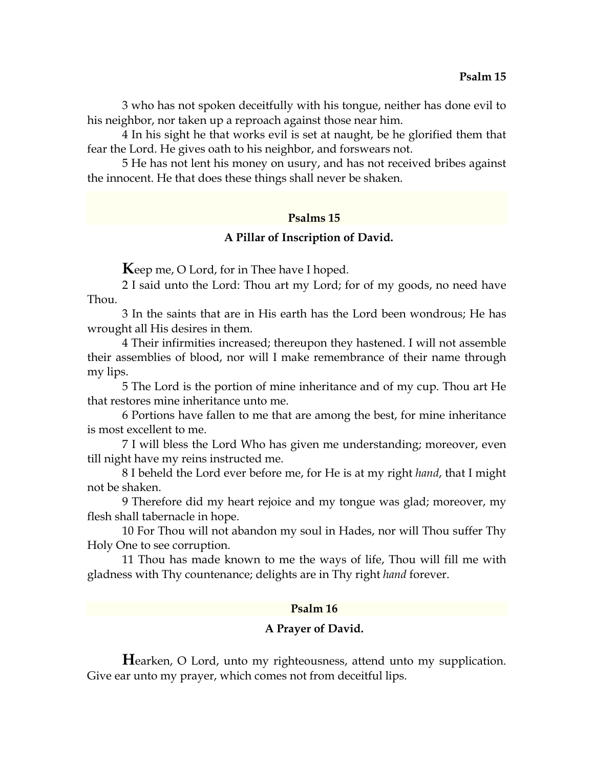3 who has not spoken deceitfully with his tongue, neither has done evil to his neighbor, nor taken up a reproach against those near him.

4 In his sight he that works evil is set at naught, be he glorified them that fear the Lord. He gives oath to his neighbor, and forswears not.

5 He has not lent his money on usury, and has not received bribes against the innocent. He that does these things shall never be shaken.

## **Psalms 15**

#### **A Pillar of Inscription of David.**

**K**eep me, O Lord, for in Thee have I hoped.

2 I said unto the Lord: Thou art my Lord; for of my goods, no need have Thou.

3 In the saints that are in His earth has the Lord been wondrous; He has wrought all His desires in them.

4 Their infirmities increased; thereupon they hastened. I will not assemble their assemblies of blood, nor will I make remembrance of their name through my lips.

5 The Lord is the portion of mine inheritance and of my cup. Thou art He that restores mine inheritance unto me.

6 Portions have fallen to me that are among the best, for mine inheritance is most excellent to me.

7 I will bless the Lord Who has given me understanding; moreover, even till night have my reins instructed me.

8 I beheld the Lord ever before me, for He is at my right *hand*, that I might not be shaken.

9 Therefore did my heart rejoice and my tongue was glad; moreover, my flesh shall tabernacle in hope.

10 For Thou will not abandon my soul in Hades, nor will Thou suffer Thy Holy One to see corruption.

11 Thou has made known to me the ways of life, Thou will fill me with gladness with Thy countenance; delights are in Thy right *hand* forever.

#### **Psalm 16**

#### **A Prayer of David.**

**H**earken, O Lord, unto my righteousness, attend unto my supplication. Give ear unto my prayer, which comes not from deceitful lips.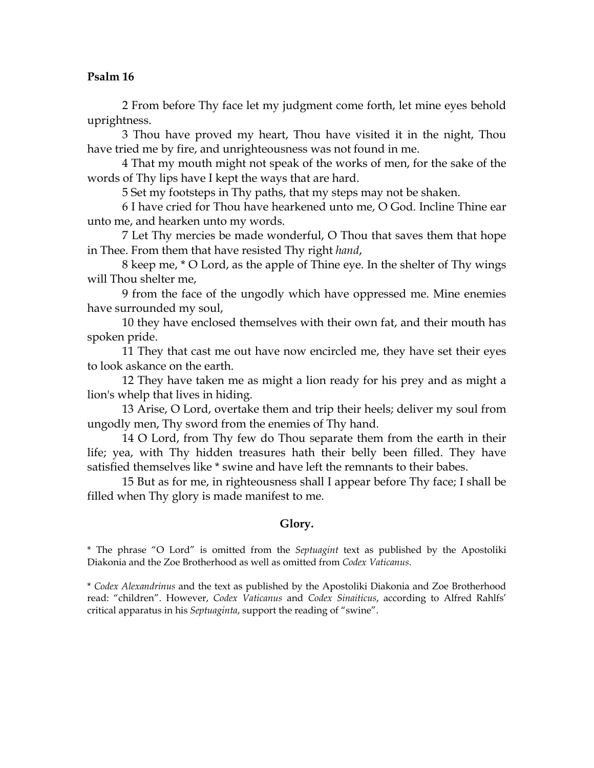2 From before Thy face let my judgment come forth, let mine eyes behold uprightness.

3 Thou have proved my heart, Thou have visited it in the night, Thou have tried me by fire, and unrighteousness was not found in me.

4 That my mouth might not speak of the works of men, for the sake of the words of Thy lips have I kept the ways that are hard.

5 Set my footsteps in Thy paths, that my steps may not be shaken.

6 I have cried for Thou have hearkened unto me, O God. Incline Thine ear unto me, and hearken unto my words.

7 Let Thy mercies be made wonderful, O Thou that saves them that hope in Thee. From them that have resisted Thy right *hand*,

8 keep me, \* O Lord, as the apple of Thine eye. In the shelter of Thy wings will Thou shelter me,

9 from the face of the ungodly which have oppressed me. Mine enemies have surrounded my soul,

10 they have enclosed themselves with their own fat, and their mouth has spoken pride.

11 They that cast me out have now encircled me, they have set their eyes to look askance on the earth.

12 They have taken me as might a lion ready for his prey and as might a lion's whelp that lives in hiding.

13 Arise, O Lord, overtake them and trip their heels; deliver my soul from ungodly men, Thy sword from the enemies of Thy hand.

14 O Lord, from Thy few do Thou separate them from the earth in their life; yea, with Thy hidden treasures hath their belly been filled. They have satisfied themselves like \* swine and have left the remnants to their babes.

15 But as for me, in righteousness shall I appear before Thy face; I shall be filled when Thy glory is made manifest to me.

## **Glory.**

\* The phrase "O Lord" is omitted from the *Septuagint* text as published by the Apostoliki Diakonia and the Zoe Brotherhood as well as omitted from *Codex Vaticanus*.

\* *Codex Alexandrinus* and the text as published by the Apostoliki Diakonia and Zoe Brotherhood read: "children". However, *Codex Vaticanus* and *Codex Sinaiticus*, according to Alfred Rahlfs' critical apparatus in his *Septuaginta*, support the reading of "swine".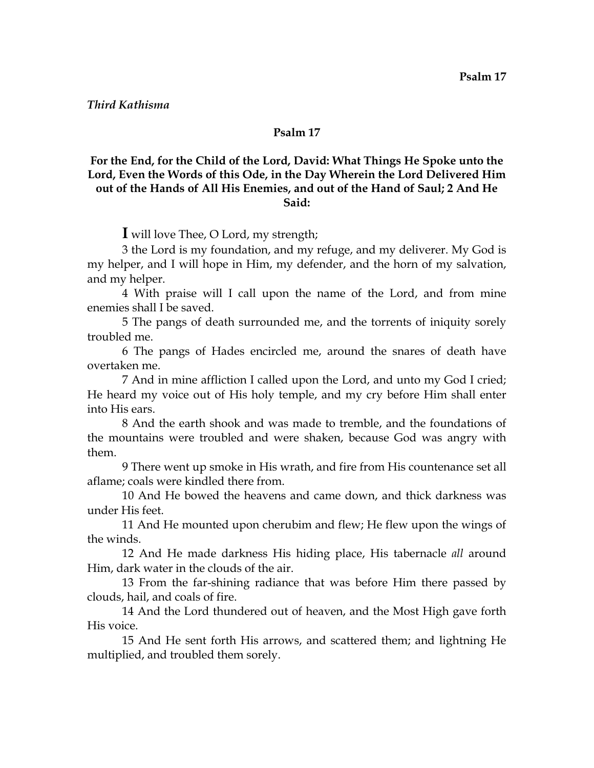## *Third Kathisma*

#### **Psalm 17**

# **For the End, for the Child of the Lord, David: What Things He Spoke unto the Lord, Even the Words of this Ode, in the Day Wherein the Lord Delivered Him out of the Hands of All His Enemies, and out of the Hand of Saul; 2 And He Said:**

**I** will love Thee, O Lord, my strength;

3 the Lord is my foundation, and my refuge, and my deliverer. My God is my helper, and I will hope in Him, my defender, and the horn of my salvation, and my helper.

4 With praise will I call upon the name of the Lord, and from mine enemies shall I be saved.

5 The pangs of death surrounded me, and the torrents of iniquity sorely troubled me.

6 The pangs of Hades encircled me, around the snares of death have overtaken me.

7 And in mine affliction I called upon the Lord, and unto my God I cried; He heard my voice out of His holy temple, and my cry before Him shall enter into His ears.

8 And the earth shook and was made to tremble, and the foundations of the mountains were troubled and were shaken, because God was angry with them.

9 There went up smoke in His wrath, and fire from His countenance set all aflame; coals were kindled there from.

10 And He bowed the heavens and came down, and thick darkness was under His feet.

11 And He mounted upon cherubim and flew; He flew upon the wings of the winds.

12 And He made darkness His hiding place, His tabernacle *all* around Him, dark water in the clouds of the air.

13 From the far-shining radiance that was before Him there passed by clouds, hail, and coals of fire.

14 And the Lord thundered out of heaven, and the Most High gave forth His voice.

15 And He sent forth His arrows, and scattered them; and lightning He multiplied, and troubled them sorely.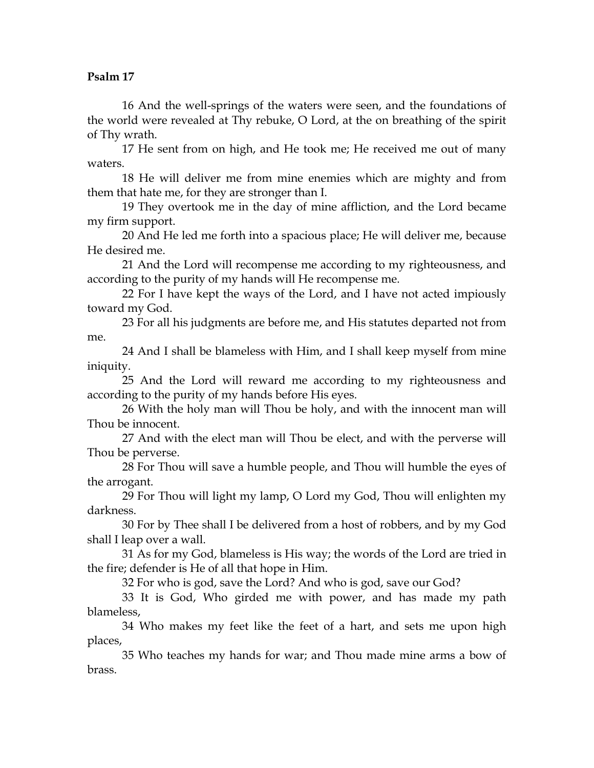16 And the well-springs of the waters were seen, and the foundations of the world were revealed at Thy rebuke, O Lord, at the on breathing of the spirit of Thy wrath.

17 He sent from on high, and He took me; He received me out of many waters.

18 He will deliver me from mine enemies which are mighty and from them that hate me, for they are stronger than I.

19 They overtook me in the day of mine affliction, and the Lord became my firm support.

20 And He led me forth into a spacious place; He will deliver me, because He desired me.

21 And the Lord will recompense me according to my righteousness, and according to the purity of my hands will He recompense me.

22 For I have kept the ways of the Lord, and I have not acted impiously toward my God.

23 For all his judgments are before me, and His statutes departed not from me.

24 And I shall be blameless with Him, and I shall keep myself from mine iniquity.

25 And the Lord will reward me according to my righteousness and according to the purity of my hands before His eyes.

26 With the holy man will Thou be holy, and with the innocent man will Thou be innocent.

27 And with the elect man will Thou be elect, and with the perverse will Thou be perverse.

28 For Thou will save a humble people, and Thou will humble the eyes of the arrogant.

29 For Thou will light my lamp, O Lord my God, Thou will enlighten my darkness.

30 For by Thee shall I be delivered from a host of robbers, and by my God shall I leap over a wall.

31 As for my God, blameless is His way; the words of the Lord are tried in the fire; defender is He of all that hope in Him.

32 For who is god, save the Lord? And who is god, save our God?

33 It is God, Who girded me with power, and has made my path blameless,

34 Who makes my feet like the feet of a hart, and sets me upon high places,

35 Who teaches my hands for war; and Thou made mine arms a bow of brass.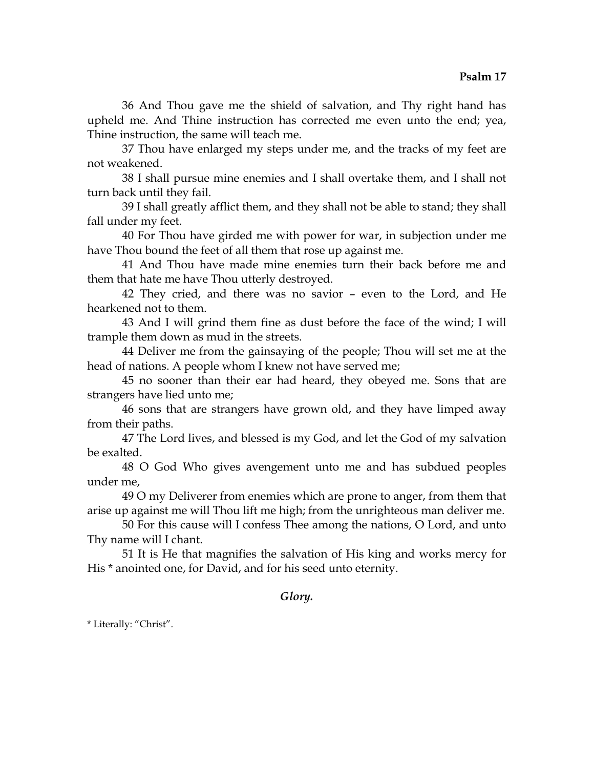36 And Thou gave me the shield of salvation, and Thy right hand has upheld me. And Thine instruction has corrected me even unto the end; yea, Thine instruction, the same will teach me.

37 Thou have enlarged my steps under me, and the tracks of my feet are not weakened.

38 I shall pursue mine enemies and I shall overtake them, and I shall not turn back until they fail.

39 I shall greatly afflict them, and they shall not be able to stand; they shall fall under my feet.

40 For Thou have girded me with power for war, in subjection under me have Thou bound the feet of all them that rose up against me.

41 And Thou have made mine enemies turn their back before me and them that hate me have Thou utterly destroyed.

42 They cried, and there was no savior – even to the Lord, and He hearkened not to them.

43 And I will grind them fine as dust before the face of the wind; I will trample them down as mud in the streets.

44 Deliver me from the gainsaying of the people; Thou will set me at the head of nations. A people whom I knew not have served me;

45 no sooner than their ear had heard, they obeyed me. Sons that are strangers have lied unto me;

46 sons that are strangers have grown old, and they have limped away from their paths.

47 The Lord lives, and blessed is my God, and let the God of my salvation be exalted.

48 O God Who gives avengement unto me and has subdued peoples under me,

49 O my Deliverer from enemies which are prone to anger, from them that arise up against me will Thou lift me high; from the unrighteous man deliver me.

50 For this cause will I confess Thee among the nations, O Lord, and unto Thy name will I chant.

51 It is He that magnifies the salvation of His king and works mercy for His \* anointed one, for David, and for his seed unto eternity.

# *Glory.*

\* Literally: "Christ".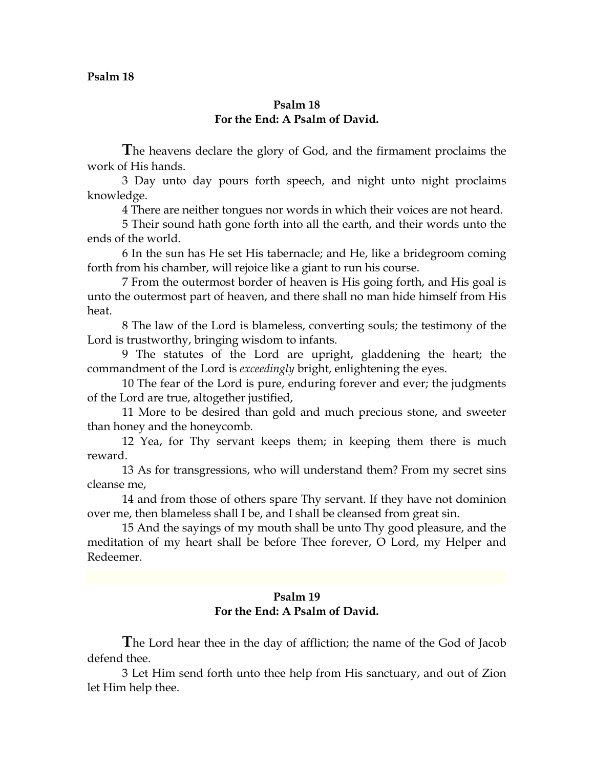## **Psalm 18 For the End: A Psalm of David.**

**T**he heavens declare the glory of God, and the firmament proclaims the work of His hands.

3 Day unto day pours forth speech, and night unto night proclaims knowledge.

4 There are neither tongues nor words in which their voices are not heard.

5 Their sound hath gone forth into all the earth, and their words unto the ends of the world.

6 In the sun has He set His tabernacle; and He, like a bridegroom coming forth from his chamber, will rejoice like a giant to run his course.

7 From the outermost border of heaven is His going forth, and His goal is unto the outermost part of heaven, and there shall no man hide himself from His heat.

8 The law of the Lord is blameless, converting souls; the testimony of the Lord is trustworthy, bringing wisdom to infants.

9 The statutes of the Lord are upright, gladdening the heart; the commandment of the Lord is *exceedingly* bright, enlightening the eyes.

10 The fear of the Lord is pure, enduring forever and ever; the judgments of the Lord are true, altogether justified,

11 More to be desired than gold and much precious stone, and sweeter than honey and the honeycomb.

12 Yea, for Thy servant keeps them; in keeping them there is much reward.

13 As for transgressions, who will understand them? From my secret sins cleanse me,

14 and from those of others spare Thy servant. If they have not dominion over me, then blameless shall I be, and I shall be cleansed from great sin.

15 And the sayings of my mouth shall be unto Thy good pleasure, and the meditation of my heart shall be before Thee forever, O Lord, my Helper and Redeemer.

## **Psalm 19 For the End: A Psalm of David.**

**T**he Lord hear thee in the day of affliction; the name of the God of Jacob defend thee.

3 Let Him send forth unto thee help from His sanctuary, and out of Zion let Him help thee.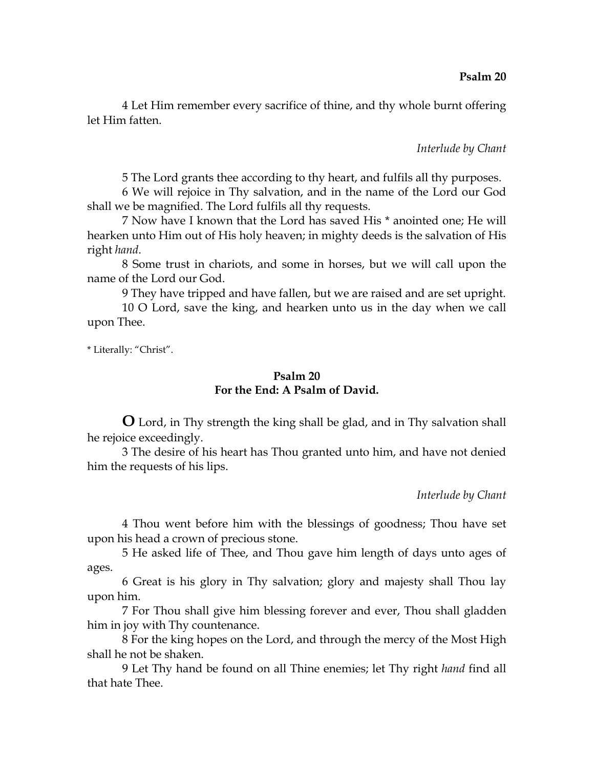4 Let Him remember every sacrifice of thine, and thy whole burnt offering let Him fatten.

## *Interlude by Chant*

5 The Lord grants thee according to thy heart, and fulfils all thy purposes.

6 We will rejoice in Thy salvation, and in the name of the Lord our God shall we be magnified. The Lord fulfils all thy requests.

7 Now have I known that the Lord has saved His \* anointed one; He will hearken unto Him out of His holy heaven; in mighty deeds is the salvation of His right *hand*.

8 Some trust in chariots, and some in horses, but we will call upon the name of the Lord our God.

9 They have tripped and have fallen, but we are raised and are set upright.

10 O Lord, save the king, and hearken unto us in the day when we call upon Thee.

\* Literally: "Christ".

# **Psalm 20 For the End: A Psalm of David.**

**O** Lord, in Thy strength the king shall be glad, and in Thy salvation shall he rejoice exceedingly.

3 The desire of his heart has Thou granted unto him, and have not denied him the requests of his lips.

*Interlude by Chant*

4 Thou went before him with the blessings of goodness; Thou have set upon his head a crown of precious stone.

5 He asked life of Thee, and Thou gave him length of days unto ages of ages.

6 Great is his glory in Thy salvation; glory and majesty shall Thou lay upon him.

7 For Thou shall give him blessing forever and ever, Thou shall gladden him in joy with Thy countenance.

8 For the king hopes on the Lord, and through the mercy of the Most High shall he not be shaken.

9 Let Thy hand be found on all Thine enemies; let Thy right *hand* find all that hate Thee.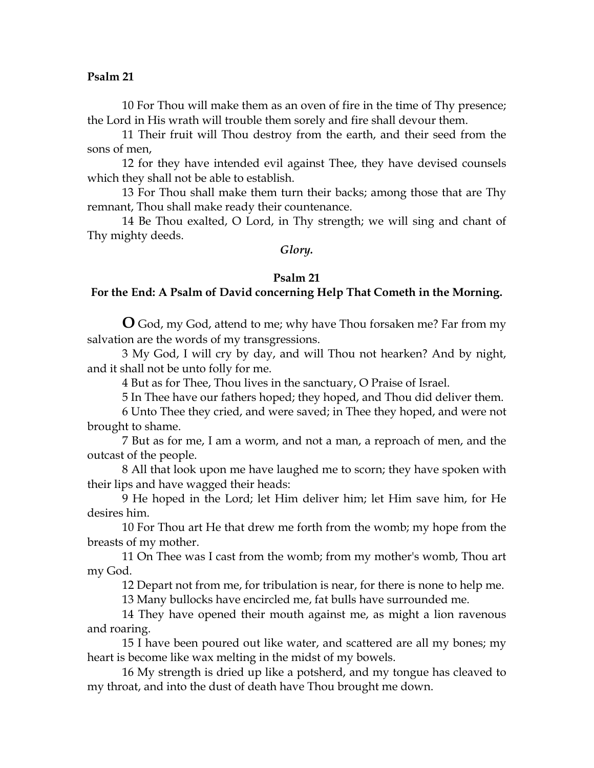10 For Thou will make them as an oven of fire in the time of Thy presence; the Lord in His wrath will trouble them sorely and fire shall devour them.

11 Their fruit will Thou destroy from the earth, and their seed from the sons of men,

12 for they have intended evil against Thee, they have devised counsels which they shall not be able to establish.

13 For Thou shall make them turn their backs; among those that are Thy remnant, Thou shall make ready their countenance.

14 Be Thou exalted, O Lord, in Thy strength; we will sing and chant of Thy mighty deeds.

#### *Glory.*

#### **Psalm 21**

## **For the End: A Psalm of David concerning Help That Cometh in the Morning.**

**O** God, my God, attend to me; why have Thou forsaken me? Far from my salvation are the words of my transgressions.

3 My God, I will cry by day, and will Thou not hearken? And by night, and it shall not be unto folly for me.

4 But as for Thee, Thou lives in the sanctuary, O Praise of Israel.

5 In Thee have our fathers hoped; they hoped, and Thou did deliver them.

6 Unto Thee they cried, and were saved; in Thee they hoped, and were not brought to shame.

7 But as for me, I am a worm, and not a man, a reproach of men, and the outcast of the people.

8 All that look upon me have laughed me to scorn; they have spoken with their lips and have wagged their heads:

9 He hoped in the Lord; let Him deliver him; let Him save him, for He desires him.

10 For Thou art He that drew me forth from the womb; my hope from the breasts of my mother.

11 On Thee was I cast from the womb; from my mother's womb, Thou art my God.

12 Depart not from me, for tribulation is near, for there is none to help me.

13 Many bullocks have encircled me, fat bulls have surrounded me.

14 They have opened their mouth against me, as might a lion ravenous and roaring.

15 I have been poured out like water, and scattered are all my bones; my heart is become like wax melting in the midst of my bowels.

16 My strength is dried up like a potsherd, and my tongue has cleaved to my throat, and into the dust of death have Thou brought me down.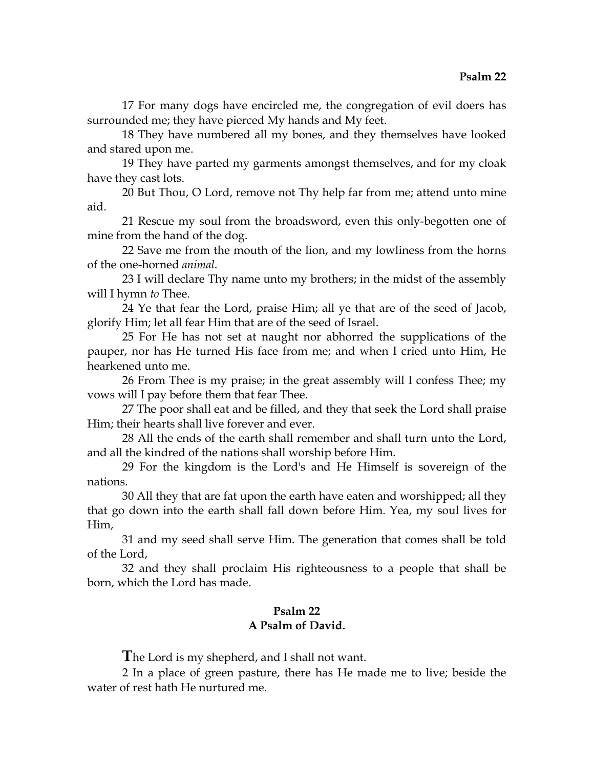17 For many dogs have encircled me, the congregation of evil doers has surrounded me; they have pierced My hands and My feet.

18 They have numbered all my bones, and they themselves have looked and stared upon me.

19 They have parted my garments amongst themselves, and for my cloak have they cast lots.

20 But Thou, O Lord, remove not Thy help far from me; attend unto mine aid.

21 Rescue my soul from the broadsword, even this only-begotten one of mine from the hand of the dog.

22 Save me from the mouth of the lion, and my lowliness from the horns of the one-horned *animal*.

23 I will declare Thy name unto my brothers; in the midst of the assembly will I hymn *to* Thee.

24 Ye that fear the Lord, praise Him; all ye that are of the seed of Jacob, glorify Him; let all fear Him that are of the seed of Israel.

25 For He has not set at naught nor abhorred the supplications of the pauper, nor has He turned His face from me; and when I cried unto Him, He hearkened unto me.

26 From Thee is my praise; in the great assembly will I confess Thee; my vows will I pay before them that fear Thee.

27 The poor shall eat and be filled, and they that seek the Lord shall praise Him; their hearts shall live forever and ever.

28 All the ends of the earth shall remember and shall turn unto the Lord, and all the kindred of the nations shall worship before Him.

29 For the kingdom is the Lord's and He Himself is sovereign of the nations.

30 All they that are fat upon the earth have eaten and worshipped; all they that go down into the earth shall fall down before Him. Yea, my soul lives for Him,

31 and my seed shall serve Him. The generation that comes shall be told of the Lord,

32 and they shall proclaim His righteousness to a people that shall be born, which the Lord has made.

# **Psalm 22 A Psalm of David.**

**T**he Lord is my shepherd, and I shall not want.

2 In a place of green pasture, there has He made me to live; beside the water of rest hath He nurtured me.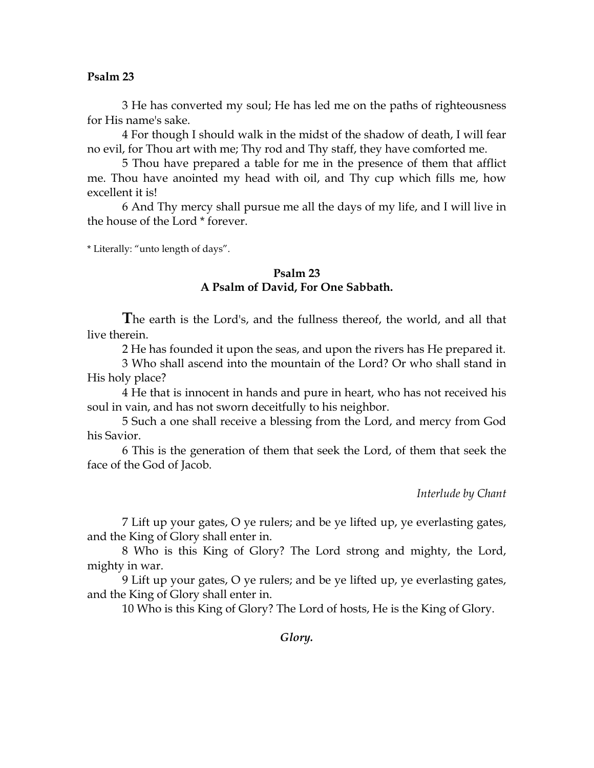3 He has converted my soul; He has led me on the paths of righteousness for His name's sake.

4 For though I should walk in the midst of the shadow of death, I will fear no evil, for Thou art with me; Thy rod and Thy staff, they have comforted me.

5 Thou have prepared a table for me in the presence of them that afflict me. Thou have anointed my head with oil, and Thy cup which fills me, how excellent it is!

6 And Thy mercy shall pursue me all the days of my life, and I will live in the house of the Lord \* forever.

\* Literally: "unto length of days".

## **Psalm 23 A Psalm of David, For One Sabbath.**

**T**he earth is the Lord's, and the fullness thereof, the world, and all that live therein.

2 He has founded it upon the seas, and upon the rivers has He prepared it.

3 Who shall ascend into the mountain of the Lord? Or who shall stand in His holy place?

4 He that is innocent in hands and pure in heart, who has not received his soul in vain, and has not sworn deceitfully to his neighbor.

5 Such a one shall receive a blessing from the Lord, and mercy from God his Savior.

6 This is the generation of them that seek the Lord, of them that seek the face of the God of Jacob.

*Interlude by Chant*

7 Lift up your gates, O ye rulers; and be ye lifted up, ye everlasting gates, and the King of Glory shall enter in.

8 Who is this King of Glory? The Lord strong and mighty, the Lord, mighty in war.

9 Lift up your gates, O ye rulers; and be ye lifted up, ye everlasting gates, and the King of Glory shall enter in.

10 Who is this King of Glory? The Lord of hosts, He is the King of Glory.

*Glory.*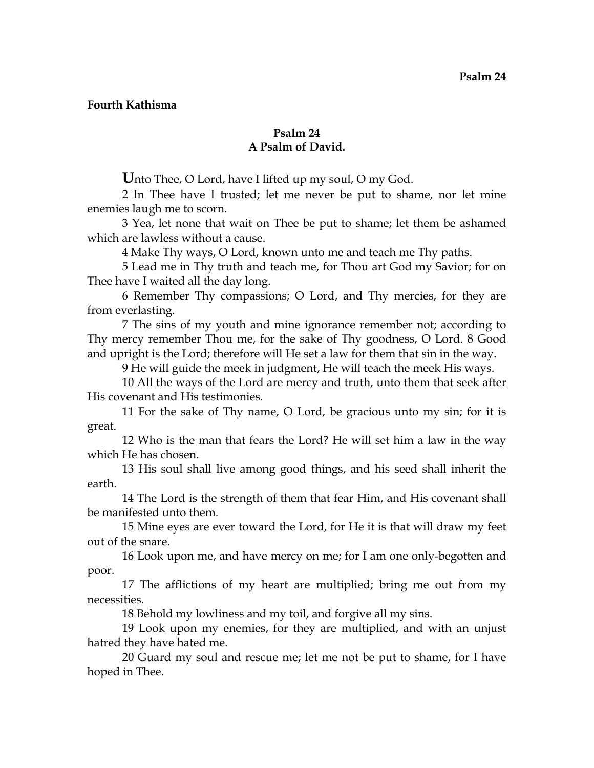## **Fourth Kathisma**

## **Psalm 24 A Psalm of David.**

**U**nto Thee, O Lord, have I lifted up my soul, O my God.

2 In Thee have I trusted; let me never be put to shame, nor let mine enemies laugh me to scorn.

3 Yea, let none that wait on Thee be put to shame; let them be ashamed which are lawless without a cause.

4 Make Thy ways, O Lord, known unto me and teach me Thy paths.

5 Lead me in Thy truth and teach me, for Thou art God my Savior; for on Thee have I waited all the day long.

6 Remember Thy compassions; O Lord, and Thy mercies, for they are from everlasting.

7 The sins of my youth and mine ignorance remember not; according to Thy mercy remember Thou me, for the sake of Thy goodness, O Lord. 8 Good and upright is the Lord; therefore will He set a law for them that sin in the way.

9 He will guide the meek in judgment, He will teach the meek His ways.

10 All the ways of the Lord are mercy and truth, unto them that seek after His covenant and His testimonies.

11 For the sake of Thy name, O Lord, be gracious unto my sin; for it is great.

12 Who is the man that fears the Lord? He will set him a law in the way which He has chosen.

13 His soul shall live among good things, and his seed shall inherit the earth.

14 The Lord is the strength of them that fear Him, and His covenant shall be manifested unto them.

15 Mine eyes are ever toward the Lord, for He it is that will draw my feet out of the snare.

16 Look upon me, and have mercy on me; for I am one only-begotten and poor.

17 The afflictions of my heart are multiplied; bring me out from my necessities.

18 Behold my lowliness and my toil, and forgive all my sins.

19 Look upon my enemies, for they are multiplied, and with an unjust hatred they have hated me.

20 Guard my soul and rescue me; let me not be put to shame, for I have hoped in Thee.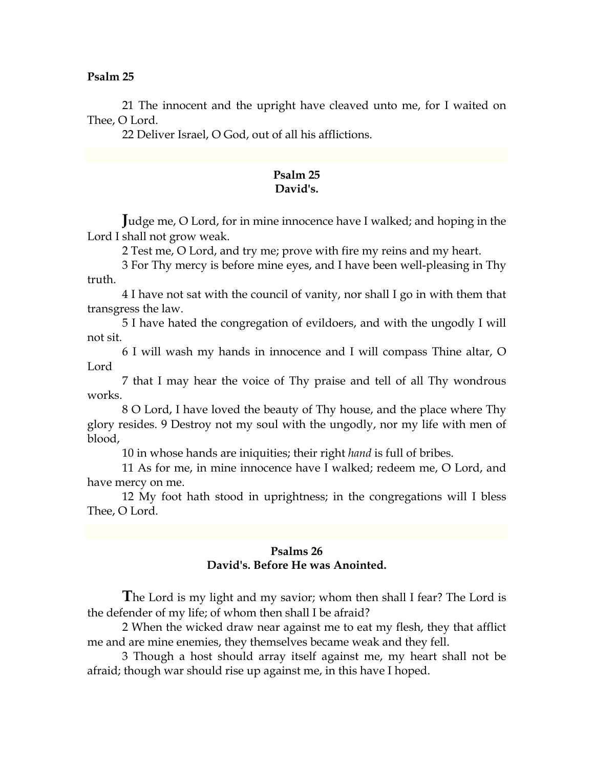21 The innocent and the upright have cleaved unto me, for I waited on Thee, O Lord.

22 Deliver Israel, O God, out of all his afflictions.

## **Psalm 25 David's.**

**J**udge me, O Lord, for in mine innocence have I walked; and hoping in the Lord I shall not grow weak.

2 Test me, O Lord, and try me; prove with fire my reins and my heart.

3 For Thy mercy is before mine eyes, and I have been well-pleasing in Thy truth.

4 I have not sat with the council of vanity, nor shall I go in with them that transgress the law.

5 I have hated the congregation of evildoers, and with the ungodly I will not sit.

6 I will wash my hands in innocence and I will compass Thine altar, O Lord

7 that I may hear the voice of Thy praise and tell of all Thy wondrous works.

8 O Lord, I have loved the beauty of Thy house, and the place where Thy glory resides. 9 Destroy not my soul with the ungodly, nor my life with men of blood,

10 in whose hands are iniquities; their right *hand* is full of bribes.

11 As for me, in mine innocence have I walked; redeem me, O Lord, and have mercy on me.

12 My foot hath stood in uprightness; in the congregations will I bless Thee, O Lord.

# **Psalms 26 David's. Before He was Anointed.**

**T**he Lord is my light and my savior; whom then shall I fear? The Lord is the defender of my life; of whom then shall I be afraid?

2 When the wicked draw near against me to eat my flesh, they that afflict me and are mine enemies, they themselves became weak and they fell.

3 Though a host should array itself against me, my heart shall not be afraid; though war should rise up against me, in this have I hoped.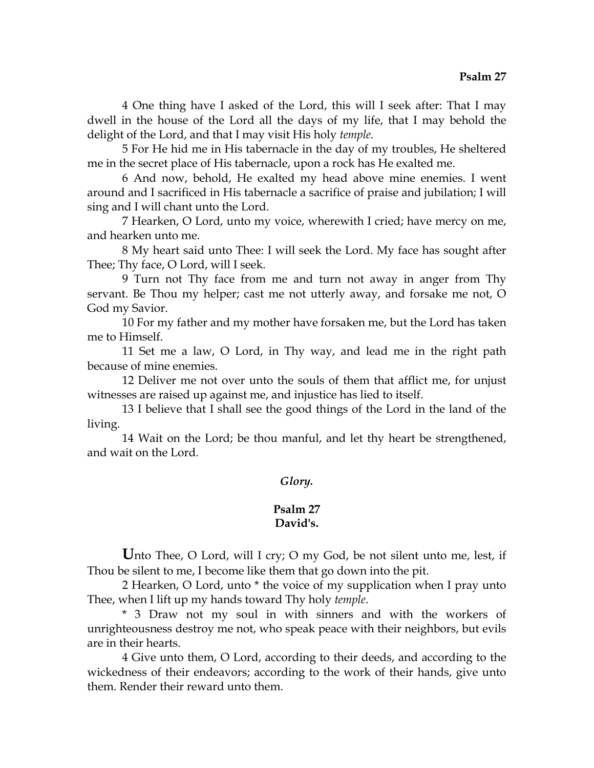4 One thing have I asked of the Lord, this will I seek after: That I may dwell in the house of the Lord all the days of my life, that I may behold the delight of the Lord, and that I may visit His holy *temple*.

5 For He hid me in His tabernacle in the day of my troubles, He sheltered me in the secret place of His tabernacle, upon a rock has He exalted me.

6 And now, behold, He exalted my head above mine enemies. I went around and I sacrificed in His tabernacle a sacrifice of praise and jubilation; I will sing and I will chant unto the Lord.

7 Hearken, O Lord, unto my voice, wherewith I cried; have mercy on me, and hearken unto me.

8 My heart said unto Thee: I will seek the Lord. My face has sought after Thee; Thy face, O Lord, will I seek.

9 Turn not Thy face from me and turn not away in anger from Thy servant. Be Thou my helper; cast me not utterly away, and forsake me not, O God my Savior.

10 For my father and my mother have forsaken me, but the Lord has taken me to Himself.

11 Set me a law, O Lord, in Thy way, and lead me in the right path because of mine enemies.

12 Deliver me not over unto the souls of them that afflict me, for unjust witnesses are raised up against me, and injustice has lied to itself.

13 I believe that I shall see the good things of the Lord in the land of the living.

14 Wait on the Lord; be thou manful, and let thy heart be strengthened, and wait on the Lord.

# *Glory.*

#### **Psalm 27 David's.**

Unto Thee, O Lord, will I cry; O my God, be not silent unto me, lest, if Thou be silent to me, I become like them that go down into the pit.

2 Hearken, O Lord, unto \* the voice of my supplication when I pray unto Thee, when I lift up my hands toward Thy holy *temple*.

\* 3 Draw not my soul in with sinners and with the workers of unrighteousness destroy me not, who speak peace with their neighbors, but evils are in their hearts.

4 Give unto them, O Lord, according to their deeds, and according to the wickedness of their endeavors; according to the work of their hands, give unto them. Render their reward unto them.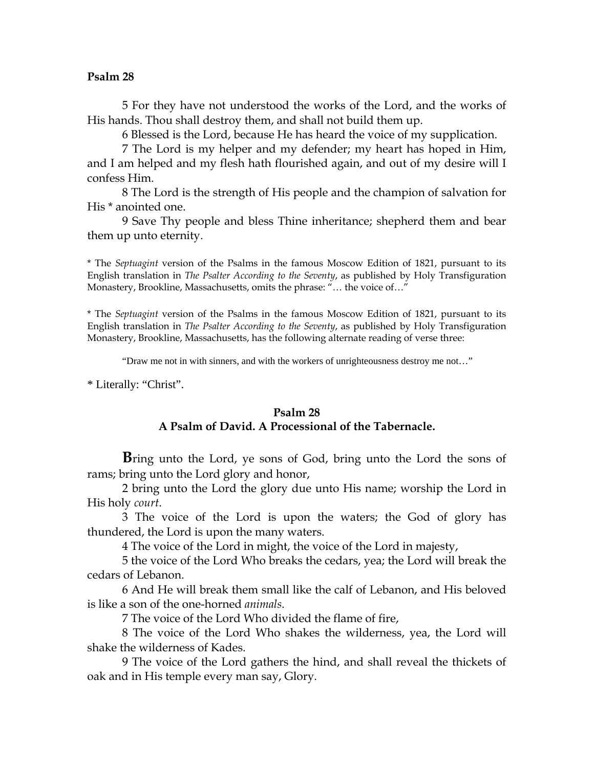5 For they have not understood the works of the Lord, and the works of His hands. Thou shall destroy them, and shall not build them up.

6 Blessed is the Lord, because He has heard the voice of my supplication.

7 The Lord is my helper and my defender; my heart has hoped in Him, and I am helped and my flesh hath flourished again, and out of my desire will I confess Him.

8 The Lord is the strength of His people and the champion of salvation for His \* anointed one.

9 Save Thy people and bless Thine inheritance; shepherd them and bear them up unto eternity.

\* The *Septuagint* version of the Psalms in the famous Moscow Edition of 1821, pursuant to its English translation in *The Psalter According to the Seventy*, as published by Holy Transfiguration Monastery, Brookline, Massachusetts, omits the phrase: "… the voice of…"

\* The *Septuagint* version of the Psalms in the famous Moscow Edition of 1821, pursuant to its English translation in *The Psalter According to the Seventy*, as published by Holy Transfiguration Monastery, Brookline, Massachusetts, has the following alternate reading of verse three:

"Draw me not in with sinners, and with the workers of unrighteousness destroy me not…"

\* Literally: "Christ".

#### **Psalm 28**

## **A Psalm of David. A Processional of the Tabernacle.**

**B**ring unto the Lord, ye sons of God, bring unto the Lord the sons of rams; bring unto the Lord glory and honor,

2 bring unto the Lord the glory due unto His name; worship the Lord in His holy *court*.

3 The voice of the Lord is upon the waters; the God of glory has thundered, the Lord is upon the many waters.

4 The voice of the Lord in might, the voice of the Lord in majesty,

5 the voice of the Lord Who breaks the cedars, yea; the Lord will break the cedars of Lebanon.

6 And He will break them small like the calf of Lebanon, and His beloved is like a son of the one-horned *animals*.

7 The voice of the Lord Who divided the flame of fire,

8 The voice of the Lord Who shakes the wilderness, yea, the Lord will shake the wilderness of Kades.

9 The voice of the Lord gathers the hind, and shall reveal the thickets of oak and in His temple every man say, Glory.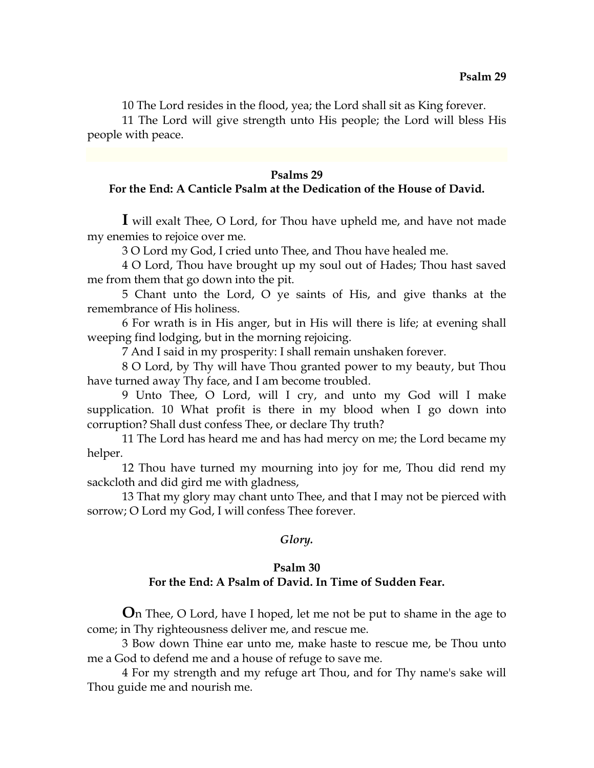10 The Lord resides in the flood, yea; the Lord shall sit as King forever.

11 The Lord will give strength unto His people; the Lord will bless His people with peace.

## **Psalms 29**

# **For the End: A Canticle Psalm at the Dedication of the House of David.**

**I** will exalt Thee, O Lord, for Thou have upheld me, and have not made my enemies to rejoice over me.

3 O Lord my God, I cried unto Thee, and Thou have healed me.

4 O Lord, Thou have brought up my soul out of Hades; Thou hast saved me from them that go down into the pit.

5 Chant unto the Lord, O ye saints of His, and give thanks at the remembrance of His holiness.

6 For wrath is in His anger, but in His will there is life; at evening shall weeping find lodging, but in the morning rejoicing.

7 And I said in my prosperity: I shall remain unshaken forever.

8 O Lord, by Thy will have Thou granted power to my beauty, but Thou have turned away Thy face, and I am become troubled.

9 Unto Thee, O Lord, will I cry, and unto my God will I make supplication. 10 What profit is there in my blood when I go down into corruption? Shall dust confess Thee, or declare Thy truth?

11 The Lord has heard me and has had mercy on me; the Lord became my helper.

12 Thou have turned my mourning into joy for me, Thou did rend my sackcloth and did gird me with gladness,

13 That my glory may chant unto Thee, and that I may not be pierced with sorrow; O Lord my God, I will confess Thee forever.

## *Glory.*

# **Psalm 30 For the End: A Psalm of David. In Time of Sudden Fear.**

**O**n Thee, O Lord, have I hoped, let me not be put to shame in the age to come; in Thy righteousness deliver me, and rescue me.

3 Bow down Thine ear unto me, make haste to rescue me, be Thou unto me a God to defend me and a house of refuge to save me.

4 For my strength and my refuge art Thou, and for Thy name's sake will Thou guide me and nourish me.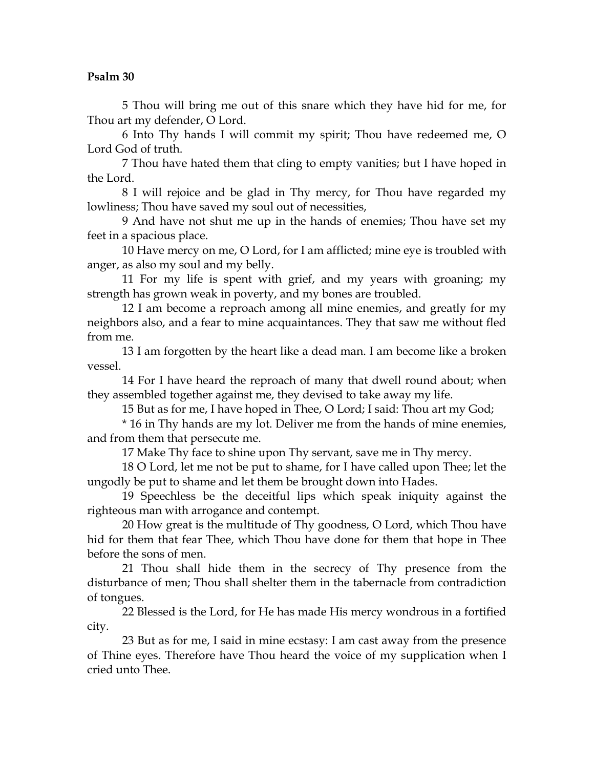5 Thou will bring me out of this snare which they have hid for me, for Thou art my defender, O Lord.

6 Into Thy hands I will commit my spirit; Thou have redeemed me, O Lord God of truth.

7 Thou have hated them that cling to empty vanities; but I have hoped in the Lord.

8 I will rejoice and be glad in Thy mercy, for Thou have regarded my lowliness; Thou have saved my soul out of necessities,

9 And have not shut me up in the hands of enemies; Thou have set my feet in a spacious place.

10 Have mercy on me, O Lord, for I am afflicted; mine eye is troubled with anger, as also my soul and my belly.

11 For my life is spent with grief, and my years with groaning; my strength has grown weak in poverty, and my bones are troubled.

12 I am become a reproach among all mine enemies, and greatly for my neighbors also, and a fear to mine acquaintances. They that saw me without fled from me.

13 I am forgotten by the heart like a dead man. I am become like a broken vessel.

14 For I have heard the reproach of many that dwell round about; when they assembled together against me, they devised to take away my life.

15 But as for me, I have hoped in Thee, O Lord; I said: Thou art my God;

\* 16 in Thy hands are my lot. Deliver me from the hands of mine enemies, and from them that persecute me.

17 Make Thy face to shine upon Thy servant, save me in Thy mercy.

18 O Lord, let me not be put to shame, for I have called upon Thee; let the ungodly be put to shame and let them be brought down into Hades.

19 Speechless be the deceitful lips which speak iniquity against the righteous man with arrogance and contempt.

20 How great is the multitude of Thy goodness, O Lord, which Thou have hid for them that fear Thee, which Thou have done for them that hope in Thee before the sons of men.

21 Thou shall hide them in the secrecy of Thy presence from the disturbance of men; Thou shall shelter them in the tabernacle from contradiction of tongues.

22 Blessed is the Lord, for He has made His mercy wondrous in a fortified city.

23 But as for me, I said in mine ecstasy: I am cast away from the presence of Thine eyes. Therefore have Thou heard the voice of my supplication when I cried unto Thee.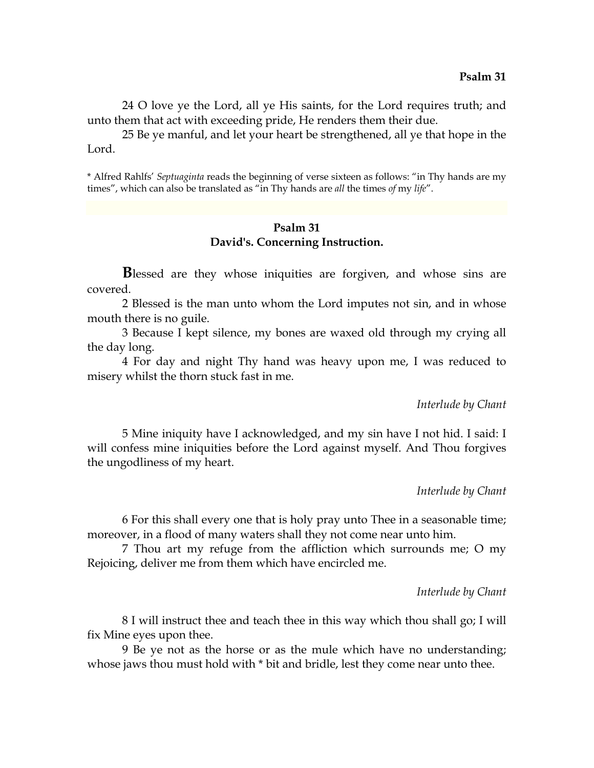24 O love ye the Lord, all ye His saints, for the Lord requires truth; and unto them that act with exceeding pride, He renders them their due.

25 Be ye manful, and let your heart be strengthened, all ye that hope in the Lord.

\* Alfred Rahlfs' *Septuaginta* reads the beginning of verse sixteen as follows: "in Thy hands are my times", which can also be translated as "in Thy hands are *all* the times *of* my *life*".

#### **Psalm 31 David's. Concerning Instruction.**

**B**lessed are they whose iniquities are forgiven, and whose sins are covered.

2 Blessed is the man unto whom the Lord imputes not sin, and in whose mouth there is no guile.

3 Because I kept silence, my bones are waxed old through my crying all the day long.

4 For day and night Thy hand was heavy upon me, I was reduced to misery whilst the thorn stuck fast in me.

#### *Interlude by Chant*

5 Mine iniquity have I acknowledged, and my sin have I not hid. I said: I will confess mine iniquities before the Lord against myself. And Thou forgives the ungodliness of my heart.

*Interlude by Chant*

6 For this shall every one that is holy pray unto Thee in a seasonable time; moreover, in a flood of many waters shall they not come near unto him.

7 Thou art my refuge from the affliction which surrounds me; O my Rejoicing, deliver me from them which have encircled me.

*Interlude by Chant*

8 I will instruct thee and teach thee in this way which thou shall go; I will fix Mine eyes upon thee.

9 Be ye not as the horse or as the mule which have no understanding; whose jaws thou must hold with  $*$  bit and bridle, lest they come near unto thee.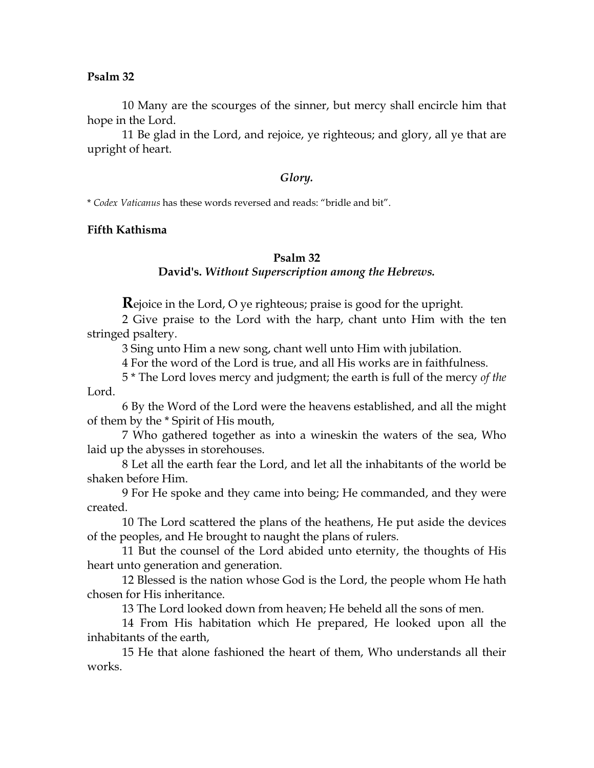10 Many are the scourges of the sinner, but mercy shall encircle him that hope in the Lord.

11 Be glad in the Lord, and rejoice, ye righteous; and glory, all ye that are upright of heart.

#### *Glory.*

\* *Codex Vaticanus* has these words reversed and reads: "bridle and bit".

## **Fifth Kathisma**

## **Psalm 32**

## **David's.** *Without Superscription among the Hebrews.*

**R**ejoice in the Lord, O ye righteous; praise is good for the upright.

2 Give praise to the Lord with the harp, chant unto Him with the ten stringed psaltery.

3 Sing unto Him a new song, chant well unto Him with jubilation.

4 For the word of the Lord is true, and all His works are in faithfulness.

5 \* The Lord loves mercy and judgment; the earth is full of the mercy *of the* Lord.

6 By the Word of the Lord were the heavens established, and all the might of them by the \* Spirit of His mouth,

7 Who gathered together as into a wineskin the waters of the sea, Who laid up the abysses in storehouses.

8 Let all the earth fear the Lord, and let all the inhabitants of the world be shaken before Him.

9 For He spoke and they came into being; He commanded, and they were created.

10 The Lord scattered the plans of the heathens, He put aside the devices of the peoples, and He brought to naught the plans of rulers.

11 But the counsel of the Lord abided unto eternity, the thoughts of His heart unto generation and generation.

12 Blessed is the nation whose God is the Lord, the people whom He hath chosen for His inheritance.

13 The Lord looked down from heaven; He beheld all the sons of men.

14 From His habitation which He prepared, He looked upon all the inhabitants of the earth,

15 He that alone fashioned the heart of them, Who understands all their works.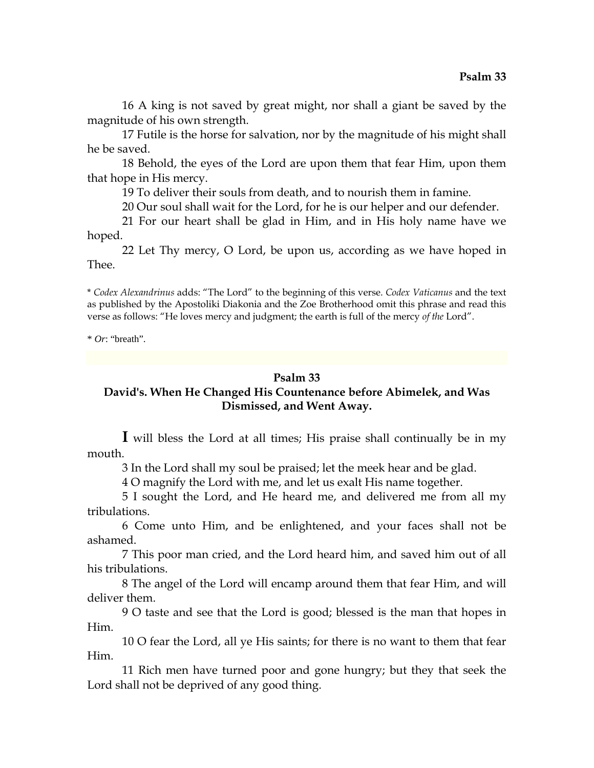16 A king is not saved by great might, nor shall a giant be saved by the magnitude of his own strength.

17 Futile is the horse for salvation, nor by the magnitude of his might shall he be saved.

18 Behold, the eyes of the Lord are upon them that fear Him, upon them that hope in His mercy.

19 To deliver their souls from death, and to nourish them in famine.

20 Our soul shall wait for the Lord, for he is our helper and our defender.

21 For our heart shall be glad in Him, and in His holy name have we hoped.

22 Let Thy mercy, O Lord, be upon us, according as we have hoped in Thee.

\* *Codex Alexandrinus* adds: "The Lord" to the beginning of this verse. *Codex Vaticanus* and the text as published by the Apostoliki Diakonia and the Zoe Brotherhood omit this phrase and read this verse as follows: "He loves mercy and judgment; the earth is full of the mercy *of the* Lord".

\* *Or*: "breath".

## **Psalm 33**

# **David's. When He Changed His Countenance before Abimelek, and Was Dismissed, and Went Away.**

**I** will bless the Lord at all times; His praise shall continually be in my mouth.

3 In the Lord shall my soul be praised; let the meek hear and be glad.

4 O magnify the Lord with me, and let us exalt His name together.

5 I sought the Lord, and He heard me, and delivered me from all my tribulations.

6 Come unto Him, and be enlightened, and your faces shall not be ashamed.

7 This poor man cried, and the Lord heard him, and saved him out of all his tribulations.

8 The angel of the Lord will encamp around them that fear Him, and will deliver them.

9 O taste and see that the Lord is good; blessed is the man that hopes in Him.

10 O fear the Lord, all ye His saints; for there is no want to them that fear Him.

11 Rich men have turned poor and gone hungry; but they that seek the Lord shall not be deprived of any good thing.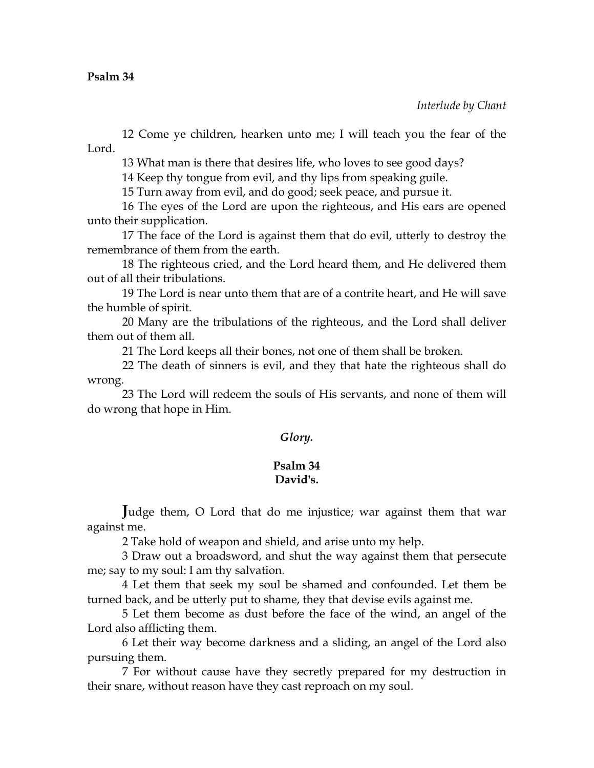12 Come ye children, hearken unto me; I will teach you the fear of the Lord.

13 What man is there that desires life, who loves to see good days?

14 Keep thy tongue from evil, and thy lips from speaking guile.

15 Turn away from evil, and do good; seek peace, and pursue it.

16 The eyes of the Lord are upon the righteous, and His ears are opened unto their supplication.

17 The face of the Lord is against them that do evil, utterly to destroy the remembrance of them from the earth.

18 The righteous cried, and the Lord heard them, and He delivered them out of all their tribulations.

19 The Lord is near unto them that are of a contrite heart, and He will save the humble of spirit.

20 Many are the tribulations of the righteous, and the Lord shall deliver them out of them all.

21 The Lord keeps all their bones, not one of them shall be broken.

22 The death of sinners is evil, and they that hate the righteous shall do wrong.

23 The Lord will redeem the souls of His servants, and none of them will do wrong that hope in Him.

# *Glory.*

# **Psalm 34 David's.**

**J**udge them, O Lord that do me injustice; war against them that war against me.

2 Take hold of weapon and shield, and arise unto my help.

3 Draw out a broadsword, and shut the way against them that persecute me; say to my soul: I am thy salvation.

4 Let them that seek my soul be shamed and confounded. Let them be turned back, and be utterly put to shame, they that devise evils against me.

5 Let them become as dust before the face of the wind, an angel of the Lord also afflicting them.

6 Let their way become darkness and a sliding, an angel of the Lord also pursuing them.

7 For without cause have they secretly prepared for my destruction in their snare, without reason have they cast reproach on my soul.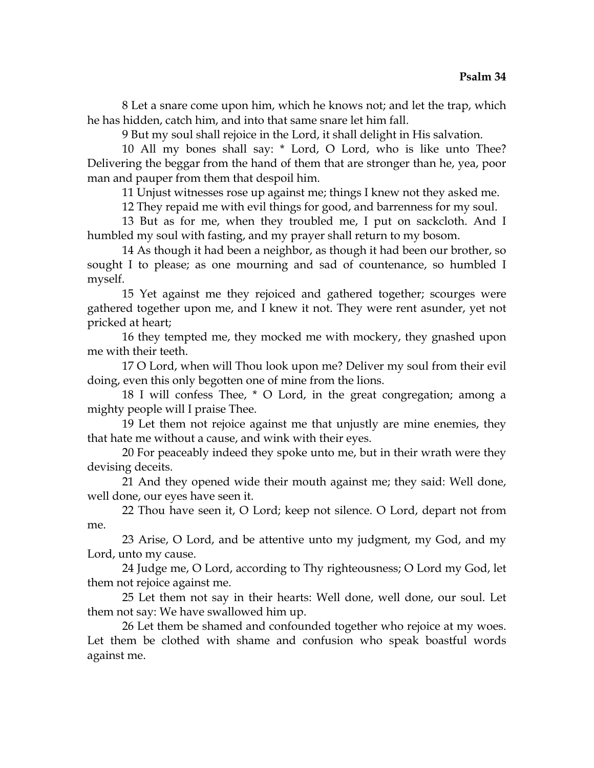8 Let a snare come upon him, which he knows not; and let the trap, which he has hidden, catch him, and into that same snare let him fall.

9 But my soul shall rejoice in the Lord, it shall delight in His salvation.

10 All my bones shall say: \* Lord, O Lord, who is like unto Thee? Delivering the beggar from the hand of them that are stronger than he, yea, poor man and pauper from them that despoil him.

11 Unjust witnesses rose up against me; things I knew not they asked me.

12 They repaid me with evil things for good, and barrenness for my soul.

13 But as for me, when they troubled me, I put on sackcloth. And I humbled my soul with fasting, and my prayer shall return to my bosom.

14 As though it had been a neighbor, as though it had been our brother, so sought I to please; as one mourning and sad of countenance, so humbled I myself.

15 Yet against me they rejoiced and gathered together; scourges were gathered together upon me, and I knew it not. They were rent asunder, yet not pricked at heart;

16 they tempted me, they mocked me with mockery, they gnashed upon me with their teeth.

17 O Lord, when will Thou look upon me? Deliver my soul from their evil doing, even this only begotten one of mine from the lions.

18 I will confess Thee, \* O Lord, in the great congregation; among a mighty people will I praise Thee.

19 Let them not rejoice against me that unjustly are mine enemies, they that hate me without a cause, and wink with their eyes.

20 For peaceably indeed they spoke unto me, but in their wrath were they devising deceits.

21 And they opened wide their mouth against me; they said: Well done, well done, our eyes have seen it.

22 Thou have seen it, O Lord; keep not silence. O Lord, depart not from me.

23 Arise, O Lord, and be attentive unto my judgment, my God, and my Lord, unto my cause.

24 Judge me, O Lord, according to Thy righteousness; O Lord my God, let them not rejoice against me.

25 Let them not say in their hearts: Well done, well done, our soul. Let them not say: We have swallowed him up.

26 Let them be shamed and confounded together who rejoice at my woes. Let them be clothed with shame and confusion who speak boastful words against me.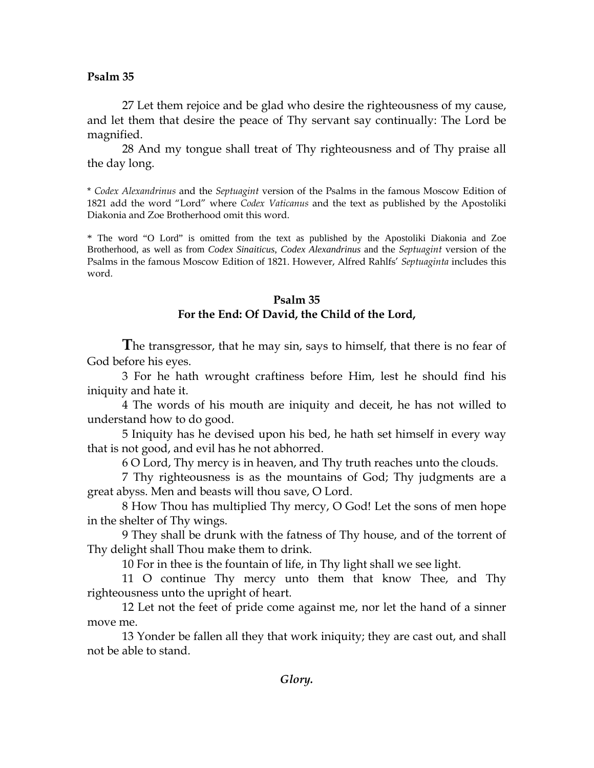27 Let them rejoice and be glad who desire the righteousness of my cause, and let them that desire the peace of Thy servant say continually: The Lord be magnified.

28 And my tongue shall treat of Thy righteousness and of Thy praise all the day long.

\* *Codex Alexandrinus* and the *Septuagint* version of the Psalms in the famous Moscow Edition of 1821 add the word "Lord" where *Codex Vaticanus* and the text as published by the Apostoliki Diakonia and Zoe Brotherhood omit this word.

\* The word "O Lord" is omitted from the text as published by the Apostoliki Diakonia and Zoe Brotherhood, as well as from *Codex Sinaiticus*, *Codex Alexandrinus* and the *Septuagint* version of the Psalms in the famous Moscow Edition of 1821. However, Alfred Rahlfs' *Septuaginta* includes this word.

## **Psalm 35**

# **For the End: Of David, the Child of the Lord,**

**T**he transgressor, that he may sin, says to himself, that there is no fear of God before his eyes.

3 For he hath wrought craftiness before Him, lest he should find his iniquity and hate it.

4 The words of his mouth are iniquity and deceit, he has not willed to understand how to do good.

5 Iniquity has he devised upon his bed, he hath set himself in every way that is not good, and evil has he not abhorred.

6 O Lord, Thy mercy is in heaven, and Thy truth reaches unto the clouds.

7 Thy righteousness is as the mountains of God; Thy judgments are a great abyss. Men and beasts will thou save, O Lord.

8 How Thou has multiplied Thy mercy, O God! Let the sons of men hope in the shelter of Thy wings.

9 They shall be drunk with the fatness of Thy house, and of the torrent of Thy delight shall Thou make them to drink.

10 For in thee is the fountain of life, in Thy light shall we see light.

11 O continue Thy mercy unto them that know Thee, and Thy righteousness unto the upright of heart.

12 Let not the feet of pride come against me, nor let the hand of a sinner move me.

13 Yonder be fallen all they that work iniquity; they are cast out, and shall not be able to stand.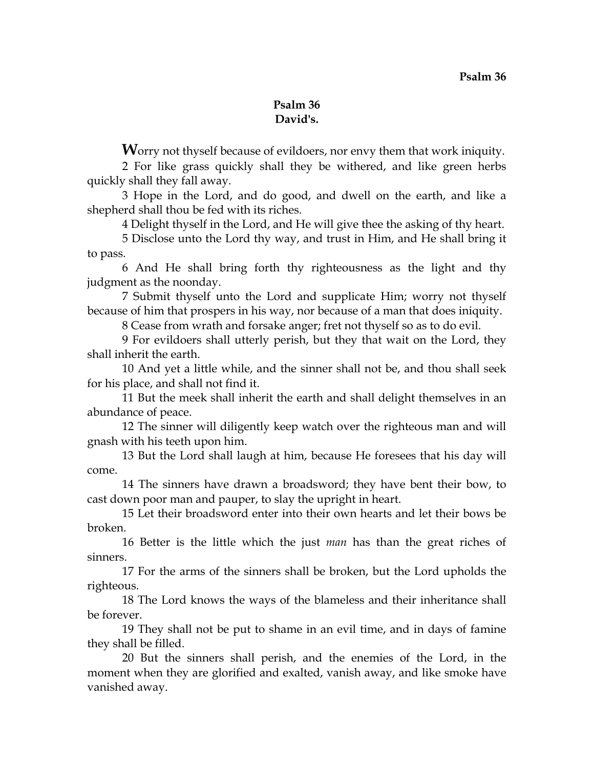# **Psalm 36 David's.**

**W**orry not thyself because of evildoers, nor envy them that work iniquity.

2 For like grass quickly shall they be withered, and like green herbs quickly shall they fall away.

3 Hope in the Lord, and do good, and dwell on the earth, and like a shepherd shall thou be fed with its riches.

4 Delight thyself in the Lord, and He will give thee the asking of thy heart.

5 Disclose unto the Lord thy way, and trust in Him, and He shall bring it to pass.

6 And He shall bring forth thy righteousness as the light and thy judgment as the noonday.

7 Submit thyself unto the Lord and supplicate Him; worry not thyself because of him that prospers in his way, nor because of a man that does iniquity.

8 Cease from wrath and forsake anger; fret not thyself so as to do evil.

9 For evildoers shall utterly perish, but they that wait on the Lord, they shall inherit the earth.

10 And yet a little while, and the sinner shall not be, and thou shall seek for his place, and shall not find it.

11 But the meek shall inherit the earth and shall delight themselves in an abundance of peace.

12 The sinner will diligently keep watch over the righteous man and will gnash with his teeth upon him.

13 But the Lord shall laugh at him, because He foresees that his day will come.

14 The sinners have drawn a broadsword; they have bent their bow, to cast down poor man and pauper, to slay the upright in heart.

15 Let their broadsword enter into their own hearts and let their bows be broken.

16 Better is the little which the just *man* has than the great riches of sinners.

17 For the arms of the sinners shall be broken, but the Lord upholds the righteous.

18 The Lord knows the ways of the blameless and their inheritance shall be forever.

19 They shall not be put to shame in an evil time, and in days of famine they shall be filled.

20 But the sinners shall perish, and the enemies of the Lord, in the moment when they are glorified and exalted, vanish away, and like smoke have vanished away.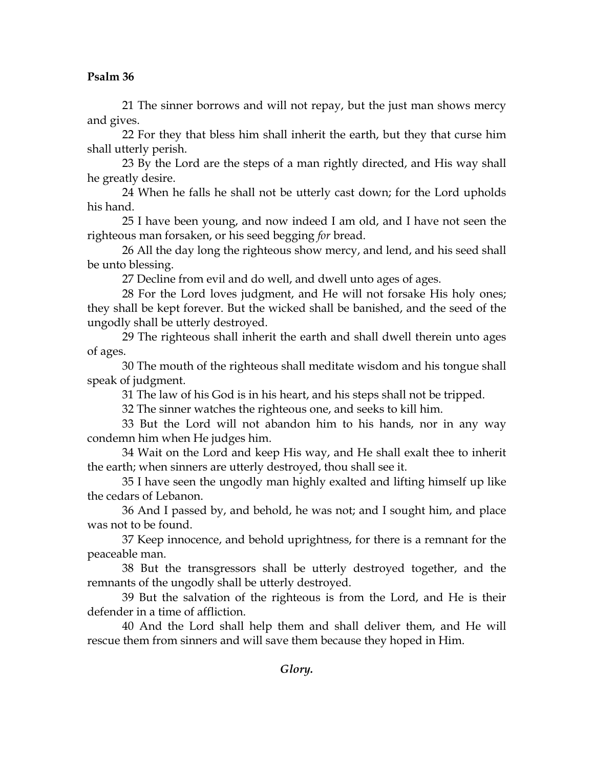21 The sinner borrows and will not repay, but the just man shows mercy and gives.

22 For they that bless him shall inherit the earth, but they that curse him shall utterly perish.

23 By the Lord are the steps of a man rightly directed, and His way shall he greatly desire.

24 When he falls he shall not be utterly cast down; for the Lord upholds his hand.

25 I have been young, and now indeed I am old, and I have not seen the righteous man forsaken, or his seed begging *for* bread.

26 All the day long the righteous show mercy, and lend, and his seed shall be unto blessing.

27 Decline from evil and do well, and dwell unto ages of ages.

28 For the Lord loves judgment, and He will not forsake His holy ones; they shall be kept forever. But the wicked shall be banished, and the seed of the ungodly shall be utterly destroyed.

29 The righteous shall inherit the earth and shall dwell therein unto ages of ages.

30 The mouth of the righteous shall meditate wisdom and his tongue shall speak of judgment.

31 The law of his God is in his heart, and his steps shall not be tripped.

32 The sinner watches the righteous one, and seeks to kill him.

33 But the Lord will not abandon him to his hands, nor in any way condemn him when He judges him.

34 Wait on the Lord and keep His way, and He shall exalt thee to inherit the earth; when sinners are utterly destroyed, thou shall see it.

35 I have seen the ungodly man highly exalted and lifting himself up like the cedars of Lebanon.

36 And I passed by, and behold, he was not; and I sought him, and place was not to be found.

37 Keep innocence, and behold uprightness, for there is a remnant for the peaceable man.

38 But the transgressors shall be utterly destroyed together, and the remnants of the ungodly shall be utterly destroyed.

39 But the salvation of the righteous is from the Lord, and He is their defender in a time of affliction.

40 And the Lord shall help them and shall deliver them, and He will rescue them from sinners and will save them because they hoped in Him.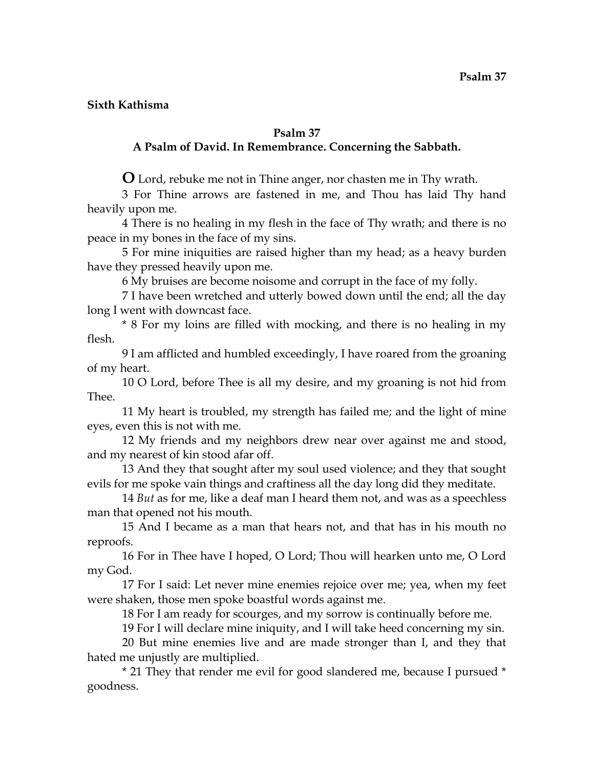## **Sixth Kathisma**

## **Psalm 37**

# **A Psalm of David. In Remembrance. Concerning the Sabbath.**

**O** Lord, rebuke me not in Thine anger, nor chasten me in Thy wrath.

3 For Thine arrows are fastened in me, and Thou has laid Thy hand heavily upon me.

4 There is no healing in my flesh in the face of Thy wrath; and there is no peace in my bones in the face of my sins.

5 For mine iniquities are raised higher than my head; as a heavy burden have they pressed heavily upon me.

6 My bruises are become noisome and corrupt in the face of my folly.

7 I have been wretched and utterly bowed down until the end; all the day long I went with downcast face.

\* 8 For my loins are filled with mocking, and there is no healing in my flesh.

9 I am afflicted and humbled exceedingly, I have roared from the groaning of my heart.

10 O Lord, before Thee is all my desire, and my groaning is not hid from Thee.

11 My heart is troubled, my strength has failed me; and the light of mine eyes, even this is not with me.

12 My friends and my neighbors drew near over against me and stood, and my nearest of kin stood afar off.

13 And they that sought after my soul used violence; and they that sought evils for me spoke vain things and craftiness all the day long did they meditate.

14 *But* as for me, like a deaf man I heard them not, and was as a speechless man that opened not his mouth.

15 And I became as a man that hears not, and that has in his mouth no reproofs.

16 For in Thee have I hoped, O Lord; Thou will hearken unto me, O Lord my God.

17 For I said: Let never mine enemies rejoice over me; yea, when my feet were shaken, those men spoke boastful words against me.

18 For I am ready for scourges, and my sorrow is continually before me.

19 For I will declare mine iniquity, and I will take heed concerning my sin.

20 But mine enemies live and are made stronger than I, and they that hated me unjustly are multiplied.

\* 21 They that render me evil for good slandered me, because I pursued \* goodness.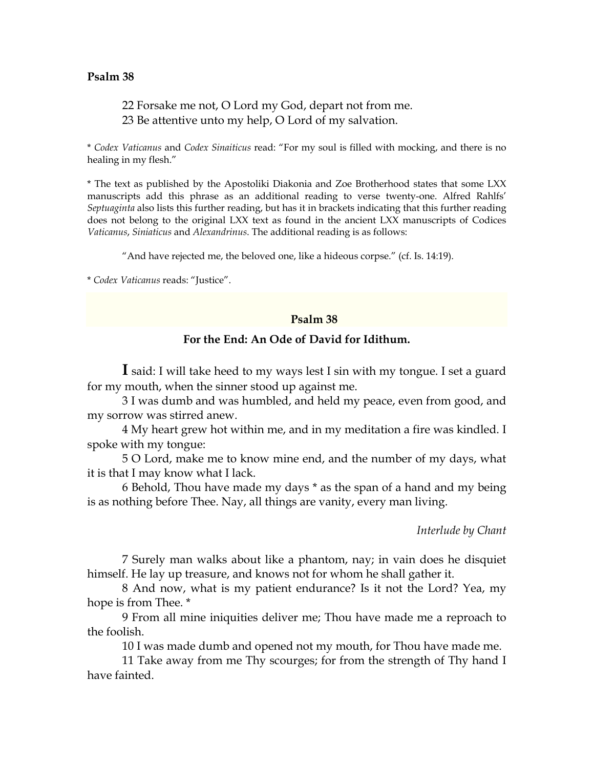# 22 Forsake me not, O Lord my God, depart not from me. 23 Be attentive unto my help, O Lord of my salvation.

\* *Codex Vaticanus* and *Codex Sinaiticus* read: "For my soul is filled with mocking, and there is no healing in my flesh."

\* The text as published by the Apostoliki Diakonia and Zoe Brotherhood states that some LXX manuscripts add this phrase as an additional reading to verse twenty-one. Alfred Rahlfs' *Septuaginta* also lists this further reading, but has it in brackets indicating that this further reading does not belong to the original LXX text as found in the ancient LXX manuscripts of Codices *Vaticanus*, *Siniaticus* and *Alexandrinus*. The additional reading is as follows:

"And have rejected me, the beloved one, like a hideous corpse." (cf. Is. 14:19).

\* *Codex Vaticanus* reads: "Justice".

#### **Psalm 38**

## **For the End: An Ode of David for Idithum.**

**I** said: I will take heed to my ways lest I sin with my tongue. I set a guard for my mouth, when the sinner stood up against me.

3 I was dumb and was humbled, and held my peace, even from good, and my sorrow was stirred anew.

4 My heart grew hot within me, and in my meditation a fire was kindled. I spoke with my tongue:

5 O Lord, make me to know mine end, and the number of my days, what it is that I may know what I lack.

6 Behold, Thou have made my days \* as the span of a hand and my being is as nothing before Thee. Nay, all things are vanity, every man living.

*Interlude by Chant*

7 Surely man walks about like a phantom, nay; in vain does he disquiet himself. He lay up treasure, and knows not for whom he shall gather it.

8 And now, what is my patient endurance? Is it not the Lord? Yea, my hope is from Thee. \*

9 From all mine iniquities deliver me; Thou have made me a reproach to the foolish.

10 I was made dumb and opened not my mouth, for Thou have made me.

11 Take away from me Thy scourges; for from the strength of Thy hand I have fainted.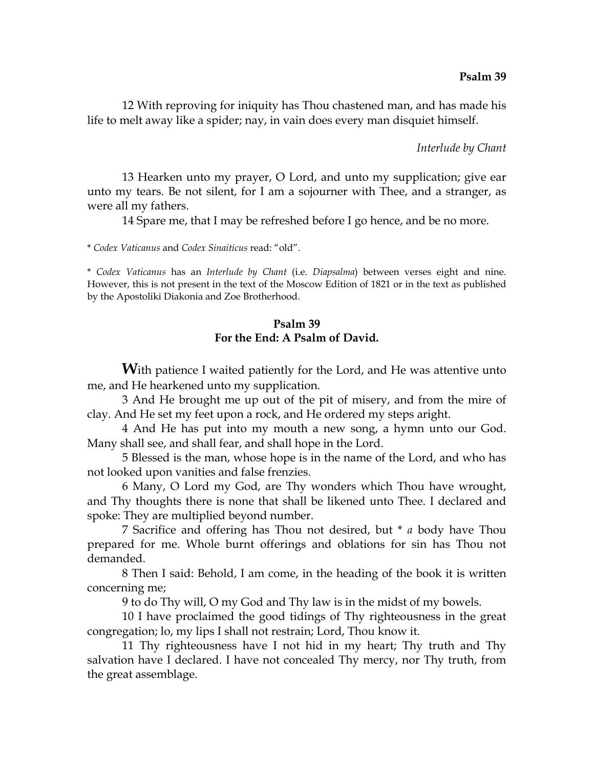12 With reproving for iniquity has Thou chastened man, and has made his life to melt away like a spider; nay, in vain does every man disquiet himself.

#### *Interlude by Chant*

13 Hearken unto my prayer, O Lord, and unto my supplication; give ear unto my tears. Be not silent, for I am a sojourner with Thee, and a stranger, as were all my fathers.

14 Spare me, that I may be refreshed before I go hence, and be no more.

\* *Codex Vaticanus* and *Codex Sinaiticus* read: "old".

\* *Codex Vaticanus* has an *Interlude by Chant* (i.e. *Diapsalma*) between verses eight and nine. However, this is not present in the text of the Moscow Edition of 1821 or in the text as published by the Apostoliki Diakonia and Zoe Brotherhood.

## **Psalm 39 For the End: A Psalm of David.**

**W**ith patience I waited patiently for the Lord, and He was attentive unto me, and He hearkened unto my supplication.

3 And He brought me up out of the pit of misery, and from the mire of clay. And He set my feet upon a rock, and He ordered my steps aright.

4 And He has put into my mouth a new song, a hymn unto our God. Many shall see, and shall fear, and shall hope in the Lord.

5 Blessed is the man, whose hope is in the name of the Lord, and who has not looked upon vanities and false frenzies.

6 Many, O Lord my God, are Thy wonders which Thou have wrought, and Thy thoughts there is none that shall be likened unto Thee. I declared and spoke: They are multiplied beyond number.

7 Sacrifice and offering has Thou not desired, but \* *a* body have Thou prepared for me. Whole burnt offerings and oblations for sin has Thou not demanded.

8 Then I said: Behold, I am come, in the heading of the book it is written concerning me;

9 to do Thy will, O my God and Thy law is in the midst of my bowels.

10 I have proclaimed the good tidings of Thy righteousness in the great congregation; lo, my lips I shall not restrain; Lord, Thou know it.

11 Thy righteousness have I not hid in my heart; Thy truth and Thy salvation have I declared. I have not concealed Thy mercy, nor Thy truth, from the great assemblage.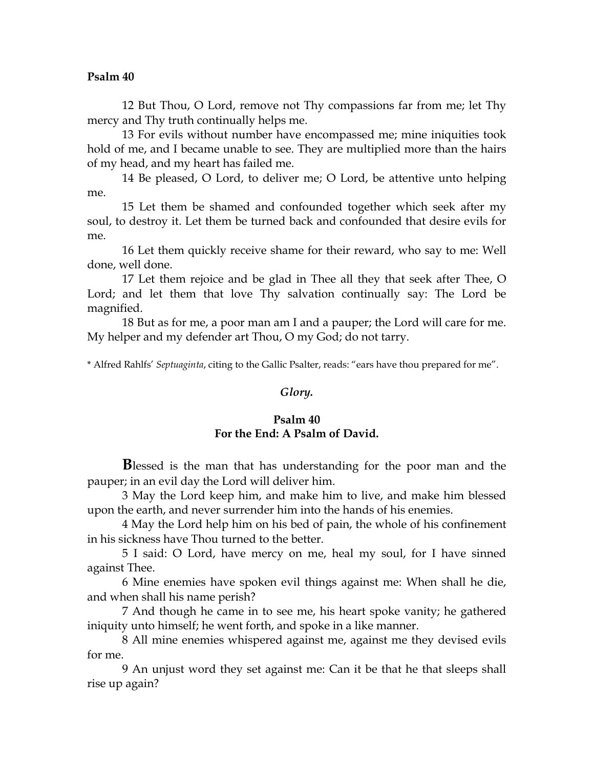12 But Thou, O Lord, remove not Thy compassions far from me; let Thy mercy and Thy truth continually helps me.

13 For evils without number have encompassed me; mine iniquities took hold of me, and I became unable to see. They are multiplied more than the hairs of my head, and my heart has failed me.

14 Be pleased, O Lord, to deliver me; O Lord, be attentive unto helping me.

15 Let them be shamed and confounded together which seek after my soul, to destroy it. Let them be turned back and confounded that desire evils for me.

16 Let them quickly receive shame for their reward, who say to me: Well done, well done.

17 Let them rejoice and be glad in Thee all they that seek after Thee, O Lord; and let them that love Thy salvation continually say: The Lord be magnified.

18 But as for me, a poor man am I and a pauper; the Lord will care for me. My helper and my defender art Thou, O my God; do not tarry.

\* Alfred Rahlfs' *Septuaginta*, citing to the Gallic Psalter, reads: "ears have thou prepared for me".

### *Glory.*

# **Psalm 40 For the End: A Psalm of David.**

**B**lessed is the man that has understanding for the poor man and the pauper; in an evil day the Lord will deliver him.

3 May the Lord keep him, and make him to live, and make him blessed upon the earth, and never surrender him into the hands of his enemies.

4 May the Lord help him on his bed of pain, the whole of his confinement in his sickness have Thou turned to the better.

5 I said: O Lord, have mercy on me, heal my soul, for I have sinned against Thee.

6 Mine enemies have spoken evil things against me: When shall he die, and when shall his name perish?

7 And though he came in to see me, his heart spoke vanity; he gathered iniquity unto himself; he went forth, and spoke in a like manner.

8 All mine enemies whispered against me, against me they devised evils for me.

9 An unjust word they set against me: Can it be that he that sleeps shall rise up again?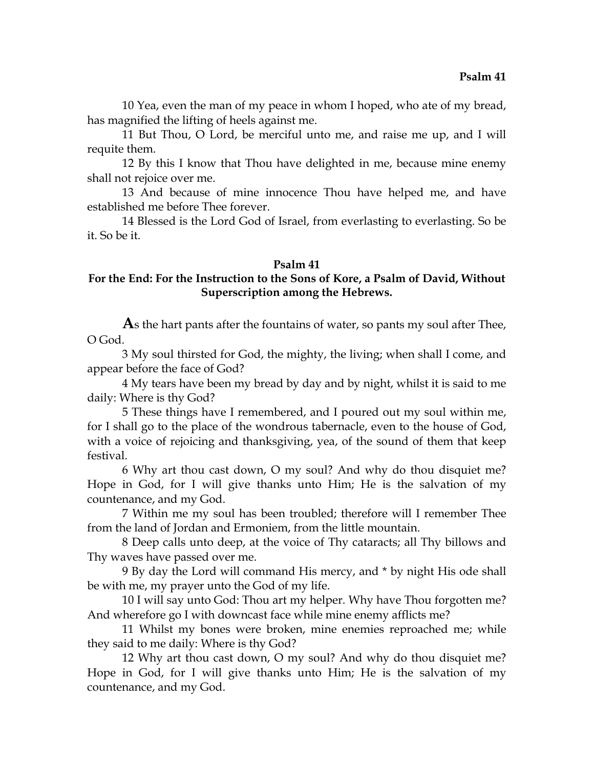10 Yea, even the man of my peace in whom I hoped, who ate of my bread, has magnified the lifting of heels against me.

11 But Thou, O Lord, be merciful unto me, and raise me up, and I will requite them.

12 By this I know that Thou have delighted in me, because mine enemy shall not rejoice over me.

13 And because of mine innocence Thou have helped me, and have established me before Thee forever.

14 Blessed is the Lord God of Israel, from everlasting to everlasting. So be it. So be it.

## **Psalm 41**

# **For the End: For the Instruction to the Sons of Kore, a Psalm of David, Without Superscription among the Hebrews.**

**A**s the hart pants after the fountains of water, so pants my soul after Thee, O God.

3 My soul thirsted for God, the mighty, the living; when shall I come, and appear before the face of God?

4 My tears have been my bread by day and by night, whilst it is said to me daily: Where is thy God?

5 These things have I remembered, and I poured out my soul within me, for I shall go to the place of the wondrous tabernacle, even to the house of God, with a voice of rejoicing and thanksgiving, yea, of the sound of them that keep festival.

6 Why art thou cast down, O my soul? And why do thou disquiet me? Hope in God, for I will give thanks unto Him; He is the salvation of my countenance, and my God.

7 Within me my soul has been troubled; therefore will I remember Thee from the land of Jordan and Ermoniem, from the little mountain.

8 Deep calls unto deep, at the voice of Thy cataracts; all Thy billows and Thy waves have passed over me.

9 By day the Lord will command His mercy, and \* by night His ode shall be with me, my prayer unto the God of my life.

10 I will say unto God: Thou art my helper. Why have Thou forgotten me? And wherefore go I with downcast face while mine enemy afflicts me?

11 Whilst my bones were broken, mine enemies reproached me; while they said to me daily: Where is thy God?

12 Why art thou cast down, O my soul? And why do thou disquiet me? Hope in God, for I will give thanks unto Him; He is the salvation of my countenance, and my God.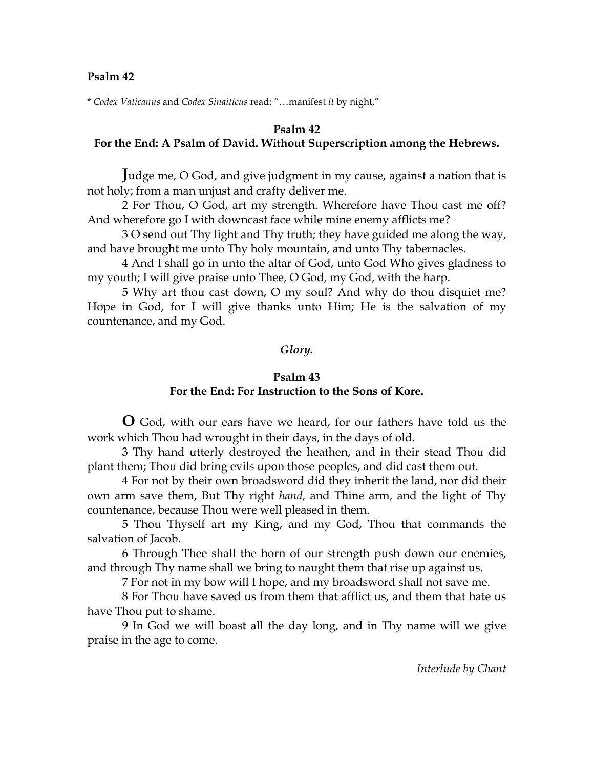\* *Codex Vaticanus* and *Codex Sinaiticus* read: "…manifest *it* by night,"

### **Psalm 42**

# **For the End: A Psalm of David. Without Superscription among the Hebrews.**

**J**udge me, O God, and give judgment in my cause, against a nation that is not holy; from a man unjust and crafty deliver me.

2 For Thou, O God, art my strength. Wherefore have Thou cast me off? And wherefore go I with downcast face while mine enemy afflicts me?

3 O send out Thy light and Thy truth; they have guided me along the way, and have brought me unto Thy holy mountain, and unto Thy tabernacles.

4 And I shall go in unto the altar of God, unto God Who gives gladness to my youth; I will give praise unto Thee, O God, my God, with the harp.

5 Why art thou cast down, O my soul? And why do thou disquiet me? Hope in God, for I will give thanks unto Him; He is the salvation of my countenance, and my God.

## *Glory.*

#### **Psalm 43 For the End: For Instruction to the Sons of Kore.**

**O** God, with our ears have we heard, for our fathers have told us the work which Thou had wrought in their days, in the days of old.

3 Thy hand utterly destroyed the heathen, and in their stead Thou did plant them; Thou did bring evils upon those peoples, and did cast them out.

4 For not by their own broadsword did they inherit the land, nor did their own arm save them, But Thy right *hand*, and Thine arm, and the light of Thy countenance, because Thou were well pleased in them.

5 Thou Thyself art my King, and my God, Thou that commands the salvation of Jacob.

6 Through Thee shall the horn of our strength push down our enemies, and through Thy name shall we bring to naught them that rise up against us.

7 For not in my bow will I hope, and my broadsword shall not save me.

8 For Thou have saved us from them that afflict us, and them that hate us have Thou put to shame.

9 In God we will boast all the day long, and in Thy name will we give praise in the age to come.

*Interlude by Chant*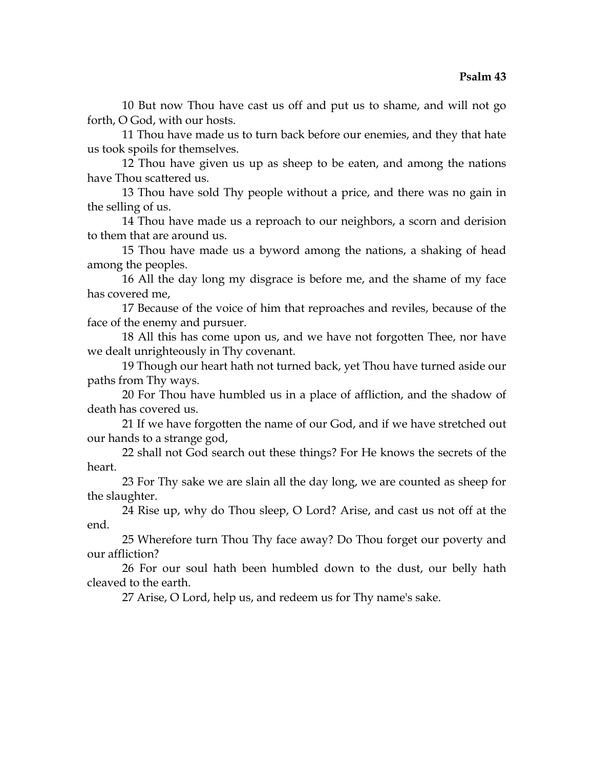10 But now Thou have cast us off and put us to shame, and will not go forth, O God, with our hosts.

11 Thou have made us to turn back before our enemies, and they that hate us took spoils for themselves.

12 Thou have given us up as sheep to be eaten, and among the nations have Thou scattered us.

13 Thou have sold Thy people without a price, and there was no gain in the selling of us.

14 Thou have made us a reproach to our neighbors, a scorn and derision to them that are around us.

15 Thou have made us a byword among the nations, a shaking of head among the peoples.

16 All the day long my disgrace is before me, and the shame of my face has covered me,

17 Because of the voice of him that reproaches and reviles, because of the face of the enemy and pursuer.

18 All this has come upon us, and we have not forgotten Thee, nor have we dealt unrighteously in Thy covenant.

19 Though our heart hath not turned back, yet Thou have turned aside our paths from Thy ways.

20 For Thou have humbled us in a place of affliction, and the shadow of death has covered us.

21 If we have forgotten the name of our God, and if we have stretched out our hands to a strange god,

22 shall not God search out these things? For He knows the secrets of the heart.

23 For Thy sake we are slain all the day long, we are counted as sheep for the slaughter.

24 Rise up, why do Thou sleep, O Lord? Arise, and cast us not off at the end.

25 Wherefore turn Thou Thy face away? Do Thou forget our poverty and our affliction?

26 For our soul hath been humbled down to the dust, our belly hath cleaved to the earth.

27 Arise, O Lord, help us, and redeem us for Thy name's sake.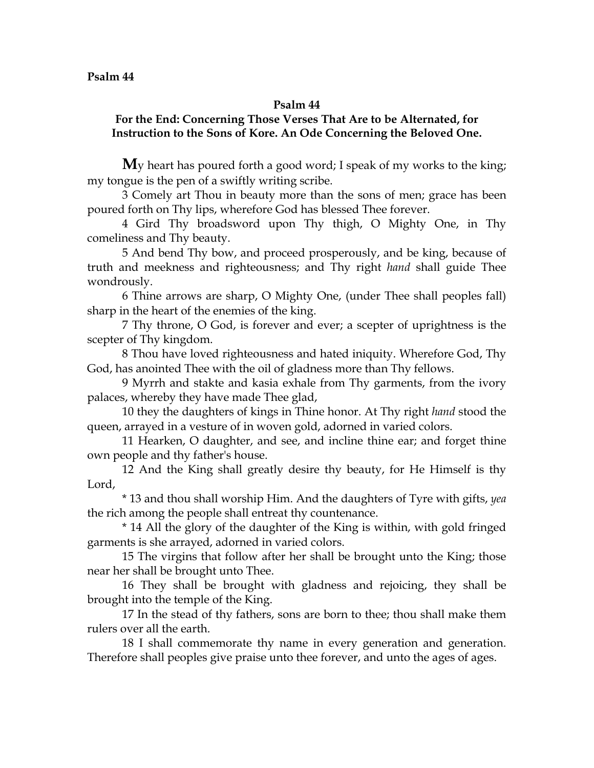# **For the End: Concerning Those Verses That Are to be Alternated, for Instruction to the Sons of Kore. An Ode Concerning the Beloved One.**

**M**y heart has poured forth a good word; I speak of my works to the king; my tongue is the pen of a swiftly writing scribe.

3 Comely art Thou in beauty more than the sons of men; grace has been poured forth on Thy lips, wherefore God has blessed Thee forever.

4 Gird Thy broadsword upon Thy thigh, O Mighty One, in Thy comeliness and Thy beauty.

5 And bend Thy bow, and proceed prosperously, and be king, because of truth and meekness and righteousness; and Thy right *hand* shall guide Thee wondrously.

6 Thine arrows are sharp, O Mighty One, (under Thee shall peoples fall) sharp in the heart of the enemies of the king.

7 Thy throne, O God, is forever and ever; a scepter of uprightness is the scepter of Thy kingdom.

8 Thou have loved righteousness and hated iniquity. Wherefore God, Thy God, has anointed Thee with the oil of gladness more than Thy fellows.

9 Myrrh and stakte and kasia exhale from Thy garments, from the ivory palaces, whereby they have made Thee glad,

10 they the daughters of kings in Thine honor. At Thy right *hand* stood the queen, arrayed in a vesture of in woven gold, adorned in varied colors.

11 Hearken, O daughter, and see, and incline thine ear; and forget thine own people and thy father's house.

12 And the King shall greatly desire thy beauty, for He Himself is thy Lord,

\* 13 and thou shall worship Him. And the daughters of Tyre with gifts, *yea*  the rich among the people shall entreat thy countenance.

\* 14 All the glory of the daughter of the King is within, with gold fringed garments is she arrayed, adorned in varied colors.

15 The virgins that follow after her shall be brought unto the King; those near her shall be brought unto Thee.

16 They shall be brought with gladness and rejoicing, they shall be brought into the temple of the King.

17 In the stead of thy fathers, sons are born to thee; thou shall make them rulers over all the earth.

18 I shall commemorate thy name in every generation and generation. Therefore shall peoples give praise unto thee forever, and unto the ages of ages.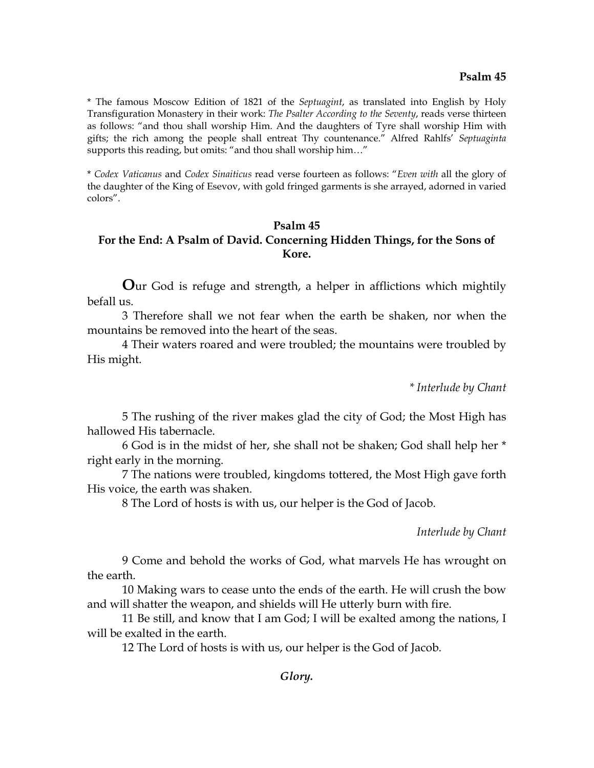\* The famous Moscow Edition of 1821 of the *Septuagint*, as translated into English by Holy Transfiguration Monastery in their work: *The Psalter According to the Seventy*, reads verse thirteen as follows: "and thou shall worship Him. And the daughters of Tyre shall worship Him with gifts; the rich among the people shall entreat Thy countenance." Alfred Rahlfs' *Septuaginta*  supports this reading, but omits: "and thou shall worship him..."

\* *Codex Vaticanus* and *Codex Sinaiticus* read verse fourteen as follows: "*Even with* all the glory of the daughter of the King of Esevov, with gold fringed garments is she arrayed, adorned in varied colors".

# **Psalm 45 For the End: A Psalm of David. Concerning Hidden Things, for the Sons of Kore.**

**O**ur God is refuge and strength, a helper in afflictions which mightily befall us.

3 Therefore shall we not fear when the earth be shaken, nor when the mountains be removed into the heart of the seas.

4 Their waters roared and were troubled; the mountains were troubled by His might.

*\* Interlude by Chant* 

5 The rushing of the river makes glad the city of God; the Most High has hallowed His tabernacle.

6 God is in the midst of her, she shall not be shaken; God shall help her \* right early in the morning.

7 The nations were troubled, kingdoms tottered, the Most High gave forth His voice, the earth was shaken.

8 The Lord of hosts is with us, our helper is the God of Jacob.

*Interlude by Chant*

9 Come and behold the works of God, what marvels He has wrought on the earth.

10 Making wars to cease unto the ends of the earth. He will crush the bow and will shatter the weapon, and shields will He utterly burn with fire.

11 Be still, and know that I am God; I will be exalted among the nations, I will be exalted in the earth.

12 The Lord of hosts is with us, our helper is the God of Jacob.

*Glory.*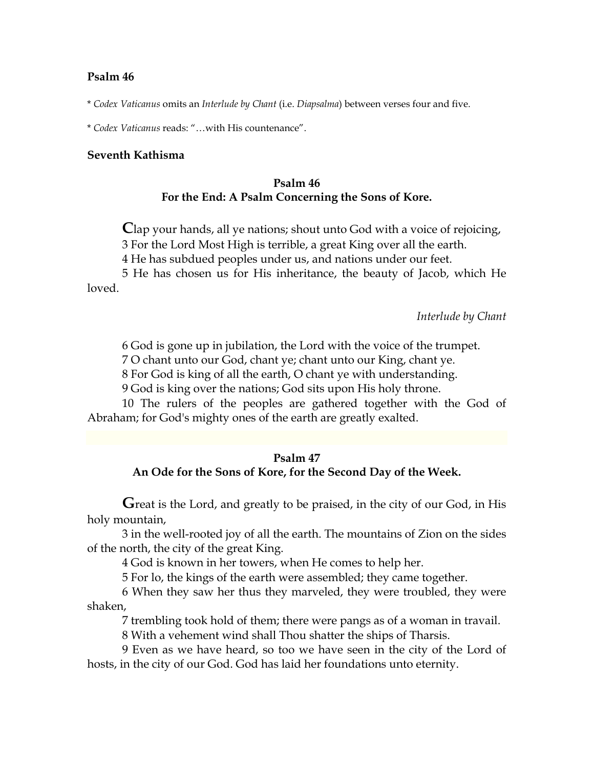\* *Codex Vaticanus* omits an *Interlude by Chant* (i.e. *Diapsalma*) between verses four and five.

\* *Codex Vaticanus* reads: "…with His countenance".

### **Seventh Kathisma**

# **Psalm 46 For the End: A Psalm Concerning the Sons of Kore.**

**C**lap your hands, all ye nations; shout unto God with a voice of rejoicing,

3 For the Lord Most High is terrible, a great King over all the earth.

4 He has subdued peoples under us, and nations under our feet.

5 He has chosen us for His inheritance, the beauty of Jacob, which He loved.

*Interlude by Chant*

6 God is gone up in jubilation, the Lord with the voice of the trumpet.

7 O chant unto our God, chant ye; chant unto our King, chant ye.

8 For God is king of all the earth, O chant ye with understanding.

9 God is king over the nations; God sits upon His holy throne.

10 The rulers of the peoples are gathered together with the God of Abraham; for God's mighty ones of the earth are greatly exalted.

### **Psalm 47**

### **An Ode for the Sons of Kore, for the Second Day of the Week.**

Great is the Lord, and greatly to be praised, in the city of our God, in His holy mountain,

3 in the well-rooted joy of all the earth. The mountains of Zion on the sides of the north, the city of the great King.

4 God is known in her towers, when He comes to help her.

5 For lo, the kings of the earth were assembled; they came together.

6 When they saw her thus they marveled, they were troubled, they were shaken,

7 trembling took hold of them; there were pangs as of a woman in travail.

8 With a vehement wind shall Thou shatter the ships of Tharsis.

9 Even as we have heard, so too we have seen in the city of the Lord of hosts, in the city of our God. God has laid her foundations unto eternity.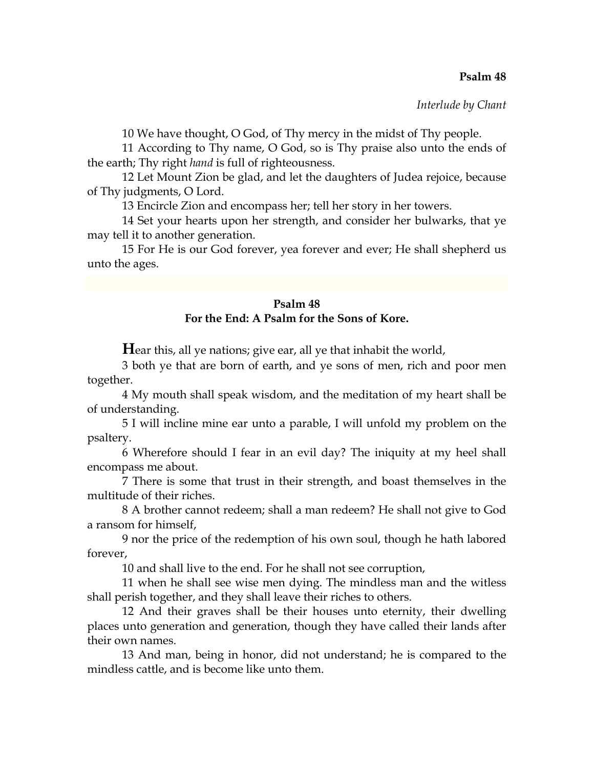*Interlude by Chant*

10 We have thought, O God, of Thy mercy in the midst of Thy people.

11 According to Thy name, O God, so is Thy praise also unto the ends of the earth; Thy right *hand* is full of righteousness.

12 Let Mount Zion be glad, and let the daughters of Judea rejoice, because of Thy judgments, O Lord.

13 Encircle Zion and encompass her; tell her story in her towers.

14 Set your hearts upon her strength, and consider her bulwarks, that ye may tell it to another generation.

15 For He is our God forever, yea forever and ever; He shall shepherd us unto the ages.

# **Psalm 48 For the End: A Psalm for the Sons of Kore.**

**Hear this, all ye nations; give ear, all ye that inhabit the world,** 

3 both ye that are born of earth, and ye sons of men, rich and poor men together.

4 My mouth shall speak wisdom, and the meditation of my heart shall be of understanding.

5 I will incline mine ear unto a parable, I will unfold my problem on the psaltery.

6 Wherefore should I fear in an evil day? The iniquity at my heel shall encompass me about.

7 There is some that trust in their strength, and boast themselves in the multitude of their riches.

8 A brother cannot redeem; shall a man redeem? He shall not give to God a ransom for himself,

9 nor the price of the redemption of his own soul, though he hath labored forever,

10 and shall live to the end. For he shall not see corruption,

11 when he shall see wise men dying. The mindless man and the witless shall perish together, and they shall leave their riches to others.

12 And their graves shall be their houses unto eternity, their dwelling places unto generation and generation, though they have called their lands after their own names.

13 And man, being in honor, did not understand; he is compared to the mindless cattle, and is become like unto them.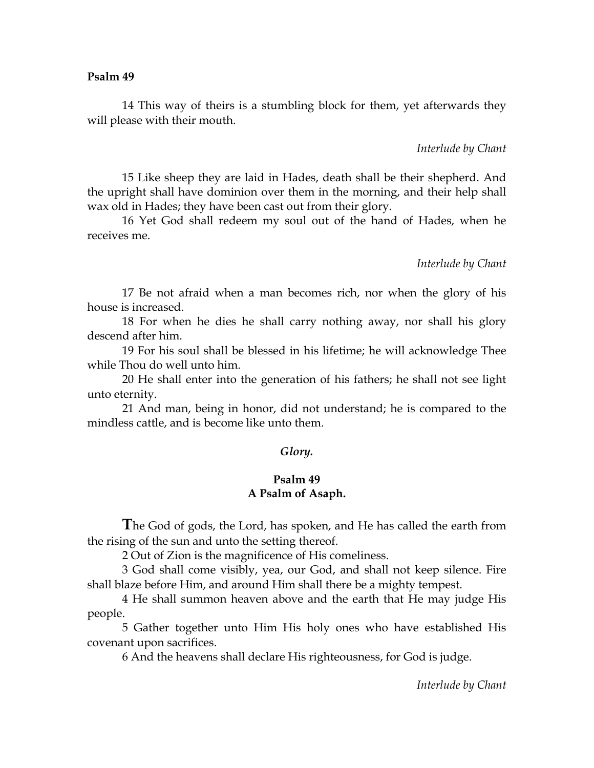14 This way of theirs is a stumbling block for them, yet afterwards they will please with their mouth.

*Interlude by Chant* 

15 Like sheep they are laid in Hades, death shall be their shepherd. And the upright shall have dominion over them in the morning, and their help shall wax old in Hades; they have been cast out from their glory.

16 Yet God shall redeem my soul out of the hand of Hades, when he receives me.

*Interlude by Chant* 

17 Be not afraid when a man becomes rich, nor when the glory of his house is increased.

18 For when he dies he shall carry nothing away, nor shall his glory descend after him.

19 For his soul shall be blessed in his lifetime; he will acknowledge Thee while Thou do well unto him.

20 He shall enter into the generation of his fathers; he shall not see light unto eternity.

21 And man, being in honor, did not understand; he is compared to the mindless cattle, and is become like unto them.

### *Glory.*

# **Psalm 49 A Psalm of Asaph.**

**T**he God of gods, the Lord, has spoken, and He has called the earth from the rising of the sun and unto the setting thereof.

2 Out of Zion is the magnificence of His comeliness.

3 God shall come visibly, yea, our God, and shall not keep silence. Fire shall blaze before Him, and around Him shall there be a mighty tempest.

4 He shall summon heaven above and the earth that He may judge His people.

5 Gather together unto Him His holy ones who have established His covenant upon sacrifices.

6 And the heavens shall declare His righteousness, for God is judge.

*Interlude by Chant*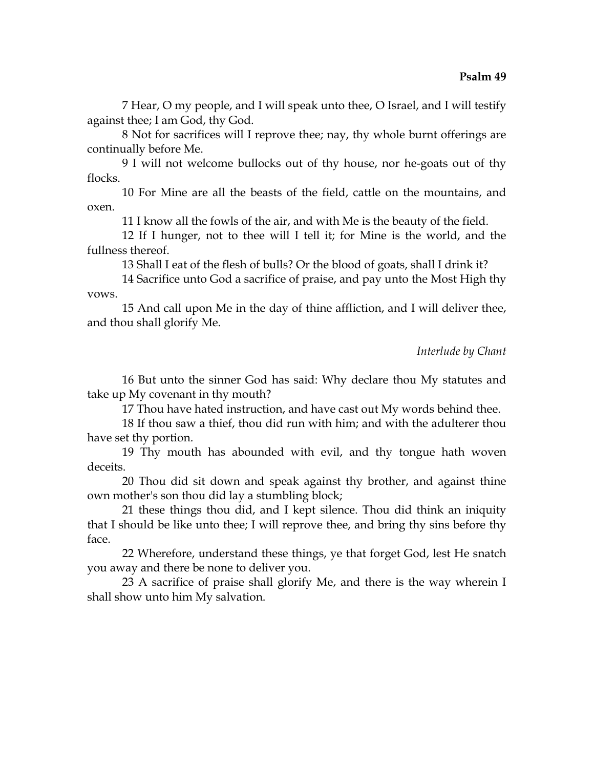7 Hear, O my people, and I will speak unto thee, O Israel, and I will testify against thee; I am God, thy God.

8 Not for sacrifices will I reprove thee; nay, thy whole burnt offerings are continually before Me.

9 I will not welcome bullocks out of thy house, nor he-goats out of thy flocks.

10 For Mine are all the beasts of the field, cattle on the mountains, and oxen.

11 I know all the fowls of the air, and with Me is the beauty of the field.

12 If I hunger, not to thee will I tell it; for Mine is the world, and the fullness thereof.

13 Shall I eat of the flesh of bulls? Or the blood of goats, shall I drink it?

14 Sacrifice unto God a sacrifice of praise, and pay unto the Most High thy vows.

15 And call upon Me in the day of thine affliction, and I will deliver thee, and thou shall glorify Me.

*Interlude by Chant*

16 But unto the sinner God has said: Why declare thou My statutes and take up My covenant in thy mouth?

17 Thou have hated instruction, and have cast out My words behind thee.

18 If thou saw a thief, thou did run with him; and with the adulterer thou have set thy portion.

19 Thy mouth has abounded with evil, and thy tongue hath woven deceits.

20 Thou did sit down and speak against thy brother, and against thine own mother's son thou did lay a stumbling block;

21 these things thou did, and I kept silence. Thou did think an iniquity that I should be like unto thee; I will reprove thee, and bring thy sins before thy face.

22 Wherefore, understand these things, ye that forget God, lest He snatch you away and there be none to deliver you.

23 A sacrifice of praise shall glorify Me, and there is the way wherein I shall show unto him My salvation.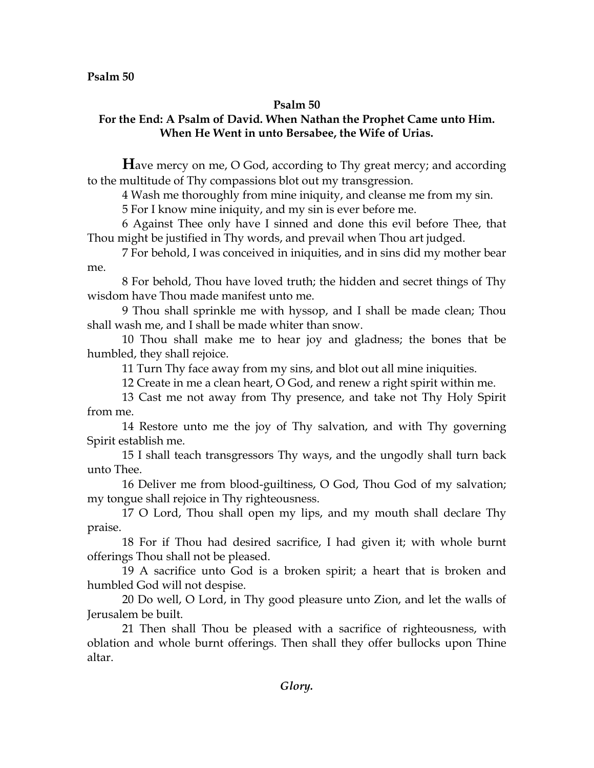# **For the End: A Psalm of David. When Nathan the Prophet Came unto Him. When He Went in unto Bersabee, the Wife of Urias.**

**H**ave mercy on me, O God, according to Thy great mercy; and according to the multitude of Thy compassions blot out my transgression.

4 Wash me thoroughly from mine iniquity, and cleanse me from my sin.

5 For I know mine iniquity, and my sin is ever before me.

6 Against Thee only have I sinned and done this evil before Thee, that Thou might be justified in Thy words, and prevail when Thou art judged.

7 For behold, I was conceived in iniquities, and in sins did my mother bear me.

8 For behold, Thou have loved truth; the hidden and secret things of Thy wisdom have Thou made manifest unto me.

9 Thou shall sprinkle me with hyssop, and I shall be made clean; Thou shall wash me, and I shall be made whiter than snow.

10 Thou shall make me to hear joy and gladness; the bones that be humbled, they shall rejoice.

11 Turn Thy face away from my sins, and blot out all mine iniquities.

12 Create in me a clean heart, O God, and renew a right spirit within me.

13 Cast me not away from Thy presence, and take not Thy Holy Spirit from me.

14 Restore unto me the joy of Thy salvation, and with Thy governing Spirit establish me.

15 I shall teach transgressors Thy ways, and the ungodly shall turn back unto Thee.

16 Deliver me from blood-guiltiness, O God, Thou God of my salvation; my tongue shall rejoice in Thy righteousness.

17 O Lord, Thou shall open my lips, and my mouth shall declare Thy praise.

18 For if Thou had desired sacrifice, I had given it; with whole burnt offerings Thou shall not be pleased.

19 A sacrifice unto God is a broken spirit; a heart that is broken and humbled God will not despise.

20 Do well, O Lord, in Thy good pleasure unto Zion, and let the walls of Jerusalem be built.

21 Then shall Thou be pleased with a sacrifice of righteousness, with oblation and whole burnt offerings. Then shall they offer bullocks upon Thine altar.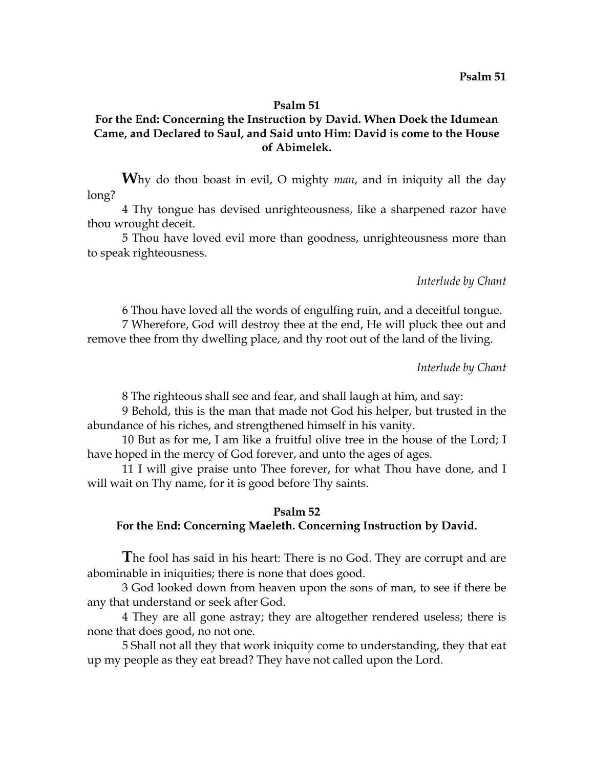# **For the End: Concerning the Instruction by David. When Doek the Idumean Came, and Declared to Saul, and Said unto Him: David is come to the House of Abimelek.**

**W**hy do thou boast in evil, O mighty *man*, and in iniquity all the day long?

4 Thy tongue has devised unrighteousness, like a sharpened razor have thou wrought deceit.

5 Thou have loved evil more than goodness, unrighteousness more than to speak righteousness.

#### *Interlude by Chant*

6 Thou have loved all the words of engulfing ruin, and a deceitful tongue.

7 Wherefore, God will destroy thee at the end, He will pluck thee out and remove thee from thy dwelling place, and thy root out of the land of the living.

### *Interlude by Chant*

8 The righteous shall see and fear, and shall laugh at him, and say:

9 Behold, this is the man that made not God his helper, but trusted in the abundance of his riches, and strengthened himself in his vanity.

10 But as for me, I am like a fruitful olive tree in the house of the Lord; I have hoped in the mercy of God forever, and unto the ages of ages.

11 I will give praise unto Thee forever, for what Thou have done, and I will wait on Thy name, for it is good before Thy saints.

### **Psalm 52**

#### **For the End: Concerning Maeleth. Concerning Instruction by David.**

**T**he fool has said in his heart: There is no God. They are corrupt and are abominable in iniquities; there is none that does good.

3 God looked down from heaven upon the sons of man, to see if there be any that understand or seek after God.

4 They are all gone astray; they are altogether rendered useless; there is none that does good, no not one.

5 Shall not all they that work iniquity come to understanding, they that eat up my people as they eat bread? They have not called upon the Lord.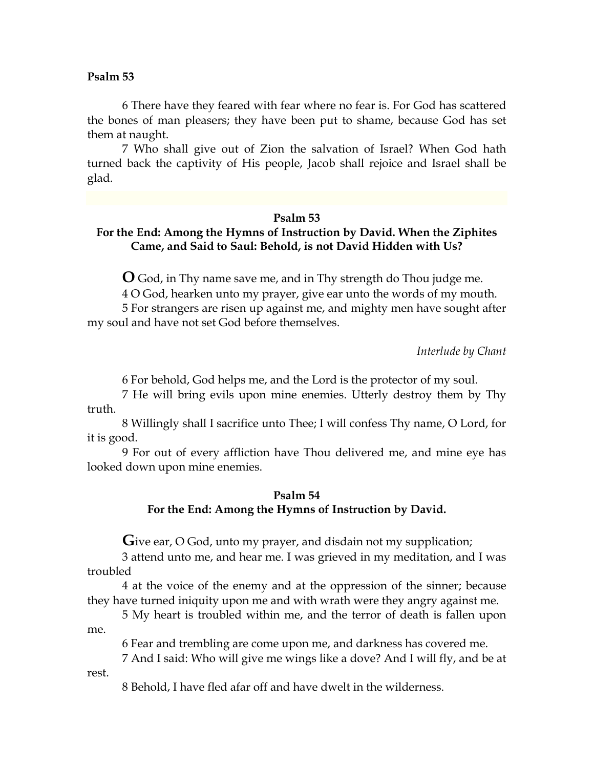6 There have they feared with fear where no fear is. For God has scattered the bones of man pleasers; they have been put to shame, because God has set them at naught.

7 Who shall give out of Zion the salvation of Israel? When God hath turned back the captivity of His people, Jacob shall rejoice and Israel shall be glad.

### **Psalm 53**

# **For the End: Among the Hymns of Instruction by David. When the Ziphites Came, and Said to Saul: Behold, is not David Hidden with Us?**

**O** God, in Thy name save me, and in Thy strength do Thou judge me.

4 O God, hearken unto my prayer, give ear unto the words of my mouth.

5 For strangers are risen up against me, and mighty men have sought after my soul and have not set God before themselves.

*Interlude by Chant*

6 For behold, God helps me, and the Lord is the protector of my soul.

7 He will bring evils upon mine enemies. Utterly destroy them by Thy truth.

8 Willingly shall I sacrifice unto Thee; I will confess Thy name, O Lord, for it is good.

9 For out of every affliction have Thou delivered me, and mine eye has looked down upon mine enemies.

# **Psalm 54 For the End: Among the Hymns of Instruction by David.**

Give ear, O God, unto my prayer, and disdain not my supplication;

3 attend unto me, and hear me. I was grieved in my meditation, and I was troubled

4 at the voice of the enemy and at the oppression of the sinner; because they have turned iniquity upon me and with wrath were they angry against me.

5 My heart is troubled within me, and the terror of death is fallen upon me.

6 Fear and trembling are come upon me, and darkness has covered me.

7 And I said: Who will give me wings like a dove? And I will fly, and be at rest.

8 Behold, I have fled afar off and have dwelt in the wilderness.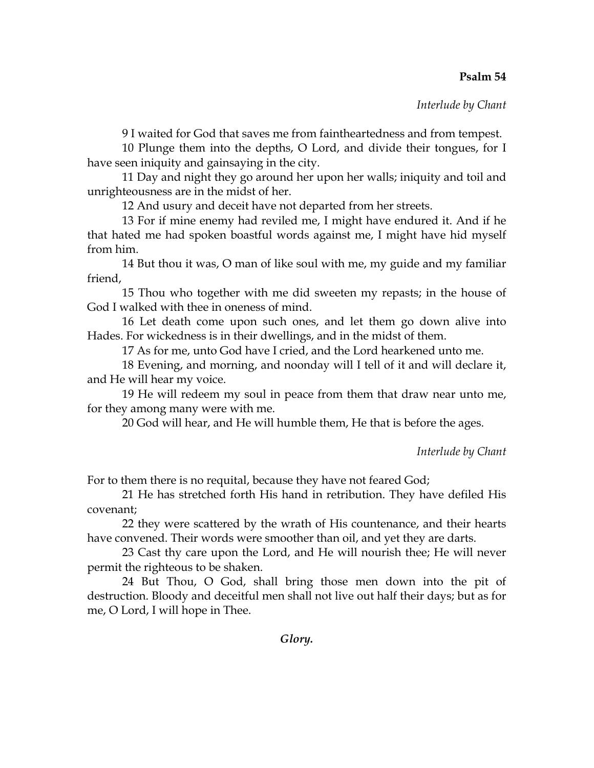*Interlude by Chant*

9 I waited for God that saves me from faintheartedness and from tempest.

10 Plunge them into the depths, O Lord, and divide their tongues, for I have seen iniquity and gainsaying in the city.

11 Day and night they go around her upon her walls; iniquity and toil and unrighteousness are in the midst of her.

12 And usury and deceit have not departed from her streets.

13 For if mine enemy had reviled me, I might have endured it. And if he that hated me had spoken boastful words against me, I might have hid myself from him.

14 But thou it was, O man of like soul with me, my guide and my familiar friend,

15 Thou who together with me did sweeten my repasts; in the house of God I walked with thee in oneness of mind.

16 Let death come upon such ones, and let them go down alive into Hades. For wickedness is in their dwellings, and in the midst of them.

17 As for me, unto God have I cried, and the Lord hearkened unto me.

18 Evening, and morning, and noonday will I tell of it and will declare it, and He will hear my voice.

19 He will redeem my soul in peace from them that draw near unto me, for they among many were with me.

20 God will hear, and He will humble them, He that is before the ages.

*Interlude by Chant*

For to them there is no requital, because they have not feared God;

21 He has stretched forth His hand in retribution. They have defiled His covenant;

22 they were scattered by the wrath of His countenance, and their hearts have convened. Their words were smoother than oil, and yet they are darts.

23 Cast thy care upon the Lord, and He will nourish thee; He will never permit the righteous to be shaken.

24 But Thou, O God, shall bring those men down into the pit of destruction. Bloody and deceitful men shall not live out half their days; but as for me, O Lord, I will hope in Thee.

*Glory.*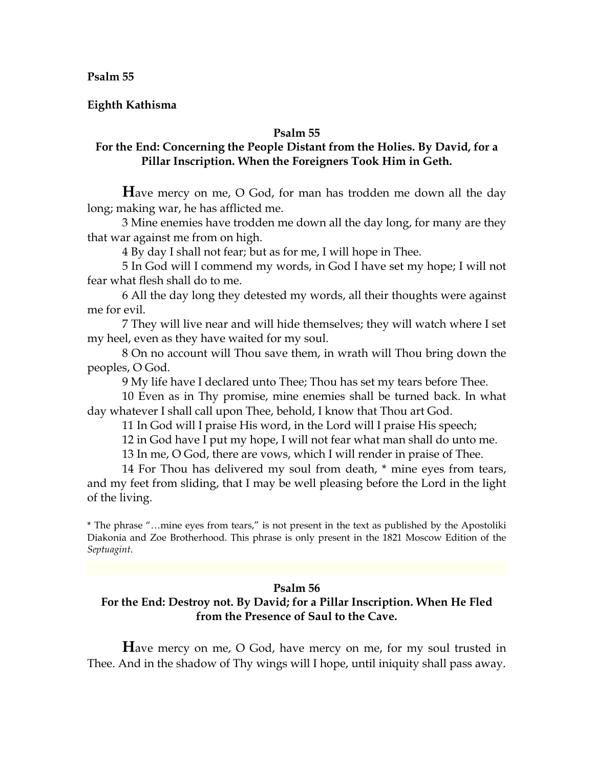**Eighth Kathisma** 

# **Psalm 55**

# **For the End: Concerning the People Distant from the Holies. By David, for a Pillar Inscription. When the Foreigners Took Him in Geth.**

**H**ave mercy on me, O God, for man has trodden me down all the day long; making war, he has afflicted me.

3 Mine enemies have trodden me down all the day long, for many are they that war against me from on high.

4 By day I shall not fear; but as for me, I will hope in Thee.

5 In God will I commend my words, in God I have set my hope; I will not fear what flesh shall do to me.

6 All the day long they detested my words, all their thoughts were against me for evil.

7 They will live near and will hide themselves; they will watch where I set my heel, even as they have waited for my soul.

8 On no account will Thou save them, in wrath will Thou bring down the peoples, O God.

9 My life have I declared unto Thee; Thou has set my tears before Thee.

10 Even as in Thy promise, mine enemies shall be turned back. In what day whatever I shall call upon Thee, behold, I know that Thou art God.

11 In God will I praise His word, in the Lord will I praise His speech;

12 in God have I put my hope, I will not fear what man shall do unto me.

13 In me, O God, there are vows, which I will render in praise of Thee.

14 For Thou has delivered my soul from death, \* mine eyes from tears, and my feet from sliding, that I may be well pleasing before the Lord in the light of the living.

\* The phrase "…mine eyes from tears," is not present in the text as published by the Apostoliki Diakonia and Zoe Brotherhood. This phrase is only present in the 1821 Moscow Edition of the *Septuagint*.

## **Psalm 56**

# **For the End: Destroy not. By David; for a Pillar Inscription. When He Fled from the Presence of Saul to the Cave.**

**H**ave mercy on me, O God, have mercy on me, for my soul trusted in Thee. And in the shadow of Thy wings will I hope, until iniquity shall pass away.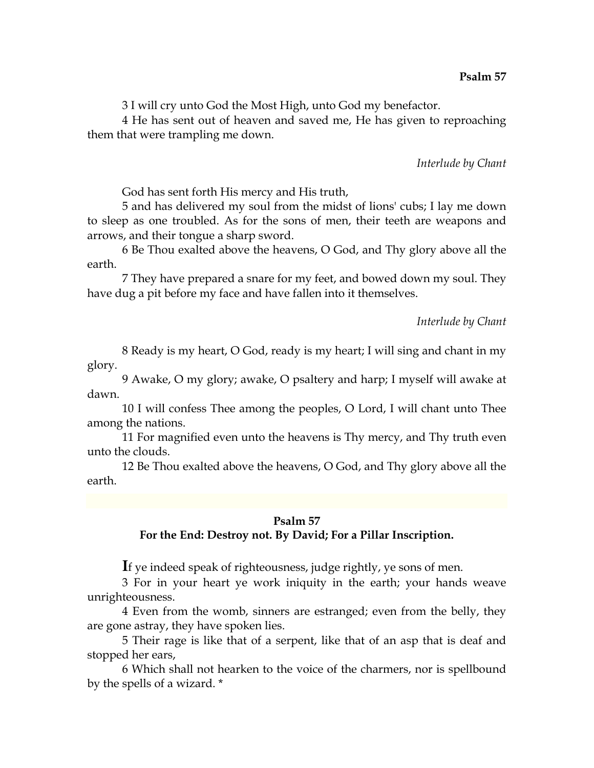3 I will cry unto God the Most High, unto God my benefactor.

4 He has sent out of heaven and saved me, He has given to reproaching them that were trampling me down.

# *Interlude by Chant*

God has sent forth His mercy and His truth,

5 and has delivered my soul from the midst of lions' cubs; I lay me down to sleep as one troubled. As for the sons of men, their teeth are weapons and arrows, and their tongue a sharp sword.

6 Be Thou exalted above the heavens, O God, and Thy glory above all the earth.

7 They have prepared a snare for my feet, and bowed down my soul. They have dug a pit before my face and have fallen into it themselves.

*Interlude by Chant*

8 Ready is my heart, O God, ready is my heart; I will sing and chant in my glory.

9 Awake, O my glory; awake, O psaltery and harp; I myself will awake at dawn.

10 I will confess Thee among the peoples, O Lord, I will chant unto Thee among the nations.

11 For magnified even unto the heavens is Thy mercy, and Thy truth even unto the clouds.

12 Be Thou exalted above the heavens, O God, and Thy glory above all the earth.

### **Psalm 57**

# **For the End: Destroy not. By David; For a Pillar Inscription.**

**I**f ye indeed speak of righteousness, judge rightly, ye sons of men.

3 For in your heart ye work iniquity in the earth; your hands weave unrighteousness.

4 Even from the womb, sinners are estranged; even from the belly, they are gone astray, they have spoken lies.

5 Their rage is like that of a serpent, like that of an asp that is deaf and stopped her ears,

6 Which shall not hearken to the voice of the charmers, nor is spellbound by the spells of a wizard. \*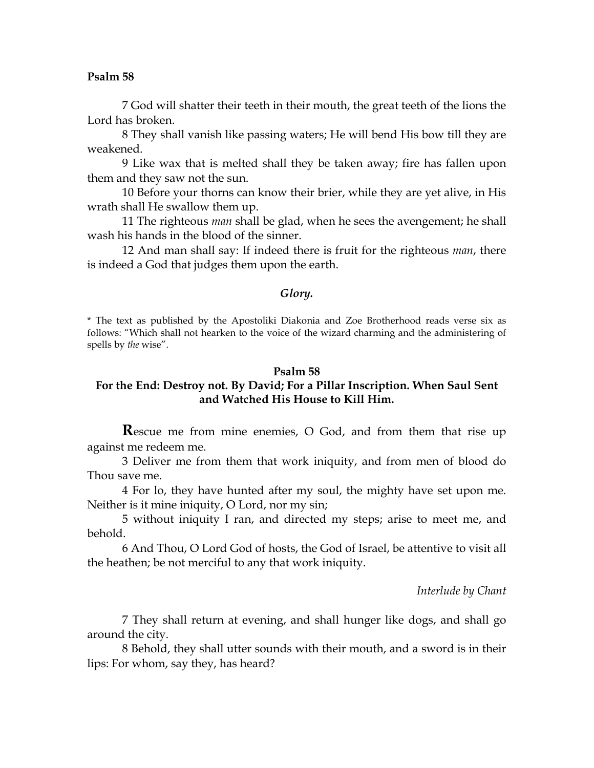7 God will shatter their teeth in their mouth, the great teeth of the lions the Lord has broken.

8 They shall vanish like passing waters; He will bend His bow till they are weakened.

9 Like wax that is melted shall they be taken away; fire has fallen upon them and they saw not the sun.

10 Before your thorns can know their brier, while they are yet alive, in His wrath shall He swallow them up.

11 The righteous *man* shall be glad, when he sees the avengement; he shall wash his hands in the blood of the sinner.

12 And man shall say: If indeed there is fruit for the righteous *man*, there is indeed a God that judges them upon the earth.

#### *Glory.*

\* The text as published by the Apostoliki Diakonia and Zoe Brotherhood reads verse six as follows: "Which shall not hearken to the voice of the wizard charming and the administering of spells by *the* wise".

#### **Psalm 58**

# **For the End: Destroy not. By David; For a Pillar Inscription. When Saul Sent and Watched His House to Kill Him.**

**R**escue me from mine enemies, O God, and from them that rise up against me redeem me.

3 Deliver me from them that work iniquity, and from men of blood do Thou save me.

4 For lo, they have hunted after my soul, the mighty have set upon me. Neither is it mine iniquity, O Lord, nor my sin;

5 without iniquity I ran, and directed my steps; arise to meet me, and behold.

6 And Thou, O Lord God of hosts, the God of Israel, be attentive to visit all the heathen; be not merciful to any that work iniquity.

*Interlude by Chant*

7 They shall return at evening, and shall hunger like dogs, and shall go around the city.

8 Behold, they shall utter sounds with their mouth, and a sword is in their lips: For whom, say they, has heard?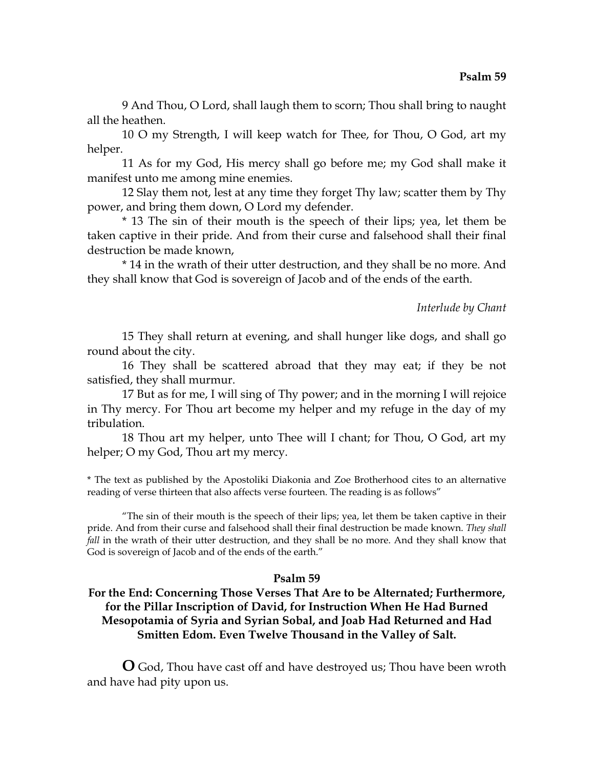9 And Thou, O Lord, shall laugh them to scorn; Thou shall bring to naught all the heathen.

10 O my Strength, I will keep watch for Thee, for Thou, O God, art my helper.

11 As for my God, His mercy shall go before me; my God shall make it manifest unto me among mine enemies.

12 Slay them not, lest at any time they forget Thy law; scatter them by Thy power, and bring them down, O Lord my defender.

\* 13 The sin of their mouth is the speech of their lips; yea, let them be taken captive in their pride. And from their curse and falsehood shall their final destruction be made known,

\* 14 in the wrath of their utter destruction, and they shall be no more. And they shall know that God is sovereign of Jacob and of the ends of the earth.

## *Interlude by Chant*

15 They shall return at evening, and shall hunger like dogs, and shall go round about the city.

16 They shall be scattered abroad that they may eat; if they be not satisfied, they shall murmur.

17 But as for me, I will sing of Thy power; and in the morning I will rejoice in Thy mercy. For Thou art become my helper and my refuge in the day of my tribulation.

18 Thou art my helper, unto Thee will I chant; for Thou, O God, art my helper; O my God, Thou art my mercy.

\* The text as published by the Apostoliki Diakonia and Zoe Brotherhood cites to an alternative reading of verse thirteen that also affects verse fourteen. The reading is as follows"

 "The sin of their mouth is the speech of their lips; yea, let them be taken captive in their pride. And from their curse and falsehood shall their final destruction be made known. *They shall fall* in the wrath of their utter destruction, and they shall be no more. And they shall know that God is sovereign of Jacob and of the ends of the earth."

# **Psalm 59**

# **For the End: Concerning Those Verses That Are to be Alternated; Furthermore, for the Pillar Inscription of David, for Instruction When He Had Burned Mesopotamia of Syria and Syrian Sobal, and Joab Had Returned and Had Smitten Edom. Even Twelve Thousand in the Valley of Salt.**

**O** God, Thou have cast off and have destroyed us; Thou have been wroth and have had pity upon us.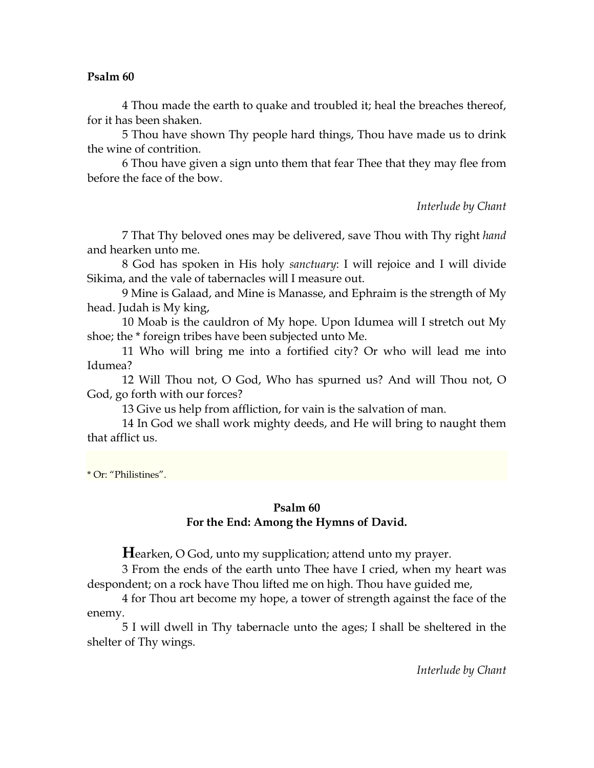4 Thou made the earth to quake and troubled it; heal the breaches thereof, for it has been shaken.

5 Thou have shown Thy people hard things, Thou have made us to drink the wine of contrition.

6 Thou have given a sign unto them that fear Thee that they may flee from before the face of the bow.

*Interlude by Chant*

7 That Thy beloved ones may be delivered, save Thou with Thy right *hand* and hearken unto me.

8 God has spoken in His holy *sanctuary*: I will rejoice and I will divide Sikima, and the vale of tabernacles will I measure out.

9 Mine is Galaad, and Mine is Manasse, and Ephraim is the strength of My head. Judah is My king,

10 Moab is the cauldron of My hope. Upon Idumea will I stretch out My shoe; the \* foreign tribes have been subjected unto Me.

11 Who will bring me into a fortified city? Or who will lead me into Idumea?

12 Will Thou not, O God, Who has spurned us? And will Thou not, O God, go forth with our forces?

13 Give us help from affliction, for vain is the salvation of man.

14 In God we shall work mighty deeds, and He will bring to naught them that afflict us.

\* Or: "Philistines".

# **Psalm 60 For the End: Among the Hymns of David.**

**H**earken, O God, unto my supplication; attend unto my prayer.

3 From the ends of the earth unto Thee have I cried, when my heart was despondent; on a rock have Thou lifted me on high. Thou have guided me,

4 for Thou art become my hope, a tower of strength against the face of the enemy.

5 I will dwell in Thy tabernacle unto the ages; I shall be sheltered in the shelter of Thy wings.

*Interlude by Chant*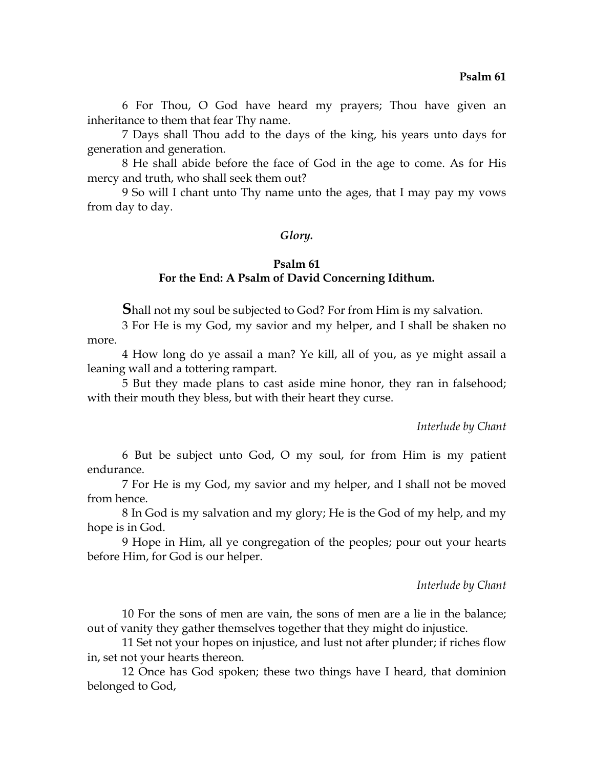6 For Thou, O God have heard my prayers; Thou have given an inheritance to them that fear Thy name.

7 Days shall Thou add to the days of the king, his years unto days for generation and generation.

8 He shall abide before the face of God in the age to come. As for His mercy and truth, who shall seek them out?

9 So will I chant unto Thy name unto the ages, that I may pay my vows from day to day.

### *Glory.*

# **Psalm 61 For the End: A Psalm of David Concerning Idithum.**

**S**hall not my soul be subjected to God? For from Him is my salvation.

3 For He is my God, my savior and my helper, and I shall be shaken no more.

4 How long do ye assail a man? Ye kill, all of you, as ye might assail a leaning wall and a tottering rampart.

5 But they made plans to cast aside mine honor, they ran in falsehood; with their mouth they bless, but with their heart they curse.

#### *Interlude by Chant*

6 But be subject unto God, O my soul, for from Him is my patient endurance.

7 For He is my God, my savior and my helper, and I shall not be moved from hence.

8 In God is my salvation and my glory; He is the God of my help, and my hope is in God.

9 Hope in Him, all ye congregation of the peoples; pour out your hearts before Him, for God is our helper.

### *Interlude by Chant*

10 For the sons of men are vain, the sons of men are a lie in the balance; out of vanity they gather themselves together that they might do injustice.

11 Set not your hopes on injustice, and lust not after plunder; if riches flow in, set not your hearts thereon.

12 Once has God spoken; these two things have I heard, that dominion belonged to God,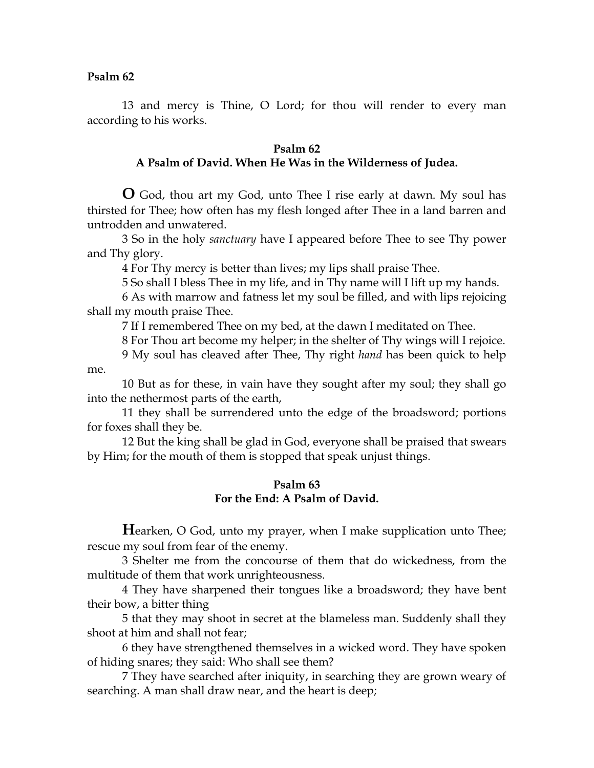13 and mercy is Thine, O Lord; for thou will render to every man according to his works.

## **Psalm 62 A Psalm of David. When He Was in the Wilderness of Judea.**

**O** God, thou art my God, unto Thee I rise early at dawn. My soul has thirsted for Thee; how often has my flesh longed after Thee in a land barren and untrodden and unwatered.

3 So in the holy *sanctuary* have I appeared before Thee to see Thy power and Thy glory.

4 For Thy mercy is better than lives; my lips shall praise Thee.

5 So shall I bless Thee in my life, and in Thy name will I lift up my hands.

6 As with marrow and fatness let my soul be filled, and with lips rejoicing shall my mouth praise Thee.

7 If I remembered Thee on my bed, at the dawn I meditated on Thee.

8 For Thou art become my helper; in the shelter of Thy wings will I rejoice.

9 My soul has cleaved after Thee, Thy right *hand* has been quick to help me.

10 But as for these, in vain have they sought after my soul; they shall go into the nethermost parts of the earth,

11 they shall be surrendered unto the edge of the broadsword; portions for foxes shall they be.

12 But the king shall be glad in God, everyone shall be praised that swears by Him; for the mouth of them is stopped that speak unjust things.

## **Psalm 63 For the End: A Psalm of David.**

**Hearken, O God, unto my prayer, when I make supplication unto Thee;** rescue my soul from fear of the enemy.

3 Shelter me from the concourse of them that do wickedness, from the multitude of them that work unrighteousness.

4 They have sharpened their tongues like a broadsword; they have bent their bow, a bitter thing

5 that they may shoot in secret at the blameless man. Suddenly shall they shoot at him and shall not fear;

6 they have strengthened themselves in a wicked word. They have spoken of hiding snares; they said: Who shall see them?

7 They have searched after iniquity, in searching they are grown weary of searching. A man shall draw near, and the heart is deep;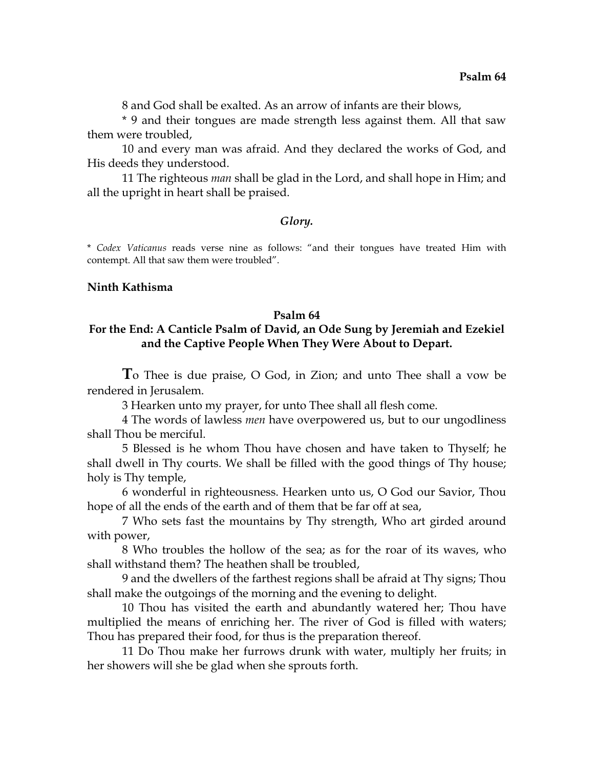8 and God shall be exalted. As an arrow of infants are their blows,

\* 9 and their tongues are made strength less against them. All that saw them were troubled,

10 and every man was afraid. And they declared the works of God, and His deeds they understood.

11 The righteous *man* shall be glad in the Lord, and shall hope in Him; and all the upright in heart shall be praised.

### *Glory.*

\* *Codex Vaticanus* reads verse nine as follows: "and their tongues have treated Him with contempt. All that saw them were troubled".

### **Ninth Kathisma**

#### **Psalm 64**

# **For the End: A Canticle Psalm of David, an Ode Sung by Jeremiah and Ezekiel and the Captive People When They Were About to Depart.**

**T**o Thee is due praise, O God, in Zion; and unto Thee shall a vow be rendered in Jerusalem.

3 Hearken unto my prayer, for unto Thee shall all flesh come.

4 The words of lawless *men* have overpowered us, but to our ungodliness shall Thou be merciful.

5 Blessed is he whom Thou have chosen and have taken to Thyself; he shall dwell in Thy courts. We shall be filled with the good things of Thy house; holy is Thy temple,

6 wonderful in righteousness. Hearken unto us, O God our Savior, Thou hope of all the ends of the earth and of them that be far off at sea,

7 Who sets fast the mountains by Thy strength, Who art girded around with power,

8 Who troubles the hollow of the sea; as for the roar of its waves, who shall withstand them? The heathen shall be troubled,

9 and the dwellers of the farthest regions shall be afraid at Thy signs; Thou shall make the outgoings of the morning and the evening to delight.

10 Thou has visited the earth and abundantly watered her; Thou have multiplied the means of enriching her. The river of God is filled with waters; Thou has prepared their food, for thus is the preparation thereof.

11 Do Thou make her furrows drunk with water, multiply her fruits; in her showers will she be glad when she sprouts forth.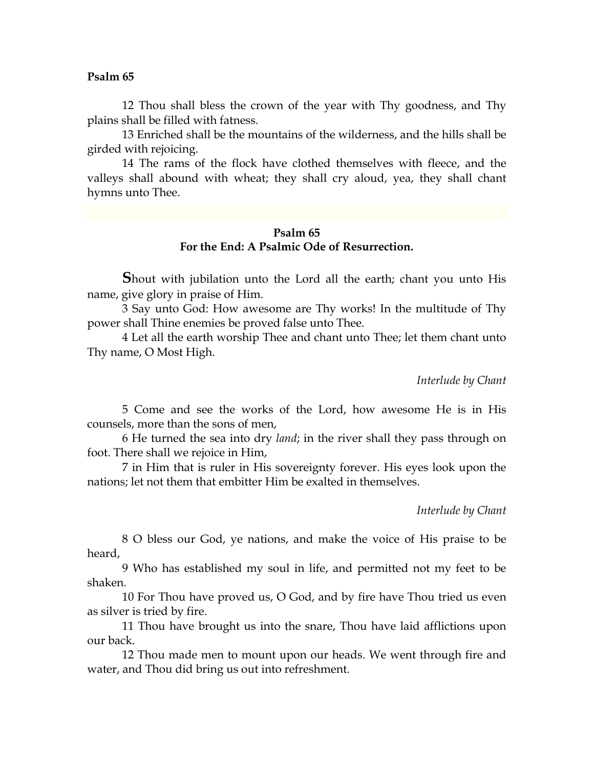12 Thou shall bless the crown of the year with Thy goodness, and Thy plains shall be filled with fatness.

13 Enriched shall be the mountains of the wilderness, and the hills shall be girded with rejoicing.

14 The rams of the flock have clothed themselves with fleece, and the valleys shall abound with wheat; they shall cry aloud, yea, they shall chant hymns unto Thee.

# **Psalm 65 For the End: A Psalmic Ode of Resurrection.**

**S**hout with jubilation unto the Lord all the earth; chant you unto His name, give glory in praise of Him.

3 Say unto God: How awesome are Thy works! In the multitude of Thy power shall Thine enemies be proved false unto Thee.

4 Let all the earth worship Thee and chant unto Thee; let them chant unto Thy name, O Most High.

*Interlude by Chant*

5 Come and see the works of the Lord, how awesome He is in His counsels, more than the sons of men,

6 He turned the sea into dry *land*; in the river shall they pass through on foot. There shall we rejoice in Him,

7 in Him that is ruler in His sovereignty forever. His eyes look upon the nations; let not them that embitter Him be exalted in themselves.

*Interlude by Chant*

8 O bless our God, ye nations, and make the voice of His praise to be heard,

9 Who has established my soul in life, and permitted not my feet to be shaken.

10 For Thou have proved us, O God, and by fire have Thou tried us even as silver is tried by fire.

11 Thou have brought us into the snare, Thou have laid afflictions upon our back.

12 Thou made men to mount upon our heads. We went through fire and water, and Thou did bring us out into refreshment.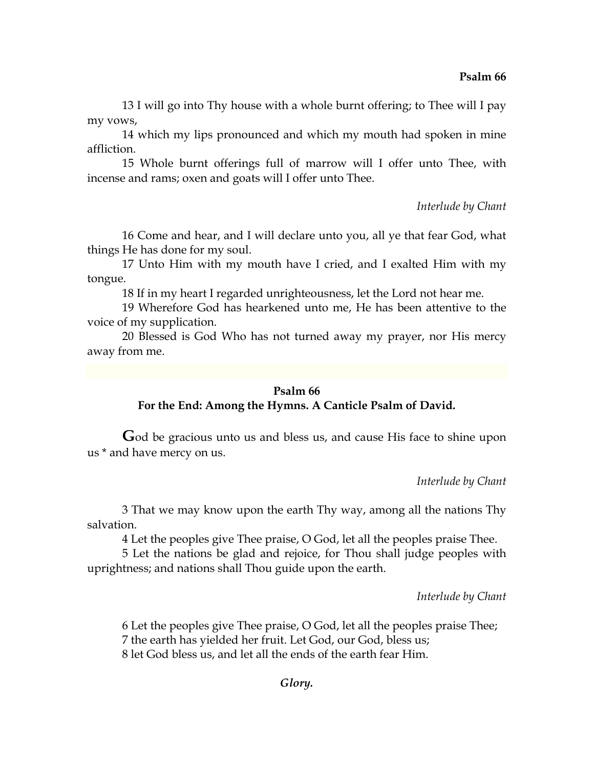13 I will go into Thy house with a whole burnt offering; to Thee will I pay my vows,

14 which my lips pronounced and which my mouth had spoken in mine affliction.

15 Whole burnt offerings full of marrow will I offer unto Thee, with incense and rams; oxen and goats will I offer unto Thee.

*Interlude by Chant*

16 Come and hear, and I will declare unto you, all ye that fear God, what things He has done for my soul.

17 Unto Him with my mouth have I cried, and I exalted Him with my tongue.

18 If in my heart I regarded unrighteousness, let the Lord not hear me.

19 Wherefore God has hearkened unto me, He has been attentive to the voice of my supplication.

20 Blessed is God Who has not turned away my prayer, nor His mercy away from me.

## **Psalm 66**

# **For the End: Among the Hymns. A Canticle Psalm of David.**

**G**od be gracious unto us and bless us, and cause His face to shine upon us \* and have mercy on us.

*Interlude by Chant*

3 That we may know upon the earth Thy way, among all the nations Thy salvation.

4 Let the peoples give Thee praise, O God, let all the peoples praise Thee.

5 Let the nations be glad and rejoice, for Thou shall judge peoples with uprightness; and nations shall Thou guide upon the earth.

*Interlude by Chant*

6 Let the peoples give Thee praise, O God, let all the peoples praise Thee;

7 the earth has yielded her fruit. Let God, our God, bless us;

8 let God bless us, and let all the ends of the earth fear Him.

*Glory.*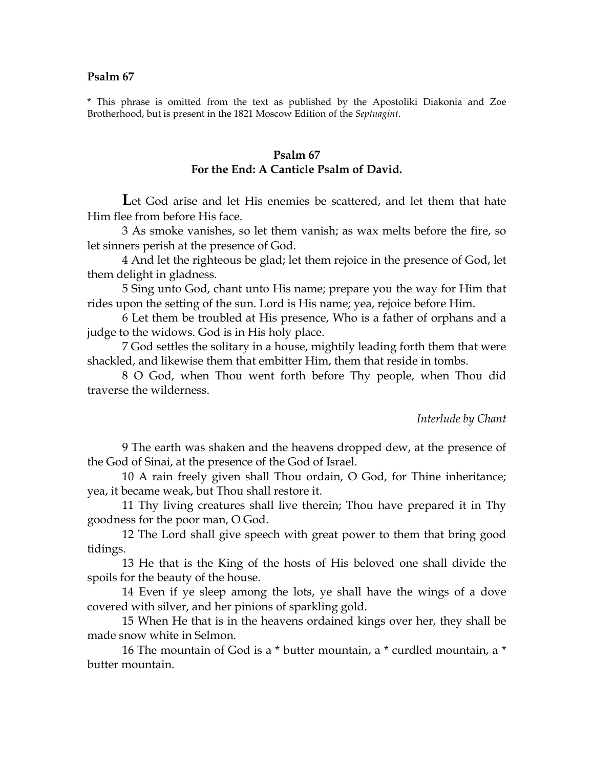\* This phrase is omitted from the text as published by the Apostoliki Diakonia and Zoe Brotherhood, but is present in the 1821 Moscow Edition of the *Septuagint*.

### **Psalm 67 For the End: A Canticle Psalm of David.**

Let God arise and let His enemies be scattered, and let them that hate Him flee from before His face.

3 As smoke vanishes, so let them vanish; as wax melts before the fire, so let sinners perish at the presence of God.

4 And let the righteous be glad; let them rejoice in the presence of God, let them delight in gladness.

5 Sing unto God, chant unto His name; prepare you the way for Him that rides upon the setting of the sun. Lord is His name; yea, rejoice before Him.

6 Let them be troubled at His presence, Who is a father of orphans and a judge to the widows. God is in His holy place.

7 God settles the solitary in a house, mightily leading forth them that were shackled, and likewise them that embitter Him, them that reside in tombs.

8 O God, when Thou went forth before Thy people, when Thou did traverse the wilderness.

#### *Interlude by Chant*

9 The earth was shaken and the heavens dropped dew, at the presence of the God of Sinai, at the presence of the God of Israel.

10 A rain freely given shall Thou ordain, O God, for Thine inheritance; yea, it became weak, but Thou shall restore it.

11 Thy living creatures shall live therein; Thou have prepared it in Thy goodness for the poor man, O God.

12 The Lord shall give speech with great power to them that bring good tidings.

13 He that is the King of the hosts of His beloved one shall divide the spoils for the beauty of the house.

14 Even if ye sleep among the lots, ye shall have the wings of a dove covered with silver, and her pinions of sparkling gold.

15 When He that is in the heavens ordained kings over her, they shall be made snow white in Selmon.

16 The mountain of God is a \* butter mountain, a \* curdled mountain, a \* butter mountain.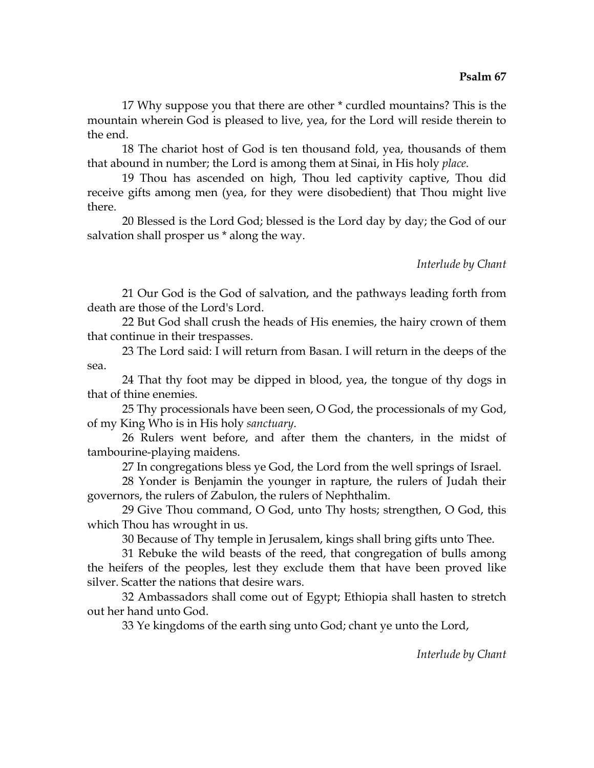17 Why suppose you that there are other \* curdled mountains? This is the mountain wherein God is pleased to live, yea, for the Lord will reside therein to the end.

18 The chariot host of God is ten thousand fold, yea, thousands of them that abound in number; the Lord is among them at Sinai, in His holy *place*.

19 Thou has ascended on high, Thou led captivity captive, Thou did receive gifts among men (yea, for they were disobedient) that Thou might live there.

20 Blessed is the Lord God; blessed is the Lord day by day; the God of our salvation shall prosper us \* along the way.

# *Interlude by Chant*

21 Our God is the God of salvation, and the pathways leading forth from death are those of the Lord's Lord.

22 But God shall crush the heads of His enemies, the hairy crown of them that continue in their trespasses.

23 The Lord said: I will return from Basan. I will return in the deeps of the sea.

24 That thy foot may be dipped in blood, yea, the tongue of thy dogs in that of thine enemies.

25 Thy processionals have been seen, O God, the processionals of my God, of my King Who is in His holy *sanctuary*.

26 Rulers went before, and after them the chanters, in the midst of tambourine-playing maidens.

27 In congregations bless ye God, the Lord from the well springs of Israel.

28 Yonder is Benjamin the younger in rapture, the rulers of Judah their governors, the rulers of Zabulon, the rulers of Nephthalim.

29 Give Thou command, O God, unto Thy hosts; strengthen, O God, this which Thou has wrought in us.

30 Because of Thy temple in Jerusalem, kings shall bring gifts unto Thee.

31 Rebuke the wild beasts of the reed, that congregation of bulls among the heifers of the peoples, lest they exclude them that have been proved like silver. Scatter the nations that desire wars.

32 Ambassadors shall come out of Egypt; Ethiopia shall hasten to stretch out her hand unto God.

33 Ye kingdoms of the earth sing unto God; chant ye unto the Lord,

*Interlude by Chant*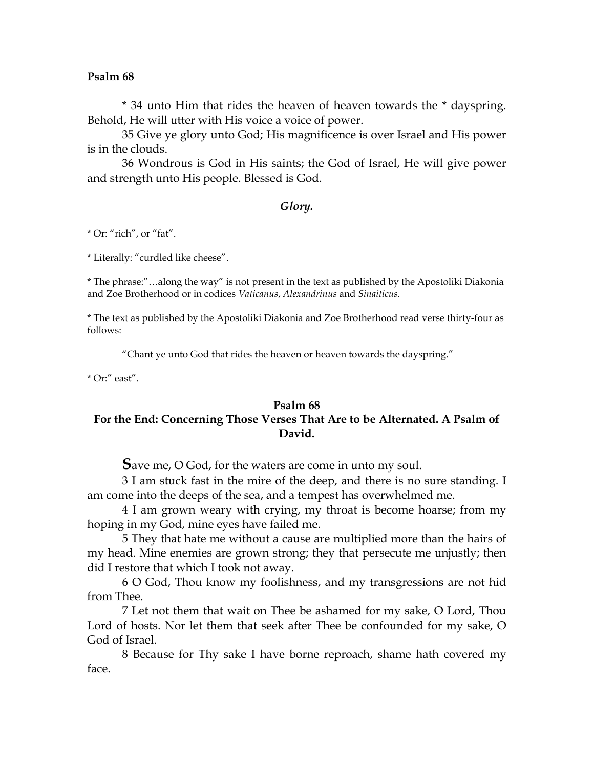\* 34 unto Him that rides the heaven of heaven towards the \* dayspring. Behold, He will utter with His voice a voice of power.

35 Give ye glory unto God; His magnificence is over Israel and His power is in the clouds.

36 Wondrous is God in His saints; the God of Israel, He will give power and strength unto His people. Blessed is God.

### *Glory.*

\* Or: "rich", or "fat".

\* Literally: "curdled like cheese".

\* The phrase:"…along the way" is not present in the text as published by the Apostoliki Diakonia and Zoe Brotherhood or in codices *Vaticanus*, *Alexandrinus* and *Sinaiticus*.

\* The text as published by the Apostoliki Diakonia and Zoe Brotherhood read verse thirty-four as follows:

"Chant ye unto God that rides the heaven or heaven towards the dayspring."

\* Or:" east".

### **Psalm 68**

# **For the End: Concerning Those Verses That Are to be Alternated. A Psalm of David.**

**S**ave me, O God, for the waters are come in unto my soul.

3 I am stuck fast in the mire of the deep, and there is no sure standing. I am come into the deeps of the sea, and a tempest has overwhelmed me.

4 I am grown weary with crying, my throat is become hoarse; from my hoping in my God, mine eyes have failed me.

5 They that hate me without a cause are multiplied more than the hairs of my head. Mine enemies are grown strong; they that persecute me unjustly; then did I restore that which I took not away.

6 O God, Thou know my foolishness, and my transgressions are not hid from Thee.

7 Let not them that wait on Thee be ashamed for my sake, O Lord, Thou Lord of hosts. Nor let them that seek after Thee be confounded for my sake, O God of Israel.

8 Because for Thy sake I have borne reproach, shame hath covered my face.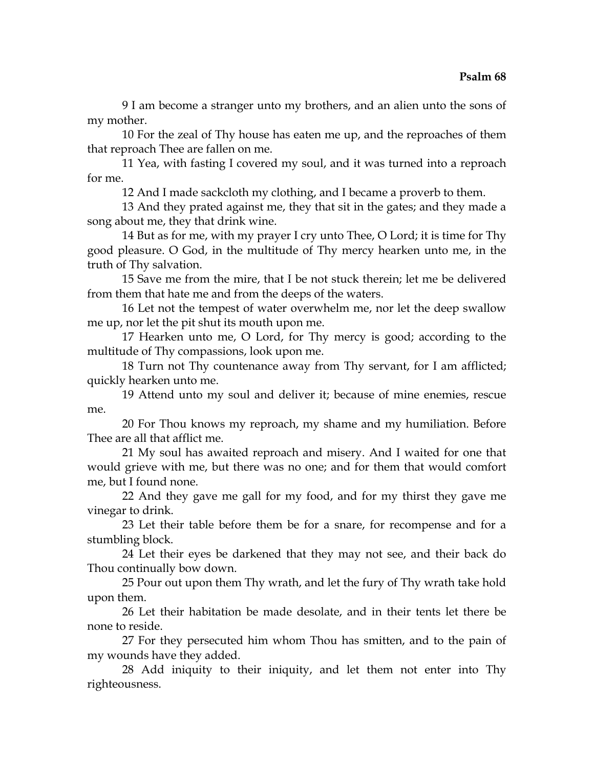9 I am become a stranger unto my brothers, and an alien unto the sons of my mother.

10 For the zeal of Thy house has eaten me up, and the reproaches of them that reproach Thee are fallen on me.

11 Yea, with fasting I covered my soul, and it was turned into a reproach for me.

12 And I made sackcloth my clothing, and I became a proverb to them.

13 And they prated against me, they that sit in the gates; and they made a song about me, they that drink wine.

14 But as for me, with my prayer I cry unto Thee, O Lord; it is time for Thy good pleasure. O God, in the multitude of Thy mercy hearken unto me, in the truth of Thy salvation.

15 Save me from the mire, that I be not stuck therein; let me be delivered from them that hate me and from the deeps of the waters.

16 Let not the tempest of water overwhelm me, nor let the deep swallow me up, nor let the pit shut its mouth upon me.

17 Hearken unto me, O Lord, for Thy mercy is good; according to the multitude of Thy compassions, look upon me.

18 Turn not Thy countenance away from Thy servant, for I am afflicted; quickly hearken unto me.

19 Attend unto my soul and deliver it; because of mine enemies, rescue me.

20 For Thou knows my reproach, my shame and my humiliation. Before Thee are all that afflict me.

21 My soul has awaited reproach and misery. And I waited for one that would grieve with me, but there was no one; and for them that would comfort me, but I found none.

22 And they gave me gall for my food, and for my thirst they gave me vinegar to drink.

23 Let their table before them be for a snare, for recompense and for a stumbling block.

24 Let their eyes be darkened that they may not see, and their back do Thou continually bow down.

25 Pour out upon them Thy wrath, and let the fury of Thy wrath take hold upon them.

26 Let their habitation be made desolate, and in their tents let there be none to reside.

27 For they persecuted him whom Thou has smitten, and to the pain of my wounds have they added.

28 Add iniquity to their iniquity, and let them not enter into Thy righteousness.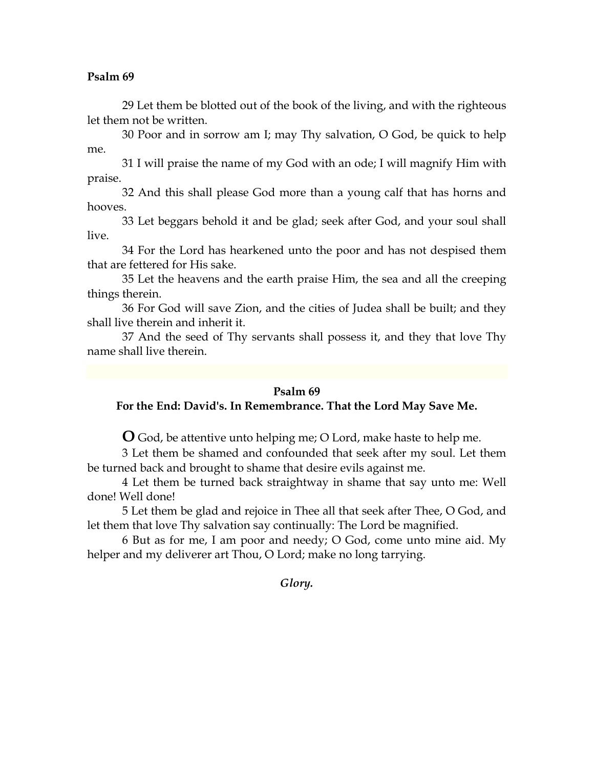29 Let them be blotted out of the book of the living, and with the righteous let them not be written.

30 Poor and in sorrow am I; may Thy salvation, O God, be quick to help me.

31 I will praise the name of my God with an ode; I will magnify Him with praise.

32 And this shall please God more than a young calf that has horns and hooves.

33 Let beggars behold it and be glad; seek after God, and your soul shall live.

34 For the Lord has hearkened unto the poor and has not despised them that are fettered for His sake.

35 Let the heavens and the earth praise Him, the sea and all the creeping things therein.

36 For God will save Zion, and the cities of Judea shall be built; and they shall live therein and inherit it.

37 And the seed of Thy servants shall possess it, and they that love Thy name shall live therein.

### **Psalm 69**

# **For the End: David's. In Remembrance. That the Lord May Save Me.**

**O** God, be attentive unto helping me; O Lord, make haste to help me.

3 Let them be shamed and confounded that seek after my soul. Let them be turned back and brought to shame that desire evils against me.

4 Let them be turned back straightway in shame that say unto me: Well done! Well done!

5 Let them be glad and rejoice in Thee all that seek after Thee, O God, and let them that love Thy salvation say continually: The Lord be magnified.

6 But as for me, I am poor and needy; O God, come unto mine aid. My helper and my deliverer art Thou, O Lord; make no long tarrying.

### *Glory.*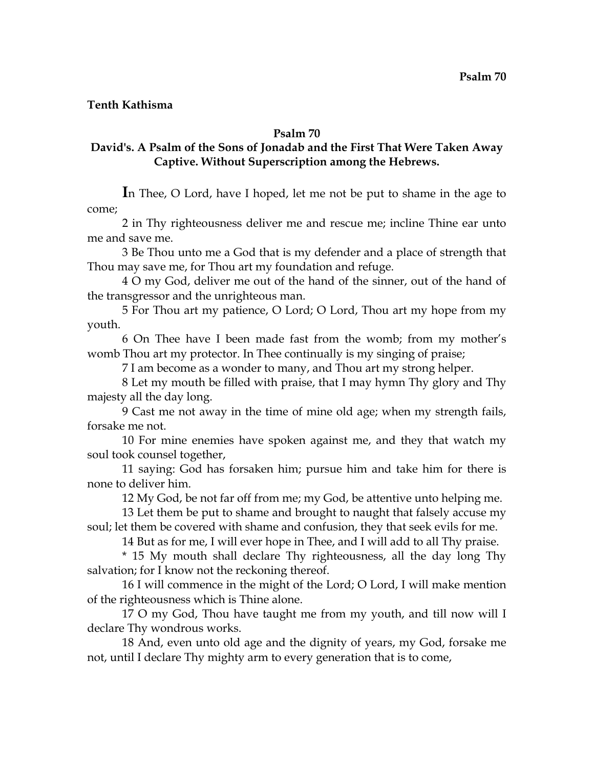**Tenth Kathisma** 

# **Psalm 70**

# **David's. A Psalm of the Sons of Jonadab and the First That Were Taken Away Captive. Without Superscription among the Hebrews.**

**I**n Thee, O Lord, have I hoped, let me not be put to shame in the age to come;

2 in Thy righteousness deliver me and rescue me; incline Thine ear unto me and save me.

3 Be Thou unto me a God that is my defender and a place of strength that Thou may save me, for Thou art my foundation and refuge.

4 O my God, deliver me out of the hand of the sinner, out of the hand of the transgressor and the unrighteous man.

5 For Thou art my patience, O Lord; O Lord, Thou art my hope from my youth.

6 On Thee have I been made fast from the womb; from my mother's womb Thou art my protector. In Thee continually is my singing of praise;

7 I am become as a wonder to many, and Thou art my strong helper.

8 Let my mouth be filled with praise, that I may hymn Thy glory and Thy majesty all the day long.

9 Cast me not away in the time of mine old age; when my strength fails, forsake me not.

10 For mine enemies have spoken against me, and they that watch my soul took counsel together,

11 saying: God has forsaken him; pursue him and take him for there is none to deliver him.

12 My God, be not far off from me; my God, be attentive unto helping me.

13 Let them be put to shame and brought to naught that falsely accuse my soul; let them be covered with shame and confusion, they that seek evils for me.

14 But as for me, I will ever hope in Thee, and I will add to all Thy praise.

\* 15 My mouth shall declare Thy righteousness, all the day long Thy salvation; for I know not the reckoning thereof.

16 I will commence in the might of the Lord; O Lord, I will make mention of the righteousness which is Thine alone.

17 O my God, Thou have taught me from my youth, and till now will I declare Thy wondrous works.

18 And, even unto old age and the dignity of years, my God, forsake me not, until I declare Thy mighty arm to every generation that is to come,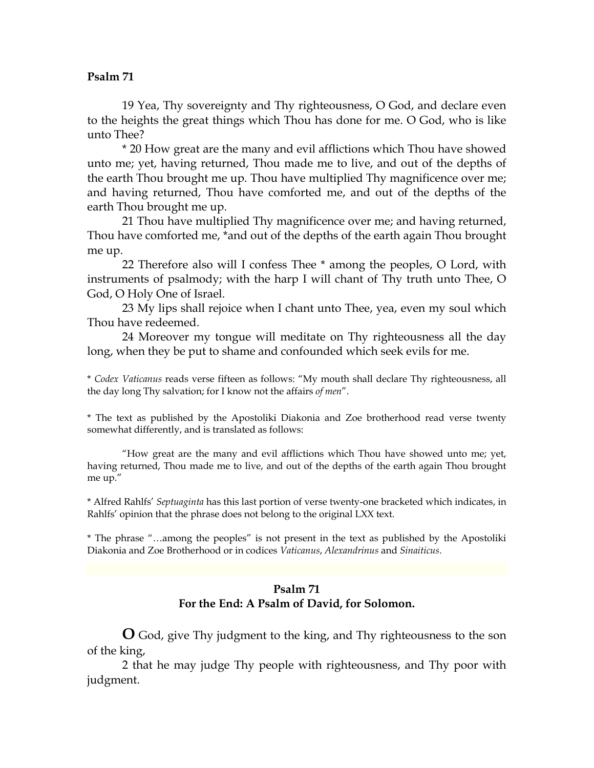19 Yea, Thy sovereignty and Thy righteousness, O God, and declare even to the heights the great things which Thou has done for me. O God, who is like unto Thee?

\* 20 How great are the many and evil afflictions which Thou have showed unto me; yet, having returned, Thou made me to live, and out of the depths of the earth Thou brought me up. Thou have multiplied Thy magnificence over me; and having returned, Thou have comforted me, and out of the depths of the earth Thou brought me up.

21 Thou have multiplied Thy magnificence over me; and having returned, Thou have comforted me, \*and out of the depths of the earth again Thou brought me up.

22 Therefore also will I confess Thee \* among the peoples, O Lord, with instruments of psalmody; with the harp I will chant of Thy truth unto Thee, O God, O Holy One of Israel.

23 My lips shall rejoice when I chant unto Thee, yea, even my soul which Thou have redeemed.

24 Moreover my tongue will meditate on Thy righteousness all the day long, when they be put to shame and confounded which seek evils for me.

\* *Codex Vaticanus* reads verse fifteen as follows: "My mouth shall declare Thy righteousness, all the day long Thy salvation; for I know not the affairs *of men*".

\* The text as published by the Apostoliki Diakonia and Zoe brotherhood read verse twenty somewhat differently, and is translated as follows:

 "How great are the many and evil afflictions which Thou have showed unto me; yet, having returned, Thou made me to live, and out of the depths of the earth again Thou brought me up."

\* Alfred Rahlfs' *Septuaginta* has this last portion of verse twenty-one bracketed which indicates, in Rahlfs' opinion that the phrase does not belong to the original LXX text.

\* The phrase "…among the peoples" is not present in the text as published by the Apostoliki Diakonia and Zoe Brotherhood or in codices *Vaticanus*, *Alexandrinus* and *Sinaiticus*.

# **Psalm 71 For the End: A Psalm of David, for Solomon.**

**O** God, give Thy judgment to the king, and Thy righteousness to the son of the king,

2 that he may judge Thy people with righteousness, and Thy poor with judgment.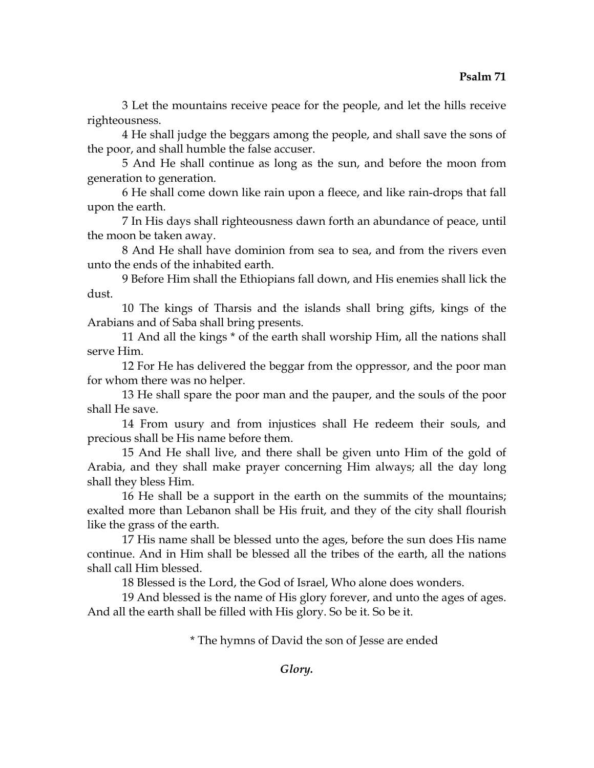3 Let the mountains receive peace for the people, and let the hills receive righteousness.

4 He shall judge the beggars among the people, and shall save the sons of the poor, and shall humble the false accuser.

5 And He shall continue as long as the sun, and before the moon from generation to generation.

6 He shall come down like rain upon a fleece, and like rain-drops that fall upon the earth.

7 In His days shall righteousness dawn forth an abundance of peace, until the moon be taken away.

8 And He shall have dominion from sea to sea, and from the rivers even unto the ends of the inhabited earth.

9 Before Him shall the Ethiopians fall down, and His enemies shall lick the dust.

10 The kings of Tharsis and the islands shall bring gifts, kings of the Arabians and of Saba shall bring presents.

11 And all the kings \* of the earth shall worship Him, all the nations shall serve Him.

12 For He has delivered the beggar from the oppressor, and the poor man for whom there was no helper.

13 He shall spare the poor man and the pauper, and the souls of the poor shall He save.

14 From usury and from injustices shall He redeem their souls, and precious shall be His name before them.

15 And He shall live, and there shall be given unto Him of the gold of Arabia, and they shall make prayer concerning Him always; all the day long shall they bless Him.

16 He shall be a support in the earth on the summits of the mountains; exalted more than Lebanon shall be His fruit, and they of the city shall flourish like the grass of the earth.

17 His name shall be blessed unto the ages, before the sun does His name continue. And in Him shall be blessed all the tribes of the earth, all the nations shall call Him blessed.

18 Blessed is the Lord, the God of Israel, Who alone does wonders.

19 And blessed is the name of His glory forever, and unto the ages of ages. And all the earth shall be filled with His glory. So be it. So be it.

\* The hymns of David the son of Jesse are ended

*Glory.*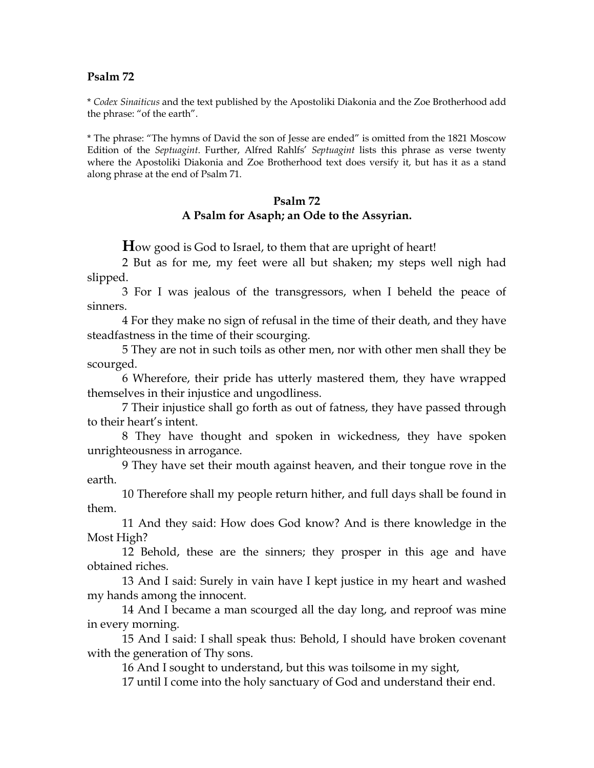\* *Codex Sinaiticus* and the text published by the Apostoliki Diakonia and the Zoe Brotherhood add the phrase: "of the earth".

\* The phrase: "The hymns of David the son of Jesse are ended" is omitted from the 1821 Moscow Edition of the *Septuagint*. Further, Alfred Rahlfs' *Septuagint* lists this phrase as verse twenty where the Apostoliki Diakonia and Zoe Brotherhood text does versify it, but has it as a stand along phrase at the end of Psalm 71.

# **Psalm 72 A Psalm for Asaph; an Ode to the Assyrian.**

**H**ow good is God to Israel, to them that are upright of heart!

2 But as for me, my feet were all but shaken; my steps well nigh had slipped.

3 For I was jealous of the transgressors, when I beheld the peace of sinners.

4 For they make no sign of refusal in the time of their death, and they have steadfastness in the time of their scourging.

5 They are not in such toils as other men, nor with other men shall they be scourged.

6 Wherefore, their pride has utterly mastered them, they have wrapped themselves in their injustice and ungodliness.

7 Their injustice shall go forth as out of fatness, they have passed through to their heart's intent.

8 They have thought and spoken in wickedness, they have spoken unrighteousness in arrogance.

9 They have set their mouth against heaven, and their tongue rove in the earth.

10 Therefore shall my people return hither, and full days shall be found in them.

11 And they said: How does God know? And is there knowledge in the Most High?

12 Behold, these are the sinners; they prosper in this age and have obtained riches.

13 And I said: Surely in vain have I kept justice in my heart and washed my hands among the innocent.

14 And I became a man scourged all the day long, and reproof was mine in every morning.

15 And I said: I shall speak thus: Behold, I should have broken covenant with the generation of Thy sons.

16 And I sought to understand, but this was toilsome in my sight,

17 until I come into the holy sanctuary of God and understand their end.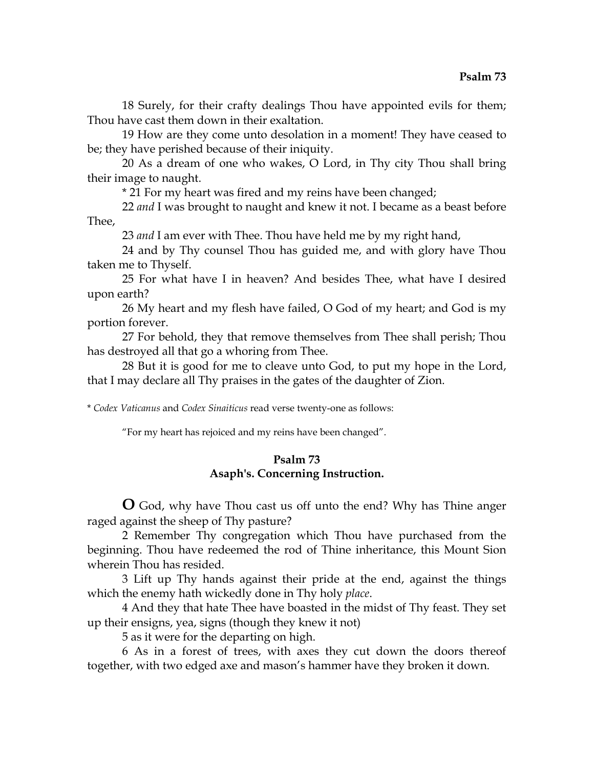18 Surely, for their crafty dealings Thou have appointed evils for them; Thou have cast them down in their exaltation.

19 How are they come unto desolation in a moment! They have ceased to be; they have perished because of their iniquity.

20 As a dream of one who wakes, O Lord, in Thy city Thou shall bring their image to naught.

\* 21 For my heart was fired and my reins have been changed;

22 *and* I was brought to naught and knew it not. I became as a beast before Thee,

23 *and* I am ever with Thee. Thou have held me by my right hand,

24 and by Thy counsel Thou has guided me, and with glory have Thou taken me to Thyself.

25 For what have I in heaven? And besides Thee, what have I desired upon earth?

26 My heart and my flesh have failed, O God of my heart; and God is my portion forever.

27 For behold, they that remove themselves from Thee shall perish; Thou has destroyed all that go a whoring from Thee.

28 But it is good for me to cleave unto God, to put my hope in the Lord, that I may declare all Thy praises in the gates of the daughter of Zion.

\* *Codex Vaticanus* and *Codex Sinaiticus* read verse twenty-one as follows:

"For my heart has rejoiced and my reins have been changed".

# **Psalm 73 Asaph's. Concerning Instruction.**

**O** God, why have Thou cast us off unto the end? Why has Thine anger raged against the sheep of Thy pasture?

2 Remember Thy congregation which Thou have purchased from the beginning. Thou have redeemed the rod of Thine inheritance, this Mount Sion wherein Thou has resided.

3 Lift up Thy hands against their pride at the end, against the things which the enemy hath wickedly done in Thy holy *place*.

4 And they that hate Thee have boasted in the midst of Thy feast. They set up their ensigns, yea, signs (though they knew it not)

5 as it were for the departing on high.

6 As in a forest of trees, with axes they cut down the doors thereof together, with two edged axe and mason's hammer have they broken it down.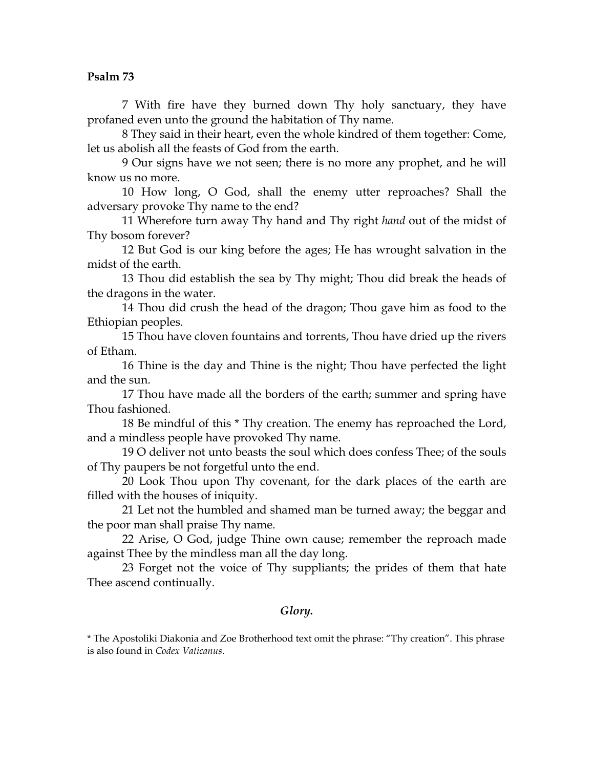7 With fire have they burned down Thy holy sanctuary, they have profaned even unto the ground the habitation of Thy name.

8 They said in their heart, even the whole kindred of them together: Come, let us abolish all the feasts of God from the earth.

9 Our signs have we not seen; there is no more any prophet, and he will know us no more.

10 How long, O God, shall the enemy utter reproaches? Shall the adversary provoke Thy name to the end?

11 Wherefore turn away Thy hand and Thy right *hand* out of the midst of Thy bosom forever?

12 But God is our king before the ages; He has wrought salvation in the midst of the earth.

13 Thou did establish the sea by Thy might; Thou did break the heads of the dragons in the water.

14 Thou did crush the head of the dragon; Thou gave him as food to the Ethiopian peoples.

15 Thou have cloven fountains and torrents, Thou have dried up the rivers of Etham.

16 Thine is the day and Thine is the night; Thou have perfected the light and the sun.

17 Thou have made all the borders of the earth; summer and spring have Thou fashioned.

18 Be mindful of this \* Thy creation. The enemy has reproached the Lord, and a mindless people have provoked Thy name.

19 O deliver not unto beasts the soul which does confess Thee; of the souls of Thy paupers be not forgetful unto the end.

20 Look Thou upon Thy covenant, for the dark places of the earth are filled with the houses of iniquity.

21 Let not the humbled and shamed man be turned away; the beggar and the poor man shall praise Thy name.

22 Arise, O God, judge Thine own cause; remember the reproach made against Thee by the mindless man all the day long.

23 Forget not the voice of Thy suppliants; the prides of them that hate Thee ascend continually.

## *Glory.*

\* The Apostoliki Diakonia and Zoe Brotherhood text omit the phrase: "Thy creation". This phrase is also found in *Codex Vaticanus*.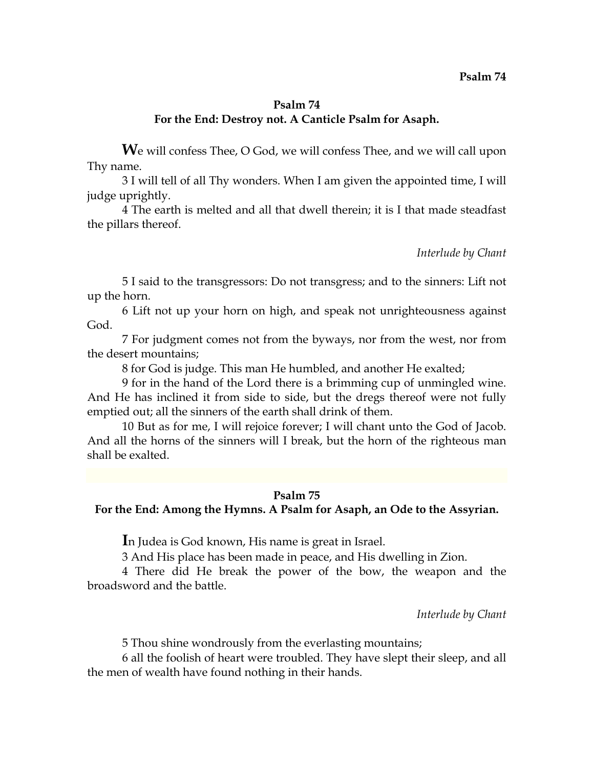## **Psalm 74 For the End: Destroy not. A Canticle Psalm for Asaph.**

We will confess Thee, O God, we will confess Thee, and we will call upon Thy name.

3 I will tell of all Thy wonders. When I am given the appointed time, I will judge uprightly.

4 The earth is melted and all that dwell therein; it is I that made steadfast the pillars thereof.

*Interlude by Chant* 

5 I said to the transgressors: Do not transgress; and to the sinners: Lift not up the horn.

6 Lift not up your horn on high, and speak not unrighteousness against God.

7 For judgment comes not from the byways, nor from the west, nor from the desert mountains;

8 for God is judge. This man He humbled, and another He exalted;

9 for in the hand of the Lord there is a brimming cup of unmingled wine. And He has inclined it from side to side, but the dregs thereof were not fully emptied out; all the sinners of the earth shall drink of them.

10 But as for me, I will rejoice forever; I will chant unto the God of Jacob. And all the horns of the sinners will I break, but the horn of the righteous man shall be exalted.

## **Psalm 75**

#### **For the End: Among the Hymns. A Psalm for Asaph, an Ode to the Assyrian.**

**I**n Judea is God known, His name is great in Israel.

3 And His place has been made in peace, and His dwelling in Zion.

4 There did He break the power of the bow, the weapon and the broadsword and the battle.

*Interlude by Chant* 

5 Thou shine wondrously from the everlasting mountains;

6 all the foolish of heart were troubled. They have slept their sleep, and all the men of wealth have found nothing in their hands.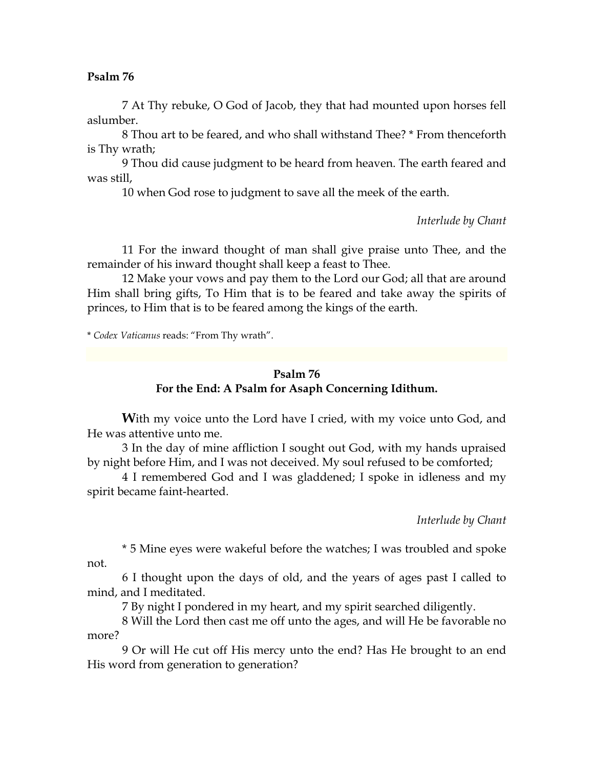7 At Thy rebuke, O God of Jacob, they that had mounted upon horses fell aslumber.

8 Thou art to be feared, and who shall withstand Thee? \* From thenceforth is Thy wrath;

9 Thou did cause judgment to be heard from heaven. The earth feared and was still,

10 when God rose to judgment to save all the meek of the earth.

*Interlude by Chant* 

11 For the inward thought of man shall give praise unto Thee, and the remainder of his inward thought shall keep a feast to Thee.

12 Make your vows and pay them to the Lord our God; all that are around Him shall bring gifts, To Him that is to be feared and take away the spirits of princes, to Him that is to be feared among the kings of the earth.

\* *Codex Vaticanus* reads: "From Thy wrath".

# **Psalm 76 For the End: A Psalm for Asaph Concerning Idithum.**

**With my voice unto the Lord have I cried, with my voice unto God, and** He was attentive unto me.

3 In the day of mine affliction I sought out God, with my hands upraised by night before Him, and I was not deceived. My soul refused to be comforted;

4 I remembered God and I was gladdened; I spoke in idleness and my spirit became faint-hearted.

*Interlude by Chant* 

\* 5 Mine eyes were wakeful before the watches; I was troubled and spoke not.

6 I thought upon the days of old, and the years of ages past I called to mind, and I meditated.

7 By night I pondered in my heart, and my spirit searched diligently.

8 Will the Lord then cast me off unto the ages, and will He be favorable no more?

9 Or will He cut off His mercy unto the end? Has He brought to an end His word from generation to generation?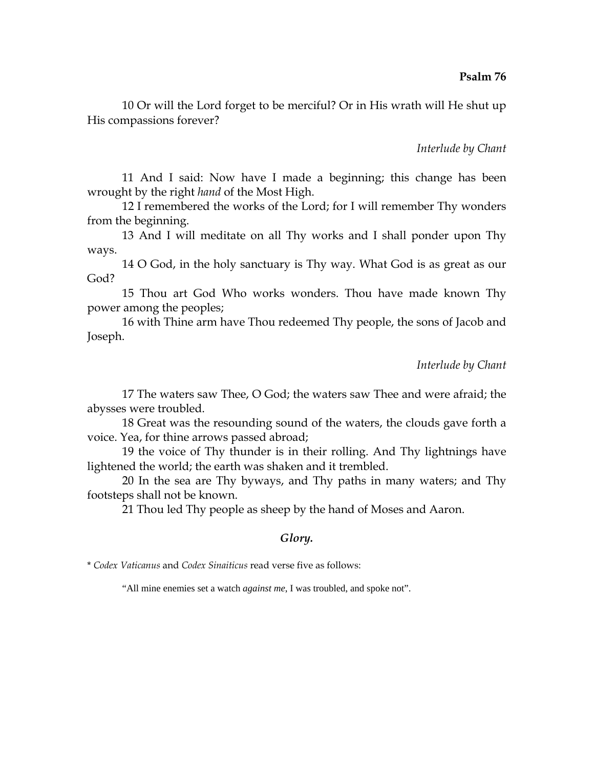10 Or will the Lord forget to be merciful? Or in His wrath will He shut up His compassions forever?

*Interlude by Chant* 

11 And I said: Now have I made a beginning; this change has been wrought by the right *hand* of the Most High.

12 I remembered the works of the Lord; for I will remember Thy wonders from the beginning.

13 And I will meditate on all Thy works and I shall ponder upon Thy ways.

14 O God, in the holy sanctuary is Thy way. What God is as great as our God?

15 Thou art God Who works wonders. Thou have made known Thy power among the peoples;

16 with Thine arm have Thou redeemed Thy people, the sons of Jacob and Joseph.

*Interlude by Chant* 

17 The waters saw Thee, O God; the waters saw Thee and were afraid; the abysses were troubled.

18 Great was the resounding sound of the waters, the clouds gave forth a voice. Yea, for thine arrows passed abroad;

19 the voice of Thy thunder is in their rolling. And Thy lightnings have lightened the world; the earth was shaken and it trembled.

20 In the sea are Thy byways, and Thy paths in many waters; and Thy footsteps shall not be known.

21 Thou led Thy people as sheep by the hand of Moses and Aaron.

### *Glory.*

\* *Codex Vaticanus* and *Codex Sinaiticus* read verse five as follows:

"All mine enemies set a watch *against me*, I was troubled, and spoke not".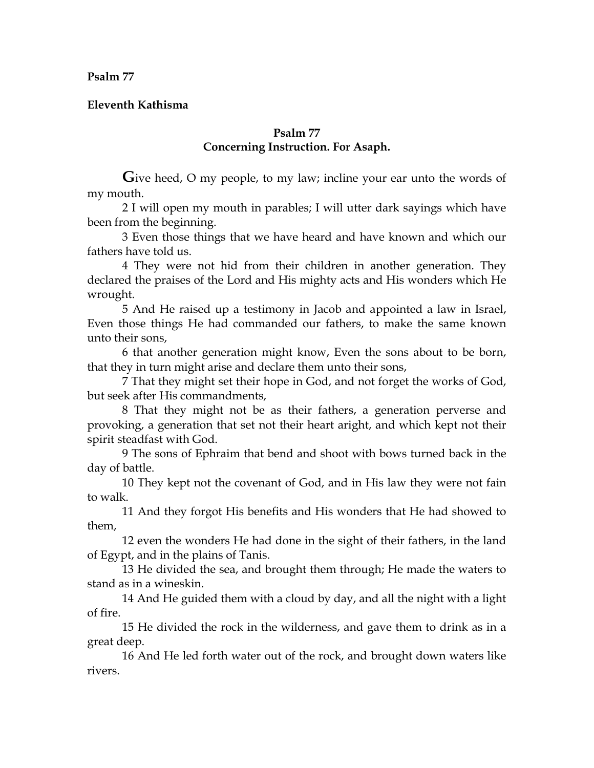## **Eleventh Kathisma**

## **Psalm 77 Concerning Instruction. For Asaph.**

Give heed, O my people, to my law; incline your ear unto the words of my mouth.

2 I will open my mouth in parables; I will utter dark sayings which have been from the beginning.

3 Even those things that we have heard and have known and which our fathers have told us.

4 They were not hid from their children in another generation. They declared the praises of the Lord and His mighty acts and His wonders which He wrought.

5 And He raised up a testimony in Jacob and appointed a law in Israel, Even those things He had commanded our fathers, to make the same known unto their sons,

6 that another generation might know, Even the sons about to be born, that they in turn might arise and declare them unto their sons,

7 That they might set their hope in God, and not forget the works of God, but seek after His commandments,

8 That they might not be as their fathers, a generation perverse and provoking, a generation that set not their heart aright, and which kept not their spirit steadfast with God.

9 The sons of Ephraim that bend and shoot with bows turned back in the day of battle.

10 They kept not the covenant of God, and in His law they were not fain to walk.

11 And they forgot His benefits and His wonders that He had showed to them,

12 even the wonders He had done in the sight of their fathers, in the land of Egypt, and in the plains of Tanis.

13 He divided the sea, and brought them through; He made the waters to stand as in a wineskin.

14 And He guided them with a cloud by day, and all the night with a light of fire.

15 He divided the rock in the wilderness, and gave them to drink as in a great deep.

16 And He led forth water out of the rock, and brought down waters like rivers.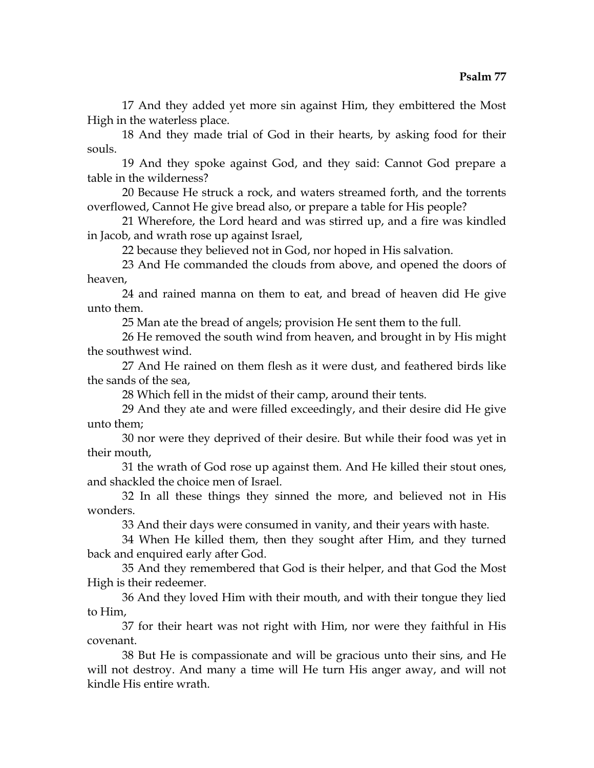17 And they added yet more sin against Him, they embittered the Most High in the waterless place.

18 And they made trial of God in their hearts, by asking food for their souls.

19 And they spoke against God, and they said: Cannot God prepare a table in the wilderness?

20 Because He struck a rock, and waters streamed forth, and the torrents overflowed, Cannot He give bread also, or prepare a table for His people?

21 Wherefore, the Lord heard and was stirred up, and a fire was kindled in Jacob, and wrath rose up against Israel,

22 because they believed not in God, nor hoped in His salvation.

23 And He commanded the clouds from above, and opened the doors of heaven,

24 and rained manna on them to eat, and bread of heaven did He give unto them.

25 Man ate the bread of angels; provision He sent them to the full.

26 He removed the south wind from heaven, and brought in by His might the southwest wind.

27 And He rained on them flesh as it were dust, and feathered birds like the sands of the sea,

28 Which fell in the midst of their camp, around their tents.

29 And they ate and were filled exceedingly, and their desire did He give unto them;

30 nor were they deprived of their desire. But while their food was yet in their mouth,

31 the wrath of God rose up against them. And He killed their stout ones, and shackled the choice men of Israel.

32 In all these things they sinned the more, and believed not in His wonders.

33 And their days were consumed in vanity, and their years with haste.

34 When He killed them, then they sought after Him, and they turned back and enquired early after God.

35 And they remembered that God is their helper, and that God the Most High is their redeemer.

36 And they loved Him with their mouth, and with their tongue they lied to Him,

37 for their heart was not right with Him, nor were they faithful in His covenant.

38 But He is compassionate and will be gracious unto their sins, and He will not destroy. And many a time will He turn His anger away, and will not kindle His entire wrath.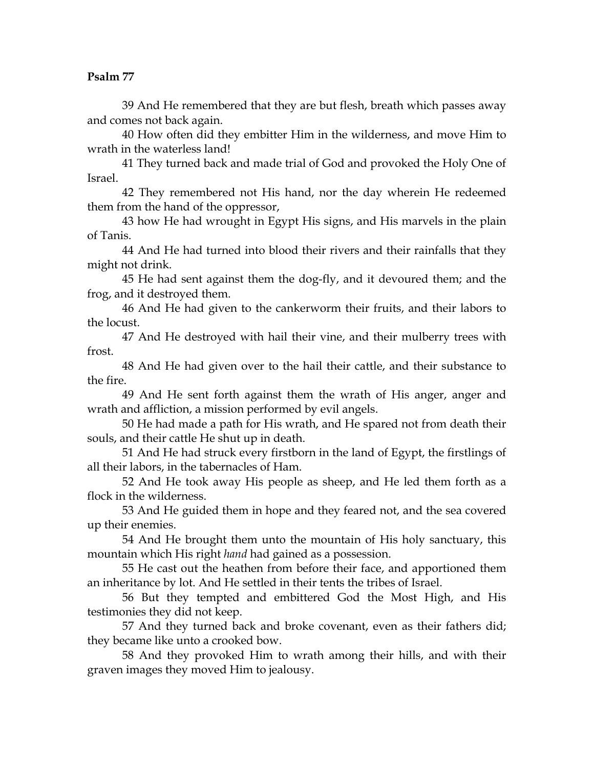39 And He remembered that they are but flesh, breath which passes away and comes not back again.

40 How often did they embitter Him in the wilderness, and move Him to wrath in the waterless land!

41 They turned back and made trial of God and provoked the Holy One of Israel.

42 They remembered not His hand, nor the day wherein He redeemed them from the hand of the oppressor,

43 how He had wrought in Egypt His signs, and His marvels in the plain of Tanis.

44 And He had turned into blood their rivers and their rainfalls that they might not drink.

45 He had sent against them the dog-fly, and it devoured them; and the frog, and it destroyed them.

46 And He had given to the cankerworm their fruits, and their labors to the locust.

47 And He destroyed with hail their vine, and their mulberry trees with frost.

48 And He had given over to the hail their cattle, and their substance to the fire.

49 And He sent forth against them the wrath of His anger, anger and wrath and affliction, a mission performed by evil angels.

50 He had made a path for His wrath, and He spared not from death their souls, and their cattle He shut up in death.

51 And He had struck every firstborn in the land of Egypt, the firstlings of all their labors, in the tabernacles of Ham.

52 And He took away His people as sheep, and He led them forth as a flock in the wilderness.

53 And He guided them in hope and they feared not, and the sea covered up their enemies.

54 And He brought them unto the mountain of His holy sanctuary, this mountain which His right *hand* had gained as a possession.

55 He cast out the heathen from before their face, and apportioned them an inheritance by lot. And He settled in their tents the tribes of Israel.

56 But they tempted and embittered God the Most High, and His testimonies they did not keep.

57 And they turned back and broke covenant, even as their fathers did; they became like unto a crooked bow.

58 And they provoked Him to wrath among their hills, and with their graven images they moved Him to jealousy.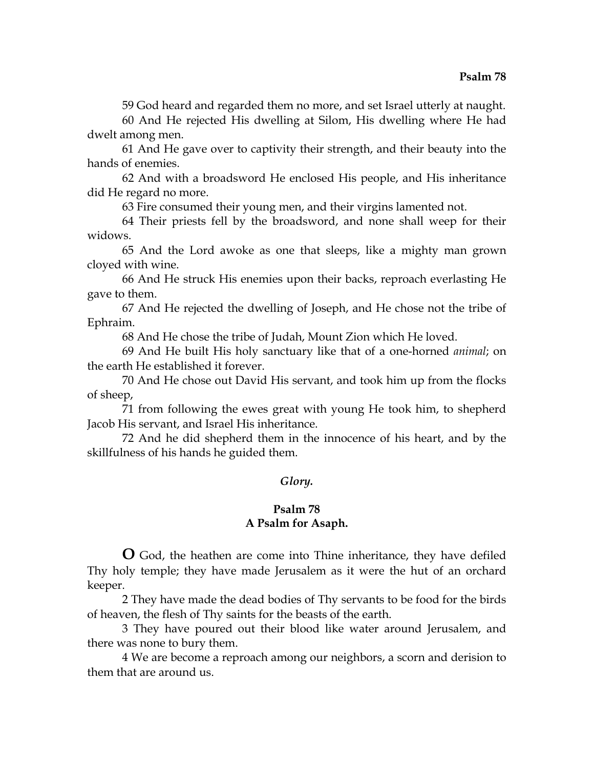59 God heard and regarded them no more, and set Israel utterly at naught.

60 And He rejected His dwelling at Silom, His dwelling where He had dwelt among men.

61 And He gave over to captivity their strength, and their beauty into the hands of enemies.

62 And with a broadsword He enclosed His people, and His inheritance did He regard no more.

63 Fire consumed their young men, and their virgins lamented not.

64 Their priests fell by the broadsword, and none shall weep for their widows.

65 And the Lord awoke as one that sleeps, like a mighty man grown cloyed with wine.

66 And He struck His enemies upon their backs, reproach everlasting He gave to them.

67 And He rejected the dwelling of Joseph, and He chose not the tribe of Ephraim.

68 And He chose the tribe of Judah, Mount Zion which He loved.

69 And He built His holy sanctuary like that of a one-horned *animal*; on the earth He established it forever.

70 And He chose out David His servant, and took him up from the flocks of sheep,

71 from following the ewes great with young He took him, to shepherd Jacob His servant, and Israel His inheritance.

72 And he did shepherd them in the innocence of his heart, and by the skillfulness of his hands he guided them.

## *Glory.*

## **Psalm 78 A Psalm for Asaph.**

**O** God, the heathen are come into Thine inheritance, they have defiled Thy holy temple; they have made Jerusalem as it were the hut of an orchard keeper.

2 They have made the dead bodies of Thy servants to be food for the birds of heaven, the flesh of Thy saints for the beasts of the earth.

3 They have poured out their blood like water around Jerusalem, and there was none to bury them.

4 We are become a reproach among our neighbors, a scorn and derision to them that are around us.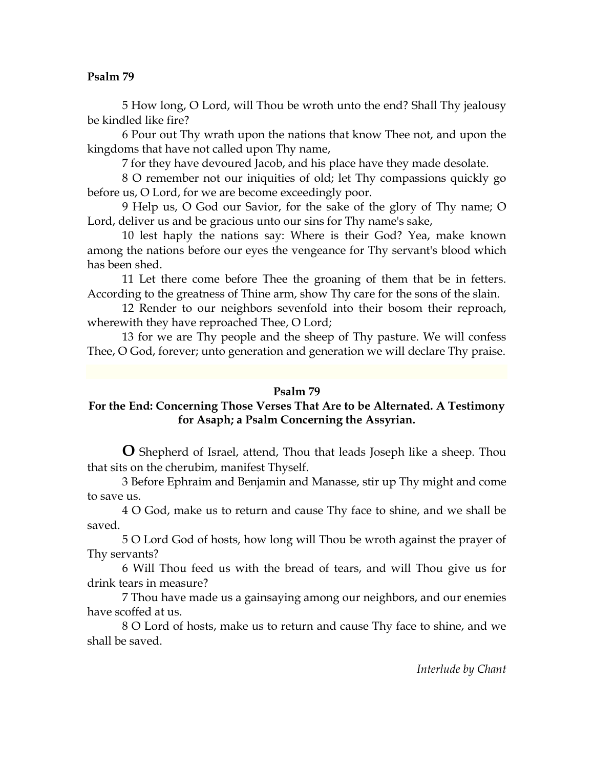5 How long, O Lord, will Thou be wroth unto the end? Shall Thy jealousy be kindled like fire?

6 Pour out Thy wrath upon the nations that know Thee not, and upon the kingdoms that have not called upon Thy name,

7 for they have devoured Jacob, and his place have they made desolate.

8 O remember not our iniquities of old; let Thy compassions quickly go before us, O Lord, for we are become exceedingly poor.

9 Help us, O God our Savior, for the sake of the glory of Thy name; O Lord, deliver us and be gracious unto our sins for Thy name's sake,

10 lest haply the nations say: Where is their God? Yea, make known among the nations before our eyes the vengeance for Thy servant's blood which has been shed.

11 Let there come before Thee the groaning of them that be in fetters. According to the greatness of Thine arm, show Thy care for the sons of the slain.

12 Render to our neighbors sevenfold into their bosom their reproach, wherewith they have reproached Thee, O Lord;

13 for we are Thy people and the sheep of Thy pasture. We will confess Thee, O God, forever; unto generation and generation we will declare Thy praise.

## **Psalm 79**

## **For the End: Concerning Those Verses That Are to be Alternated. A Testimony for Asaph; a Psalm Concerning the Assyrian.**

**O** Shepherd of Israel, attend, Thou that leads Joseph like a sheep. Thou that sits on the cherubim, manifest Thyself.

3 Before Ephraim and Benjamin and Manasse, stir up Thy might and come to save us.

4 O God, make us to return and cause Thy face to shine, and we shall be saved.

5 O Lord God of hosts, how long will Thou be wroth against the prayer of Thy servants?

6 Will Thou feed us with the bread of tears, and will Thou give us for drink tears in measure?

7 Thou have made us a gainsaying among our neighbors, and our enemies have scoffed at us.

8 O Lord of hosts, make us to return and cause Thy face to shine, and we shall be saved.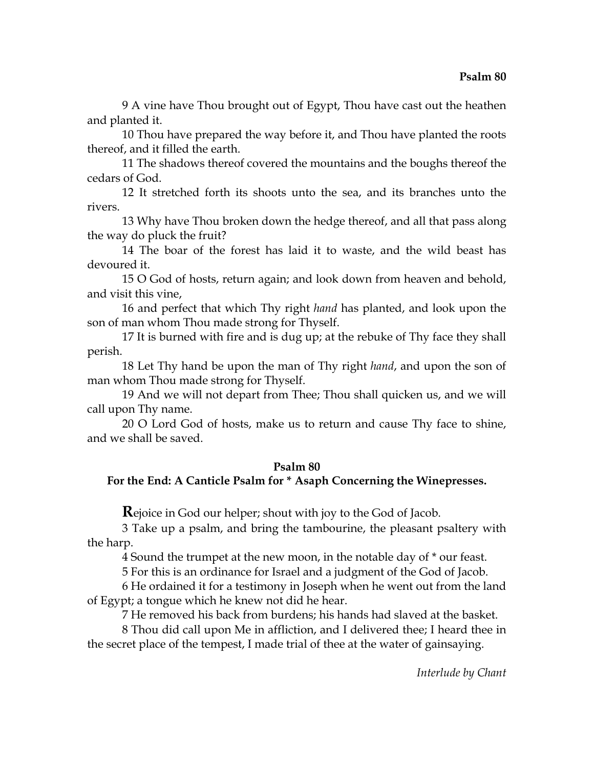9 A vine have Thou brought out of Egypt, Thou have cast out the heathen and planted it.

10 Thou have prepared the way before it, and Thou have planted the roots thereof, and it filled the earth.

11 The shadows thereof covered the mountains and the boughs thereof the cedars of God.

12 It stretched forth its shoots unto the sea, and its branches unto the rivers.

13 Why have Thou broken down the hedge thereof, and all that pass along the way do pluck the fruit?

14 The boar of the forest has laid it to waste, and the wild beast has devoured it.

15 O God of hosts, return again; and look down from heaven and behold, and visit this vine,

16 and perfect that which Thy right *hand* has planted, and look upon the son of man whom Thou made strong for Thyself.

17 It is burned with fire and is dug up; at the rebuke of Thy face they shall perish.

18 Let Thy hand be upon the man of Thy right *hand*, and upon the son of man whom Thou made strong for Thyself.

19 And we will not depart from Thee; Thou shall quicken us, and we will call upon Thy name.

20 O Lord God of hosts, make us to return and cause Thy face to shine, and we shall be saved.

## **Psalm 80**

## **For the End: A Canticle Psalm for \* Asaph Concerning the Winepresses.**

**R**ejoice in God our helper; shout with joy to the God of Jacob.

3 Take up a psalm, and bring the tambourine, the pleasant psaltery with the harp.

4 Sound the trumpet at the new moon, in the notable day of \* our feast.

5 For this is an ordinance for Israel and a judgment of the God of Jacob.

6 He ordained it for a testimony in Joseph when he went out from the land of Egypt; a tongue which he knew not did he hear.

7 He removed his back from burdens; his hands had slaved at the basket.

8 Thou did call upon Me in affliction, and I delivered thee; I heard thee in the secret place of the tempest, I made trial of thee at the water of gainsaying.

*Interlude by Chant*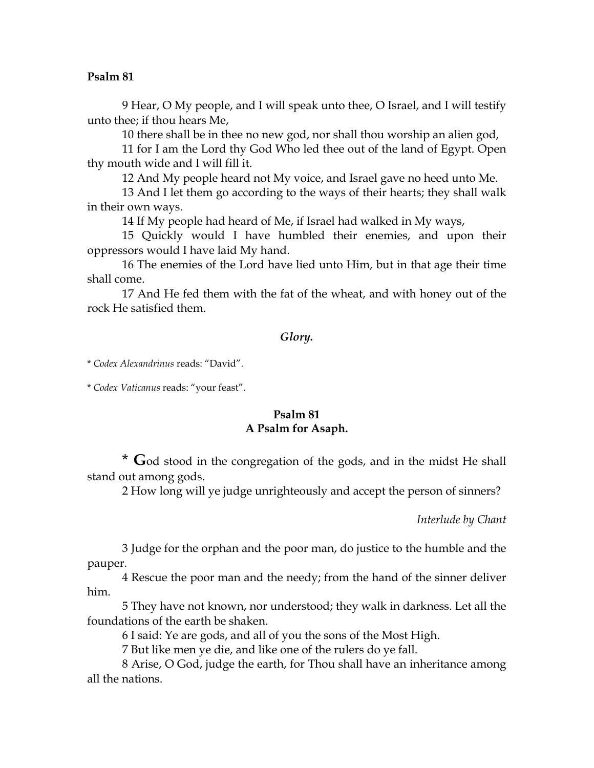9 Hear, O My people, and I will speak unto thee, O Israel, and I will testify unto thee; if thou hears Me,

10 there shall be in thee no new god, nor shall thou worship an alien god,

11 for I am the Lord thy God Who led thee out of the land of Egypt. Open thy mouth wide and I will fill it.

12 And My people heard not My voice, and Israel gave no heed unto Me.

13 And I let them go according to the ways of their hearts; they shall walk in their own ways.

14 If My people had heard of Me, if Israel had walked in My ways,

15 Quickly would I have humbled their enemies, and upon their oppressors would I have laid My hand.

16 The enemies of the Lord have lied unto Him, but in that age their time shall come.

17 And He fed them with the fat of the wheat, and with honey out of the rock He satisfied them.

### *Glory.*

\* *Codex Alexandrinus* reads: "David".

\* *Codex Vaticanus* reads: "your feast".

## **Psalm 81 A Psalm for Asaph.**

\* **G**od stood in the congregation of the gods, and in the midst He shall stand out among gods.

2 How long will ye judge unrighteously and accept the person of sinners?

*Interlude by Chant* 

3 Judge for the orphan and the poor man, do justice to the humble and the pauper.

4 Rescue the poor man and the needy; from the hand of the sinner deliver him.

5 They have not known, nor understood; they walk in darkness. Let all the foundations of the earth be shaken.

6 I said: Ye are gods, and all of you the sons of the Most High.

7 But like men ye die, and like one of the rulers do ye fall.

8 Arise, O God, judge the earth, for Thou shall have an inheritance among all the nations.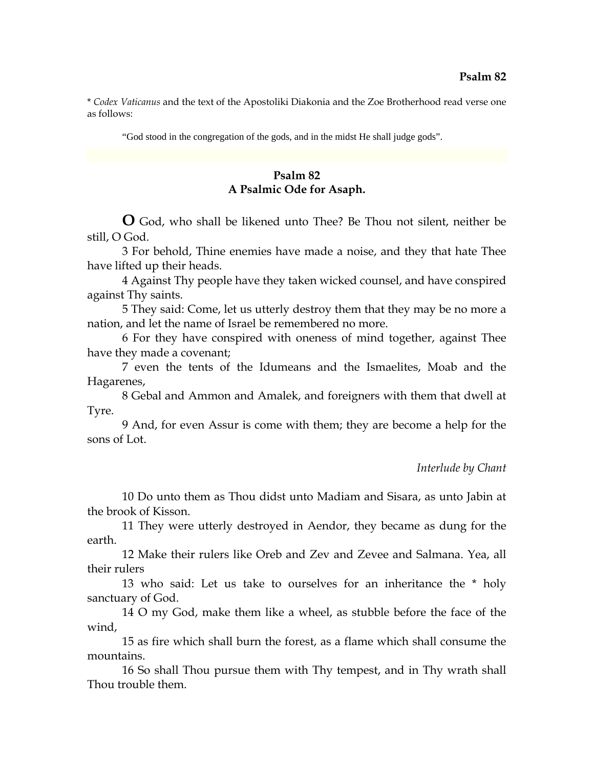\* *Codex Vaticanus* and the text of the Apostoliki Diakonia and the Zoe Brotherhood read verse one as follows:

"God stood in the congregation of the gods, and in the midst He shall judge gods".

# **Psalm 82 A Psalmic Ode for Asaph.**

**O** God, who shall be likened unto Thee? Be Thou not silent, neither be still, O God.

3 For behold, Thine enemies have made a noise, and they that hate Thee have lifted up their heads.

4 Against Thy people have they taken wicked counsel, and have conspired against Thy saints.

5 They said: Come, let us utterly destroy them that they may be no more a nation, and let the name of Israel be remembered no more.

6 For they have conspired with oneness of mind together, against Thee have they made a covenant;

7 even the tents of the Idumeans and the Ismaelites, Moab and the Hagarenes,

8 Gebal and Ammon and Amalek, and foreigners with them that dwell at Tyre.

9 And, for even Assur is come with them; they are become a help for the sons of Lot.

#### *Interlude by Chant*

10 Do unto them as Thou didst unto Madiam and Sisara, as unto Jabin at the brook of Kisson.

11 They were utterly destroyed in Aendor, they became as dung for the earth.

12 Make their rulers like Oreb and Zev and Zevee and Salmana. Yea, all their rulers

13 who said: Let us take to ourselves for an inheritance the \* holy sanctuary of God.

14 O my God, make them like a wheel, as stubble before the face of the wind,

15 as fire which shall burn the forest, as a flame which shall consume the mountains.

16 So shall Thou pursue them with Thy tempest, and in Thy wrath shall Thou trouble them.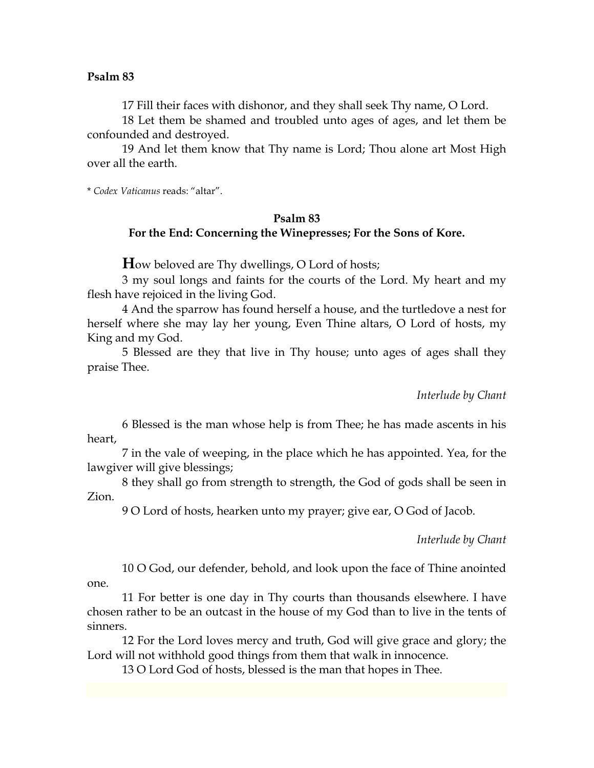17 Fill their faces with dishonor, and they shall seek Thy name, O Lord.

18 Let them be shamed and troubled unto ages of ages, and let them be confounded and destroyed.

19 And let them know that Thy name is Lord; Thou alone art Most High over all the earth.

\* *Codex Vaticanus* reads: "altar".

## **Psalm 83 For the End: Concerning the Winepresses; For the Sons of Kore.**

**H**ow beloved are Thy dwellings, O Lord of hosts;

3 my soul longs and faints for the courts of the Lord. My heart and my flesh have rejoiced in the living God.

4 And the sparrow has found herself a house, and the turtledove a nest for herself where she may lay her young, Even Thine altars, O Lord of hosts, my King and my God.

5 Blessed are they that live in Thy house; unto ages of ages shall they praise Thee.

*Interlude by Chant* 

6 Blessed is the man whose help is from Thee; he has made ascents in his heart,

7 in the vale of weeping, in the place which he has appointed. Yea, for the lawgiver will give blessings;

8 they shall go from strength to strength, the God of gods shall be seen in Zion.

9 O Lord of hosts, hearken unto my prayer; give ear, O God of Jacob.

*Interlude by Chant* 

10 O God, our defender, behold, and look upon the face of Thine anointed one.

11 For better is one day in Thy courts than thousands elsewhere. I have chosen rather to be an outcast in the house of my God than to live in the tents of sinners.

12 For the Lord loves mercy and truth, God will give grace and glory; the Lord will not withhold good things from them that walk in innocence.

13 O Lord God of hosts, blessed is the man that hopes in Thee.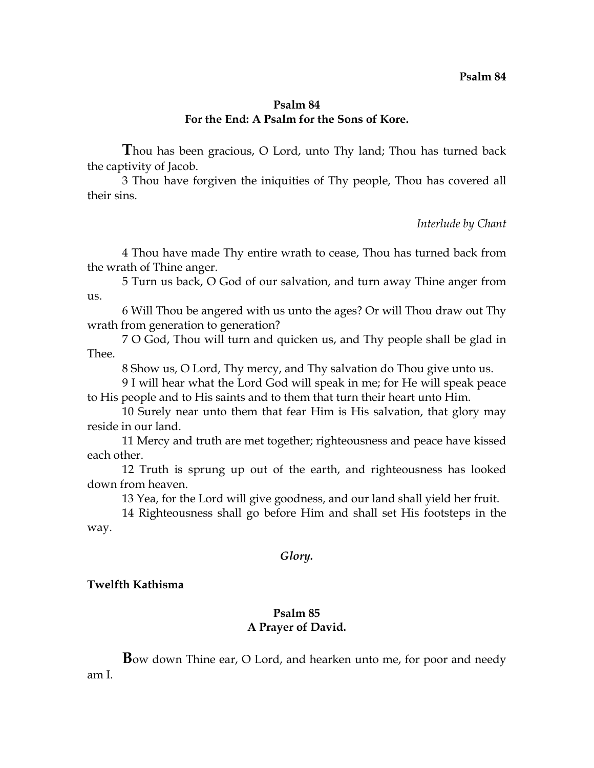## **Psalm 84 For the End: A Psalm for the Sons of Kore.**

**T**hou has been gracious, O Lord, unto Thy land; Thou has turned back the captivity of Jacob.

3 Thou have forgiven the iniquities of Thy people, Thou has covered all their sins.

*Interlude by Chant* 

4 Thou have made Thy entire wrath to cease, Thou has turned back from the wrath of Thine anger.

5 Turn us back, O God of our salvation, and turn away Thine anger from us.

6 Will Thou be angered with us unto the ages? Or will Thou draw out Thy wrath from generation to generation?

7 O God, Thou will turn and quicken us, and Thy people shall be glad in Thee.

8 Show us, O Lord, Thy mercy, and Thy salvation do Thou give unto us.

9 I will hear what the Lord God will speak in me; for He will speak peace to His people and to His saints and to them that turn their heart unto Him.

10 Surely near unto them that fear Him is His salvation, that glory may reside in our land.

11 Mercy and truth are met together; righteousness and peace have kissed each other.

12 Truth is sprung up out of the earth, and righteousness has looked down from heaven.

13 Yea, for the Lord will give goodness, and our land shall yield her fruit.

14 Righteousness shall go before Him and shall set His footsteps in the way.

#### *Glory.*

#### **Twelfth Kathisma**

## **Psalm 85 A Prayer of David.**

**B**ow down Thine ear, O Lord, and hearken unto me, for poor and needy am I.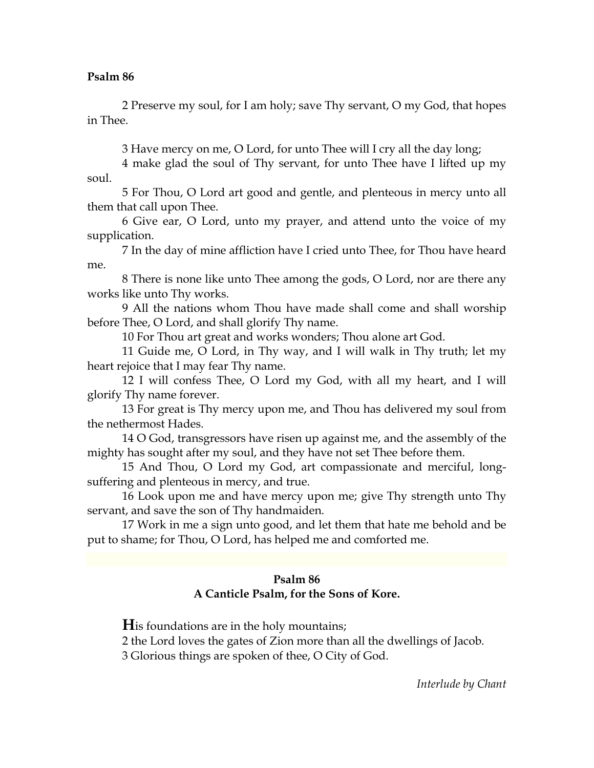2 Preserve my soul, for I am holy; save Thy servant, O my God, that hopes in Thee.

3 Have mercy on me, O Lord, for unto Thee will I cry all the day long;

4 make glad the soul of Thy servant, for unto Thee have I lifted up my soul.

5 For Thou, O Lord art good and gentle, and plenteous in mercy unto all them that call upon Thee.

6 Give ear, O Lord, unto my prayer, and attend unto the voice of my supplication.

7 In the day of mine affliction have I cried unto Thee, for Thou have heard me.

8 There is none like unto Thee among the gods, O Lord, nor are there any works like unto Thy works.

9 All the nations whom Thou have made shall come and shall worship before Thee, O Lord, and shall glorify Thy name.

10 For Thou art great and works wonders; Thou alone art God.

11 Guide me, O Lord, in Thy way, and I will walk in Thy truth; let my heart rejoice that I may fear Thy name.

12 I will confess Thee, O Lord my God, with all my heart, and I will glorify Thy name forever.

13 For great is Thy mercy upon me, and Thou has delivered my soul from the nethermost Hades.

14 O God, transgressors have risen up against me, and the assembly of the mighty has sought after my soul, and they have not set Thee before them.

15 And Thou, O Lord my God, art compassionate and merciful, longsuffering and plenteous in mercy, and true.

16 Look upon me and have mercy upon me; give Thy strength unto Thy servant, and save the son of Thy handmaiden.

17 Work in me a sign unto good, and let them that hate me behold and be put to shame; for Thou, O Lord, has helped me and comforted me.

# **Psalm 86 A Canticle Psalm, for the Sons of Kore.**

**H**is foundations are in the holy mountains;

2 the Lord loves the gates of Zion more than all the dwellings of Jacob.

3 Glorious things are spoken of thee, O City of God.

*Interlude by Chant*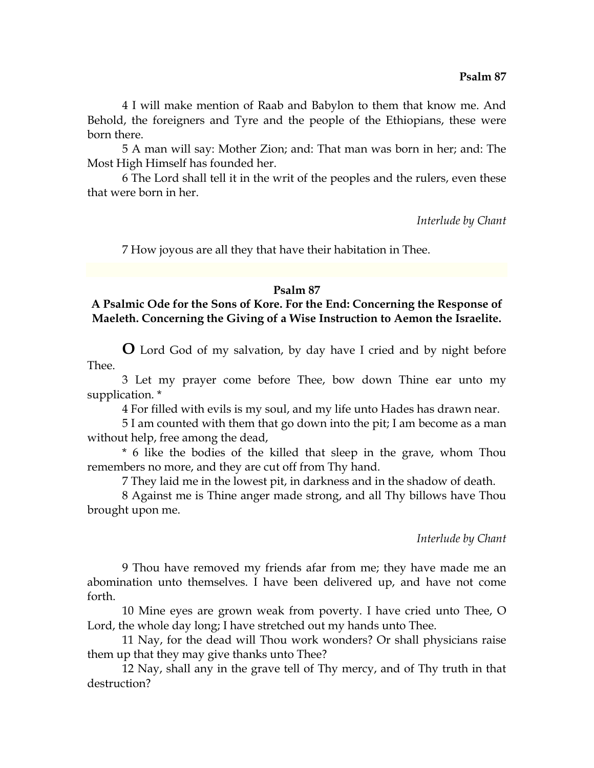4 I will make mention of Raab and Babylon to them that know me. And Behold, the foreigners and Tyre and the people of the Ethiopians, these were born there.

5 A man will say: Mother Zion; and: That man was born in her; and: The Most High Himself has founded her.

6 The Lord shall tell it in the writ of the peoples and the rulers, even these that were born in her.

*Interlude by Chant* 

7 How joyous are all they that have their habitation in Thee.

## **Psalm 87**

# **A Psalmic Ode for the Sons of Kore. For the End: Concerning the Response of Maeleth. Concerning the Giving of a Wise Instruction to Aemon the Israelite.**

**O** Lord God of my salvation, by day have I cried and by night before Thee.

3 Let my prayer come before Thee, bow down Thine ear unto my supplication. \*

4 For filled with evils is my soul, and my life unto Hades has drawn near.

5 I am counted with them that go down into the pit; I am become as a man without help, free among the dead,

\* 6 like the bodies of the killed that sleep in the grave, whom Thou remembers no more, and they are cut off from Thy hand.

7 They laid me in the lowest pit, in darkness and in the shadow of death.

8 Against me is Thine anger made strong, and all Thy billows have Thou brought upon me.

## *Interlude by Chant*

9 Thou have removed my friends afar from me; they have made me an abomination unto themselves. I have been delivered up, and have not come forth.

10 Mine eyes are grown weak from poverty. I have cried unto Thee, O Lord, the whole day long; I have stretched out my hands unto Thee.

11 Nay, for the dead will Thou work wonders? Or shall physicians raise them up that they may give thanks unto Thee?

12 Nay, shall any in the grave tell of Thy mercy, and of Thy truth in that destruction?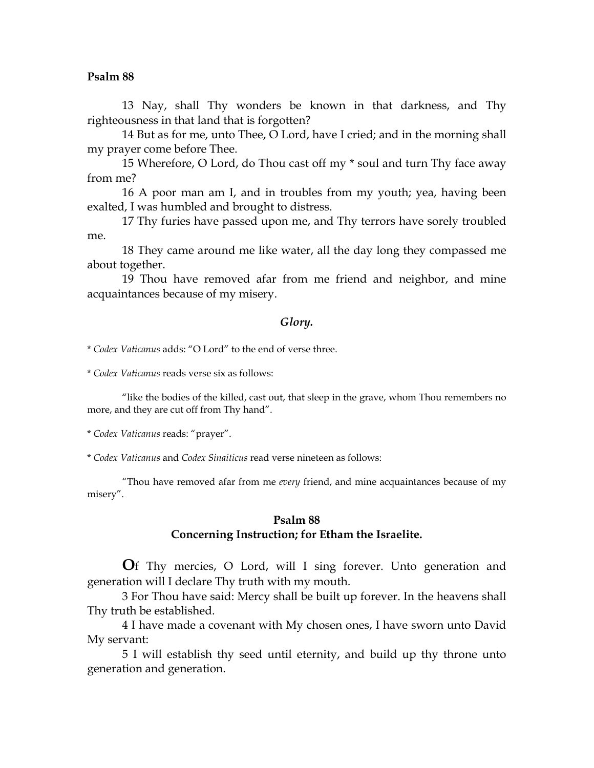13 Nay, shall Thy wonders be known in that darkness, and Thy righteousness in that land that is forgotten?

14 But as for me, unto Thee, O Lord, have I cried; and in the morning shall my prayer come before Thee.

15 Wherefore, O Lord, do Thou cast off my \* soul and turn Thy face away from me?

16 A poor man am I, and in troubles from my youth; yea, having been exalted, I was humbled and brought to distress.

17 Thy furies have passed upon me, and Thy terrors have sorely troubled me.

18 They came around me like water, all the day long they compassed me about together.

19 Thou have removed afar from me friend and neighbor, and mine acquaintances because of my misery.

#### *Glory.*

\* *Codex Vaticanus* adds: "O Lord" to the end of verse three.

\* *Codex Vaticanus* reads verse six as follows:

"like the bodies of the killed, cast out, that sleep in the grave, whom Thou remembers no more, and they are cut off from Thy hand".

\* *Codex Vaticanus* reads: "prayer".

\* *Codex Vaticanus* and *Codex Sinaiticus* read verse nineteen as follows:

"Thou have removed afar from me *every* friend, and mine acquaintances because of my misery".

### **Psalm 88 Concerning Instruction; for Etham the Israelite.**

**O**f Thy mercies, O Lord, will I sing forever. Unto generation and generation will I declare Thy truth with my mouth.

3 For Thou have said: Mercy shall be built up forever. In the heavens shall Thy truth be established.

4 I have made a covenant with My chosen ones, I have sworn unto David My servant:

5 I will establish thy seed until eternity, and build up thy throne unto generation and generation.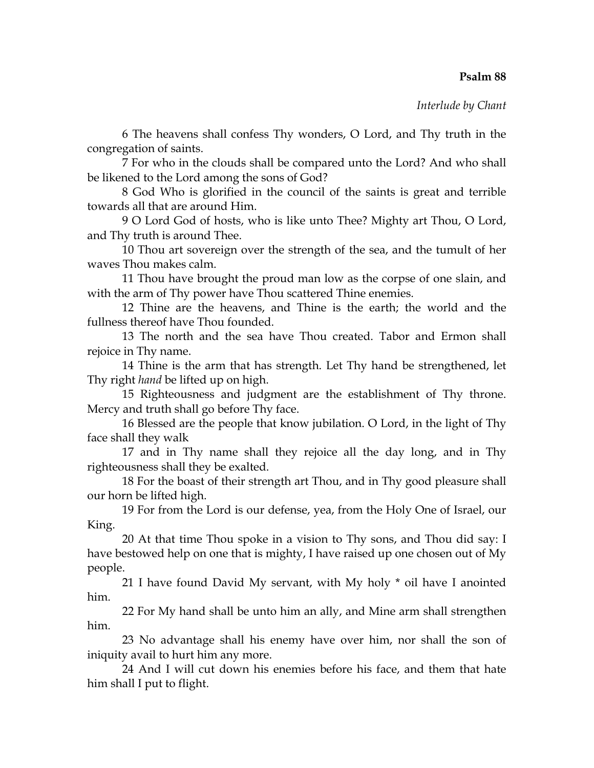*Interlude by Chant* 

6 The heavens shall confess Thy wonders, O Lord, and Thy truth in the congregation of saints.

7 For who in the clouds shall be compared unto the Lord? And who shall be likened to the Lord among the sons of God?

8 God Who is glorified in the council of the saints is great and terrible towards all that are around Him.

9 O Lord God of hosts, who is like unto Thee? Mighty art Thou, O Lord, and Thy truth is around Thee.

10 Thou art sovereign over the strength of the sea, and the tumult of her waves Thou makes calm.

11 Thou have brought the proud man low as the corpse of one slain, and with the arm of Thy power have Thou scattered Thine enemies.

12 Thine are the heavens, and Thine is the earth; the world and the fullness thereof have Thou founded.

13 The north and the sea have Thou created. Tabor and Ermon shall rejoice in Thy name.

14 Thine is the arm that has strength. Let Thy hand be strengthened, let Thy right *hand* be lifted up on high.

15 Righteousness and judgment are the establishment of Thy throne. Mercy and truth shall go before Thy face.

16 Blessed are the people that know jubilation. O Lord, in the light of Thy face shall they walk

17 and in Thy name shall they rejoice all the day long, and in Thy righteousness shall they be exalted.

18 For the boast of their strength art Thou, and in Thy good pleasure shall our horn be lifted high.

19 For from the Lord is our defense, yea, from the Holy One of Israel, our King.

20 At that time Thou spoke in a vision to Thy sons, and Thou did say: I have bestowed help on one that is mighty, I have raised up one chosen out of My people.

21 I have found David My servant, with My holy \* oil have I anointed him.

22 For My hand shall be unto him an ally, and Mine arm shall strengthen him.

23 No advantage shall his enemy have over him, nor shall the son of iniquity avail to hurt him any more.

24 And I will cut down his enemies before his face, and them that hate him shall I put to flight.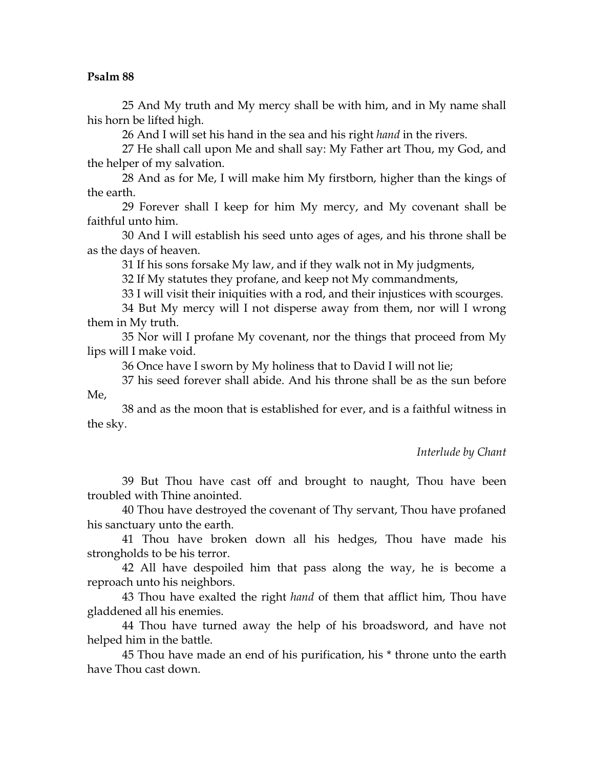25 And My truth and My mercy shall be with him, and in My name shall his horn be lifted high.

26 And I will set his hand in the sea and his right *hand* in the rivers.

27 He shall call upon Me and shall say: My Father art Thou, my God, and the helper of my salvation.

28 And as for Me, I will make him My firstborn, higher than the kings of the earth.

29 Forever shall I keep for him My mercy, and My covenant shall be faithful unto him.

30 And I will establish his seed unto ages of ages, and his throne shall be as the days of heaven.

31 If his sons forsake My law, and if they walk not in My judgments,

32 If My statutes they profane, and keep not My commandments,

33 I will visit their iniquities with a rod, and their injustices with scourges.

34 But My mercy will I not disperse away from them, nor will I wrong them in My truth.

35 Nor will I profane My covenant, nor the things that proceed from My lips will I make void.

36 Once have I sworn by My holiness that to David I will not lie;

37 his seed forever shall abide. And his throne shall be as the sun before Me,

38 and as the moon that is established for ever, and is a faithful witness in the sky.

*Interlude by Chant* 

39 But Thou have cast off and brought to naught, Thou have been troubled with Thine anointed.

40 Thou have destroyed the covenant of Thy servant, Thou have profaned his sanctuary unto the earth.

41 Thou have broken down all his hedges, Thou have made his strongholds to be his terror.

42 All have despoiled him that pass along the way, he is become a reproach unto his neighbors.

43 Thou have exalted the right *hand* of them that afflict him, Thou have gladdened all his enemies.

44 Thou have turned away the help of his broadsword, and have not helped him in the battle.

45 Thou have made an end of his purification, his \* throne unto the earth have Thou cast down.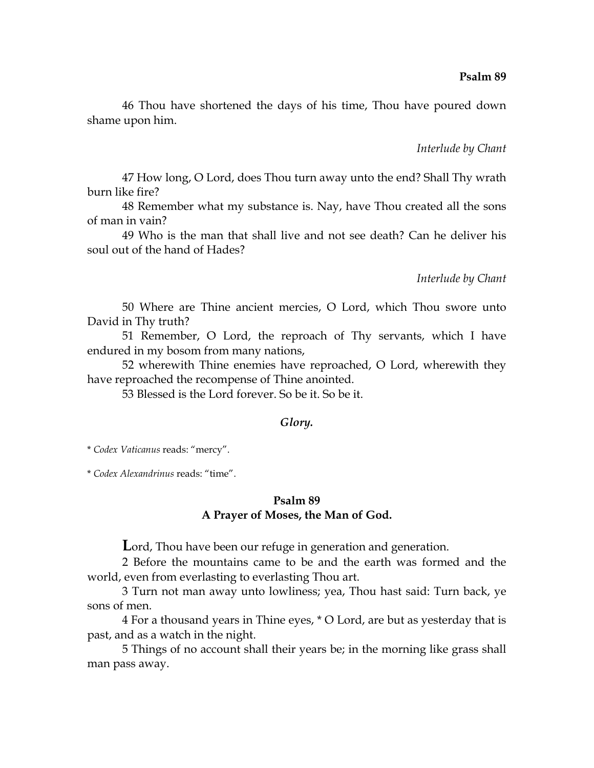46 Thou have shortened the days of his time, Thou have poured down shame upon him.

*Interlude by Chant* 

47 How long, O Lord, does Thou turn away unto the end? Shall Thy wrath burn like fire?

48 Remember what my substance is. Nay, have Thou created all the sons of man in vain?

49 Who is the man that shall live and not see death? Can he deliver his soul out of the hand of Hades?

*Interlude by Chant* 

50 Where are Thine ancient mercies, O Lord, which Thou swore unto David in Thy truth?

51 Remember, O Lord, the reproach of Thy servants, which I have endured in my bosom from many nations,

52 wherewith Thine enemies have reproached, O Lord, wherewith they have reproached the recompense of Thine anointed.

53 Blessed is the Lord forever. So be it. So be it.

### *Glory.*

\* *Codex Vaticanus* reads: "mercy".

\* *Codex Alexandrinus* reads: "time".

### **Psalm 89 A Prayer of Moses, the Man of God.**

**L**ord, Thou have been our refuge in generation and generation.

2 Before the mountains came to be and the earth was formed and the world, even from everlasting to everlasting Thou art.

3 Turn not man away unto lowliness; yea, Thou hast said: Turn back, ye sons of men.

4 For a thousand years in Thine eyes, \* O Lord, are but as yesterday that is past, and as a watch in the night.

5 Things of no account shall their years be; in the morning like grass shall man pass away.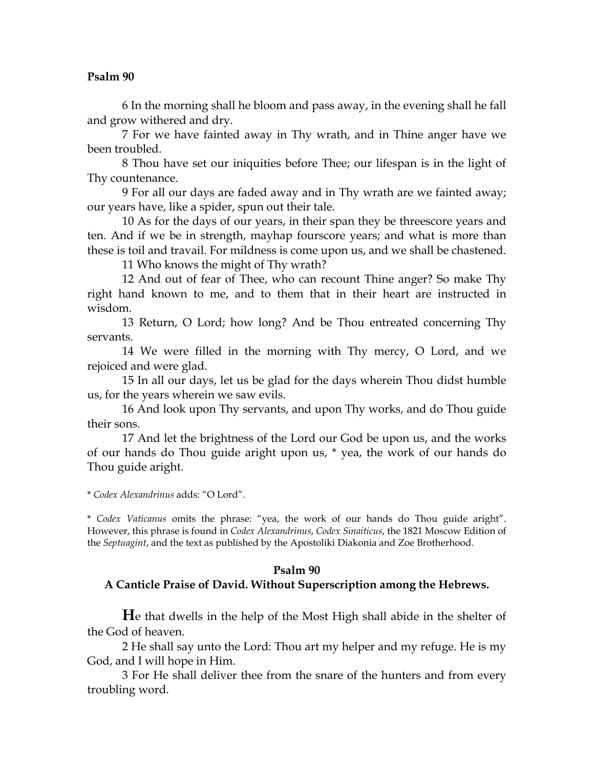6 In the morning shall he bloom and pass away, in the evening shall he fall and grow withered and dry.

7 For we have fainted away in Thy wrath, and in Thine anger have we been troubled.

8 Thou have set our iniquities before Thee; our lifespan is in the light of Thy countenance.

9 For all our days are faded away and in Thy wrath are we fainted away; our years have, like a spider, spun out their tale.

10 As for the days of our years, in their span they be threescore years and ten. And if we be in strength, mayhap fourscore years; and what is more than these is toil and travail. For mildness is come upon us, and we shall be chastened.

11 Who knows the might of Thy wrath?

12 And out of fear of Thee, who can recount Thine anger? So make Thy right hand known to me, and to them that in their heart are instructed in wisdom.

13 Return, O Lord; how long? And be Thou entreated concerning Thy servants.

14 We were filled in the morning with Thy mercy, O Lord, and we rejoiced and were glad.

15 In all our days, let us be glad for the days wherein Thou didst humble us, for the years wherein we saw evils.

16 And look upon Thy servants, and upon Thy works, and do Thou guide their sons.

17 And let the brightness of the Lord our God be upon us, and the works of our hands do Thou guide aright upon us, \* yea, the work of our hands do Thou guide aright.

\* *Codex Alexandrinus* adds: "O Lord".

\* *Codex Vaticanus* omits the phrase: "yea, the work of our hands do Thou guide aright". However, this phrase is found in *Codex Alexandrinus*, *Codex Sinaiticus*, the 1821 Moscow Edition of the *Septuagint*, and the text as published by the Apostoliki Diakonia and Zoe Brotherhood.

## **Psalm 90**

## **A Canticle Praise of David. Without Superscription among the Hebrews.**

**H**e that dwells in the help of the Most High shall abide in the shelter of the God of heaven.

2 He shall say unto the Lord: Thou art my helper and my refuge. He is my God, and I will hope in Him.

3 For He shall deliver thee from the snare of the hunters and from every troubling word.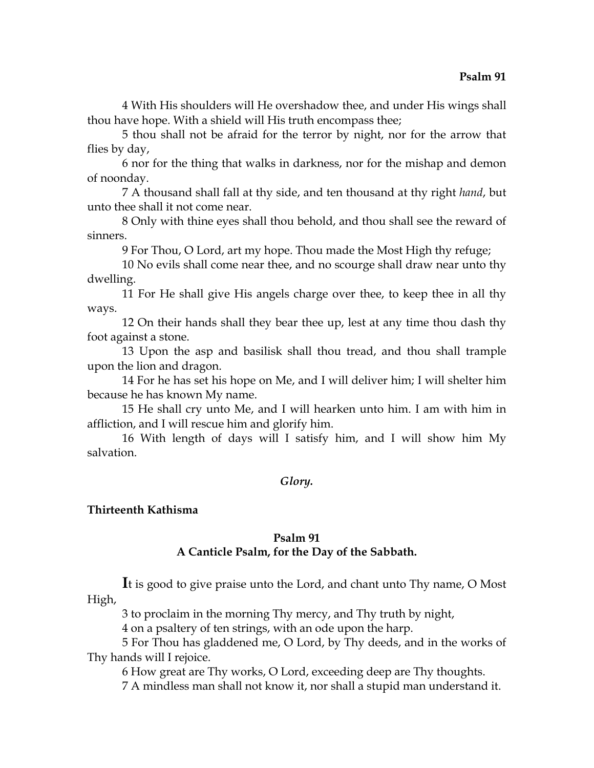4 With His shoulders will He overshadow thee, and under His wings shall thou have hope. With a shield will His truth encompass thee;

5 thou shall not be afraid for the terror by night, nor for the arrow that flies by day,

6 nor for the thing that walks in darkness, nor for the mishap and demon of noonday.

7 A thousand shall fall at thy side, and ten thousand at thy right *hand*, but unto thee shall it not come near.

8 Only with thine eyes shall thou behold, and thou shall see the reward of sinners.

9 For Thou, O Lord, art my hope. Thou made the Most High thy refuge;

10 No evils shall come near thee, and no scourge shall draw near unto thy dwelling.

11 For He shall give His angels charge over thee, to keep thee in all thy ways.

12 On their hands shall they bear thee up, lest at any time thou dash thy foot against a stone.

13 Upon the asp and basilisk shall thou tread, and thou shall trample upon the lion and dragon.

14 For he has set his hope on Me, and I will deliver him; I will shelter him because he has known My name.

15 He shall cry unto Me, and I will hearken unto him. I am with him in affliction, and I will rescue him and glorify him.

16 With length of days will I satisfy him, and I will show him My salvation.

## *Glory.*

## **Thirteenth Kathisma**

## **Psalm 91**

# **A Canticle Psalm, for the Day of the Sabbath.**

**I**t is good to give praise unto the Lord, and chant unto Thy name, O Most High,

3 to proclaim in the morning Thy mercy, and Thy truth by night,

4 on a psaltery of ten strings, with an ode upon the harp.

5 For Thou has gladdened me, O Lord, by Thy deeds, and in the works of Thy hands will I rejoice.

6 How great are Thy works, O Lord, exceeding deep are Thy thoughts.

7 A mindless man shall not know it, nor shall a stupid man understand it.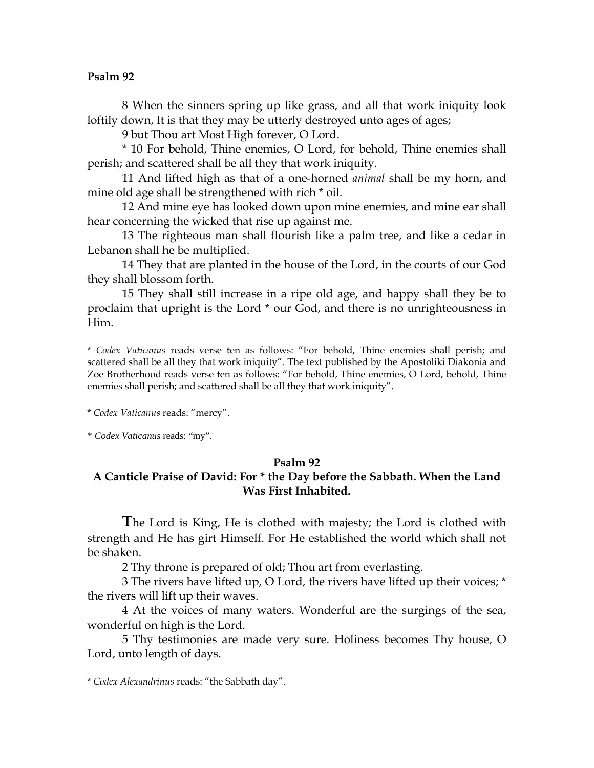8 When the sinners spring up like grass, and all that work iniquity look loftily down, It is that they may be utterly destroyed unto ages of ages;

9 but Thou art Most High forever, O Lord.

\* 10 For behold, Thine enemies, O Lord, for behold, Thine enemies shall perish; and scattered shall be all they that work iniquity.

11 And lifted high as that of a one-horned *animal* shall be my horn, and mine old age shall be strengthened with rich \* oil.

12 And mine eye has looked down upon mine enemies, and mine ear shall hear concerning the wicked that rise up against me.

13 The righteous man shall flourish like a palm tree, and like a cedar in Lebanon shall he be multiplied.

14 They that are planted in the house of the Lord, in the courts of our God they shall blossom forth.

15 They shall still increase in a ripe old age, and happy shall they be to proclaim that upright is the Lord \* our God, and there is no unrighteousness in Him.

\* *Codex Vaticanus* reads verse ten as follows: "For behold, Thine enemies shall perish; and scattered shall be all they that work iniquity". The text published by the Apostoliki Diakonia and Zoe Brotherhood reads verse ten as follows: "For behold, Thine enemies, O Lord, behold, Thine enemies shall perish; and scattered shall be all they that work iniquity".

\* *Codex Vaticanus* reads: "mercy".

\* *Codex Vaticanus* reads: "my".

## **Psalm 92**

# **A Canticle Praise of David: For \* the Day before the Sabbath. When the Land Was First Inhabited.**

**T**he Lord is King, He is clothed with majesty; the Lord is clothed with strength and He has girt Himself. For He established the world which shall not be shaken.

2 Thy throne is prepared of old; Thou art from everlasting.

3 The rivers have lifted up, O Lord, the rivers have lifted up their voices; \* the rivers will lift up their waves.

4 At the voices of many waters. Wonderful are the surgings of the sea, wonderful on high is the Lord.

5 Thy testimonies are made very sure. Holiness becomes Thy house, O Lord, unto length of days.

<sup>\*</sup> *Codex Alexandrinus* reads: "the Sabbath day".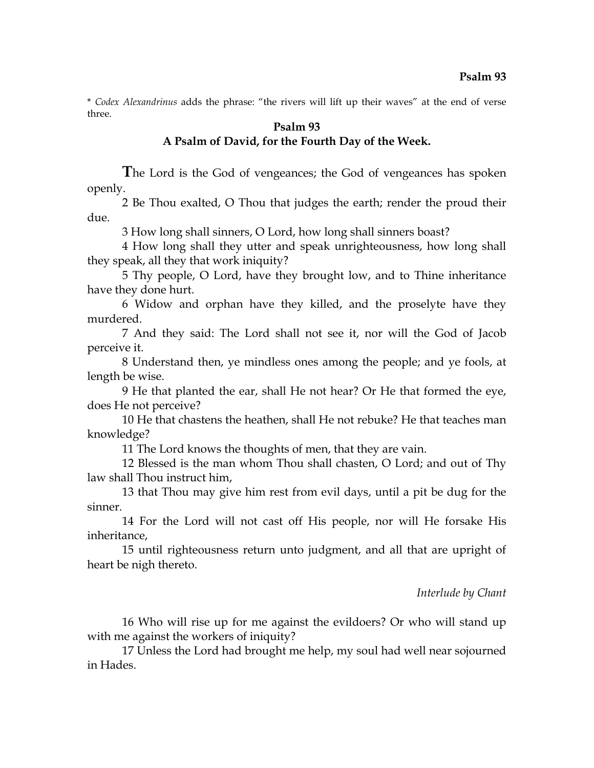\* *Codex Alexandrinus* adds the phrase: "the rivers will lift up their waves" at the end of verse three.

#### **Psalm 93**

## **A Psalm of David, for the Fourth Day of the Week.**

**T**he Lord is the God of vengeances; the God of vengeances has spoken openly.

2 Be Thou exalted, O Thou that judges the earth; render the proud their due.

3 How long shall sinners, O Lord, how long shall sinners boast?

4 How long shall they utter and speak unrighteousness, how long shall they speak, all they that work iniquity?

5 Thy people, O Lord, have they brought low, and to Thine inheritance have they done hurt.

6 Widow and orphan have they killed, and the proselyte have they murdered.

7 And they said: The Lord shall not see it, nor will the God of Jacob perceive it.

8 Understand then, ye mindless ones among the people; and ye fools, at length be wise.

9 He that planted the ear, shall He not hear? Or He that formed the eye, does He not perceive?

10 He that chastens the heathen, shall He not rebuke? He that teaches man knowledge?

11 The Lord knows the thoughts of men, that they are vain.

12 Blessed is the man whom Thou shall chasten, O Lord; and out of Thy law shall Thou instruct him,

13 that Thou may give him rest from evil days, until a pit be dug for the sinner.

14 For the Lord will not cast off His people, nor will He forsake His inheritance,

15 until righteousness return unto judgment, and all that are upright of heart be nigh thereto.

#### *Interlude by Chant*

16 Who will rise up for me against the evildoers? Or who will stand up with me against the workers of iniquity?

17 Unless the Lord had brought me help, my soul had well near sojourned in Hades.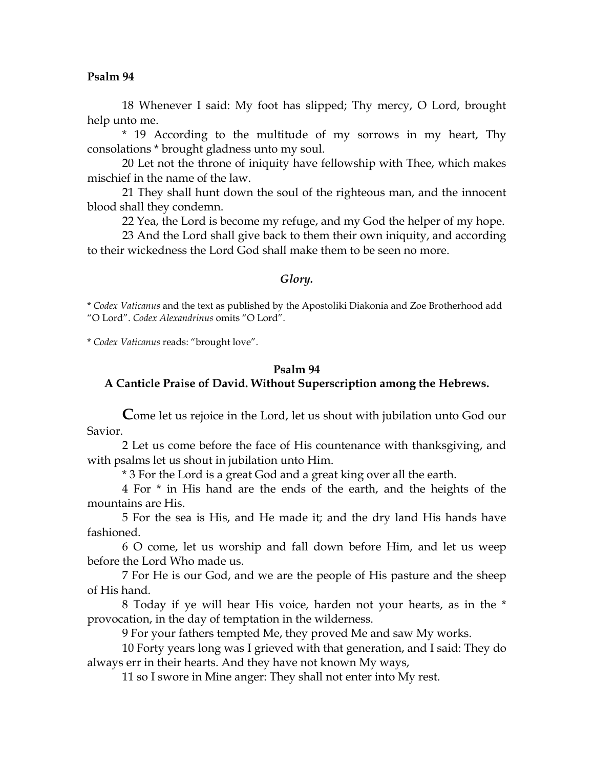18 Whenever I said: My foot has slipped; Thy mercy, O Lord, brought help unto me.

\* 19 According to the multitude of my sorrows in my heart, Thy consolations \* brought gladness unto my soul.

20 Let not the throne of iniquity have fellowship with Thee, which makes mischief in the name of the law.

21 They shall hunt down the soul of the righteous man, and the innocent blood shall they condemn.

22 Yea, the Lord is become my refuge, and my God the helper of my hope.

23 And the Lord shall give back to them their own iniquity, and according to their wickedness the Lord God shall make them to be seen no more.

#### *Glory.*

\* *Codex Vaticanus* and the text as published by the Apostoliki Diakonia and Zoe Brotherhood add "O Lord". *Codex Alexandrinus* omits "O Lord".

\* *Codex Vaticanus* reads: "brought love".

# **Psalm 94 A Canticle Praise of David. Without Superscription among the Hebrews.**

**C**ome let us rejoice in the Lord, let us shout with jubilation unto God our Savior.

2 Let us come before the face of His countenance with thanksgiving, and with psalms let us shout in jubilation unto Him.

\* 3 For the Lord is a great God and a great king over all the earth.

4 For \* in His hand are the ends of the earth, and the heights of the mountains are His.

5 For the sea is His, and He made it; and the dry land His hands have fashioned.

6 O come, let us worship and fall down before Him, and let us weep before the Lord Who made us.

7 For He is our God, and we are the people of His pasture and the sheep of His hand.

8 Today if ye will hear His voice, harden not your hearts, as in the \* provocation, in the day of temptation in the wilderness.

9 For your fathers tempted Me, they proved Me and saw My works.

10 Forty years long was I grieved with that generation, and I said: They do always err in their hearts. And they have not known My ways,

11 so I swore in Mine anger: They shall not enter into My rest.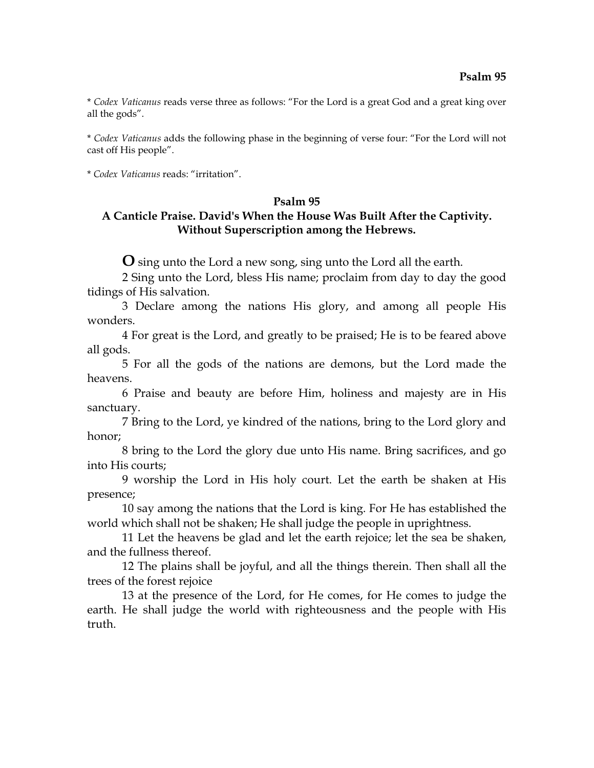\* *Codex Vaticanus* reads verse three as follows: "For the Lord is a great God and a great king over all the gods".

\* *Codex Vaticanus* adds the following phase in the beginning of verse four: "For the Lord will not cast off His people".

\* *Codex Vaticanus* reads: "irritation".

#### **Psalm 95**

# **A Canticle Praise. David's When the House Was Built After the Captivity. Without Superscription among the Hebrews.**

**O** sing unto the Lord a new song, sing unto the Lord all the earth.

2 Sing unto the Lord, bless His name; proclaim from day to day the good tidings of His salvation.

3 Declare among the nations His glory, and among all people His wonders.

4 For great is the Lord, and greatly to be praised; He is to be feared above all gods.

5 For all the gods of the nations are demons, but the Lord made the heavens.

6 Praise and beauty are before Him, holiness and majesty are in His sanctuary.

7 Bring to the Lord, ye kindred of the nations, bring to the Lord glory and honor;

8 bring to the Lord the glory due unto His name. Bring sacrifices, and go into His courts;

9 worship the Lord in His holy court. Let the earth be shaken at His presence;

10 say among the nations that the Lord is king. For He has established the world which shall not be shaken; He shall judge the people in uprightness.

11 Let the heavens be glad and let the earth rejoice; let the sea be shaken, and the fullness thereof.

12 The plains shall be joyful, and all the things therein. Then shall all the trees of the forest rejoice

13 at the presence of the Lord, for He comes, for He comes to judge the earth. He shall judge the world with righteousness and the people with His truth.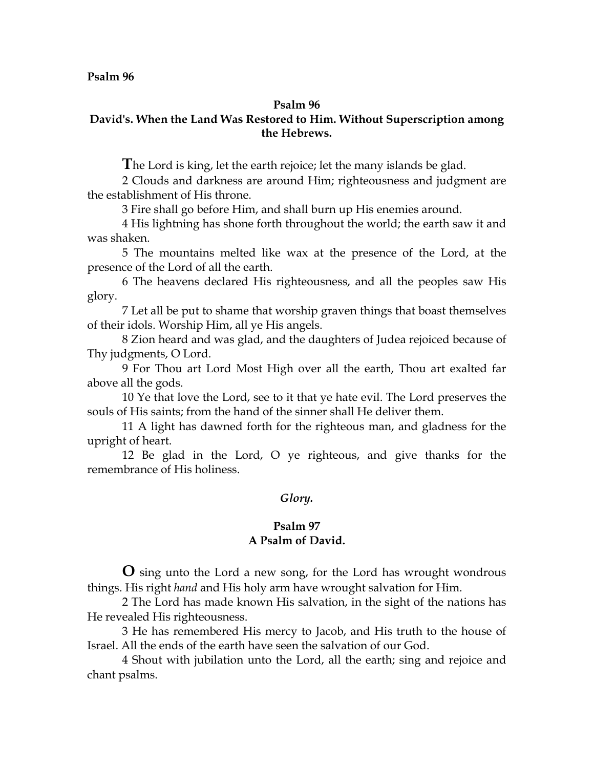#### **Psalm 96**

## **David's. When the Land Was Restored to Him. Without Superscription among the Hebrews.**

**T**he Lord is king, let the earth rejoice; let the many islands be glad.

2 Clouds and darkness are around Him; righteousness and judgment are the establishment of His throne.

3 Fire shall go before Him, and shall burn up His enemies around.

4 His lightning has shone forth throughout the world; the earth saw it and was shaken.

5 The mountains melted like wax at the presence of the Lord, at the presence of the Lord of all the earth.

6 The heavens declared His righteousness, and all the peoples saw His glory.

7 Let all be put to shame that worship graven things that boast themselves of their idols. Worship Him, all ye His angels.

8 Zion heard and was glad, and the daughters of Judea rejoiced because of Thy judgments, O Lord.

9 For Thou art Lord Most High over all the earth, Thou art exalted far above all the gods.

10 Ye that love the Lord, see to it that ye hate evil. The Lord preserves the souls of His saints; from the hand of the sinner shall He deliver them.

11 A light has dawned forth for the righteous man, and gladness for the upright of heart.

12 Be glad in the Lord, O ye righteous, and give thanks for the remembrance of His holiness.

### *Glory.*

### **Psalm 97 A Psalm of David.**

**O** sing unto the Lord a new song, for the Lord has wrought wondrous things. His right *hand* and His holy arm have wrought salvation for Him.

2 The Lord has made known His salvation, in the sight of the nations has He revealed His righteousness.

3 He has remembered His mercy to Jacob, and His truth to the house of Israel. All the ends of the earth have seen the salvation of our God.

4 Shout with jubilation unto the Lord, all the earth; sing and rejoice and chant psalms.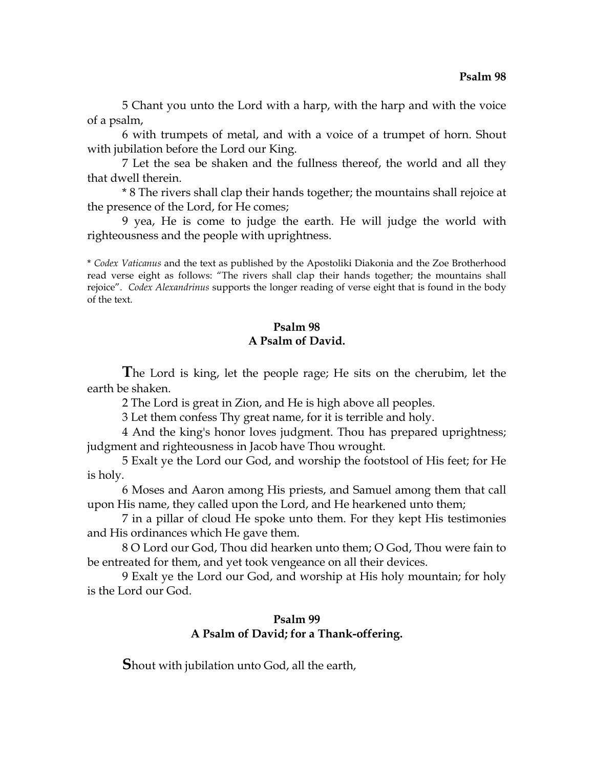5 Chant you unto the Lord with a harp, with the harp and with the voice of a psalm,

6 with trumpets of metal, and with a voice of a trumpet of horn. Shout with jubilation before the Lord our King.

7 Let the sea be shaken and the fullness thereof, the world and all they that dwell therein.

\* 8 The rivers shall clap their hands together; the mountains shall rejoice at the presence of the Lord, for He comes;

9 yea, He is come to judge the earth. He will judge the world with righteousness and the people with uprightness.

\* *Codex Vaticanus* and the text as published by the Apostoliki Diakonia and the Zoe Brotherhood read verse eight as follows: "The rivers shall clap their hands together; the mountains shall rejoice". *Codex Alexandrinus* supports the longer reading of verse eight that is found in the body of the text.

## **Psalm 98 A Psalm of David.**

**T**he Lord is king, let the people rage; He sits on the cherubim, let the earth be shaken.

2 The Lord is great in Zion, and He is high above all peoples.

3 Let them confess Thy great name, for it is terrible and holy.

4 And the king's honor loves judgment. Thou has prepared uprightness; judgment and righteousness in Jacob have Thou wrought.

5 Exalt ye the Lord our God, and worship the footstool of His feet; for He is holy.

6 Moses and Aaron among His priests, and Samuel among them that call upon His name, they called upon the Lord, and He hearkened unto them;

7 in a pillar of cloud He spoke unto them. For they kept His testimonies and His ordinances which He gave them.

8 O Lord our God, Thou did hearken unto them; O God, Thou were fain to be entreated for them, and yet took vengeance on all their devices.

9 Exalt ye the Lord our God, and worship at His holy mountain; for holy is the Lord our God.

## **Psalm 99 A Psalm of David; for a Thank-offering.**

**S**hout with jubilation unto God, all the earth,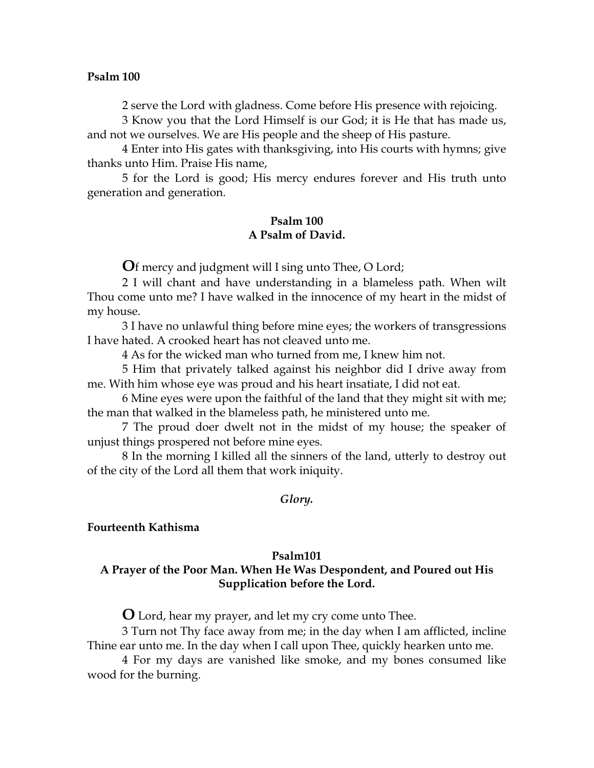2 serve the Lord with gladness. Come before His presence with rejoicing.

3 Know you that the Lord Himself is our God; it is He that has made us, and not we ourselves. We are His people and the sheep of His pasture.

4 Enter into His gates with thanksgiving, into His courts with hymns; give thanks unto Him. Praise His name,

5 for the Lord is good; His mercy endures forever and His truth unto generation and generation.

## **Psalm 100 A Psalm of David.**

**O**f mercy and judgment will I sing unto Thee, O Lord;

2 I will chant and have understanding in a blameless path. When wilt Thou come unto me? I have walked in the innocence of my heart in the midst of my house.

3 I have no unlawful thing before mine eyes; the workers of transgressions I have hated. A crooked heart has not cleaved unto me.

4 As for the wicked man who turned from me, I knew him not.

5 Him that privately talked against his neighbor did I drive away from me. With him whose eye was proud and his heart insatiate, I did not eat.

6 Mine eyes were upon the faithful of the land that they might sit with me; the man that walked in the blameless path, he ministered unto me.

7 The proud doer dwelt not in the midst of my house; the speaker of unjust things prospered not before mine eyes.

8 In the morning I killed all the sinners of the land, utterly to destroy out of the city of the Lord all them that work iniquity.

### *Glory.*

### **Fourteenth Kathisma**

#### **Psalm101**

## **A Prayer of the Poor Man. When He Was Despondent, and Poured out His Supplication before the Lord.**

**O** Lord, hear my prayer, and let my cry come unto Thee.

3 Turn not Thy face away from me; in the day when I am afflicted, incline Thine ear unto me. In the day when I call upon Thee, quickly hearken unto me.

4 For my days are vanished like smoke, and my bones consumed like wood for the burning.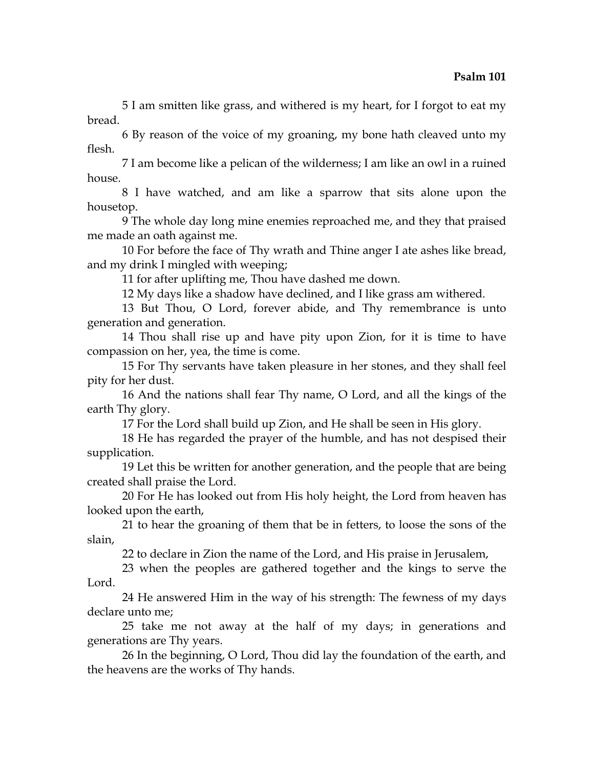5 I am smitten like grass, and withered is my heart, for I forgot to eat my bread.

6 By reason of the voice of my groaning, my bone hath cleaved unto my flesh.

7 I am become like a pelican of the wilderness; I am like an owl in a ruined house.

8 I have watched, and am like a sparrow that sits alone upon the housetop.

9 The whole day long mine enemies reproached me, and they that praised me made an oath against me.

10 For before the face of Thy wrath and Thine anger I ate ashes like bread, and my drink I mingled with weeping;

11 for after uplifting me, Thou have dashed me down.

12 My days like a shadow have declined, and I like grass am withered.

13 But Thou, O Lord, forever abide, and Thy remembrance is unto generation and generation.

14 Thou shall rise up and have pity upon Zion, for it is time to have compassion on her, yea, the time is come.

15 For Thy servants have taken pleasure in her stones, and they shall feel pity for her dust.

16 And the nations shall fear Thy name, O Lord, and all the kings of the earth Thy glory.

17 For the Lord shall build up Zion, and He shall be seen in His glory.

18 He has regarded the prayer of the humble, and has not despised their supplication.

19 Let this be written for another generation, and the people that are being created shall praise the Lord.

20 For He has looked out from His holy height, the Lord from heaven has looked upon the earth,

21 to hear the groaning of them that be in fetters, to loose the sons of the slain,

22 to declare in Zion the name of the Lord, and His praise in Jerusalem,

23 when the peoples are gathered together and the kings to serve the Lord.

24 He answered Him in the way of his strength: The fewness of my days declare unto me;

25 take me not away at the half of my days; in generations and generations are Thy years.

26 In the beginning, O Lord, Thou did lay the foundation of the earth, and the heavens are the works of Thy hands.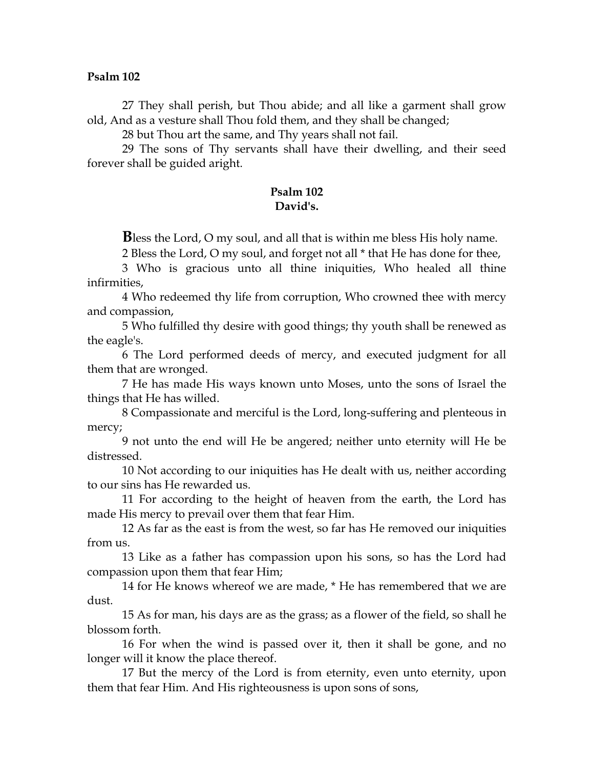27 They shall perish, but Thou abide; and all like a garment shall grow old, And as a vesture shall Thou fold them, and they shall be changed;

28 but Thou art the same, and Thy years shall not fail.

29 The sons of Thy servants shall have their dwelling, and their seed forever shall be guided aright.

## **Psalm 102 David's.**

**B**less the Lord, O my soul, and all that is within me bless His holy name.

2 Bless the Lord, O my soul, and forget not all \* that He has done for thee,

3 Who is gracious unto all thine iniquities, Who healed all thine infirmities,

4 Who redeemed thy life from corruption, Who crowned thee with mercy and compassion,

5 Who fulfilled thy desire with good things; thy youth shall be renewed as the eagle's.

6 The Lord performed deeds of mercy, and executed judgment for all them that are wronged.

7 He has made His ways known unto Moses, unto the sons of Israel the things that He has willed.

8 Compassionate and merciful is the Lord, long-suffering and plenteous in mercy;

9 not unto the end will He be angered; neither unto eternity will He be distressed.

10 Not according to our iniquities has He dealt with us, neither according to our sins has He rewarded us.

11 For according to the height of heaven from the earth, the Lord has made His mercy to prevail over them that fear Him.

12 As far as the east is from the west, so far has He removed our iniquities from us.

13 Like as a father has compassion upon his sons, so has the Lord had compassion upon them that fear Him;

14 for He knows whereof we are made, \* He has remembered that we are dust.

15 As for man, his days are as the grass; as a flower of the field, so shall he blossom forth.

16 For when the wind is passed over it, then it shall be gone, and no longer will it know the place thereof.

17 But the mercy of the Lord is from eternity, even unto eternity, upon them that fear Him. And His righteousness is upon sons of sons,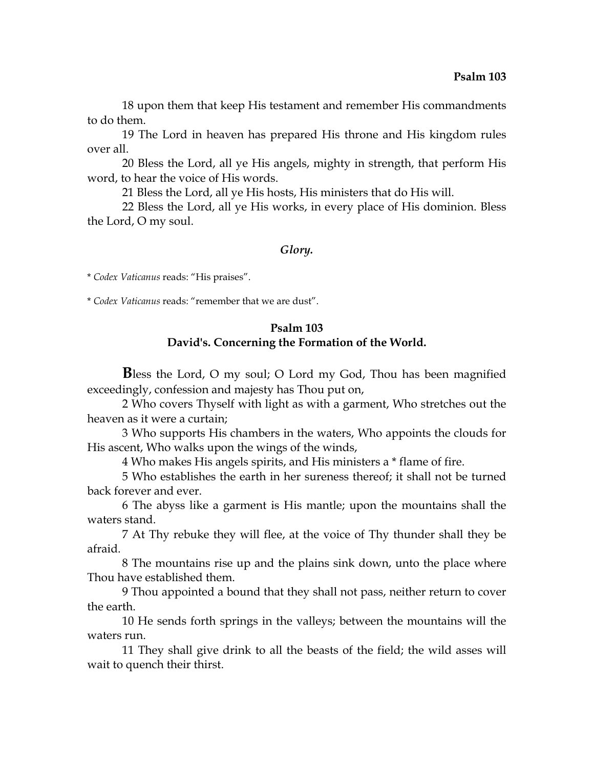18 upon them that keep His testament and remember His commandments to do them.

19 The Lord in heaven has prepared His throne and His kingdom rules over all.

20 Bless the Lord, all ye His angels, mighty in strength, that perform His word, to hear the voice of His words.

21 Bless the Lord, all ye His hosts, His ministers that do His will.

22 Bless the Lord, all ye His works, in every place of His dominion. Bless the Lord, O my soul.

### *Glory.*

\* *Codex Vaticanus* reads: "His praises".

\* *Codex Vaticanus* reads: "remember that we are dust".

## **Psalm 103 David's. Concerning the Formation of the World.**

**B**less the Lord, O my soul; O Lord my God, Thou has been magnified exceedingly, confession and majesty has Thou put on,

2 Who covers Thyself with light as with a garment, Who stretches out the heaven as it were a curtain;

3 Who supports His chambers in the waters, Who appoints the clouds for His ascent, Who walks upon the wings of the winds,

4 Who makes His angels spirits, and His ministers a \* flame of fire.

5 Who establishes the earth in her sureness thereof; it shall not be turned back forever and ever.

6 The abyss like a garment is His mantle; upon the mountains shall the waters stand.

7 At Thy rebuke they will flee, at the voice of Thy thunder shall they be afraid.

8 The mountains rise up and the plains sink down, unto the place where Thou have established them.

9 Thou appointed a bound that they shall not pass, neither return to cover the earth.

10 He sends forth springs in the valleys; between the mountains will the waters run.

11 They shall give drink to all the beasts of the field; the wild asses will wait to quench their thirst.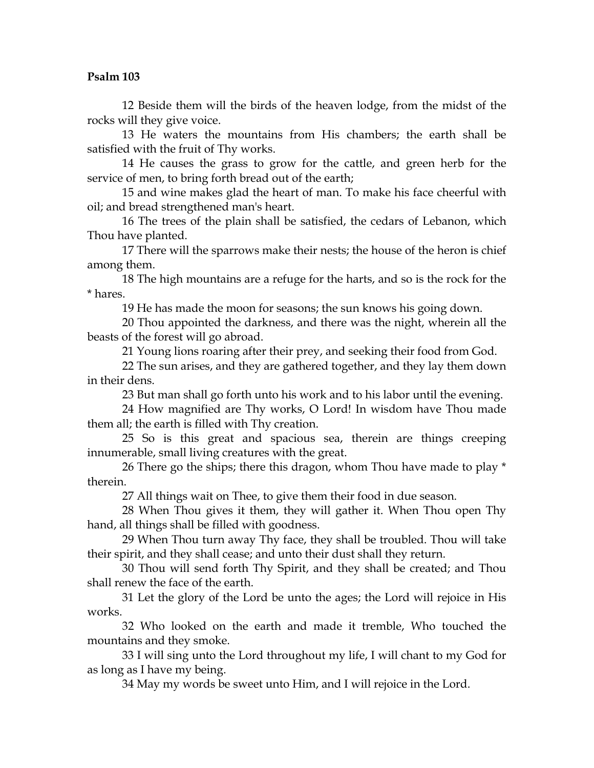12 Beside them will the birds of the heaven lodge, from the midst of the rocks will they give voice.

13 He waters the mountains from His chambers; the earth shall be satisfied with the fruit of Thy works.

14 He causes the grass to grow for the cattle, and green herb for the service of men, to bring forth bread out of the earth;

15 and wine makes glad the heart of man. To make his face cheerful with oil; and bread strengthened man's heart.

16 The trees of the plain shall be satisfied, the cedars of Lebanon, which Thou have planted.

17 There will the sparrows make their nests; the house of the heron is chief among them.

18 The high mountains are a refuge for the harts, and so is the rock for the \* hares.

19 He has made the moon for seasons; the sun knows his going down.

20 Thou appointed the darkness, and there was the night, wherein all the beasts of the forest will go abroad.

21 Young lions roaring after their prey, and seeking their food from God.

22 The sun arises, and they are gathered together, and they lay them down in their dens.

23 But man shall go forth unto his work and to his labor until the evening.

24 How magnified are Thy works, O Lord! In wisdom have Thou made them all; the earth is filled with Thy creation.

25 So is this great and spacious sea, therein are things creeping innumerable, small living creatures with the great.

26 There go the ships; there this dragon, whom Thou have made to play \* therein.

27 All things wait on Thee, to give them their food in due season.

28 When Thou gives it them, they will gather it. When Thou open Thy hand, all things shall be filled with goodness.

29 When Thou turn away Thy face, they shall be troubled. Thou will take their spirit, and they shall cease; and unto their dust shall they return.

30 Thou will send forth Thy Spirit, and they shall be created; and Thou shall renew the face of the earth.

31 Let the glory of the Lord be unto the ages; the Lord will rejoice in His works.

32 Who looked on the earth and made it tremble, Who touched the mountains and they smoke.

33 I will sing unto the Lord throughout my life, I will chant to my God for as long as I have my being.

34 May my words be sweet unto Him, and I will rejoice in the Lord.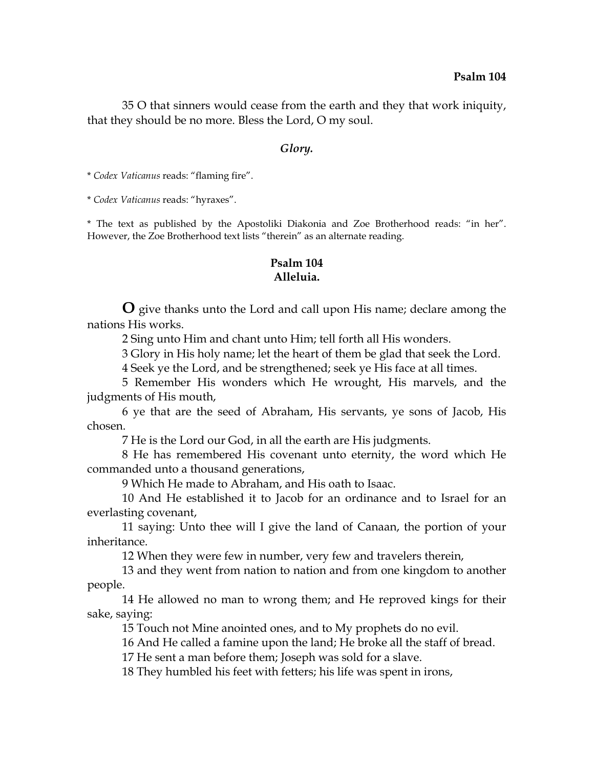35 O that sinners would cease from the earth and they that work iniquity, that they should be no more. Bless the Lord, O my soul.

#### *Glory.*

\* *Codex Vaticanus* reads: "flaming fire".

\* *Codex Vaticanus* reads: "hyraxes".

\* The text as published by the Apostoliki Diakonia and Zoe Brotherhood reads: "in her". However, the Zoe Brotherhood text lists "therein" as an alternate reading.

## **Psalm 104 Alleluia.**

**O** give thanks unto the Lord and call upon His name; declare among the nations His works.

2 Sing unto Him and chant unto Him; tell forth all His wonders.

3 Glory in His holy name; let the heart of them be glad that seek the Lord.

4 Seek ye the Lord, and be strengthened; seek ye His face at all times.

5 Remember His wonders which He wrought, His marvels, and the judgments of His mouth,

6 ye that are the seed of Abraham, His servants, ye sons of Jacob, His chosen.

7 He is the Lord our God, in all the earth are His judgments.

8 He has remembered His covenant unto eternity, the word which He commanded unto a thousand generations,

9 Which He made to Abraham, and His oath to Isaac.

10 And He established it to Jacob for an ordinance and to Israel for an everlasting covenant,

11 saying: Unto thee will I give the land of Canaan, the portion of your inheritance.

12 When they were few in number, very few and travelers therein,

13 and they went from nation to nation and from one kingdom to another people.

14 He allowed no man to wrong them; and He reproved kings for their sake, saying:

15 Touch not Mine anointed ones, and to My prophets do no evil.

16 And He called a famine upon the land; He broke all the staff of bread.

17 He sent a man before them; Joseph was sold for a slave.

18 They humbled his feet with fetters; his life was spent in irons,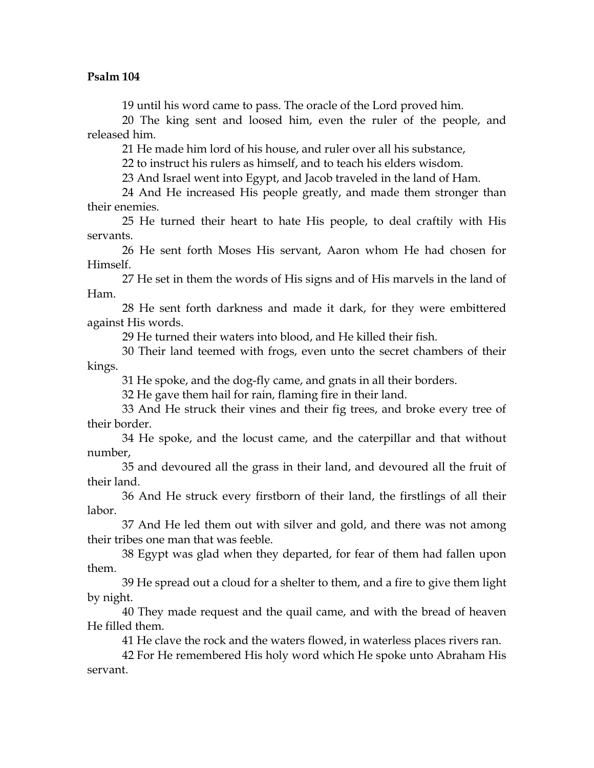19 until his word came to pass. The oracle of the Lord proved him.

20 The king sent and loosed him, even the ruler of the people, and released him.

21 He made him lord of his house, and ruler over all his substance,

22 to instruct his rulers as himself, and to teach his elders wisdom.

23 And Israel went into Egypt, and Jacob traveled in the land of Ham.

24 And He increased His people greatly, and made them stronger than their enemies.

25 He turned their heart to hate His people, to deal craftily with His servants.

26 He sent forth Moses His servant, Aaron whom He had chosen for Himself.

27 He set in them the words of His signs and of His marvels in the land of Ham.

28 He sent forth darkness and made it dark, for they were embittered against His words.

29 He turned their waters into blood, and He killed their fish.

30 Their land teemed with frogs, even unto the secret chambers of their kings.

31 He spoke, and the dog-fly came, and gnats in all their borders.

32 He gave them hail for rain, flaming fire in their land.

33 And He struck their vines and their fig trees, and broke every tree of their border.

34 He spoke, and the locust came, and the caterpillar and that without number,

35 and devoured all the grass in their land, and devoured all the fruit of their land.

36 And He struck every firstborn of their land, the firstlings of all their labor.

37 And He led them out with silver and gold, and there was not among their tribes one man that was feeble.

38 Egypt was glad when they departed, for fear of them had fallen upon them.

39 He spread out a cloud for a shelter to them, and a fire to give them light by night.

40 They made request and the quail came, and with the bread of heaven He filled them.

41 He clave the rock and the waters flowed, in waterless places rivers ran.

42 For He remembered His holy word which He spoke unto Abraham His servant.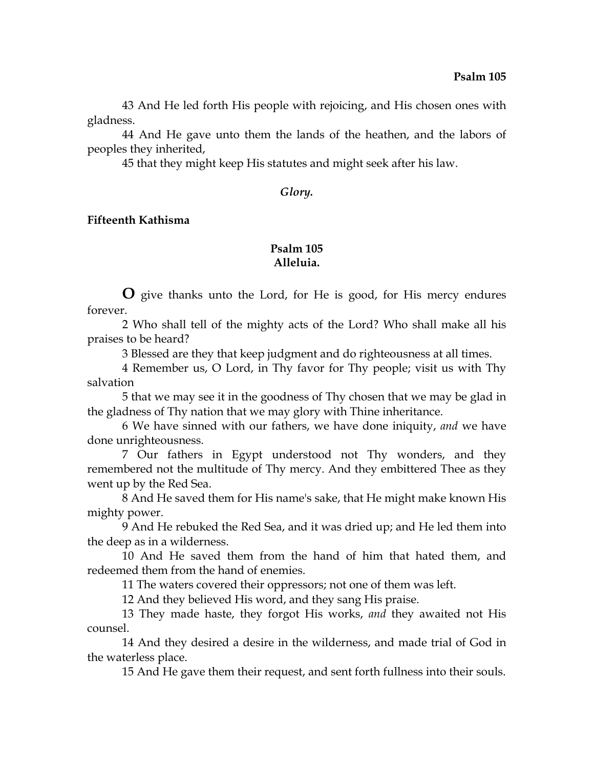43 And He led forth His people with rejoicing, and His chosen ones with gladness.

44 And He gave unto them the lands of the heathen, and the labors of peoples they inherited,

45 that they might keep His statutes and might seek after his law.

### *Glory.*

## **Fifteenth Kathisma**

# **Psalm 105 Alleluia.**

**O** give thanks unto the Lord, for He is good, for His mercy endures forever.

2 Who shall tell of the mighty acts of the Lord? Who shall make all his praises to be heard?

3 Blessed are they that keep judgment and do righteousness at all times.

4 Remember us, O Lord, in Thy favor for Thy people; visit us with Thy salvation

5 that we may see it in the goodness of Thy chosen that we may be glad in the gladness of Thy nation that we may glory with Thine inheritance.

6 We have sinned with our fathers, we have done iniquity, *and* we have done unrighteousness.

7 Our fathers in Egypt understood not Thy wonders, and they remembered not the multitude of Thy mercy. And they embittered Thee as they went up by the Red Sea.

8 And He saved them for His name's sake, that He might make known His mighty power.

9 And He rebuked the Red Sea, and it was dried up; and He led them into the deep as in a wilderness.

10 And He saved them from the hand of him that hated them, and redeemed them from the hand of enemies.

11 The waters covered their oppressors; not one of them was left.

12 And they believed His word, and they sang His praise.

13 They made haste, they forgot His works, *and* they awaited not His counsel.

14 And they desired a desire in the wilderness, and made trial of God in the waterless place.

15 And He gave them their request, and sent forth fullness into their souls.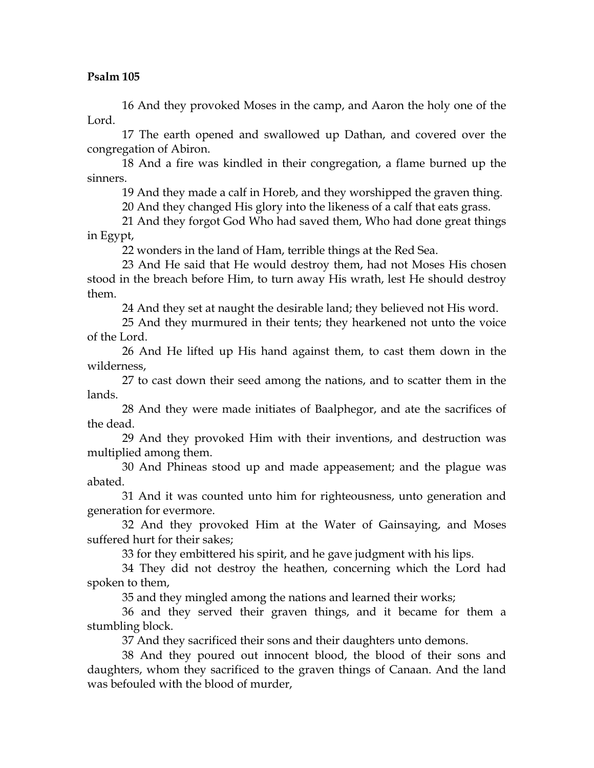16 And they provoked Moses in the camp, and Aaron the holy one of the Lord.

17 The earth opened and swallowed up Dathan, and covered over the congregation of Abiron.

18 And a fire was kindled in their congregation, a flame burned up the sinners.

19 And they made a calf in Horeb, and they worshipped the graven thing.

20 And they changed His glory into the likeness of a calf that eats grass.

21 And they forgot God Who had saved them, Who had done great things in Egypt,

22 wonders in the land of Ham, terrible things at the Red Sea.

23 And He said that He would destroy them, had not Moses His chosen stood in the breach before Him, to turn away His wrath, lest He should destroy them.

24 And they set at naught the desirable land; they believed not His word.

25 And they murmured in their tents; they hearkened not unto the voice of the Lord.

26 And He lifted up His hand against them, to cast them down in the wilderness,

27 to cast down their seed among the nations, and to scatter them in the lands.

28 And they were made initiates of Baalphegor, and ate the sacrifices of the dead.

29 And they provoked Him with their inventions, and destruction was multiplied among them.

30 And Phineas stood up and made appeasement; and the plague was abated.

31 And it was counted unto him for righteousness, unto generation and generation for evermore.

32 And they provoked Him at the Water of Gainsaying, and Moses suffered hurt for their sakes;

33 for they embittered his spirit, and he gave judgment with his lips.

34 They did not destroy the heathen, concerning which the Lord had spoken to them,

35 and they mingled among the nations and learned their works;

36 and they served their graven things, and it became for them a stumbling block.

37 And they sacrificed their sons and their daughters unto demons.

38 And they poured out innocent blood, the blood of their sons and daughters, whom they sacrificed to the graven things of Canaan. And the land was befouled with the blood of murder,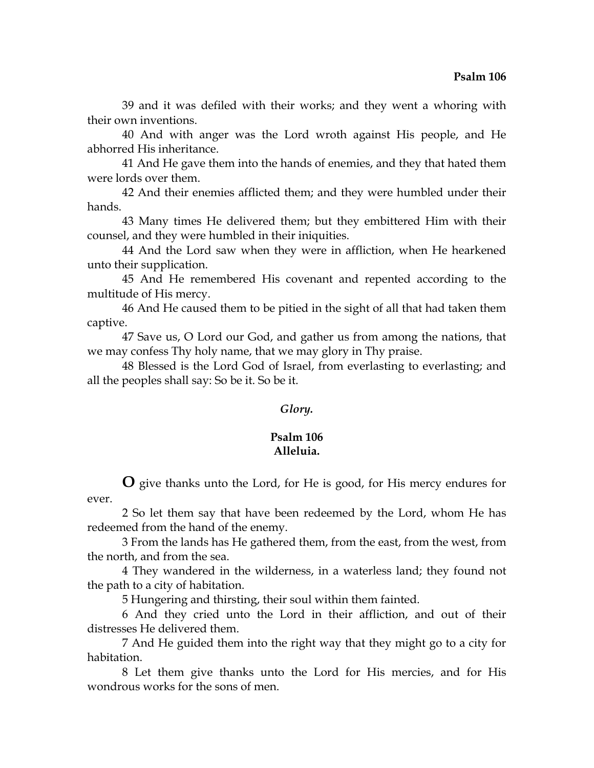39 and it was defiled with their works; and they went a whoring with their own inventions.

40 And with anger was the Lord wroth against His people, and He abhorred His inheritance.

41 And He gave them into the hands of enemies, and they that hated them were lords over them.

42 And their enemies afflicted them; and they were humbled under their hands.

43 Many times He delivered them; but they embittered Him with their counsel, and they were humbled in their iniquities.

44 And the Lord saw when they were in affliction, when He hearkened unto their supplication.

45 And He remembered His covenant and repented according to the multitude of His mercy.

46 And He caused them to be pitied in the sight of all that had taken them captive.

47 Save us, O Lord our God, and gather us from among the nations, that we may confess Thy holy name, that we may glory in Thy praise.

48 Blessed is the Lord God of Israel, from everlasting to everlasting; and all the peoples shall say: So be it. So be it.

# *Glory.*

## **Psalm 106 Alleluia.**

**O** give thanks unto the Lord, for He is good, for His mercy endures for ever.

2 So let them say that have been redeemed by the Lord, whom He has redeemed from the hand of the enemy.

3 From the lands has He gathered them, from the east, from the west, from the north, and from the sea.

4 They wandered in the wilderness, in a waterless land; they found not the path to a city of habitation.

5 Hungering and thirsting, their soul within them fainted.

6 And they cried unto the Lord in their affliction, and out of their distresses He delivered them.

7 And He guided them into the right way that they might go to a city for habitation.

8 Let them give thanks unto the Lord for His mercies, and for His wondrous works for the sons of men.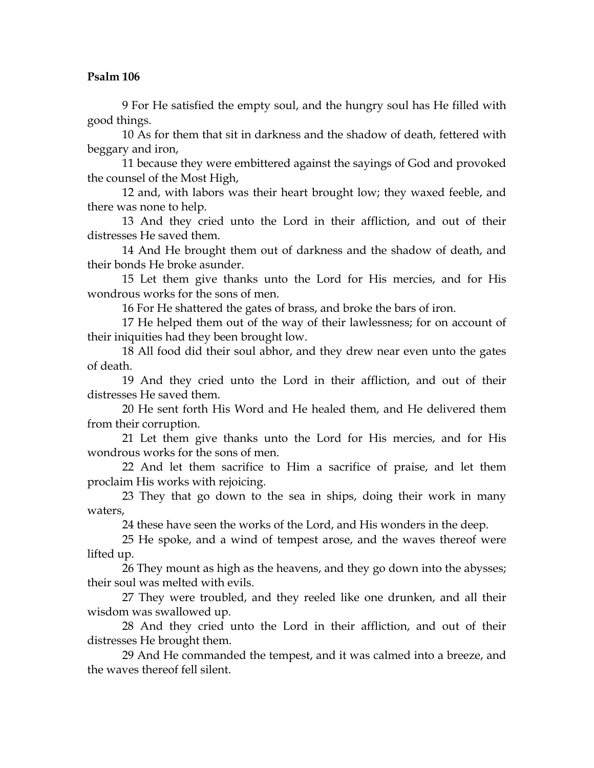9 For He satisfied the empty soul, and the hungry soul has He filled with good things.

10 As for them that sit in darkness and the shadow of death, fettered with beggary and iron,

11 because they were embittered against the sayings of God and provoked the counsel of the Most High,

12 and, with labors was their heart brought low; they waxed feeble, and there was none to help.

13 And they cried unto the Lord in their affliction, and out of their distresses He saved them.

14 And He brought them out of darkness and the shadow of death, and their bonds He broke asunder.

15 Let them give thanks unto the Lord for His mercies, and for His wondrous works for the sons of men.

16 For He shattered the gates of brass, and broke the bars of iron.

17 He helped them out of the way of their lawlessness; for on account of their iniquities had they been brought low.

18 All food did their soul abhor, and they drew near even unto the gates of death.

19 And they cried unto the Lord in their affliction, and out of their distresses He saved them.

20 He sent forth His Word and He healed them, and He delivered them from their corruption.

21 Let them give thanks unto the Lord for His mercies, and for His wondrous works for the sons of men.

22 And let them sacrifice to Him a sacrifice of praise, and let them proclaim His works with rejoicing.

23 They that go down to the sea in ships, doing their work in many waters,

24 these have seen the works of the Lord, and His wonders in the deep.

25 He spoke, and a wind of tempest arose, and the waves thereof were lifted up.

26 They mount as high as the heavens, and they go down into the abysses; their soul was melted with evils.

27 They were troubled, and they reeled like one drunken, and all their wisdom was swallowed up.

28 And they cried unto the Lord in their affliction, and out of their distresses He brought them.

29 And He commanded the tempest, and it was calmed into a breeze, and the waves thereof fell silent.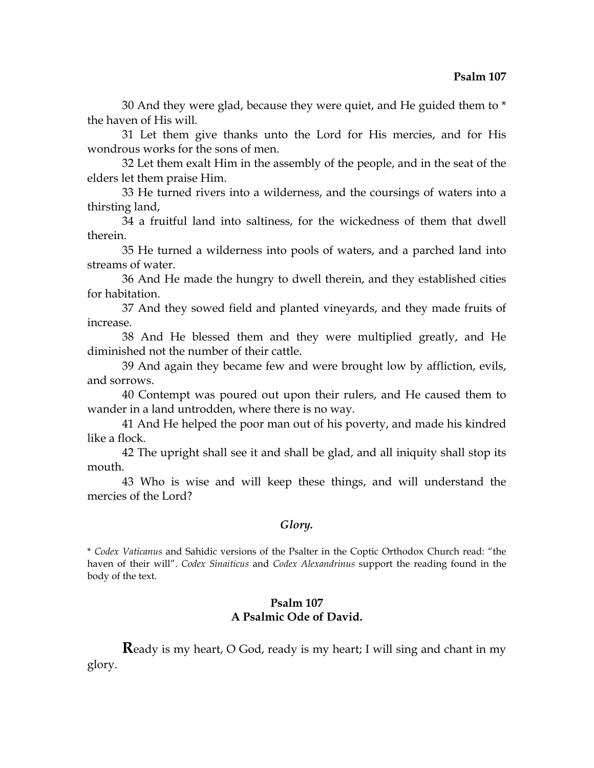30 And they were glad, because they were quiet, and He guided them to \* the haven of His will.

31 Let them give thanks unto the Lord for His mercies, and for His wondrous works for the sons of men.

32 Let them exalt Him in the assembly of the people, and in the seat of the elders let them praise Him.

33 He turned rivers into a wilderness, and the coursings of waters into a thirsting land,

34 a fruitful land into saltiness, for the wickedness of them that dwell therein.

35 He turned a wilderness into pools of waters, and a parched land into streams of water.

36 And He made the hungry to dwell therein, and they established cities for habitation.

37 And they sowed field and planted vineyards, and they made fruits of increase.

38 And He blessed them and they were multiplied greatly, and He diminished not the number of their cattle.

39 And again they became few and were brought low by affliction, evils, and sorrows.

40 Contempt was poured out upon their rulers, and He caused them to wander in a land untrodden, where there is no way.

41 And He helped the poor man out of his poverty, and made his kindred like a flock.

42 The upright shall see it and shall be glad, and all iniquity shall stop its mouth.

43 Who is wise and will keep these things, and will understand the mercies of the Lord?

### *Glory.*

\* *Codex Vaticanus* and Sahidic versions of the Psalter in the Coptic Orthodox Church read: "the haven of their will". *Codex Sinaiticus* and *Codex Alexandrinus* support the reading found in the body of the text.

## **Psalm 107 A Psalmic Ode of David.**

**R**eady is my heart, O God, ready is my heart; I will sing and chant in my glory.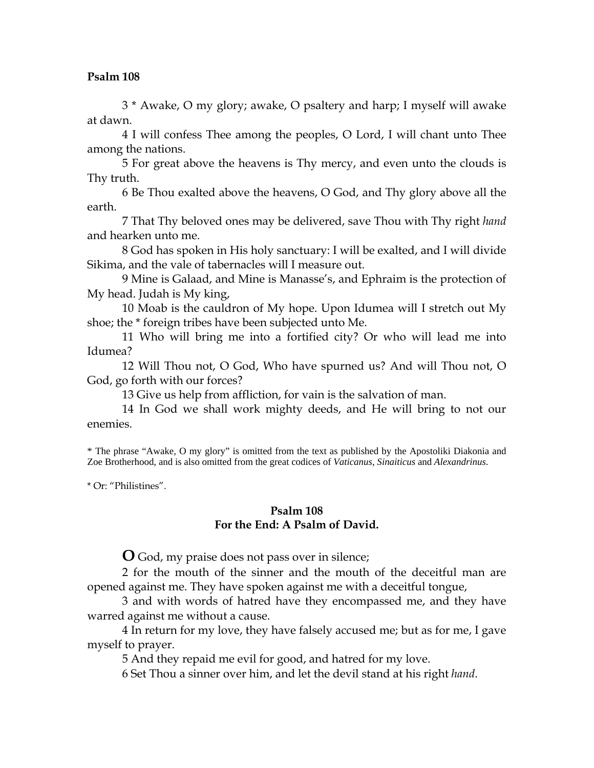3 \* Awake, O my glory; awake, O psaltery and harp; I myself will awake at dawn.

4 I will confess Thee among the peoples, O Lord, I will chant unto Thee among the nations.

5 For great above the heavens is Thy mercy, and even unto the clouds is Thy truth.

6 Be Thou exalted above the heavens, O God, and Thy glory above all the earth.

7 That Thy beloved ones may be delivered, save Thou with Thy right *hand*  and hearken unto me.

8 God has spoken in His holy sanctuary: I will be exalted, and I will divide Sikima, and the vale of tabernacles will I measure out.

9 Mine is Galaad, and Mine is Manasse's, and Ephraim is the protection of My head. Judah is My king,

10 Moab is the cauldron of My hope. Upon Idumea will I stretch out My shoe; the \* foreign tribes have been subjected unto Me.

11 Who will bring me into a fortified city? Or who will lead me into Idumea?

12 Will Thou not, O God, Who have spurned us? And will Thou not, O God, go forth with our forces?

13 Give us help from affliction, for vain is the salvation of man.

14 In God we shall work mighty deeds, and He will bring to not our enemies.

\* The phrase "Awake, O my glory" is omitted from the text as published by the Apostoliki Diakonia and Zoe Brotherhood, and is also omitted from the great codices of *Vaticanus*, *Sinaiticus* and *Alexandrinus*.

\* Or: "Philistines".

### **Psalm 108 For the End: A Psalm of David.**

**O** God, my praise does not pass over in silence;

2 for the mouth of the sinner and the mouth of the deceitful man are opened against me. They have spoken against me with a deceitful tongue,

3 and with words of hatred have they encompassed me, and they have warred against me without a cause.

4 In return for my love, they have falsely accused me; but as for me, I gave myself to prayer.

5 And they repaid me evil for good, and hatred for my love.

6 Set Thou a sinner over him, and let the devil stand at his right *hand*.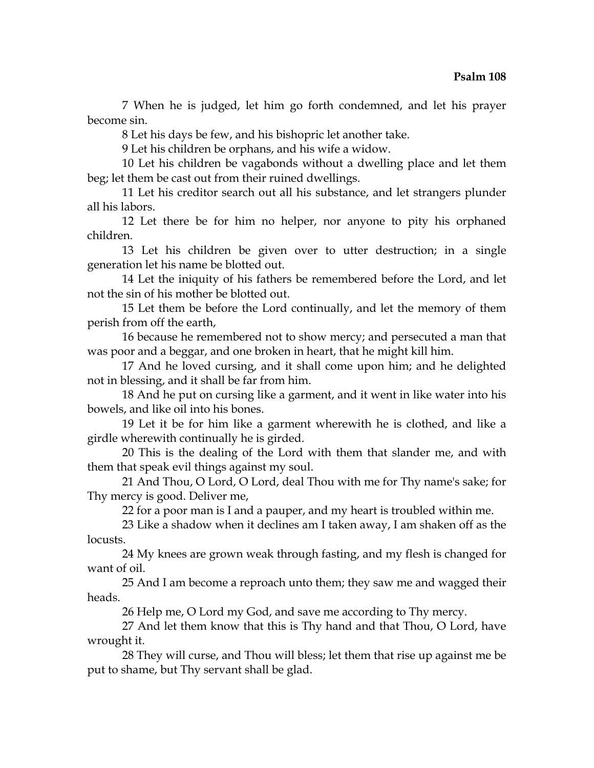7 When he is judged, let him go forth condemned, and let his prayer become sin.

8 Let his days be few, and his bishopric let another take.

9 Let his children be orphans, and his wife a widow.

10 Let his children be vagabonds without a dwelling place and let them beg; let them be cast out from their ruined dwellings.

11 Let his creditor search out all his substance, and let strangers plunder all his labors.

12 Let there be for him no helper, nor anyone to pity his orphaned children.

13 Let his children be given over to utter destruction; in a single generation let his name be blotted out.

14 Let the iniquity of his fathers be remembered before the Lord, and let not the sin of his mother be blotted out.

15 Let them be before the Lord continually, and let the memory of them perish from off the earth,

16 because he remembered not to show mercy; and persecuted a man that was poor and a beggar, and one broken in heart, that he might kill him.

17 And he loved cursing, and it shall come upon him; and he delighted not in blessing, and it shall be far from him.

18 And he put on cursing like a garment, and it went in like water into his bowels, and like oil into his bones.

19 Let it be for him like a garment wherewith he is clothed, and like a girdle wherewith continually he is girded.

20 This is the dealing of the Lord with them that slander me, and with them that speak evil things against my soul.

21 And Thou, O Lord, O Lord, deal Thou with me for Thy name's sake; for Thy mercy is good. Deliver me,

22 for a poor man is I and a pauper, and my heart is troubled within me.

23 Like a shadow when it declines am I taken away, I am shaken off as the locusts.

24 My knees are grown weak through fasting, and my flesh is changed for want of oil.

25 And I am become a reproach unto them; they saw me and wagged their heads.

26 Help me, O Lord my God, and save me according to Thy mercy.

27 And let them know that this is Thy hand and that Thou, O Lord, have wrought it.

28 They will curse, and Thou will bless; let them that rise up against me be put to shame, but Thy servant shall be glad.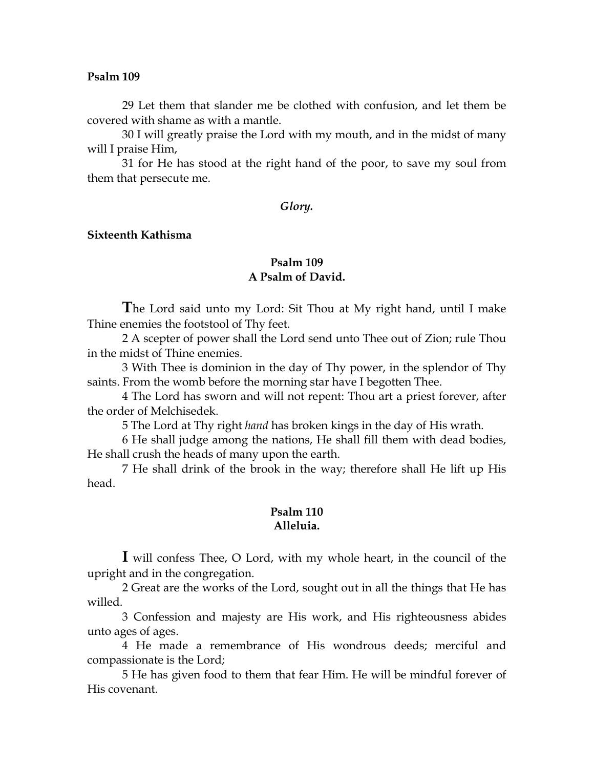29 Let them that slander me be clothed with confusion, and let them be covered with shame as with a mantle.

30 I will greatly praise the Lord with my mouth, and in the midst of many will I praise Him,

31 for He has stood at the right hand of the poor, to save my soul from them that persecute me.

#### *Glory.*

### **Sixteenth Kathisma**

### **Psalm 109 A Psalm of David.**

**T**he Lord said unto my Lord: Sit Thou at My right hand, until I make Thine enemies the footstool of Thy feet.

2 A scepter of power shall the Lord send unto Thee out of Zion; rule Thou in the midst of Thine enemies.

3 With Thee is dominion in the day of Thy power, in the splendor of Thy saints. From the womb before the morning star have I begotten Thee.

4 The Lord has sworn and will not repent: Thou art a priest forever, after the order of Melchisedek.

5 The Lord at Thy right *hand* has broken kings in the day of His wrath.

6 He shall judge among the nations, He shall fill them with dead bodies, He shall crush the heads of many upon the earth.

7 He shall drink of the brook in the way; therefore shall He lift up His head.

### **Psalm 110 Alleluia.**

**I** will confess Thee, O Lord, with my whole heart, in the council of the upright and in the congregation.

2 Great are the works of the Lord, sought out in all the things that He has willed.

3 Confession and majesty are His work, and His righteousness abides unto ages of ages.

4 He made a remembrance of His wondrous deeds; merciful and compassionate is the Lord;

5 He has given food to them that fear Him. He will be mindful forever of His covenant.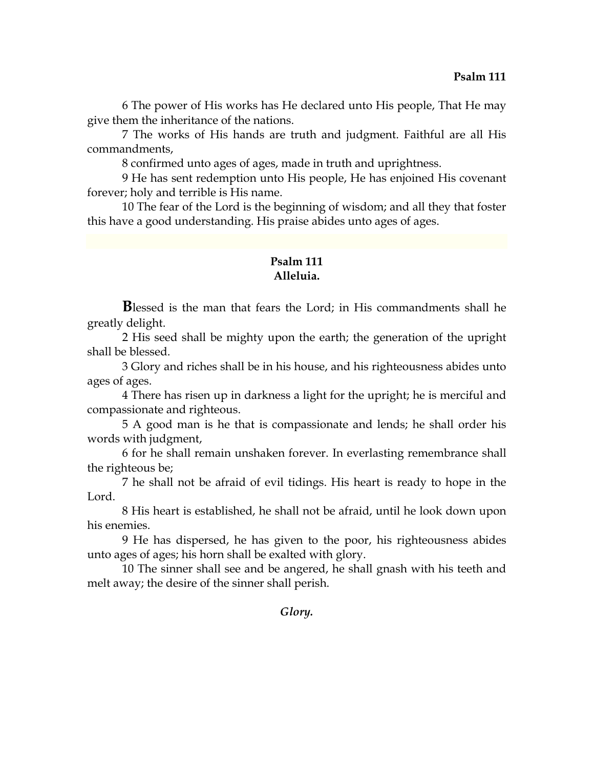6 The power of His works has He declared unto His people, That He may give them the inheritance of the nations.

7 The works of His hands are truth and judgment. Faithful are all His commandments,

8 confirmed unto ages of ages, made in truth and uprightness.

9 He has sent redemption unto His people, He has enjoined His covenant forever; holy and terrible is His name.

10 The fear of the Lord is the beginning of wisdom; and all they that foster this have a good understanding. His praise abides unto ages of ages.

# **Psalm 111 Alleluia.**

**B**lessed is the man that fears the Lord; in His commandments shall he greatly delight.

2 His seed shall be mighty upon the earth; the generation of the upright shall be blessed.

3 Glory and riches shall be in his house, and his righteousness abides unto ages of ages.

4 There has risen up in darkness a light for the upright; he is merciful and compassionate and righteous.

5 A good man is he that is compassionate and lends; he shall order his words with judgment,

6 for he shall remain unshaken forever. In everlasting remembrance shall the righteous be;

7 he shall not be afraid of evil tidings. His heart is ready to hope in the Lord.

8 His heart is established, he shall not be afraid, until he look down upon his enemies.

9 He has dispersed, he has given to the poor, his righteousness abides unto ages of ages; his horn shall be exalted with glory.

10 The sinner shall see and be angered, he shall gnash with his teeth and melt away; the desire of the sinner shall perish.

# *Glory.*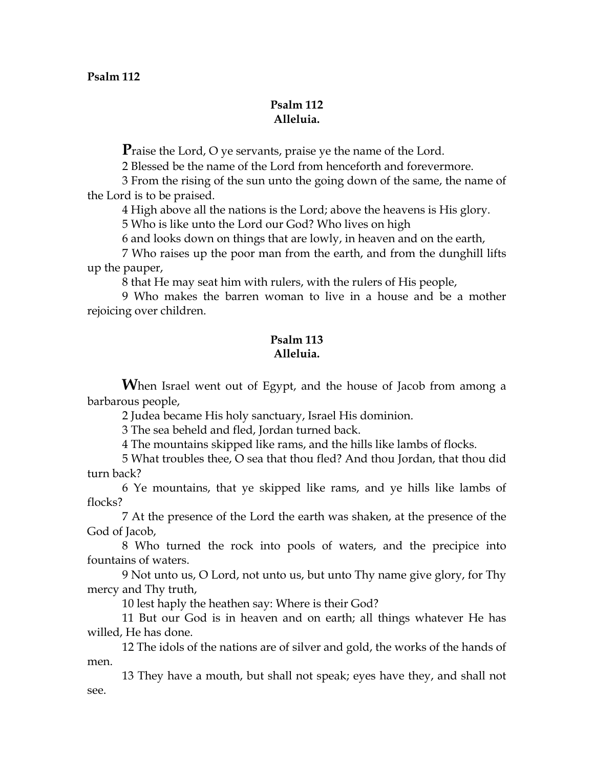# **Psalm 112 Alleluia.**

**P**raise the Lord, O ye servants, praise ye the name of the Lord.

2 Blessed be the name of the Lord from henceforth and forevermore.

3 From the rising of the sun unto the going down of the same, the name of the Lord is to be praised.

4 High above all the nations is the Lord; above the heavens is His glory.

5 Who is like unto the Lord our God? Who lives on high

6 and looks down on things that are lowly, in heaven and on the earth,

7 Who raises up the poor man from the earth, and from the dunghill lifts up the pauper,

8 that He may seat him with rulers, with the rulers of His people,

9 Who makes the barren woman to live in a house and be a mother rejoicing over children.

# **Psalm 113 Alleluia.**

**W**hen Israel went out of Egypt, and the house of Jacob from among a barbarous people,

2 Judea became His holy sanctuary, Israel His dominion.

3 The sea beheld and fled, Jordan turned back.

4 The mountains skipped like rams, and the hills like lambs of flocks.

5 What troubles thee, O sea that thou fled? And thou Jordan, that thou did turn back?

6 Ye mountains, that ye skipped like rams, and ye hills like lambs of flocks?

7 At the presence of the Lord the earth was shaken, at the presence of the God of Jacob,

8 Who turned the rock into pools of waters, and the precipice into fountains of waters.

9 Not unto us, O Lord, not unto us, but unto Thy name give glory, for Thy mercy and Thy truth,

10 lest haply the heathen say: Where is their God?

11 But our God is in heaven and on earth; all things whatever He has willed, He has done.

12 The idols of the nations are of silver and gold, the works of the hands of men.

13 They have a mouth, but shall not speak; eyes have they, and shall not see.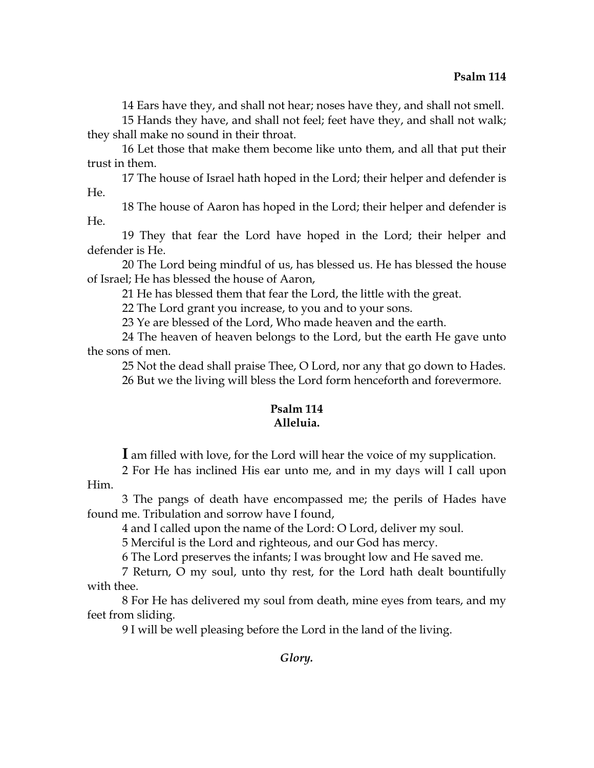14 Ears have they, and shall not hear; noses have they, and shall not smell.

15 Hands they have, and shall not feel; feet have they, and shall not walk; they shall make no sound in their throat.

16 Let those that make them become like unto them, and all that put their trust in them.

17 The house of Israel hath hoped in the Lord; their helper and defender is He.

18 The house of Aaron has hoped in the Lord; their helper and defender is He.

19 They that fear the Lord have hoped in the Lord; their helper and defender is He.

20 The Lord being mindful of us, has blessed us. He has blessed the house of Israel; He has blessed the house of Aaron,

21 He has blessed them that fear the Lord, the little with the great.

22 The Lord grant you increase, to you and to your sons.

23 Ye are blessed of the Lord, Who made heaven and the earth.

24 The heaven of heaven belongs to the Lord, but the earth He gave unto the sons of men.

25 Not the dead shall praise Thee, O Lord, nor any that go down to Hades. 26 But we the living will bless the Lord form henceforth and forevermore.

# **Psalm 114 Alleluia.**

**I** am filled with love, for the Lord will hear the voice of my supplication.

2 For He has inclined His ear unto me, and in my days will I call upon Him.

3 The pangs of death have encompassed me; the perils of Hades have found me. Tribulation and sorrow have I found,

4 and I called upon the name of the Lord: O Lord, deliver my soul.

5 Merciful is the Lord and righteous, and our God has mercy.

6 The Lord preserves the infants; I was brought low and He saved me.

7 Return, O my soul, unto thy rest, for the Lord hath dealt bountifully with thee.

8 For He has delivered my soul from death, mine eyes from tears, and my feet from sliding.

9 I will be well pleasing before the Lord in the land of the living.

*Glory.*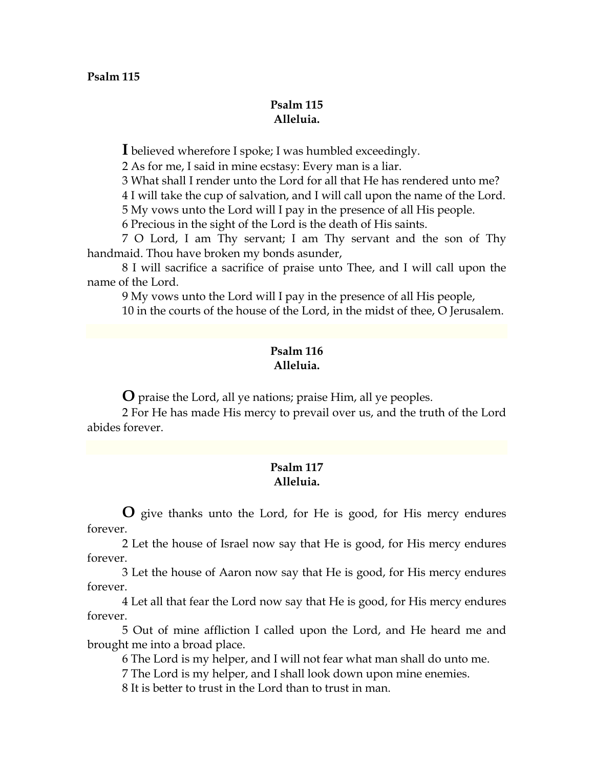### **Psalm 115 Alleluia.**

**I** believed wherefore I spoke; I was humbled exceedingly.

2 As for me, I said in mine ecstasy: Every man is a liar.

3 What shall I render unto the Lord for all that He has rendered unto me?

4 I will take the cup of salvation, and I will call upon the name of the Lord.

5 My vows unto the Lord will I pay in the presence of all His people.

6 Precious in the sight of the Lord is the death of His saints.

7 O Lord, I am Thy servant; I am Thy servant and the son of Thy handmaid. Thou have broken my bonds asunder,

8 I will sacrifice a sacrifice of praise unto Thee, and I will call upon the name of the Lord.

9 My vows unto the Lord will I pay in the presence of all His people,

10 in the courts of the house of the Lord, in the midst of thee, O Jerusalem.

# **Psalm 116 Alleluia.**

**O** praise the Lord, all ye nations; praise Him, all ye peoples.

2 For He has made His mercy to prevail over us, and the truth of the Lord abides forever.

# **Psalm 117 Alleluia.**

**O** give thanks unto the Lord, for He is good, for His mercy endures forever.

2 Let the house of Israel now say that He is good, for His mercy endures forever.

3 Let the house of Aaron now say that He is good, for His mercy endures forever.

4 Let all that fear the Lord now say that He is good, for His mercy endures forever.

5 Out of mine affliction I called upon the Lord, and He heard me and brought me into a broad place.

6 The Lord is my helper, and I will not fear what man shall do unto me.

7 The Lord is my helper, and I shall look down upon mine enemies.

8 It is better to trust in the Lord than to trust in man.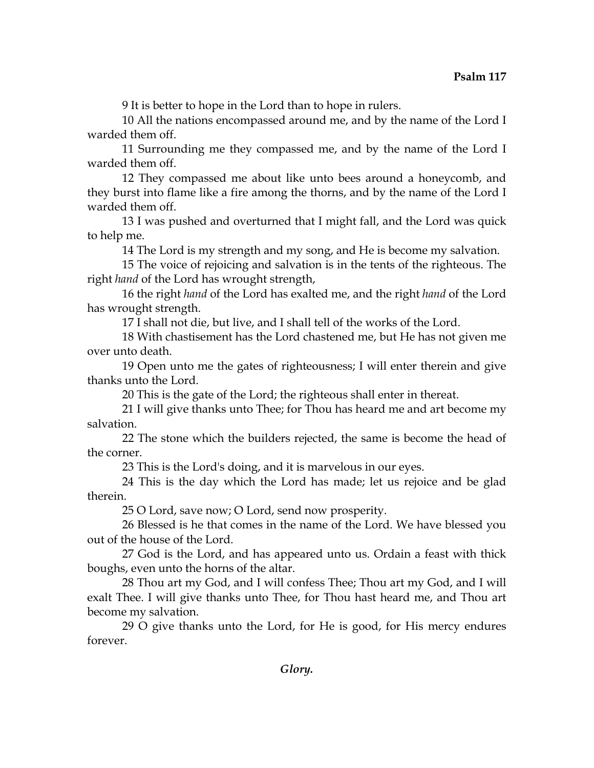9 It is better to hope in the Lord than to hope in rulers.

10 All the nations encompassed around me, and by the name of the Lord I warded them off.

11 Surrounding me they compassed me, and by the name of the Lord I warded them off.

12 They compassed me about like unto bees around a honeycomb, and they burst into flame like a fire among the thorns, and by the name of the Lord I warded them off.

13 I was pushed and overturned that I might fall, and the Lord was quick to help me.

14 The Lord is my strength and my song, and He is become my salvation.

15 The voice of rejoicing and salvation is in the tents of the righteous. The right *hand* of the Lord has wrought strength,

16 the right *hand* of the Lord has exalted me, and the right *hand* of the Lord has wrought strength.

17 I shall not die, but live, and I shall tell of the works of the Lord.

18 With chastisement has the Lord chastened me, but He has not given me over unto death.

19 Open unto me the gates of righteousness; I will enter therein and give thanks unto the Lord.

20 This is the gate of the Lord; the righteous shall enter in thereat.

21 I will give thanks unto Thee; for Thou has heard me and art become my salvation.

22 The stone which the builders rejected, the same is become the head of the corner.

23 This is the Lord's doing, and it is marvelous in our eyes.

24 This is the day which the Lord has made; let us rejoice and be glad therein.

25 O Lord, save now; O Lord, send now prosperity.

26 Blessed is he that comes in the name of the Lord. We have blessed you out of the house of the Lord.

27 God is the Lord, and has appeared unto us. Ordain a feast with thick boughs, even unto the horns of the altar.

28 Thou art my God, and I will confess Thee; Thou art my God, and I will exalt Thee. I will give thanks unto Thee, for Thou hast heard me, and Thou art become my salvation.

29 O give thanks unto the Lord, for He is good, for His mercy endures forever.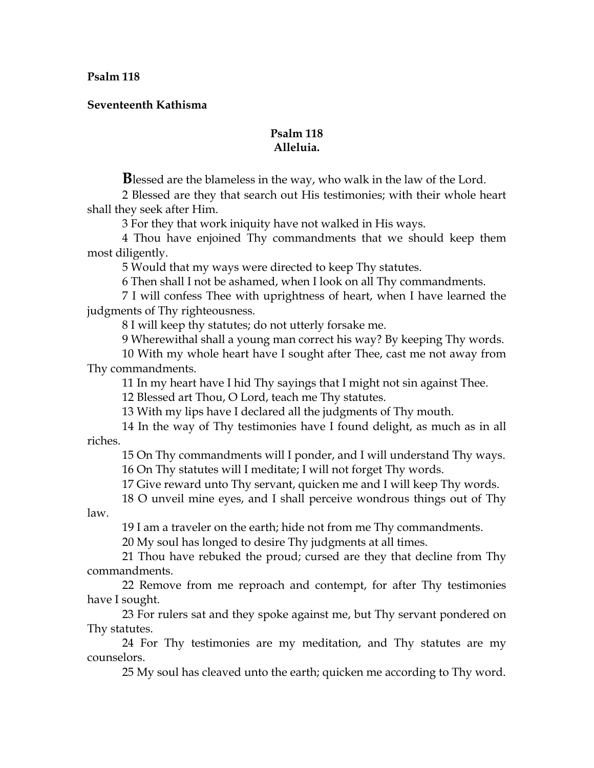**Seventeenth Kathisma** 

# **Psalm 118 Alleluia.**

**B**lessed are the blameless in the way, who walk in the law of the Lord.

2 Blessed are they that search out His testimonies; with their whole heart shall they seek after Him.

3 For they that work iniquity have not walked in His ways.

4 Thou have enjoined Thy commandments that we should keep them most diligently.

5 Would that my ways were directed to keep Thy statutes.

6 Then shall I not be ashamed, when I look on all Thy commandments.

7 I will confess Thee with uprightness of heart, when I have learned the judgments of Thy righteousness.

8 I will keep thy statutes; do not utterly forsake me.

9 Wherewithal shall a young man correct his way? By keeping Thy words.

10 With my whole heart have I sought after Thee, cast me not away from Thy commandments.

11 In my heart have I hid Thy sayings that I might not sin against Thee.

12 Blessed art Thou, O Lord, teach me Thy statutes.

13 With my lips have I declared all the judgments of Thy mouth.

14 In the way of Thy testimonies have I found delight, as much as in all riches.

15 On Thy commandments will I ponder, and I will understand Thy ways. 16 On Thy statutes will I meditate; I will not forget Thy words.

17 Give reward unto Thy servant, quicken me and I will keep Thy words.

18 O unveil mine eyes, and I shall perceive wondrous things out of Thy

law.

19 I am a traveler on the earth; hide not from me Thy commandments.

20 My soul has longed to desire Thy judgments at all times.

21 Thou have rebuked the proud; cursed are they that decline from Thy commandments.

22 Remove from me reproach and contempt, for after Thy testimonies have I sought.

23 For rulers sat and they spoke against me, but Thy servant pondered on Thy statutes.

24 For Thy testimonies are my meditation, and Thy statutes are my counselors.

25 My soul has cleaved unto the earth; quicken me according to Thy word.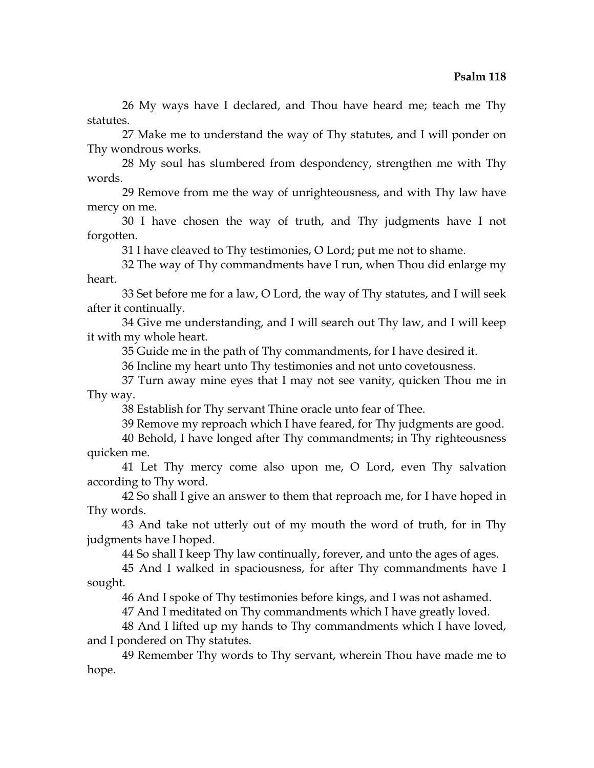26 My ways have I declared, and Thou have heard me; teach me Thy statutes.

27 Make me to understand the way of Thy statutes, and I will ponder on Thy wondrous works.

28 My soul has slumbered from despondency, strengthen me with Thy words.

29 Remove from me the way of unrighteousness, and with Thy law have mercy on me.

30 I have chosen the way of truth, and Thy judgments have I not forgotten.

31 I have cleaved to Thy testimonies, O Lord; put me not to shame.

32 The way of Thy commandments have I run, when Thou did enlarge my heart.

33 Set before me for a law, O Lord, the way of Thy statutes, and I will seek after it continually.

34 Give me understanding, and I will search out Thy law, and I will keep it with my whole heart.

35 Guide me in the path of Thy commandments, for I have desired it.

36 Incline my heart unto Thy testimonies and not unto covetousness.

37 Turn away mine eyes that I may not see vanity, quicken Thou me in Thy way.

38 Establish for Thy servant Thine oracle unto fear of Thee.

39 Remove my reproach which I have feared, for Thy judgments are good.

40 Behold, I have longed after Thy commandments; in Thy righteousness quicken me.

41 Let Thy mercy come also upon me, O Lord, even Thy salvation according to Thy word.

42 So shall I give an answer to them that reproach me, for I have hoped in Thy words.

43 And take not utterly out of my mouth the word of truth, for in Thy judgments have I hoped.

44 So shall I keep Thy law continually, forever, and unto the ages of ages.

45 And I walked in spaciousness, for after Thy commandments have I sought.

46 And I spoke of Thy testimonies before kings, and I was not ashamed.

47 And I meditated on Thy commandments which I have greatly loved.

48 And I lifted up my hands to Thy commandments which I have loved, and I pondered on Thy statutes.

49 Remember Thy words to Thy servant, wherein Thou have made me to hope.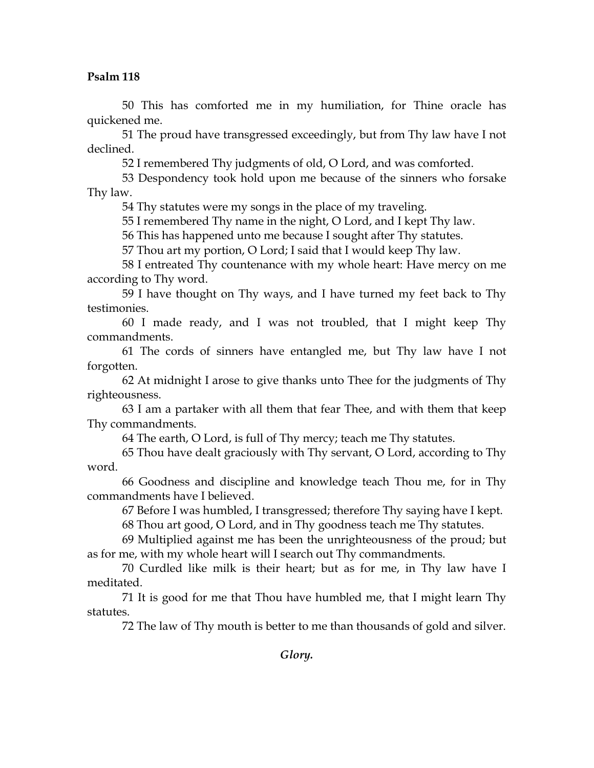50 This has comforted me in my humiliation, for Thine oracle has quickened me.

51 The proud have transgressed exceedingly, but from Thy law have I not declined.

52 I remembered Thy judgments of old, O Lord, and was comforted.

53 Despondency took hold upon me because of the sinners who forsake Thy law.

54 Thy statutes were my songs in the place of my traveling.

55 I remembered Thy name in the night, O Lord, and I kept Thy law.

56 This has happened unto me because I sought after Thy statutes.

57 Thou art my portion, O Lord; I said that I would keep Thy law.

58 I entreated Thy countenance with my whole heart: Have mercy on me according to Thy word.

59 I have thought on Thy ways, and I have turned my feet back to Thy testimonies.

60 I made ready, and I was not troubled, that I might keep Thy commandments.

61 The cords of sinners have entangled me, but Thy law have I not forgotten.

62 At midnight I arose to give thanks unto Thee for the judgments of Thy righteousness.

63 I am a partaker with all them that fear Thee, and with them that keep Thy commandments.

64 The earth, O Lord, is full of Thy mercy; teach me Thy statutes.

65 Thou have dealt graciously with Thy servant, O Lord, according to Thy word.

66 Goodness and discipline and knowledge teach Thou me, for in Thy commandments have I believed.

67 Before I was humbled, I transgressed; therefore Thy saying have I kept.

68 Thou art good, O Lord, and in Thy goodness teach me Thy statutes.

69 Multiplied against me has been the unrighteousness of the proud; but as for me, with my whole heart will I search out Thy commandments.

70 Curdled like milk is their heart; but as for me, in Thy law have I meditated.

71 It is good for me that Thou have humbled me, that I might learn Thy statutes.

72 The law of Thy mouth is better to me than thousands of gold and silver.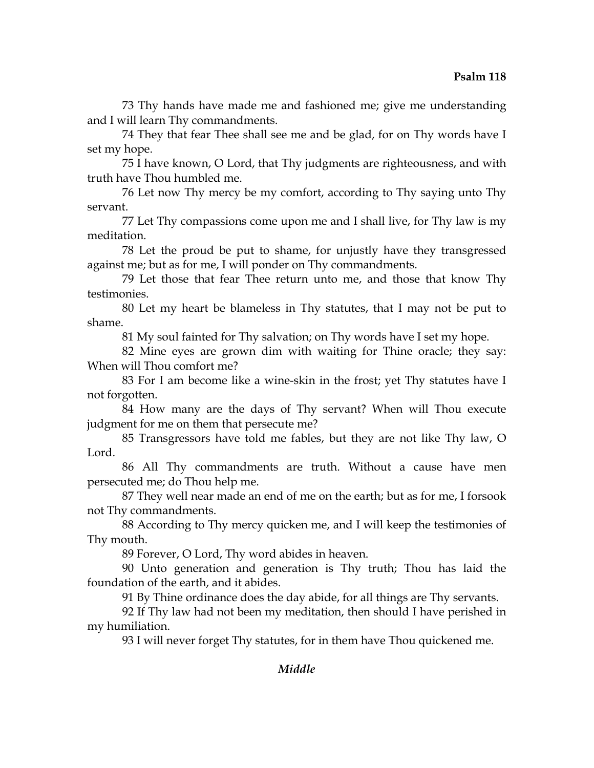73 Thy hands have made me and fashioned me; give me understanding and I will learn Thy commandments.

74 They that fear Thee shall see me and be glad, for on Thy words have I set my hope.

75 I have known, O Lord, that Thy judgments are righteousness, and with truth have Thou humbled me.

76 Let now Thy mercy be my comfort, according to Thy saying unto Thy servant.

77 Let Thy compassions come upon me and I shall live, for Thy law is my meditation.

78 Let the proud be put to shame, for unjustly have they transgressed against me; but as for me, I will ponder on Thy commandments.

79 Let those that fear Thee return unto me, and those that know Thy testimonies.

80 Let my heart be blameless in Thy statutes, that I may not be put to shame.

81 My soul fainted for Thy salvation; on Thy words have I set my hope.

82 Mine eyes are grown dim with waiting for Thine oracle; they say: When will Thou comfort me?

83 For I am become like a wine-skin in the frost; yet Thy statutes have I not forgotten.

84 How many are the days of Thy servant? When will Thou execute judgment for me on them that persecute me?

85 Transgressors have told me fables, but they are not like Thy law, O Lord.

86 All Thy commandments are truth. Without a cause have men persecuted me; do Thou help me.

87 They well near made an end of me on the earth; but as for me, I forsook not Thy commandments.

88 According to Thy mercy quicken me, and I will keep the testimonies of Thy mouth.

89 Forever, O Lord, Thy word abides in heaven.

90 Unto generation and generation is Thy truth; Thou has laid the foundation of the earth, and it abides.

91 By Thine ordinance does the day abide, for all things are Thy servants.

92 If Thy law had not been my meditation, then should I have perished in my humiliation.

93 I will never forget Thy statutes, for in them have Thou quickened me.

# *Middle*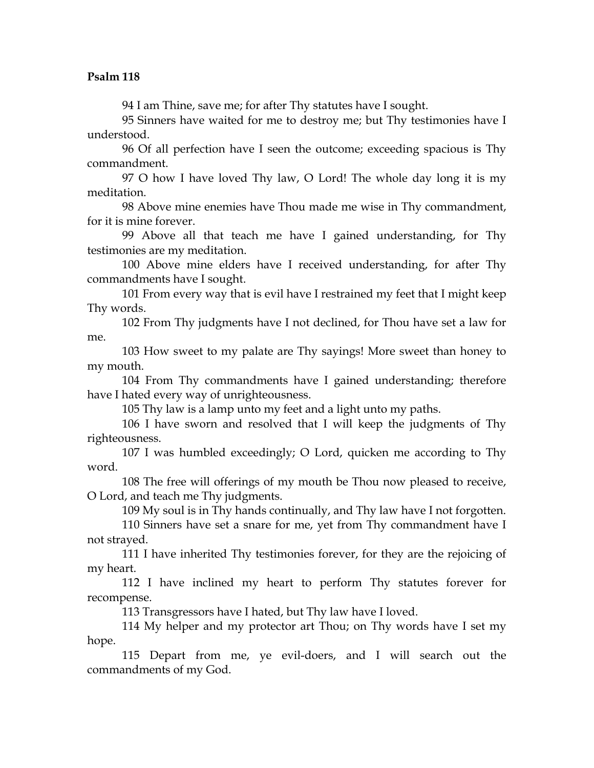94 I am Thine, save me; for after Thy statutes have I sought.

95 Sinners have waited for me to destroy me; but Thy testimonies have I understood.

96 Of all perfection have I seen the outcome; exceeding spacious is Thy commandment.

97 O how I have loved Thy law, O Lord! The whole day long it is my meditation.

98 Above mine enemies have Thou made me wise in Thy commandment, for it is mine forever.

99 Above all that teach me have I gained understanding, for Thy testimonies are my meditation.

100 Above mine elders have I received understanding, for after Thy commandments have I sought.

101 From every way that is evil have I restrained my feet that I might keep Thy words.

102 From Thy judgments have I not declined, for Thou have set a law for me.

103 How sweet to my palate are Thy sayings! More sweet than honey to my mouth.

104 From Thy commandments have I gained understanding; therefore have I hated every way of unrighteousness.

105 Thy law is a lamp unto my feet and a light unto my paths.

106 I have sworn and resolved that I will keep the judgments of Thy righteousness.

107 I was humbled exceedingly; O Lord, quicken me according to Thy word.

108 The free will offerings of my mouth be Thou now pleased to receive, O Lord, and teach me Thy judgments.

109 My soul is in Thy hands continually, and Thy law have I not forgotten.

110 Sinners have set a snare for me, yet from Thy commandment have I not strayed.

111 I have inherited Thy testimonies forever, for they are the rejoicing of my heart.

112 I have inclined my heart to perform Thy statutes forever for recompense.

113 Transgressors have I hated, but Thy law have I loved.

114 My helper and my protector art Thou; on Thy words have I set my hope.

115 Depart from me, ye evil-doers, and I will search out the commandments of my God.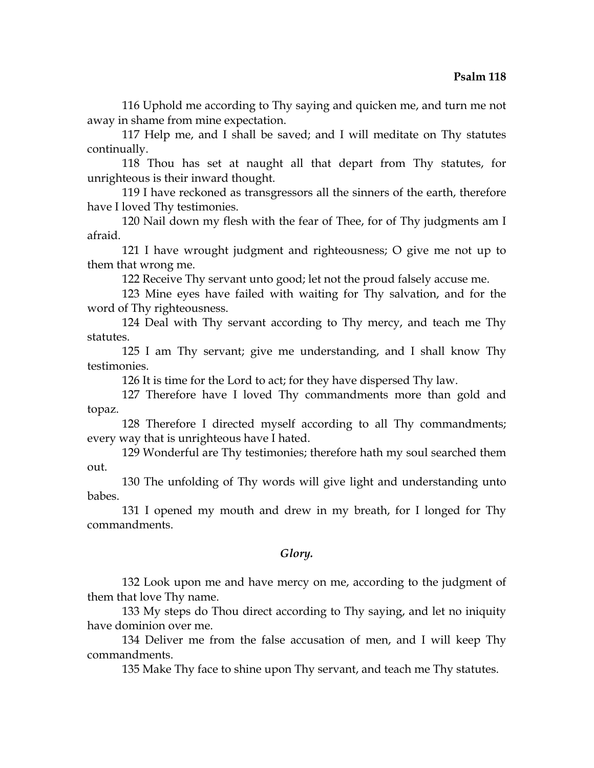116 Uphold me according to Thy saying and quicken me, and turn me not away in shame from mine expectation.

117 Help me, and I shall be saved; and I will meditate on Thy statutes continually.

118 Thou has set at naught all that depart from Thy statutes, for unrighteous is their inward thought.

119 I have reckoned as transgressors all the sinners of the earth, therefore have I loved Thy testimonies.

120 Nail down my flesh with the fear of Thee, for of Thy judgments am I afraid.

121 I have wrought judgment and righteousness; O give me not up to them that wrong me.

122 Receive Thy servant unto good; let not the proud falsely accuse me.

123 Mine eyes have failed with waiting for Thy salvation, and for the word of Thy righteousness.

124 Deal with Thy servant according to Thy mercy, and teach me Thy statutes.

125 I am Thy servant; give me understanding, and I shall know Thy testimonies.

126 It is time for the Lord to act; for they have dispersed Thy law.

127 Therefore have I loved Thy commandments more than gold and topaz.

128 Therefore I directed myself according to all Thy commandments; every way that is unrighteous have I hated.

129 Wonderful are Thy testimonies; therefore hath my soul searched them out.

130 The unfolding of Thy words will give light and understanding unto babes.

131 I opened my mouth and drew in my breath, for I longed for Thy commandments.

#### *Glory.*

132 Look upon me and have mercy on me, according to the judgment of them that love Thy name.

133 My steps do Thou direct according to Thy saying, and let no iniquity have dominion over me.

134 Deliver me from the false accusation of men, and I will keep Thy commandments.

135 Make Thy face to shine upon Thy servant, and teach me Thy statutes.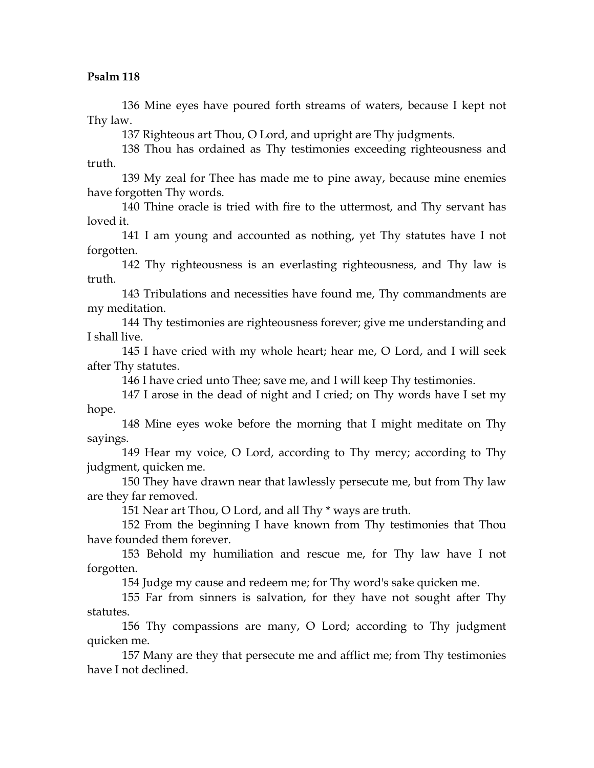136 Mine eyes have poured forth streams of waters, because I kept not Thy law.

137 Righteous art Thou, O Lord, and upright are Thy judgments.

138 Thou has ordained as Thy testimonies exceeding righteousness and truth.

139 My zeal for Thee has made me to pine away, because mine enemies have forgotten Thy words.

140 Thine oracle is tried with fire to the uttermost, and Thy servant has loved it.

141 I am young and accounted as nothing, yet Thy statutes have I not forgotten.

142 Thy righteousness is an everlasting righteousness, and Thy law is truth.

143 Tribulations and necessities have found me, Thy commandments are my meditation.

144 Thy testimonies are righteousness forever; give me understanding and I shall live.

145 I have cried with my whole heart; hear me, O Lord, and I will seek after Thy statutes.

146 I have cried unto Thee; save me, and I will keep Thy testimonies.

147 I arose in the dead of night and I cried; on Thy words have I set my hope.

148 Mine eyes woke before the morning that I might meditate on Thy sayings.

149 Hear my voice, O Lord, according to Thy mercy; according to Thy judgment, quicken me.

150 They have drawn near that lawlessly persecute me, but from Thy law are they far removed.

151 Near art Thou, O Lord, and all Thy \* ways are truth.

152 From the beginning I have known from Thy testimonies that Thou have founded them forever.

153 Behold my humiliation and rescue me, for Thy law have I not forgotten.

154 Judge my cause and redeem me; for Thy word's sake quicken me.

155 Far from sinners is salvation, for they have not sought after Thy statutes.

156 Thy compassions are many, O Lord; according to Thy judgment quicken me.

157 Many are they that persecute me and afflict me; from Thy testimonies have I not declined.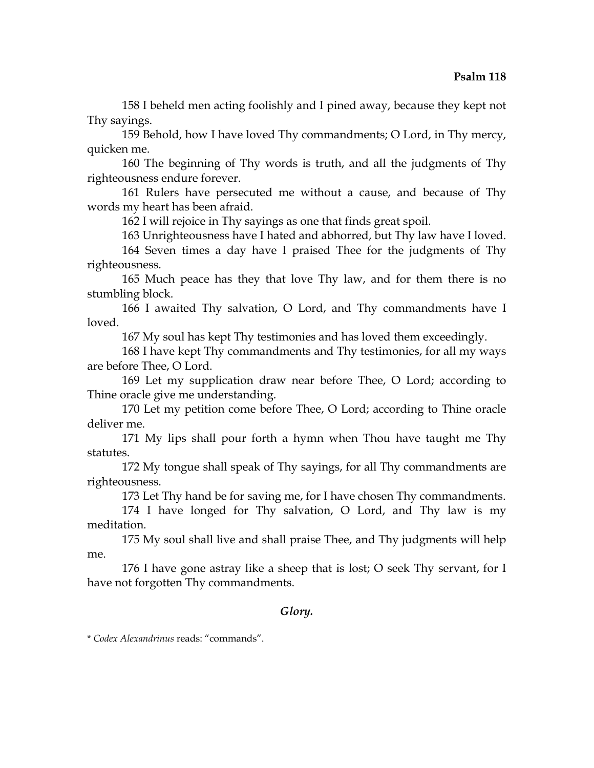158 I beheld men acting foolishly and I pined away, because they kept not Thy sayings.

159 Behold, how I have loved Thy commandments; O Lord, in Thy mercy, quicken me.

160 The beginning of Thy words is truth, and all the judgments of Thy righteousness endure forever.

161 Rulers have persecuted me without a cause, and because of Thy words my heart has been afraid.

162 I will rejoice in Thy sayings as one that finds great spoil.

163 Unrighteousness have I hated and abhorred, but Thy law have I loved. 164 Seven times a day have I praised Thee for the judgments of Thy righteousness.

165 Much peace has they that love Thy law, and for them there is no stumbling block.

166 I awaited Thy salvation, O Lord, and Thy commandments have I loved.

167 My soul has kept Thy testimonies and has loved them exceedingly.

168 I have kept Thy commandments and Thy testimonies, for all my ways are before Thee, O Lord.

169 Let my supplication draw near before Thee, O Lord; according to Thine oracle give me understanding.

170 Let my petition come before Thee, O Lord; according to Thine oracle deliver me.

171 My lips shall pour forth a hymn when Thou have taught me Thy statutes.

172 My tongue shall speak of Thy sayings, for all Thy commandments are righteousness.

173 Let Thy hand be for saving me, for I have chosen Thy commandments.

174 I have longed for Thy salvation, O Lord, and Thy law is my meditation.

175 My soul shall live and shall praise Thee, and Thy judgments will help me.

176 I have gone astray like a sheep that is lost; O seek Thy servant, for I have not forgotten Thy commandments.

### *Glory.*

\* *Codex Alexandrinus* reads: "commands".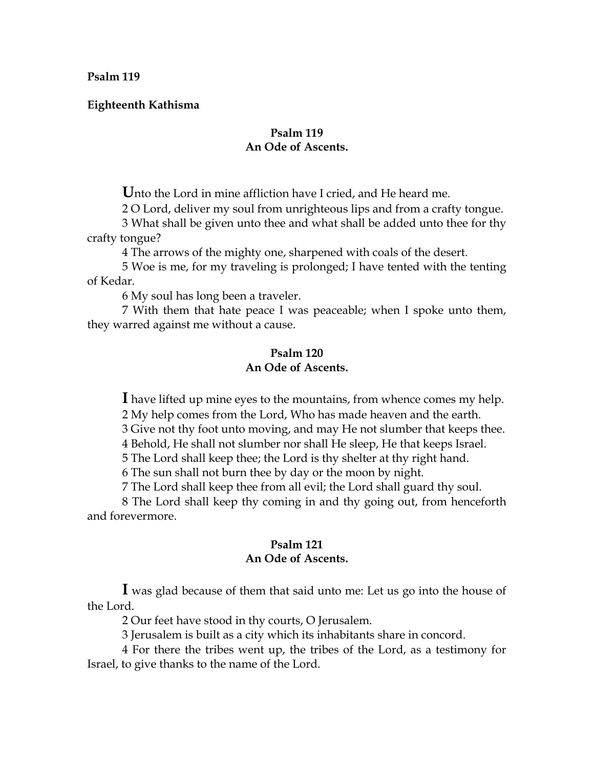**Eighteenth Kathisma** 

# **Psalm 119 An Ode of Ascents.**

**U**nto the Lord in mine affliction have I cried, and He heard me.

2 O Lord, deliver my soul from unrighteous lips and from a crafty tongue.

3 What shall be given unto thee and what shall be added unto thee for thy crafty tongue?

4 The arrows of the mighty one, sharpened with coals of the desert.

5 Woe is me, for my traveling is prolonged; I have tented with the tenting of Kedar.

6 My soul has long been a traveler.

7 With them that hate peace I was peaceable; when I spoke unto them, they warred against me without a cause.

#### **Psalm 120 An Ode of Ascents.**

**I** have lifted up mine eyes to the mountains, from whence comes my help.

2 My help comes from the Lord, Who has made heaven and the earth.

3 Give not thy foot unto moving, and may He not slumber that keeps thee.

4 Behold, He shall not slumber nor shall He sleep, He that keeps Israel.

5 The Lord shall keep thee; the Lord is thy shelter at thy right hand.

6 The sun shall not burn thee by day or the moon by night.

7 The Lord shall keep thee from all evil; the Lord shall guard thy soul.

8 The Lord shall keep thy coming in and thy going out, from henceforth and forevermore.

# **Psalm 121 An Ode of Ascents.**

**I** was glad because of them that said unto me: Let us go into the house of the Lord.

2 Our feet have stood in thy courts, O Jerusalem.

3 Jerusalem is built as a city which its inhabitants share in concord.

4 For there the tribes went up, the tribes of the Lord, as a testimony for Israel, to give thanks to the name of the Lord.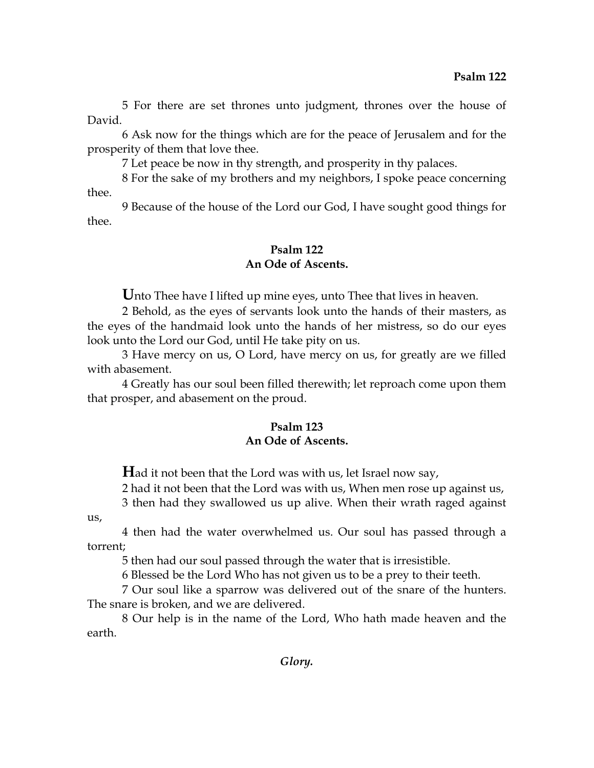5 For there are set thrones unto judgment, thrones over the house of David.

6 Ask now for the things which are for the peace of Jerusalem and for the prosperity of them that love thee.

7 Let peace be now in thy strength, and prosperity in thy palaces.

8 For the sake of my brothers and my neighbors, I spoke peace concerning thee.

9 Because of the house of the Lord our God, I have sought good things for thee.

# **Psalm 122 An Ode of Ascents.**

Unto Thee have I lifted up mine eyes, unto Thee that lives in heaven.

2 Behold, as the eyes of servants look unto the hands of their masters, as the eyes of the handmaid look unto the hands of her mistress, so do our eyes look unto the Lord our God, until He take pity on us.

3 Have mercy on us, O Lord, have mercy on us, for greatly are we filled with abasement.

4 Greatly has our soul been filled therewith; let reproach come upon them that prosper, and abasement on the proud.

# **Psalm 123 An Ode of Ascents.**

**H**ad it not been that the Lord was with us, let Israel now say,

2 had it not been that the Lord was with us, When men rose up against us,

3 then had they swallowed us up alive. When their wrath raged against

us,

4 then had the water overwhelmed us. Our soul has passed through a torrent;

5 then had our soul passed through the water that is irresistible.

6 Blessed be the Lord Who has not given us to be a prey to their teeth.

7 Our soul like a sparrow was delivered out of the snare of the hunters. The snare is broken, and we are delivered.

8 Our help is in the name of the Lord, Who hath made heaven and the earth.

*Glory.*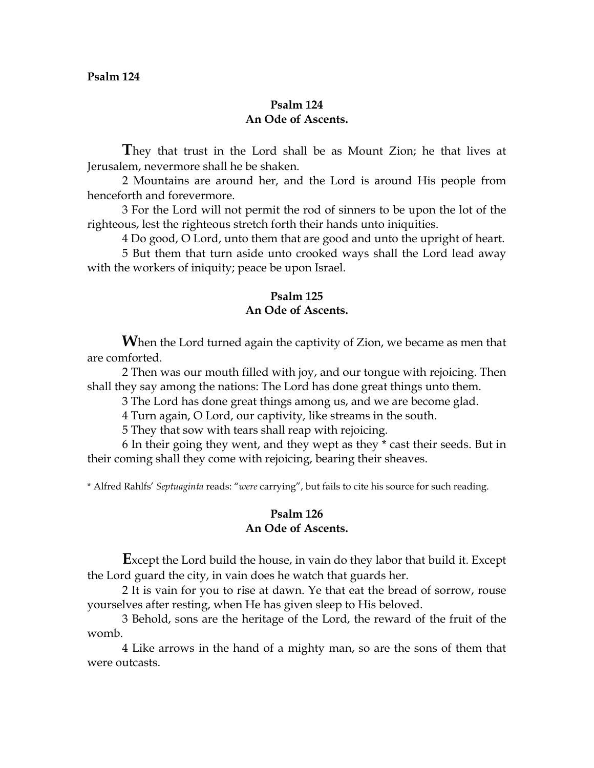### **Psalm 124 An Ode of Ascents.**

**T**hey that trust in the Lord shall be as Mount Zion; he that lives at Jerusalem, nevermore shall he be shaken.

2 Mountains are around her, and the Lord is around His people from henceforth and forevermore.

3 For the Lord will not permit the rod of sinners to be upon the lot of the righteous, lest the righteous stretch forth their hands unto iniquities.

4 Do good, O Lord, unto them that are good and unto the upright of heart.

5 But them that turn aside unto crooked ways shall the Lord lead away with the workers of iniquity; peace be upon Israel.

## **Psalm 125 An Ode of Ascents.**

**W**hen the Lord turned again the captivity of Zion, we became as men that are comforted.

2 Then was our mouth filled with joy, and our tongue with rejoicing. Then shall they say among the nations: The Lord has done great things unto them.

3 The Lord has done great things among us, and we are become glad.

4 Turn again, O Lord, our captivity, like streams in the south.

5 They that sow with tears shall reap with rejoicing.

6 In their going they went, and they wept as they \* cast their seeds. But in their coming shall they come with rejoicing, bearing their sheaves.

\* Alfred Rahlfs' *Septuaginta* reads: "*were* carrying", but fails to cite his source for such reading.

# **Psalm 126 An Ode of Ascents.**

**E**xcept the Lord build the house, in vain do they labor that build it. Except the Lord guard the city, in vain does he watch that guards her.

2 It is vain for you to rise at dawn. Ye that eat the bread of sorrow, rouse yourselves after resting, when He has given sleep to His beloved.

3 Behold, sons are the heritage of the Lord, the reward of the fruit of the womb.

4 Like arrows in the hand of a mighty man, so are the sons of them that were outcasts.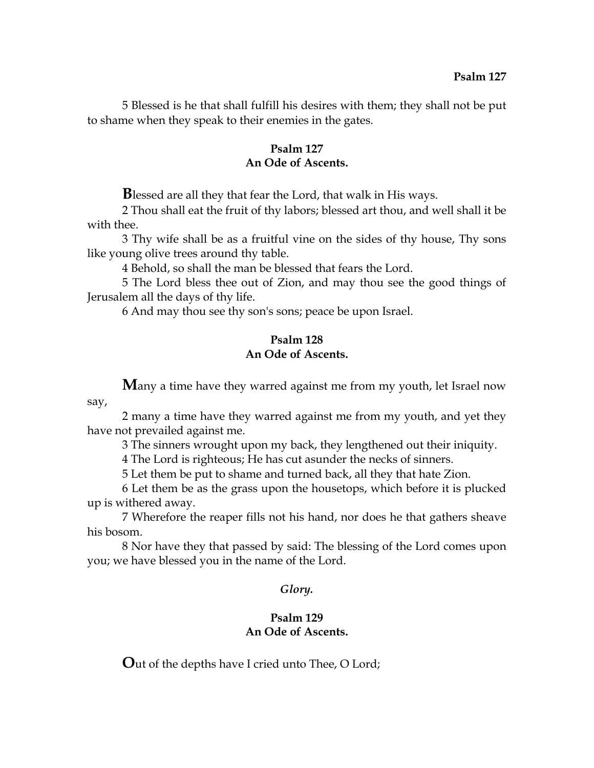5 Blessed is he that shall fulfill his desires with them; they shall not be put to shame when they speak to their enemies in the gates.

### **Psalm 127 An Ode of Ascents.**

**B**lessed are all they that fear the Lord, that walk in His ways.

2 Thou shall eat the fruit of thy labors; blessed art thou, and well shall it be with thee.

3 Thy wife shall be as a fruitful vine on the sides of thy house, Thy sons like young olive trees around thy table.

4 Behold, so shall the man be blessed that fears the Lord.

5 The Lord bless thee out of Zion, and may thou see the good things of Jerusalem all the days of thy life.

6 And may thou see thy son's sons; peace be upon Israel.

# **Psalm 128 An Ode of Ascents.**

**M**any a time have they warred against me from my youth, let Israel now say,

2 many a time have they warred against me from my youth, and yet they have not prevailed against me.

3 The sinners wrought upon my back, they lengthened out their iniquity.

4 The Lord is righteous; He has cut asunder the necks of sinners.

5 Let them be put to shame and turned back, all they that hate Zion.

6 Let them be as the grass upon the housetops, which before it is plucked up is withered away.

7 Wherefore the reaper fills not his hand, nor does he that gathers sheave his bosom.

8 Nor have they that passed by said: The blessing of the Lord comes upon you; we have blessed you in the name of the Lord.

# *Glory.*

# **Psalm 129 An Ode of Ascents.**

**O**ut of the depths have I cried unto Thee, O Lord;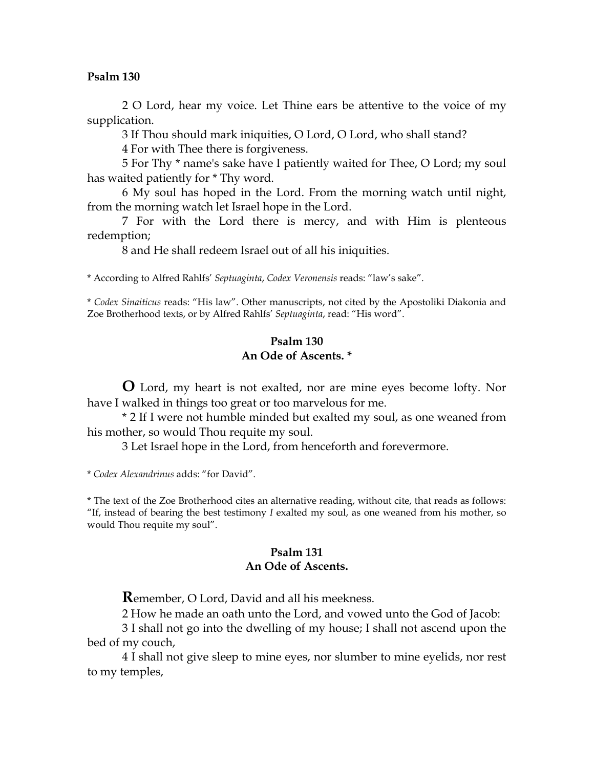2 O Lord, hear my voice. Let Thine ears be attentive to the voice of my supplication.

3 If Thou should mark iniquities, O Lord, O Lord, who shall stand?

4 For with Thee there is forgiveness.

5 For Thy \* name's sake have I patiently waited for Thee, O Lord; my soul has waited patiently for \* Thy word.

6 My soul has hoped in the Lord. From the morning watch until night, from the morning watch let Israel hope in the Lord.

7 For with the Lord there is mercy, and with Him is plenteous redemption;

8 and He shall redeem Israel out of all his iniquities.

\* According to Alfred Rahlfs' *Septuaginta*, *Codex Veronensis* reads: "law's sake".

\* *Codex Sinaiticus* reads: "His law". Other manuscripts, not cited by the Apostoliki Diakonia and Zoe Brotherhood texts, or by Alfred Rahlfs' *Septuaginta*, read: "His word".

#### **Psalm 130 An Ode of Ascents. \***

**O** Lord, my heart is not exalted, nor are mine eyes become lofty. Nor have I walked in things too great or too marvelous for me.

\* 2 If I were not humble minded but exalted my soul, as one weaned from his mother, so would Thou requite my soul.

3 Let Israel hope in the Lord, from henceforth and forevermore.

\* *Codex Alexandrinus* adds: "for David".

\* The text of the Zoe Brotherhood cites an alternative reading, without cite, that reads as follows: "If, instead of bearing the best testimony *I* exalted my soul, as one weaned from his mother, so would Thou requite my soul".

### **Psalm 131 An Ode of Ascents.**

**R**emember, O Lord, David and all his meekness.

2 How he made an oath unto the Lord, and vowed unto the God of Jacob:

3 I shall not go into the dwelling of my house; I shall not ascend upon the bed of my couch,

4 I shall not give sleep to mine eyes, nor slumber to mine eyelids, nor rest to my temples,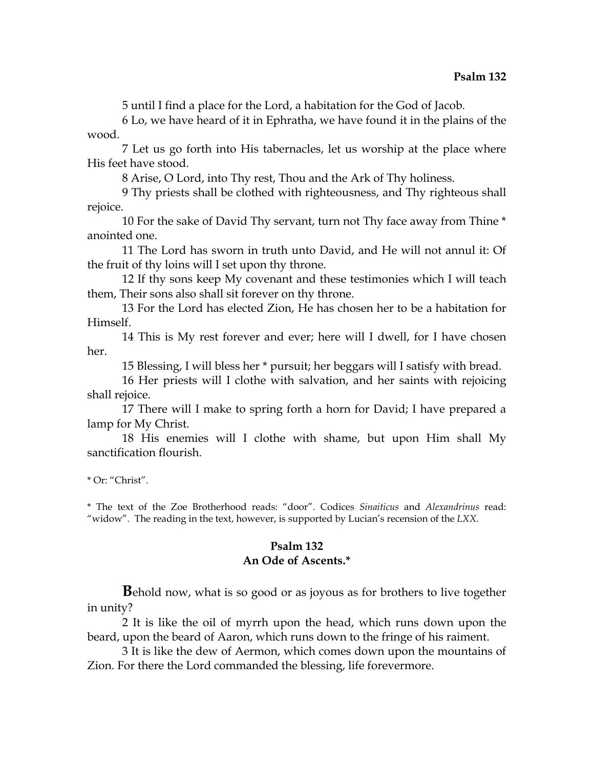5 until I find a place for the Lord, a habitation for the God of Jacob.

6 Lo, we have heard of it in Ephratha, we have found it in the plains of the wood.

7 Let us go forth into His tabernacles, let us worship at the place where His feet have stood.

8 Arise, O Lord, into Thy rest, Thou and the Ark of Thy holiness.

9 Thy priests shall be clothed with righteousness, and Thy righteous shall rejoice.

10 For the sake of David Thy servant, turn not Thy face away from Thine \* anointed one.

11 The Lord has sworn in truth unto David, and He will not annul it: Of the fruit of thy loins will I set upon thy throne.

12 If thy sons keep My covenant and these testimonies which I will teach them, Their sons also shall sit forever on thy throne.

13 For the Lord has elected Zion, He has chosen her to be a habitation for Himself.

14 This is My rest forever and ever; here will I dwell, for I have chosen her.

15 Blessing, I will bless her \* pursuit; her beggars will I satisfy with bread.

16 Her priests will I clothe with salvation, and her saints with rejoicing shall rejoice.

17 There will I make to spring forth a horn for David; I have prepared a lamp for My Christ.

18 His enemies will I clothe with shame, but upon Him shall My sanctification flourish.

\* Or: "Christ".

\* The text of the Zoe Brotherhood reads: "door". Codices *Sinaiticus* and *Alexandrinus* read: "widow". The reading in the text, however, is supported by Lucian's recension of the *LXX*.

# **Psalm 132 An Ode of Ascents.\***

**B**ehold now, what is so good or as joyous as for brothers to live together in unity?

2 It is like the oil of myrrh upon the head, which runs down upon the beard, upon the beard of Aaron, which runs down to the fringe of his raiment.

3 It is like the dew of Aermon, which comes down upon the mountains of Zion. For there the Lord commanded the blessing, life forevermore.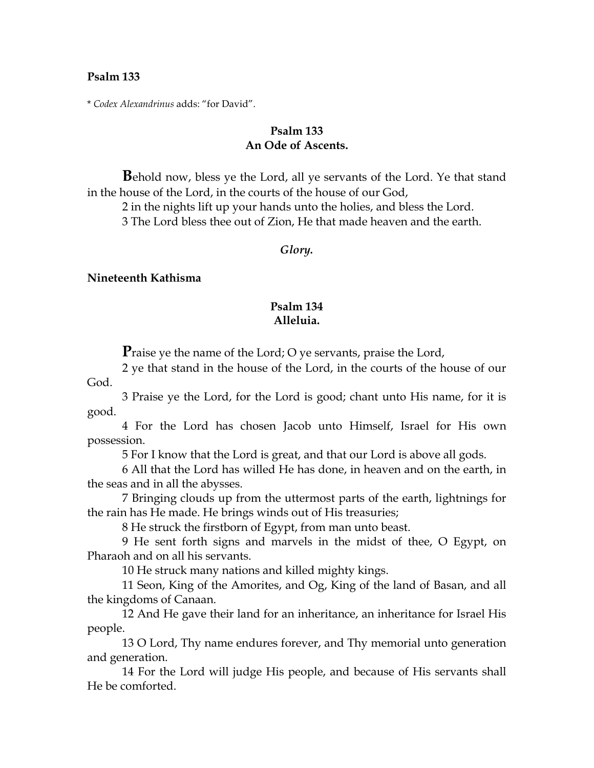\* *Codex Alexandrinus* adds: "for David".

### **Psalm 133 An Ode of Ascents.**

**B**ehold now, bless ye the Lord, all ye servants of the Lord. Ye that stand in the house of the Lord, in the courts of the house of our God,

2 in the nights lift up your hands unto the holies, and bless the Lord. 3 The Lord bless thee out of Zion, He that made heaven and the earth.

#### *Glory.*

#### **Nineteenth Kathisma**

### **Psalm 134 Alleluia.**

**P**raise ye the name of the Lord; O ye servants, praise the Lord,

2 ye that stand in the house of the Lord, in the courts of the house of our God.

3 Praise ye the Lord, for the Lord is good; chant unto His name, for it is good.

4 For the Lord has chosen Jacob unto Himself, Israel for His own possession.

5 For I know that the Lord is great, and that our Lord is above all gods.

6 All that the Lord has willed He has done, in heaven and on the earth, in the seas and in all the abysses.

7 Bringing clouds up from the uttermost parts of the earth, lightnings for the rain has He made. He brings winds out of His treasuries;

8 He struck the firstborn of Egypt, from man unto beast.

9 He sent forth signs and marvels in the midst of thee, O Egypt, on Pharaoh and on all his servants.

10 He struck many nations and killed mighty kings.

11 Seon, King of the Amorites, and Og, King of the land of Basan, and all the kingdoms of Canaan.

12 And He gave their land for an inheritance, an inheritance for Israel His people.

13 O Lord, Thy name endures forever, and Thy memorial unto generation and generation.

14 For the Lord will judge His people, and because of His servants shall He be comforted.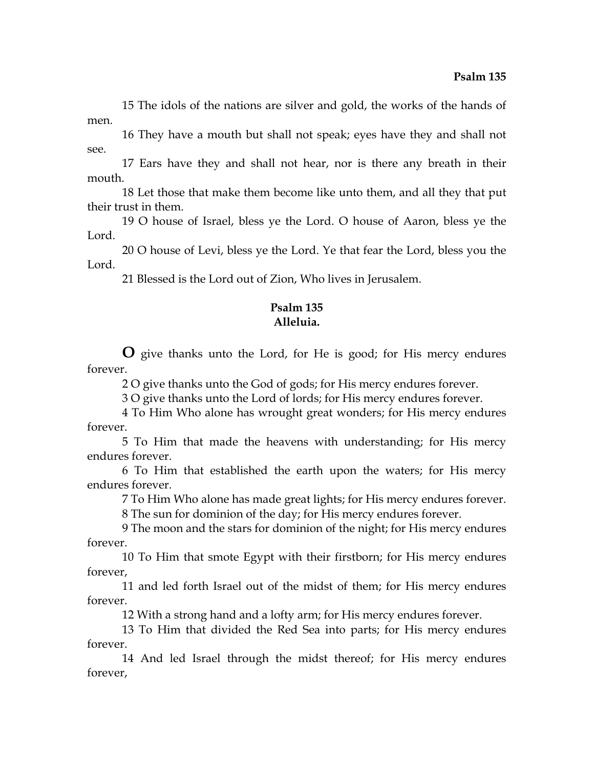15 The idols of the nations are silver and gold, the works of the hands of men.

16 They have a mouth but shall not speak; eyes have they and shall not see.

17 Ears have they and shall not hear, nor is there any breath in their mouth.

18 Let those that make them become like unto them, and all they that put their trust in them.

19 O house of Israel, bless ye the Lord. O house of Aaron, bless ye the Lord.

20 O house of Levi, bless ye the Lord. Ye that fear the Lord, bless you the Lord.

21 Blessed is the Lord out of Zion, Who lives in Jerusalem.

# **Psalm 135 Alleluia.**

**O** give thanks unto the Lord, for He is good; for His mercy endures forever.

2 O give thanks unto the God of gods; for His mercy endures forever.

3 O give thanks unto the Lord of lords; for His mercy endures forever.

4 To Him Who alone has wrought great wonders; for His mercy endures forever.

5 To Him that made the heavens with understanding; for His mercy endures forever.

6 To Him that established the earth upon the waters; for His mercy endures forever.

7 To Him Who alone has made great lights; for His mercy endures forever.

8 The sun for dominion of the day; for His mercy endures forever.

9 The moon and the stars for dominion of the night; for His mercy endures forever.

10 To Him that smote Egypt with their firstborn; for His mercy endures forever,

11 and led forth Israel out of the midst of them; for His mercy endures forever.

12 With a strong hand and a lofty arm; for His mercy endures forever.

13 To Him that divided the Red Sea into parts; for His mercy endures forever.

14 And led Israel through the midst thereof; for His mercy endures forever,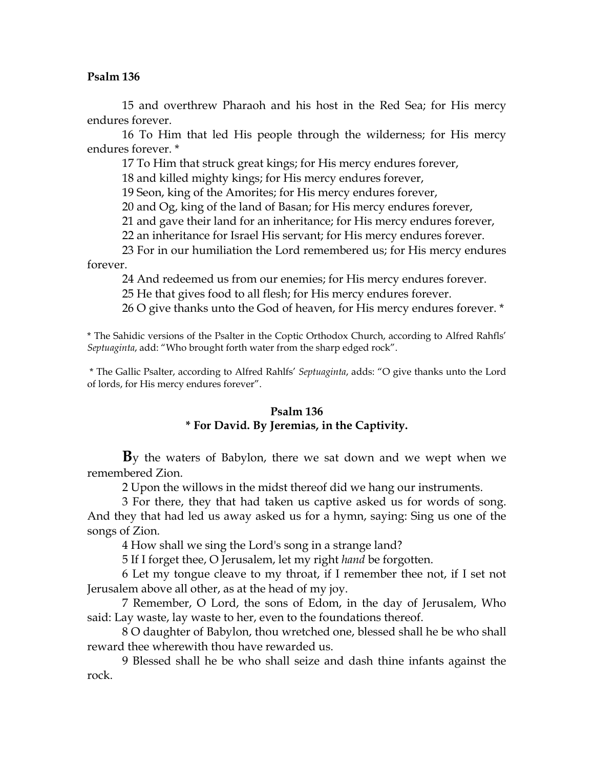15 and overthrew Pharaoh and his host in the Red Sea; for His mercy endures forever.

16 To Him that led His people through the wilderness; for His mercy endures forever. \*

17 To Him that struck great kings; for His mercy endures forever,

18 and killed mighty kings; for His mercy endures forever,

19 Seon, king of the Amorites; for His mercy endures forever,

20 and Og, king of the land of Basan; for His mercy endures forever,

21 and gave their land for an inheritance; for His mercy endures forever,

22 an inheritance for Israel His servant; for His mercy endures forever.

23 For in our humiliation the Lord remembered us; for His mercy endures forever.

24 And redeemed us from our enemies; for His mercy endures forever.

25 He that gives food to all flesh; for His mercy endures forever.

26 O give thanks unto the God of heaven, for His mercy endures forever. \*

\* The Sahidic versions of the Psalter in the Coptic Orthodox Church, according to Alfred Rahfls' *Septuaginta*, add: "Who brought forth water from the sharp edged rock".

 \* The Gallic Psalter, according to Alfred Rahlfs' *Septuaginta*, adds: "O give thanks unto the Lord of lords, for His mercy endures forever".

### **Psalm 136**

# **\* For David. By Jeremias, in the Captivity.**

**B**y the waters of Babylon, there we sat down and we wept when we remembered Zion.

2 Upon the willows in the midst thereof did we hang our instruments.

3 For there, they that had taken us captive asked us for words of song. And they that had led us away asked us for a hymn, saying: Sing us one of the songs of Zion.

4 How shall we sing the Lord's song in a strange land?

5 If I forget thee, O Jerusalem, let my right *hand* be forgotten.

6 Let my tongue cleave to my throat, if I remember thee not, if I set not Jerusalem above all other, as at the head of my joy.

7 Remember, O Lord, the sons of Edom, in the day of Jerusalem, Who said: Lay waste, lay waste to her, even to the foundations thereof.

8 O daughter of Babylon, thou wretched one, blessed shall he be who shall reward thee wherewith thou have rewarded us.

9 Blessed shall he be who shall seize and dash thine infants against the rock.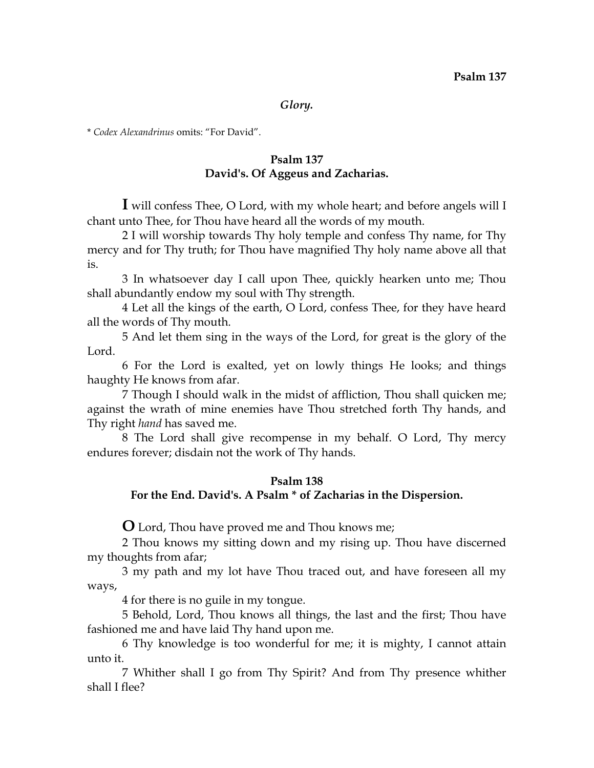#### *Glory.*

\* *Codex Alexandrinus* omits: "For David".

# **Psalm 137 David's. Of Aggeus and Zacharias.**

**I** will confess Thee, O Lord, with my whole heart; and before angels will I chant unto Thee, for Thou have heard all the words of my mouth.

2 I will worship towards Thy holy temple and confess Thy name, for Thy mercy and for Thy truth; for Thou have magnified Thy holy name above all that is.

3 In whatsoever day I call upon Thee, quickly hearken unto me; Thou shall abundantly endow my soul with Thy strength.

4 Let all the kings of the earth, O Lord, confess Thee, for they have heard all the words of Thy mouth.

5 And let them sing in the ways of the Lord, for great is the glory of the Lord.

6 For the Lord is exalted, yet on lowly things He looks; and things haughty He knows from afar.

7 Though I should walk in the midst of affliction, Thou shall quicken me; against the wrath of mine enemies have Thou stretched forth Thy hands, and Thy right *hand* has saved me.

8 The Lord shall give recompense in my behalf. O Lord, Thy mercy endures forever; disdain not the work of Thy hands.

#### **Psalm 138**

# **For the End. David's. A Psalm \* of Zacharias in the Dispersion.**

**O** Lord, Thou have proved me and Thou knows me;

2 Thou knows my sitting down and my rising up. Thou have discerned my thoughts from afar;

3 my path and my lot have Thou traced out, and have foreseen all my ways,

4 for there is no guile in my tongue.

5 Behold, Lord, Thou knows all things, the last and the first; Thou have fashioned me and have laid Thy hand upon me.

6 Thy knowledge is too wonderful for me; it is mighty, I cannot attain unto it.

7 Whither shall I go from Thy Spirit? And from Thy presence whither shall I flee?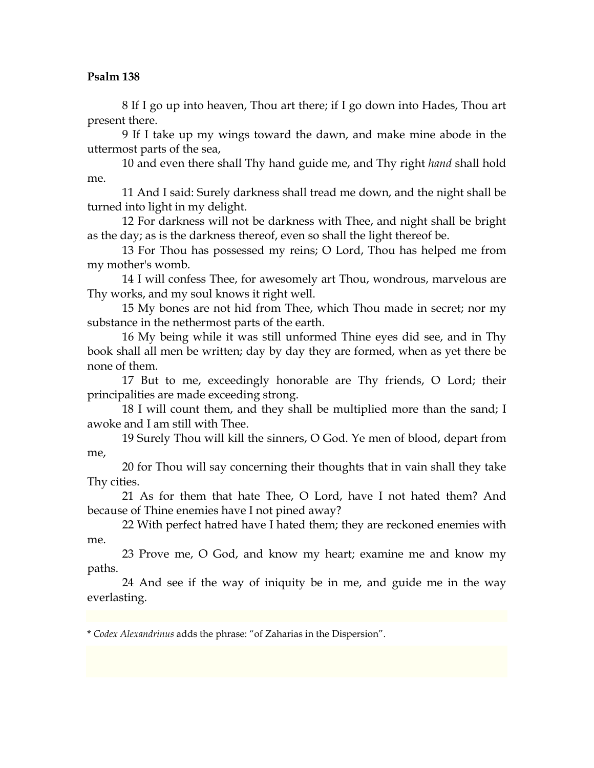8 If I go up into heaven, Thou art there; if I go down into Hades, Thou art present there.

9 If I take up my wings toward the dawn, and make mine abode in the uttermost parts of the sea,

10 and even there shall Thy hand guide me, and Thy right *hand* shall hold me.

11 And I said: Surely darkness shall tread me down, and the night shall be turned into light in my delight.

12 For darkness will not be darkness with Thee, and night shall be bright as the day; as is the darkness thereof, even so shall the light thereof be.

13 For Thou has possessed my reins; O Lord, Thou has helped me from my mother's womb.

14 I will confess Thee, for awesomely art Thou, wondrous, marvelous are Thy works, and my soul knows it right well.

15 My bones are not hid from Thee, which Thou made in secret; nor my substance in the nethermost parts of the earth.

16 My being while it was still unformed Thine eyes did see, and in Thy book shall all men be written; day by day they are formed, when as yet there be none of them.

17 But to me, exceedingly honorable are Thy friends, O Lord; their principalities are made exceeding strong.

18 I will count them, and they shall be multiplied more than the sand; I awoke and I am still with Thee.

19 Surely Thou will kill the sinners, O God. Ye men of blood, depart from me,

20 for Thou will say concerning their thoughts that in vain shall they take Thy cities.

21 As for them that hate Thee, O Lord, have I not hated them? And because of Thine enemies have I not pined away?

22 With perfect hatred have I hated them; they are reckoned enemies with me.

23 Prove me, O God, and know my heart; examine me and know my paths.

24 And see if the way of iniquity be in me, and guide me in the way everlasting.

\* *Codex Alexandrinus* adds the phrase: "of Zaharias in the Dispersion".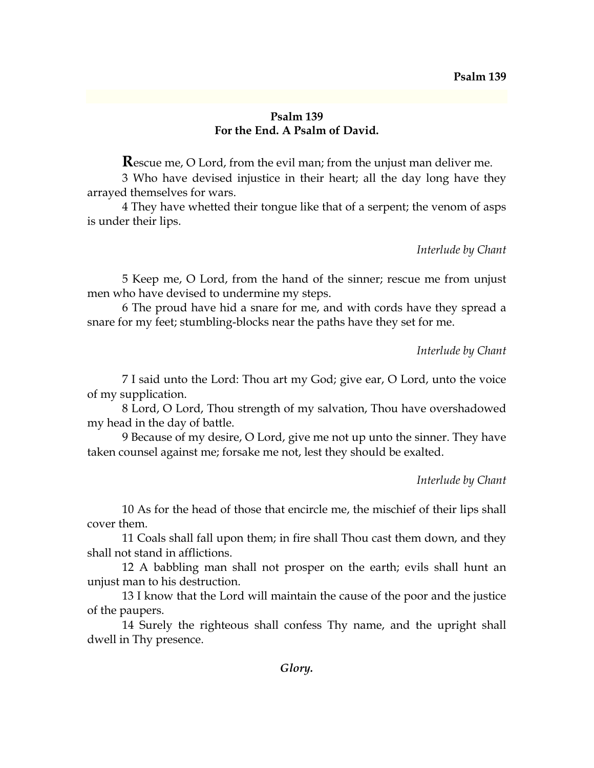### **Psalm 139 For the End. A Psalm of David.**

**R**escue me, O Lord, from the evil man; from the unjust man deliver me.

3 Who have devised injustice in their heart; all the day long have they arrayed themselves for wars.

4 They have whetted their tongue like that of a serpent; the venom of asps is under their lips.

*Interlude by Chant*

5 Keep me, O Lord, from the hand of the sinner; rescue me from unjust men who have devised to undermine my steps.

6 The proud have hid a snare for me, and with cords have they spread a snare for my feet; stumbling-blocks near the paths have they set for me.

*Interlude by Chant*

7 I said unto the Lord: Thou art my God; give ear, O Lord, unto the voice of my supplication.

8 Lord, O Lord, Thou strength of my salvation, Thou have overshadowed my head in the day of battle.

9 Because of my desire, O Lord, give me not up unto the sinner. They have taken counsel against me; forsake me not, lest they should be exalted.

*Interlude by Chant*

10 As for the head of those that encircle me, the mischief of their lips shall cover them.

11 Coals shall fall upon them; in fire shall Thou cast them down, and they shall not stand in afflictions.

12 A babbling man shall not prosper on the earth; evils shall hunt an unjust man to his destruction.

13 I know that the Lord will maintain the cause of the poor and the justice of the paupers.

14 Surely the righteous shall confess Thy name, and the upright shall dwell in Thy presence.

*Glory.*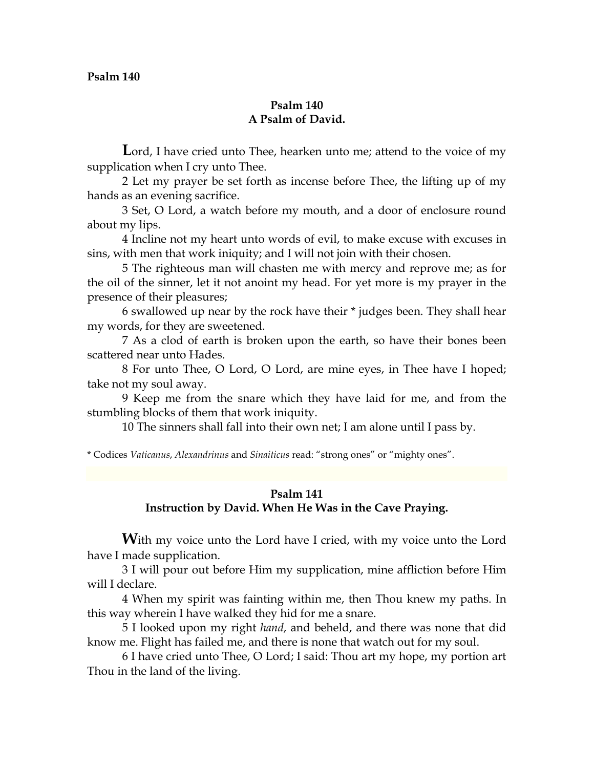# **Psalm 140 A Psalm of David.**

Lord, I have cried unto Thee, hearken unto me; attend to the voice of my supplication when I cry unto Thee.

2 Let my prayer be set forth as incense before Thee, the lifting up of my hands as an evening sacrifice.

3 Set, O Lord, a watch before my mouth, and a door of enclosure round about my lips.

4 Incline not my heart unto words of evil, to make excuse with excuses in sins, with men that work iniquity; and I will not join with their chosen.

5 The righteous man will chasten me with mercy and reprove me; as for the oil of the sinner, let it not anoint my head. For yet more is my prayer in the presence of their pleasures;

6 swallowed up near by the rock have their \* judges been. They shall hear my words, for they are sweetened.

7 As a clod of earth is broken upon the earth, so have their bones been scattered near unto Hades.

8 For unto Thee, O Lord, O Lord, are mine eyes, in Thee have I hoped; take not my soul away.

9 Keep me from the snare which they have laid for me, and from the stumbling blocks of them that work iniquity.

10 The sinners shall fall into their own net; I am alone until I pass by.

\* Codices *Vaticanus*, *Alexandrinus* and *Sinaiticus* read: "strong ones" or "mighty ones".

# **Psalm 141 Instruction by David. When He Was in the Cave Praying.**

With my voice unto the Lord have I cried, with my voice unto the Lord have I made supplication.

3 I will pour out before Him my supplication, mine affliction before Him will I declare.

4 When my spirit was fainting within me, then Thou knew my paths. In this way wherein I have walked they hid for me a snare.

5 I looked upon my right *hand*, and beheld, and there was none that did know me. Flight has failed me, and there is none that watch out for my soul.

6 I have cried unto Thee, O Lord; I said: Thou art my hope, my portion art Thou in the land of the living.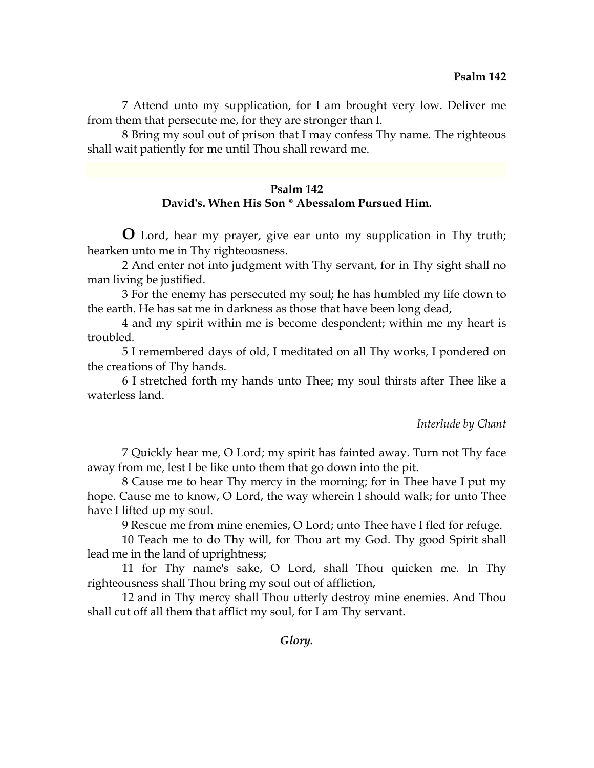7 Attend unto my supplication, for I am brought very low. Deliver me from them that persecute me, for they are stronger than I.

8 Bring my soul out of prison that I may confess Thy name. The righteous shall wait patiently for me until Thou shall reward me.

### **Psalm 142 David's. When His Son \* Abessalom Pursued Him.**

**O** Lord, hear my prayer, give ear unto my supplication in Thy truth; hearken unto me in Thy righteousness.

2 And enter not into judgment with Thy servant, for in Thy sight shall no man living be justified.

3 For the enemy has persecuted my soul; he has humbled my life down to the earth. He has sat me in darkness as those that have been long dead,

4 and my spirit within me is become despondent; within me my heart is troubled.

5 I remembered days of old, I meditated on all Thy works, I pondered on the creations of Thy hands.

6 I stretched forth my hands unto Thee; my soul thirsts after Thee like a waterless land.

#### *Interlude by Chant*

7 Quickly hear me, O Lord; my spirit has fainted away. Turn not Thy face away from me, lest I be like unto them that go down into the pit.

8 Cause me to hear Thy mercy in the morning; for in Thee have I put my hope. Cause me to know, O Lord, the way wherein I should walk; for unto Thee have I lifted up my soul.

9 Rescue me from mine enemies, O Lord; unto Thee have I fled for refuge.

10 Teach me to do Thy will, for Thou art my God. Thy good Spirit shall lead me in the land of uprightness;

11 for Thy name's sake, O Lord, shall Thou quicken me. In Thy righteousness shall Thou bring my soul out of affliction,

12 and in Thy mercy shall Thou utterly destroy mine enemies. And Thou shall cut off all them that afflict my soul, for I am Thy servant.

*Glory.*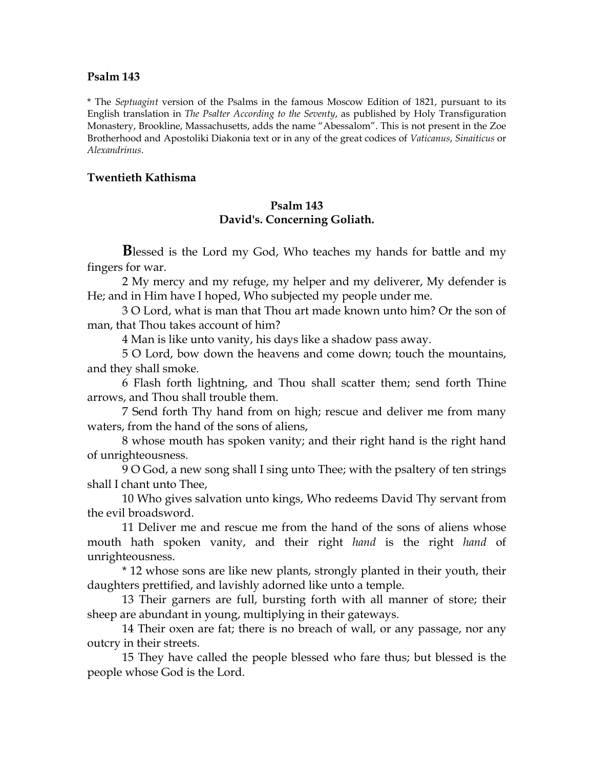\* The *Septuagint* version of the Psalms in the famous Moscow Edition of 1821, pursuant to its English translation in *The Psalter According to the Seventy*, as published by Holy Transfiguration Monastery, Brookline, Massachusetts, adds the name "Abessalom". This is not present in the Zoe Brotherhood and Apostoliki Diakonia text or in any of the great codices of *Vaticanus*, *Sinaiticus* or *Alexandrinus*.

### **Twentieth Kathisma**

## **Psalm 143 David's. Concerning Goliath.**

**B**lessed is the Lord my God, Who teaches my hands for battle and my fingers for war.

2 My mercy and my refuge, my helper and my deliverer, My defender is He; and in Him have I hoped, Who subjected my people under me.

3 O Lord, what is man that Thou art made known unto him? Or the son of man, that Thou takes account of him?

4 Man is like unto vanity, his days like a shadow pass away.

5 O Lord, bow down the heavens and come down; touch the mountains, and they shall smoke.

6 Flash forth lightning, and Thou shall scatter them; send forth Thine arrows, and Thou shall trouble them.

7 Send forth Thy hand from on high; rescue and deliver me from many waters, from the hand of the sons of aliens,

8 whose mouth has spoken vanity; and their right hand is the right hand of unrighteousness.

9 O God, a new song shall I sing unto Thee; with the psaltery of ten strings shall I chant unto Thee,

10 Who gives salvation unto kings, Who redeems David Thy servant from the evil broadsword.

11 Deliver me and rescue me from the hand of the sons of aliens whose mouth hath spoken vanity, and their right *hand* is the right *hand* of unrighteousness.

\* 12 whose sons are like new plants, strongly planted in their youth, their daughters prettified, and lavishly adorned like unto a temple.

13 Their garners are full, bursting forth with all manner of store; their sheep are abundant in young, multiplying in their gateways.

14 Their oxen are fat; there is no breach of wall, or any passage, nor any outcry in their streets.

15 They have called the people blessed who fare thus; but blessed is the people whose God is the Lord.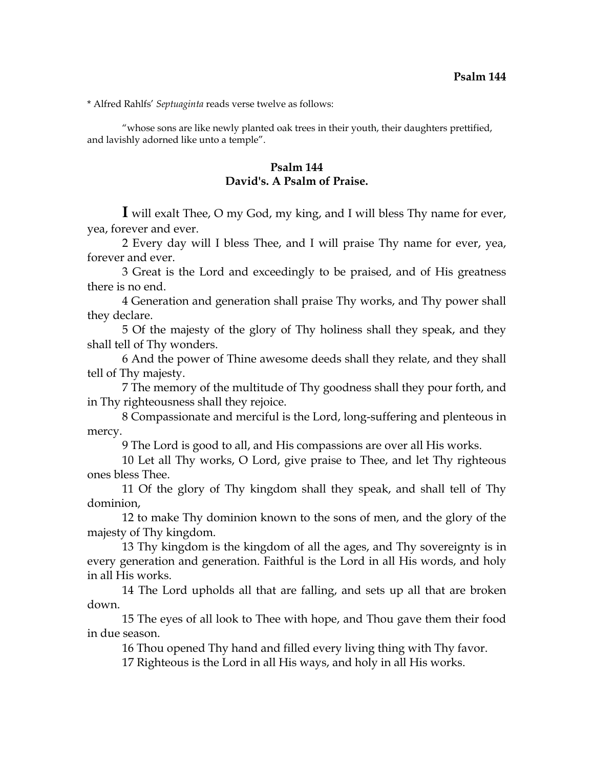\* Alfred Rahlfs' *Septuaginta* reads verse twelve as follows:

 "whose sons are like newly planted oak trees in their youth, their daughters prettified, and lavishly adorned like unto a temple".

# **Psalm 144 David's. A Psalm of Praise.**

**I** will exalt Thee, O my God, my king, and I will bless Thy name for ever, yea, forever and ever.

2 Every day will I bless Thee, and I will praise Thy name for ever, yea, forever and ever.

3 Great is the Lord and exceedingly to be praised, and of His greatness there is no end.

4 Generation and generation shall praise Thy works, and Thy power shall they declare.

5 Of the majesty of the glory of Thy holiness shall they speak, and they shall tell of Thy wonders.

6 And the power of Thine awesome deeds shall they relate, and they shall tell of Thy majesty.

7 The memory of the multitude of Thy goodness shall they pour forth, and in Thy righteousness shall they rejoice.

8 Compassionate and merciful is the Lord, long-suffering and plenteous in mercy.

9 The Lord is good to all, and His compassions are over all His works.

10 Let all Thy works, O Lord, give praise to Thee, and let Thy righteous ones bless Thee.

11 Of the glory of Thy kingdom shall they speak, and shall tell of Thy dominion,

12 to make Thy dominion known to the sons of men, and the glory of the majesty of Thy kingdom.

13 Thy kingdom is the kingdom of all the ages, and Thy sovereignty is in every generation and generation. Faithful is the Lord in all His words, and holy in all His works.

14 The Lord upholds all that are falling, and sets up all that are broken down.

15 The eyes of all look to Thee with hope, and Thou gave them their food in due season.

16 Thou opened Thy hand and filled every living thing with Thy favor.

17 Righteous is the Lord in all His ways, and holy in all His works.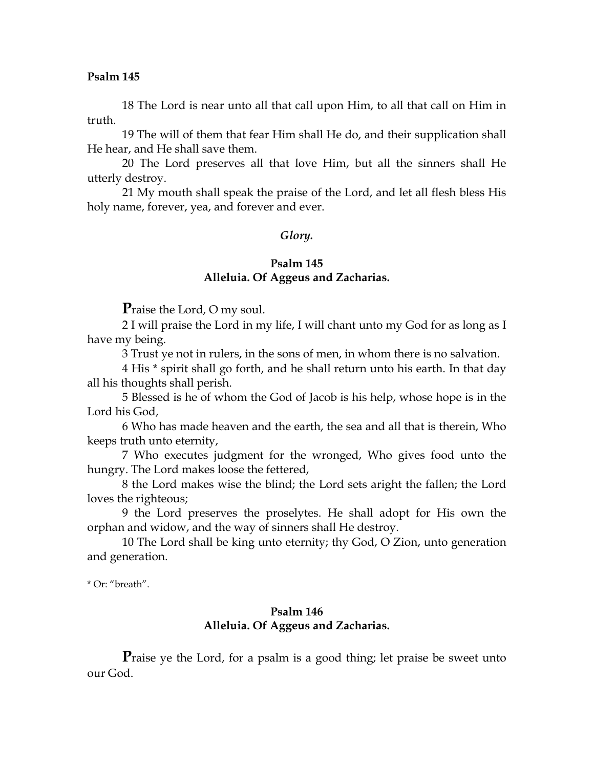18 The Lord is near unto all that call upon Him, to all that call on Him in truth.

19 The will of them that fear Him shall He do, and their supplication shall He hear, and He shall save them.

20 The Lord preserves all that love Him, but all the sinners shall He utterly destroy.

21 My mouth shall speak the praise of the Lord, and let all flesh bless His holy name, forever, yea, and forever and ever.

#### *Glory.*

# **Psalm 145**

# **Alleluia. Of Aggeus and Zacharias.**

**P**raise the Lord, O my soul.

2 I will praise the Lord in my life, I will chant unto my God for as long as I have my being.

3 Trust ye not in rulers, in the sons of men, in whom there is no salvation.

4 His \* spirit shall go forth, and he shall return unto his earth. In that day all his thoughts shall perish.

5 Blessed is he of whom the God of Jacob is his help, whose hope is in the Lord his God,

6 Who has made heaven and the earth, the sea and all that is therein, Who keeps truth unto eternity,

7 Who executes judgment for the wronged, Who gives food unto the hungry. The Lord makes loose the fettered,

8 the Lord makes wise the blind; the Lord sets aright the fallen; the Lord loves the righteous;

9 the Lord preserves the proselytes. He shall adopt for His own the orphan and widow, and the way of sinners shall He destroy.

10 The Lord shall be king unto eternity; thy God, O Zion, unto generation and generation.

\* Or: "breath".

# **Psalm 146 Alleluia. Of Aggeus and Zacharias.**

**P**raise ye the Lord, for a psalm is a good thing; let praise be sweet unto our God.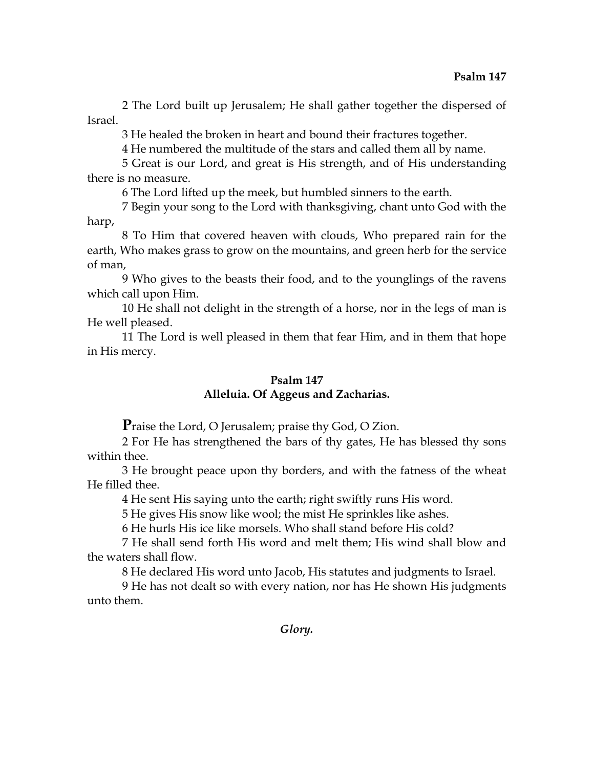2 The Lord built up Jerusalem; He shall gather together the dispersed of Israel.

3 He healed the broken in heart and bound their fractures together.

4 He numbered the multitude of the stars and called them all by name.

5 Great is our Lord, and great is His strength, and of His understanding there is no measure.

6 The Lord lifted up the meek, but humbled sinners to the earth.

7 Begin your song to the Lord with thanksgiving, chant unto God with the harp,

8 To Him that covered heaven with clouds, Who prepared rain for the earth, Who makes grass to grow on the mountains, and green herb for the service of man,

9 Who gives to the beasts their food, and to the younglings of the ravens which call upon Him.

10 He shall not delight in the strength of a horse, nor in the legs of man is He well pleased.

11 The Lord is well pleased in them that fear Him, and in them that hope in His mercy.

# **Psalm 147**

# **Alleluia. Of Aggeus and Zacharias.**

**P**raise the Lord, O Jerusalem; praise thy God, O Zion.

2 For He has strengthened the bars of thy gates, He has blessed thy sons within thee.

3 He brought peace upon thy borders, and with the fatness of the wheat He filled thee.

4 He sent His saying unto the earth; right swiftly runs His word.

5 He gives His snow like wool; the mist He sprinkles like ashes.

6 He hurls His ice like morsels. Who shall stand before His cold?

7 He shall send forth His word and melt them; His wind shall blow and the waters shall flow.

8 He declared His word unto Jacob, His statutes and judgments to Israel.

9 He has not dealt so with every nation, nor has He shown His judgments unto them.

*Glory.*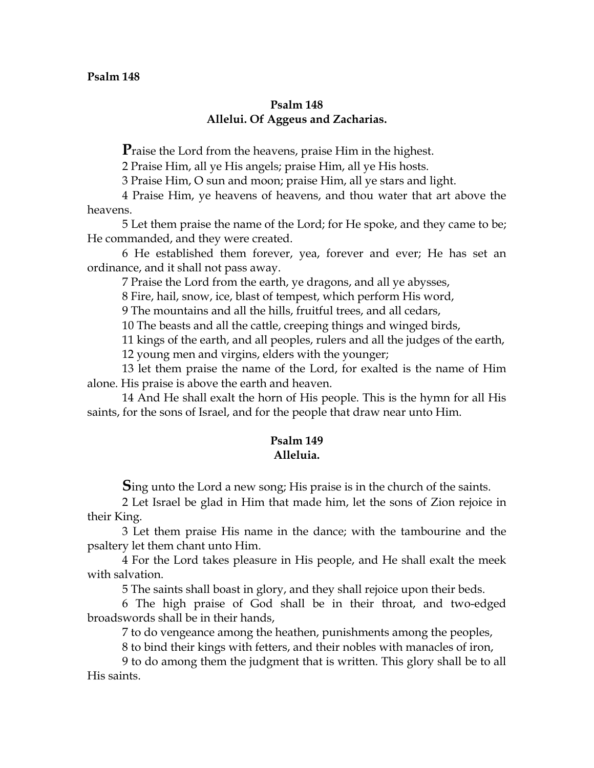## **Psalm 148 Allelui. Of Aggeus and Zacharias.**

**P**raise the Lord from the heavens, praise Him in the highest.

2 Praise Him, all ye His angels; praise Him, all ye His hosts.

3 Praise Him, O sun and moon; praise Him, all ye stars and light.

4 Praise Him, ye heavens of heavens, and thou water that art above the heavens.

5 Let them praise the name of the Lord; for He spoke, and they came to be; He commanded, and they were created.

6 He established them forever, yea, forever and ever; He has set an ordinance, and it shall not pass away.

7 Praise the Lord from the earth, ye dragons, and all ye abysses,

8 Fire, hail, snow, ice, blast of tempest, which perform His word,

9 The mountains and all the hills, fruitful trees, and all cedars,

10 The beasts and all the cattle, creeping things and winged birds,

11 kings of the earth, and all peoples, rulers and all the judges of the earth,

12 young men and virgins, elders with the younger;

13 let them praise the name of the Lord, for exalted is the name of Him alone. His praise is above the earth and heaven.

14 And He shall exalt the horn of His people. This is the hymn for all His saints, for the sons of Israel, and for the people that draw near unto Him.

# **Psalm 149 Alleluia.**

**S**ing unto the Lord a new song; His praise is in the church of the saints.

2 Let Israel be glad in Him that made him, let the sons of Zion rejoice in their King.

3 Let them praise His name in the dance; with the tambourine and the psaltery let them chant unto Him.

4 For the Lord takes pleasure in His people, and He shall exalt the meek with salvation.

5 The saints shall boast in glory, and they shall rejoice upon their beds.

6 The high praise of God shall be in their throat, and two-edged broadswords shall be in their hands,

7 to do vengeance among the heathen, punishments among the peoples,

8 to bind their kings with fetters, and their nobles with manacles of iron,

9 to do among them the judgment that is written. This glory shall be to all His saints.